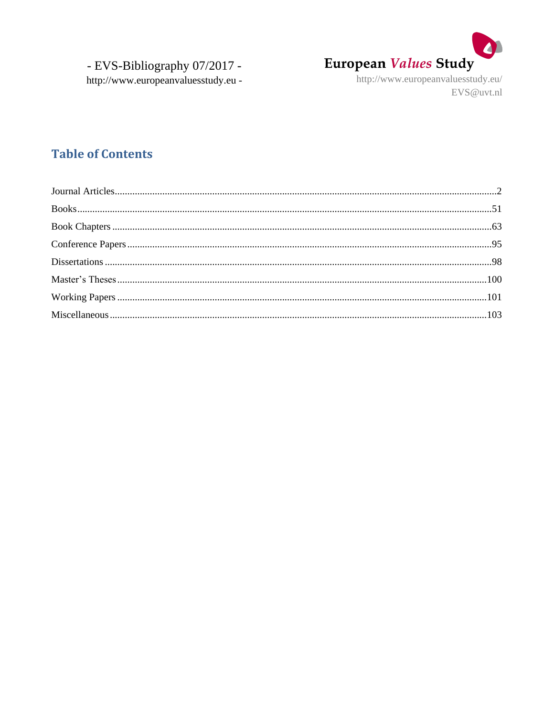

http://www.europeanvaluesstudy.eu/ EVS@uvt.nl

## **Table of Contents**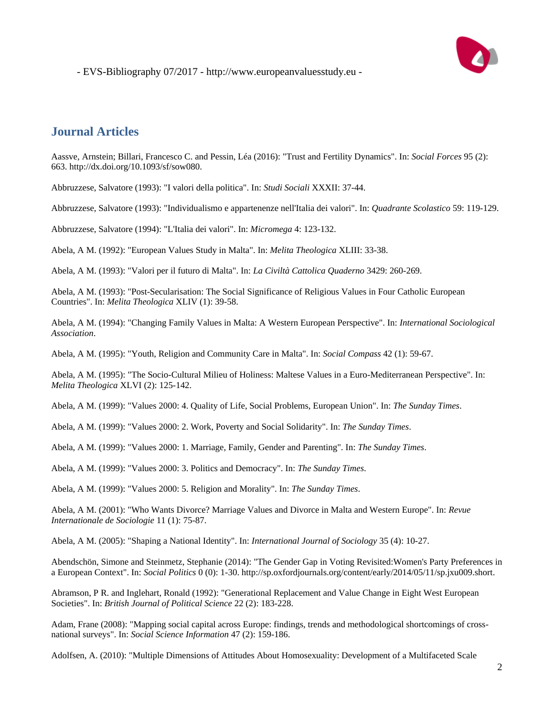

## <span id="page-1-0"></span>**Journal Articles**

Aassve, Arnstein; Billari, Francesco C. and Pessin, Léa (2016): "Trust and Fertility Dynamics". In: *Social Forces* 95 (2): 663. http://dx.doi.org/10.1093/sf/sow080.

Abbruzzese, Salvatore (1993): "I valori della politica". In: *Studi Sociali* XXXII: 37-44.

Abbruzzese, Salvatore (1993): "Individualismo e appartenenze nell'Italia dei valori". In: *Quadrante Scolastico* 59: 119-129.

Abbruzzese, Salvatore (1994): "L'Italia dei valori". In: *Micromega* 4: 123-132.

Abela, A M. (1992): "European Values Study in Malta". In: *Melita Theologica* XLIII: 33-38.

Abela, A M. (1993): "Valori per il futuro di Malta". In: *La Civiltà Cattolica Quaderno* 3429: 260-269.

Abela, A M. (1993): "Post-Secularisation: The Social Significance of Religious Values in Four Catholic European Countries". In: *Melita Theologica* XLIV (1): 39-58.

Abela, A M. (1994): "Changing Family Values in Malta: A Western European Perspective". In: *International Sociological Association*.

Abela, A M. (1995): "Youth, Religion and Community Care in Malta". In: *Social Compass* 42 (1): 59-67.

Abela, A M. (1995): "The Socio-Cultural Milieu of Holiness: Maltese Values in a Euro-Mediterranean Perspective". In: *Melita Theologica* XLVI (2): 125-142.

Abela, A M. (1999): "Values 2000: 4. Quality of Life, Social Problems, European Union". In: *The Sunday Times*.

Abela, A M. (1999): "Values 2000: 2. Work, Poverty and Social Solidarity". In: *The Sunday Times*.

Abela, A M. (1999): "Values 2000: 1. Marriage, Family, Gender and Parenting". In: *The Sunday Times*.

Abela, A M. (1999): "Values 2000: 3. Politics and Democracy". In: *The Sunday Times*.

Abela, A M. (1999): "Values 2000: 5. Religion and Morality". In: *The Sunday Times*.

Abela, A M. (2001): "Who Wants Divorce? Marriage Values and Divorce in Malta and Western Europe". In: *Revue Internationale de Sociologie* 11 (1): 75-87.

Abela, A M. (2005): "Shaping a National Identity". In: *International Journal of Sociology* 35 (4): 10-27.

Abendschön, Simone and Steinmetz, Stephanie (2014): "The Gender Gap in Voting Revisited:Women's Party Preferences in a European Context". In: *Social Politics* 0 (0): 1-30. http://sp.oxfordjournals.org/content/early/2014/05/11/sp.jxu009.short.

Abramson, P R. and Inglehart, Ronald (1992): "Generational Replacement and Value Change in Eight West European Societies". In: *British Journal of Political Science* 22 (2): 183-228.

Adam, Frane (2008): "Mapping social capital across Europe: findings, trends and methodological shortcomings of crossnational surveys". In: *Social Science Information* 47 (2): 159-186.

Adolfsen, A. (2010): "Multiple Dimensions of Attitudes About Homosexuality: Development of a Multifaceted Scale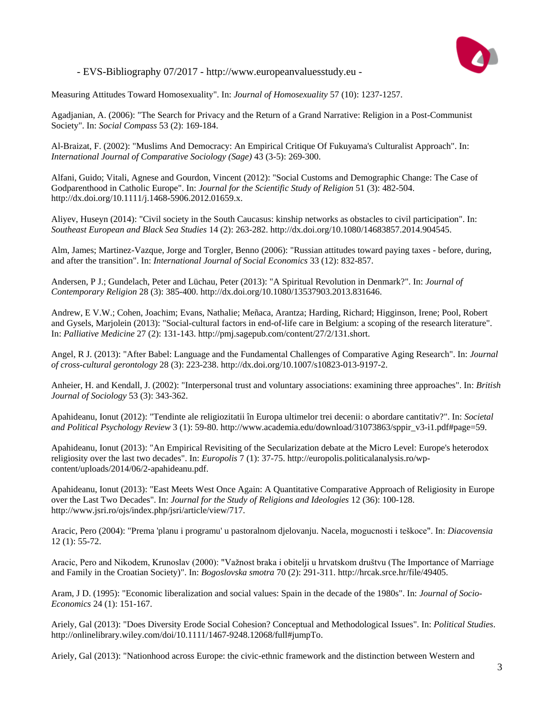

Measuring Attitudes Toward Homosexuality". In: *Journal of Homosexuality* 57 (10): 1237-1257.

Agadjanian, A. (2006): "The Search for Privacy and the Return of a Grand Narrative: Religion in a Post-Communist Society". In: *Social Compass* 53 (2): 169-184.

Al-Braizat, F. (2002): "Muslims And Democracy: An Empirical Critique Of Fukuyama's Culturalist Approach". In: *International Journal of Comparative Sociology (Sage)* 43 (3-5): 269-300.

Alfani, Guido; Vitali, Agnese and Gourdon, Vincent (2012): "Social Customs and Demographic Change: The Case of Godparenthood in Catholic Europe". In: *Journal for the Scientific Study of Religion* 51 (3): 482-504. http://dx.doi.org/10.1111/j.1468-5906.2012.01659.x.

Aliyev, Huseyn (2014): "Civil society in the South Caucasus: kinship networks as obstacles to civil participation". In: *Southeast European and Black Sea Studies* 14 (2): 263-282. http://dx.doi.org/10.1080/14683857.2014.904545.

Alm, James; Martinez-Vazque, Jorge and Torgler, Benno (2006): "Russian attitudes toward paying taxes - before, during, and after the transition". In: *International Journal of Social Economics* 33 (12): 832-857.

Andersen, P J.; Gundelach, Peter and Lüchau, Peter (2013): "A Spiritual Revolution in Denmark?". In: *Journal of Contemporary Religion* 28 (3): 385-400. http://dx.doi.org/10.1080/13537903.2013.831646.

Andrew, E V.W.; Cohen, Joachim; Evans, Nathalie; Meñaca, Arantza; Harding, Richard; Higginson, Irene; Pool, Robert and Gysels, Marjolein (2013): "Social-cultural factors in end-of-life care in Belgium: a scoping of the research literature". In: *Palliative Medicine* 27 (2): 131-143. http://pmj.sagepub.com/content/27/2/131.short.

Angel, R J. (2013): "After Babel: Language and the Fundamental Challenges of Comparative Aging Research". In: *Journal of cross-cultural gerontology* 28 (3): 223-238. http://dx.doi.org/10.1007/s10823-013-9197-2.

Anheier, H. and Kendall, J. (2002): "Interpersonal trust and voluntary associations: examining three approaches". In: *British Journal of Sociology* 53 (3): 343-362.

Apahideanu, Ionut (2012): "Tendinte ale religiozitatii în Europa ultimelor trei decenii: o abordare cantitativ?". In: *Societal and Political Psychology Review* 3 (1): 59-80. http://www.academia.edu/download/31073863/sppir\_v3-i1.pdf#page=59.

Apahideanu, Ionut (2013): "An Empirical Revisiting of the Secularization debate at the Micro Level: Europe's heterodox religiosity over the last two decades". In: *Europolis* 7 (1): 37-75. http://europolis.politicalanalysis.ro/wpcontent/uploads/2014/06/2-apahideanu.pdf.

Apahideanu, Ionut (2013): "East Meets West Once Again: A Quantitative Comparative Approach of Religiosity in Europe over the Last Two Decades". In: *Journal for the Study of Religions and Ideologies* 12 (36): 100-128. http://www.jsri.ro/ojs/index.php/jsri/article/view/717.

Aracic, Pero (2004): "Prema 'planu i programu' u pastoralnom djelovanju. Nacela, mogucnosti i teškoce". In: *Diacovensia* 12 (1): 55-72.

Aracic, Pero and Nikodem, Krunoslav (2000): "Važnost braka i obitelji u hrvatskom društvu (The Importance of Marriage and Family in the Croatian Society)". In: *Bogoslovska smotra* 70 (2): 291-311. http://hrcak.srce.hr/file/49405.

Aram, J D. (1995): "Economic liberalization and social values: Spain in the decade of the 1980s". In: *Journal of Socio-Economics* 24 (1): 151-167.

Ariely, Gal (2013): "Does Diversity Erode Social Cohesion? Conceptual and Methodological Issues". In: *Political Studies*. http://onlinelibrary.wiley.com/doi/10.1111/1467-9248.12068/full#jumpTo.

Ariely, Gal (2013): "Nationhood across Europe: the civic-ethnic framework and the distinction between Western and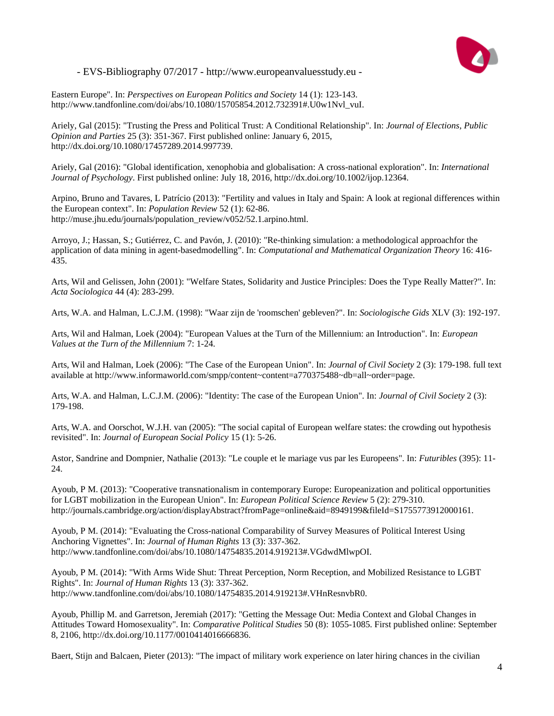

Eastern Europe". In: *Perspectives on European Politics and Society* 14 (1): 123-143. http://www.tandfonline.com/doi/abs/10.1080/15705854.2012.732391#.U0w1Nvl\_vuI.

Ariely, Gal (2015): "Trusting the Press and Political Trust: A Conditional Relationship". In: *Journal of Elections, Public Opinion and Parties* 25 (3): 351-367. First published online: January 6, 2015, http://dx.doi.org/10.1080/17457289.2014.997739.

Ariely, Gal (2016): "Global identification, xenophobia and globalisation: A cross-national exploration". In: *International Journal of Psychology*. First published online: July 18, 2016, http://dx.doi.org/10.1002/ijop.12364.

Arpino, Bruno and Tavares, L Patrício (2013): "Fertility and values in Italy and Spain: A look at regional differences within the European context". In: *Population Review* 52 (1): 62-86. http://muse.jhu.edu/journals/population\_review/v052/52.1.arpino.html.

Arroyo, J.; Hassan, S.; Gutiérrez, C. and Pavón, J. (2010): "Re-thinking simulation: a methodological approachfor the application of data mining in agent-basedmodelling". In: *Computational and Mathematical Organization Theory* 16: 416- 435.

Arts, Wil and Gelissen, John (2001): "Welfare States, Solidarity and Justice Principles: Does the Type Really Matter?". In: *Acta Sociologica* 44 (4): 283-299.

Arts, W.A. and Halman, L.C.J.M. (1998): "Waar zijn de 'roomschen' gebleven?". In: *Sociologische Gids* XLV (3): 192-197.

Arts, Wil and Halman, Loek (2004): "European Values at the Turn of the Millennium: an Introduction". In: *European Values at the Turn of the Millennium* 7: 1-24.

Arts, Wil and Halman, Loek (2006): "The Case of the European Union". In: *Journal of Civil Society* 2 (3): 179-198. full text available at http://www.informaworld.com/smpp/content~content=a770375488~db=all~order=page.

Arts, W.A. and Halman, L.C.J.M. (2006): "Identity: The case of the European Union". In: *Journal of Civil Society* 2 (3): 179-198.

Arts, W.A. and Oorschot, W.J.H. van (2005): "The social capital of European welfare states: the crowding out hypothesis revisited". In: *Journal of European Social Policy* 15 (1): 5-26.

Astor, Sandrine and Dompnier, Nathalie (2013): "Le couple et le mariage vus par les Europeens". In: *Futuribles* (395): 11- 24.

Ayoub, P M. (2013): "Cooperative transnationalism in contemporary Europe: Europeanization and political opportunities for LGBT mobilization in the European Union". In: *European Political Science Review* 5 (2): 279-310. http://journals.cambridge.org/action/displayAbstract?fromPage=online&aid=8949199&fileId=S1755773912000161.

Ayoub, P M. (2014): "Evaluating the Cross-national Comparability of Survey Measures of Political Interest Using Anchoring Vignettes". In: *Journal of Human Rights* 13 (3): 337-362. http://www.tandfonline.com/doi/abs/10.1080/14754835.2014.919213#.VGdwdMlwpOI.

Ayoub, P M. (2014): "With Arms Wide Shut: Threat Perception, Norm Reception, and Mobilized Resistance to LGBT Rights". In: *Journal of Human Rights* 13 (3): 337-362. http://www.tandfonline.com/doi/abs/10.1080/14754835.2014.919213#.VHnResnvbR0.

Ayoub, Phillip M. and Garretson, Jeremiah (2017): "Getting the Message Out: Media Context and Global Changes in Attitudes Toward Homosexuality". In: *Comparative Political Studies* 50 (8): 1055-1085. First published online: September 8, 2106, http://dx.doi.org/10.1177/0010414016666836.

Baert, Stijn and Balcaen, Pieter (2013): "The impact of military work experience on later hiring chances in the civilian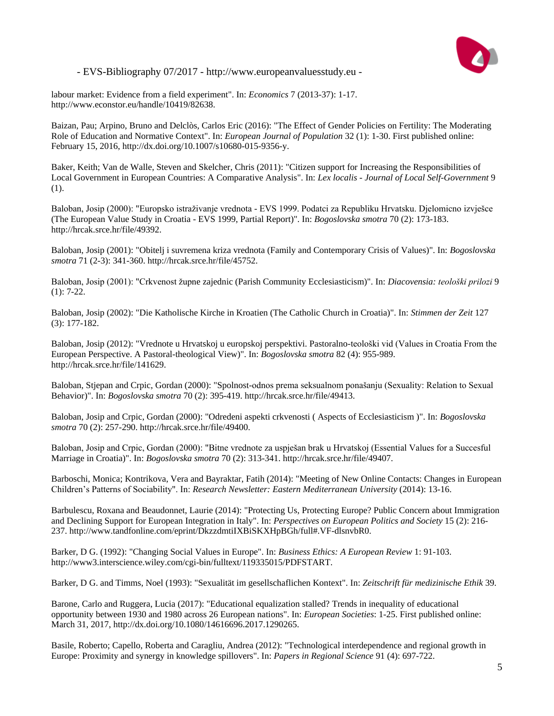

labour market: Evidence from a field experiment". In: *Economics* 7 (2013-37): 1-17. http://www.econstor.eu/handle/10419/82638.

Baizan, Pau; Arpino, Bruno and Delclòs, Carlos Eric (2016): "The Effect of Gender Policies on Fertility: The Moderating Role of Education and Normative Context". In: *European Journal of Population* 32 (1): 1-30. First published online: February 15, 2016, http://dx.doi.org/10.1007/s10680-015-9356-y.

Baker, Keith; Van de Walle, Steven and Skelcher, Chris (2011): "Citizen support for Increasing the Responsibilities of Local Government in European Countries: A Comparative Analysis". In: *Lex localis - Journal of Local Self-Government* 9 (1).

Baloban, Josip (2000): "Europsko istraživanje vrednota - EVS 1999. Podatci za Republiku Hrvatsku. Djelomicno izvješce (The European Value Study in Croatia - EVS 1999, Partial Report)". In: *Bogoslovska smotra* 70 (2): 173-183. http://hrcak.srce.hr/file/49392.

Baloban, Josip (2001): "Obitelj i suvremena kriza vrednota (Family and Contemporary Crisis of Values)". In: *Bogoslovska smotra* 71 (2-3): 341-360. http://hrcak.srce.hr/file/45752.

Baloban, Josip (2001): "Crkvenost župne zajednic (Parish Community Ecclesiasticism)". In: *Diacovensia: teološki prilozi* 9 (1): 7-22.

Baloban, Josip (2002): "Die Katholische Kirche in Kroatien (The Catholic Church in Croatia)". In: *Stimmen der Zeit* 127 (3): 177-182.

Baloban, Josip (2012): "Vrednote u Hrvatskoj u europskoj perspektivi. Pastoralno-teološki vid (Values in Croatia From the European Perspective. A Pastoral-theological View)". In: *Bogoslovska smotra* 82 (4): 955-989. http://hrcak.srce.hr/file/141629.

Baloban, Stjepan and Crpic, Gordan (2000): "Spolnost-odnos prema seksualnom ponašanju (Sexuality: Relation to Sexual Behavior)". In: *Bogoslovska smotra* 70 (2): 395-419. http://hrcak.srce.hr/file/49413.

Baloban, Josip and Crpic, Gordan (2000): "Odredeni aspekti crkvenosti ( Aspects of Ecclesiasticism )". In: *Bogoslovska smotra* 70 (2): 257-290. http://hrcak.srce.hr/file/49400.

Baloban, Josip and Crpic, Gordan (2000): "Bitne vrednote za uspješan brak u Hrvatskoj (Essential Values for a Succesful Marriage in Croatia)". In: *Bogoslovska smotra* 70 (2): 313-341. http://hrcak.srce.hr/file/49407.

Barboschi, Monica; Kontrikova, Vera and Bayraktar, Fatih (2014): "Meeting of New Online Contacts: Changes in European Children's Patterns of Sociability". In: *Research Newsletter: Eastern Mediterranean University* (2014): 13-16.

Barbulescu, Roxana and Beaudonnet, Laurie (2014): "Protecting Us, Protecting Europe? Public Concern about Immigration and Declining Support for European Integration in Italy". In: *Perspectives on European Politics and Society* 15 (2): 216- 237. http://www.tandfonline.com/eprint/DkzzdmtiIXBiSKXHpBGh/full#.VF-dlsnvbR0.

Barker, D G. (1992): "Changing Social Values in Europe". In: *Business Ethics: A European Review* 1: 91-103. http://www3.interscience.wiley.com/cgi-bin/fulltext/119335015/PDFSTART.

Barker, D G. and Timms, Noel (1993): "Sexualität im gesellschaflichen Kontext". In: *Zeitschrift für medizinische Ethik* 39.

Barone, Carlo and Ruggera, Lucia (2017): "Educational equalization stalled? Trends in inequality of educational opportunity between 1930 and 1980 across 26 European nations". In: *European Societies*: 1-25. First published online: March 31, 2017, http://dx.doi.org/10.1080/14616696.2017.1290265.

Basile, Roberto; Capello, Roberta and Caragliu, Andrea (2012): "Technological interdependence and regional growth in Europe: Proximity and synergy in knowledge spillovers". In: *Papers in Regional Science* 91 (4): 697-722.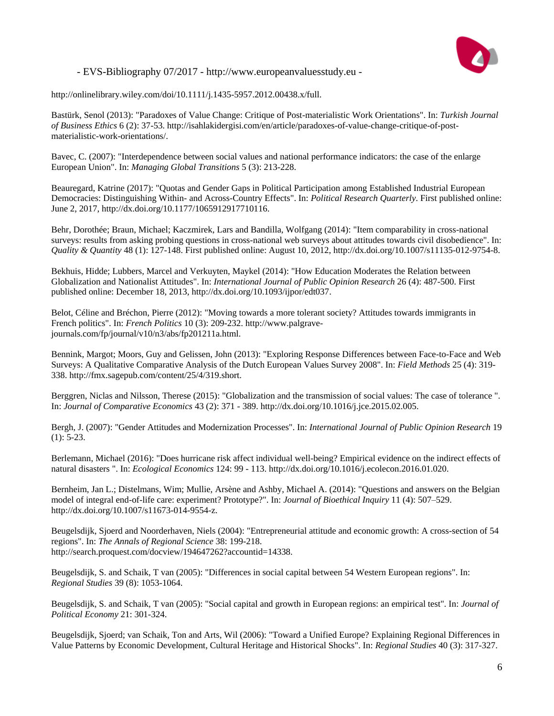

http://onlinelibrary.wiley.com/doi/10.1111/j.1435-5957.2012.00438.x/full.

Bastürk, Senol (2013): "Paradoxes of Value Change: Critique of Post-materialistic Work Orientations". In: *Turkish Journal of Business Ethics* 6 (2): 37-53. http://isahlakidergisi.com/en/article/paradoxes-of-value-change-critique-of-postmaterialistic-work-orientations/.

Bavec, C. (2007): "Interdependence between social values and national performance indicators: the case of the enlarge European Union". In: *Managing Global Transitions* 5 (3): 213-228.

Beauregard, Katrine (2017): "Quotas and Gender Gaps in Political Participation among Established Industrial European Democracies: Distinguishing Within- and Across-Country Effects". In: *Political Research Quarterly*. First published online: June 2, 2017, http://dx.doi.org/10.1177/1065912917710116.

Behr, Dorothée; Braun, Michael; Kaczmirek, Lars and Bandilla, Wolfgang (2014): "Item comparability in cross-national surveys: results from asking probing questions in cross-national web surveys about attitudes towards civil disobedience". In: *Quality & Quantity* 48 (1): 127-148. First published online: August 10, 2012, http://dx.doi.org/10.1007/s11135-012-9754-8.

Bekhuis, Hidde; Lubbers, Marcel and Verkuyten, Maykel (2014): "How Education Moderates the Relation between Globalization and Nationalist Attitudes". In: *International Journal of Public Opinion Research* 26 (4): 487-500. First published online: December 18, 2013, http://dx.doi.org/10.1093/ijpor/edt037.

Belot, Céline and Bréchon, Pierre (2012): "Moving towards a more tolerant society? Attitudes towards immigrants in French politics". In: *French Politics* 10 (3): 209-232. http://www.palgravejournals.com/fp/journal/v10/n3/abs/fp201211a.html.

Bennink, Margot; Moors, Guy and Gelissen, John (2013): "Exploring Response Differences between Face-to-Face and Web Surveys: A Qualitative Comparative Analysis of the Dutch European Values Survey 2008". In: *Field Methods* 25 (4): 319- 338. http://fmx.sagepub.com/content/25/4/319.short.

Berggren, Niclas and Nilsson, Therese (2015): "Globalization and the transmission of social values: The case of tolerance ". In: *Journal of Comparative Economics* 43 (2): 371 - 389. http://dx.doi.org/10.1016/j.jce.2015.02.005.

Bergh, J. (2007): "Gender Attitudes and Modernization Processes". In: *International Journal of Public Opinion Research* 19 (1): 5-23.

Berlemann, Michael (2016): "Does hurricane risk affect individual well-being? Empirical evidence on the indirect effects of natural disasters ". In: *Ecological Economics* 124: 99 - 113. http://dx.doi.org/10.1016/j.ecolecon.2016.01.020.

Bernheim, Jan L.; Distelmans, Wim; Mullie, Arsène and Ashby, Michael A. (2014): "Questions and answers on the Belgian model of integral end-of-life care: experiment? Prototype?". In: *Journal of Bioethical Inquiry* 11 (4): 507–529. http://dx.doi.org/10.1007/s11673-014-9554-z.

Beugelsdijk, Sjoerd and Noorderhaven, Niels (2004): "Entrepreneurial attitude and economic growth: A cross-section of 54 regions". In: *The Annals of Regional Science* 38: 199-218. http://search.proquest.com/docview/194647262?accountid=14338.

Beugelsdijk, S. and Schaik, T van (2005): "Differences in social capital between 54 Western European regions". In: *Regional Studies* 39 (8): 1053-1064.

Beugelsdijk, S. and Schaik, T van (2005): "Social capital and growth in European regions: an empirical test". In: *Journal of Political Economy* 21: 301-324.

Beugelsdijk, Sjoerd; van Schaik, Ton and Arts, Wil (2006): "Toward a Unified Europe? Explaining Regional Differences in Value Patterns by Economic Development, Cultural Heritage and Historical Shocks". In: *Regional Studies* 40 (3): 317-327.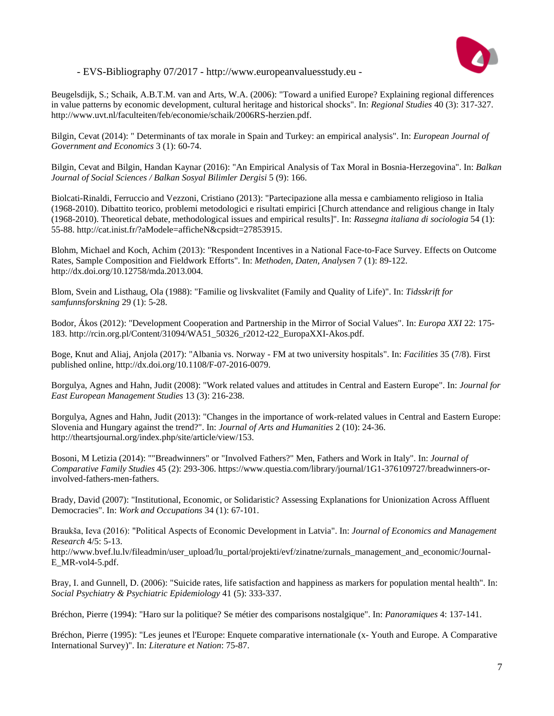

Beugelsdijk, S.; Schaik, A.B.T.M. van and Arts, W.A. (2006): "Toward a unified Europe? Explaining regional differences in value patterns by economic development, cultural heritage and historical shocks". In: *Regional Studies* 40 (3): 317-327. http://www.uvt.nl/faculteiten/feb/economie/schaik/2006RS-herzien.pdf.

Bilgin, Cevat (2014): " Determinants of tax morale in Spain and Turkey: an empirical analysis". In: *European Journal of Government and Economics* 3 (1): 60-74.

Bilgin, Cevat and Bilgin, Handan Kaynar (2016): "An Empirical Analysis of Tax Moral in Bosnia-Herzegovina". In: *Balkan Journal of Social Sciences / Balkan Sosyal Bilimler Dergisi* 5 (9): 166.

Biolcati-Rinaldi, Ferruccio and Vezzoni, Cristiano (2013): "Partecipazione alla messa e cambiamento religioso in Italia (1968-2010). Dibattito teorico, problemi metodologici e risultati empirici [Church attendance and religious change in Italy (1968-2010). Theoretical debate, methodological issues and empirical results]". In: *Rassegna italiana di sociologia* 54 (1): 55-88. http://cat.inist.fr/?aModele=afficheN&cpsidt=27853915.

Blohm, Michael and Koch, Achim (2013): "Respondent Incentives in a National Face-to-Face Survey. Effects on Outcome Rates, Sample Composition and Fieldwork Efforts". In: *Methoden, Daten, Analysen* 7 (1): 89-122. http://dx.doi.org/10.12758/mda.2013.004.

Blom, Svein and Listhaug, Ola (1988): "Familie og livskvalitet (Family and Quality of Life)". In: *Tidsskrift for samfunnsforskning* 29 (1): 5-28.

Bodor, Ákos (2012): "Development Cooperation and Partnership in the Mirror of Social Values". In: *Europa XXI* 22: 175- 183. http://rcin.org.pl/Content/31094/WA51\_50326\_r2012-t22\_EuropaXXI-Akos.pdf.

Boge, Knut and Aliaj, Anjola (2017): "Albania vs. Norway - FM at two university hospitals". In: *Facilities* 35 (7/8). First published online, http://dx.doi.org/10.1108/F-07-2016-0079.

Borgulya, Agnes and Hahn, Judit (2008): "Work related values and attitudes in Central and Eastern Europe". In: *Journal for East European Management Studies* 13 (3): 216-238.

Borgulya, Agnes and Hahn, Judit (2013): "Changes in the importance of work-related values in Central and Eastern Europe: Slovenia and Hungary against the trend?". In: *Journal of Arts and Humanities* 2 (10): 24-36. http://theartsjournal.org/index.php/site/article/view/153.

Bosoni, M Letizia (2014): ""Breadwinners" or "Involved Fathers?" Men, Fathers and Work in Italy". In: *Journal of Comparative Family Studies* 45 (2): 293-306. https://www.questia.com/library/journal/1G1-376109727/breadwinners-orinvolved-fathers-men-fathers.

Brady, David (2007): "Institutional, Economic, or Solidaristic? Assessing Explanations for Unionization Across Affluent Democracies". In: *Work and Occupations* 34 (1): 67-101.

Braukša, Ieva (2016): "Political Aspects of Economic Development in Latvia". In: *Journal of Economics and Management Research* 4/5: 5-13.

http://www.bvef.lu.lv/fileadmin/user\_upload/lu\_portal/projekti/evf/zinatne/zurnals\_management\_and\_economic/Journal-E\_MR-vol4-5.pdf.

Bray, I. and Gunnell, D. (2006): "Suicide rates, life satisfaction and happiness as markers for population mental health". In: *Social Psychiatry & Psychiatric Epidemiology* 41 (5): 333-337.

Bréchon, Pierre (1994): "Haro sur la politique? Se métier des comparisons nostalgique". In: *Panoramiques* 4: 137-141.

Bréchon, Pierre (1995): "Les jeunes et l'Europe: Enquete comparative internationale (x- Youth and Europe. A Comparative International Survey)". In: *Literature et Nation*: 75-87.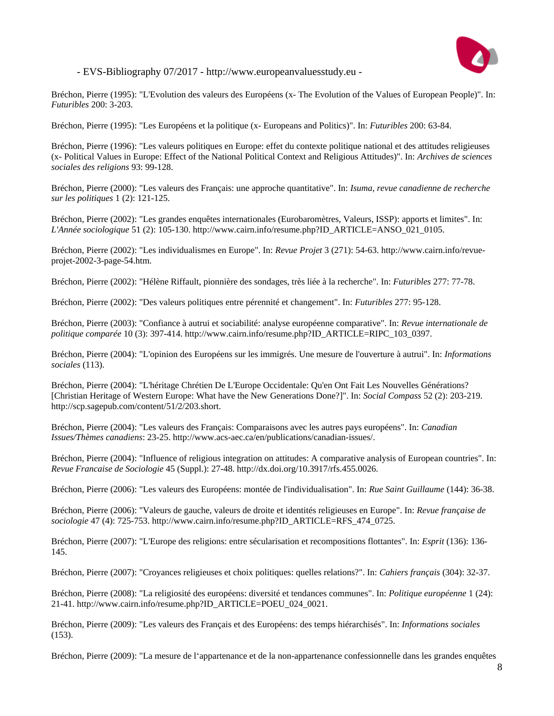

Bréchon, Pierre (1995): "L'Evolution des valeurs des Européens (x- The Evolution of the Values of European People)". In: *Futuribles* 200: 3-203.

Bréchon, Pierre (1995): "Les Européens et la politique (x- Europeans and Politics)". In: *Futuribles* 200: 63-84.

Bréchon, Pierre (1996): "Les valeurs politiques en Europe: effet du contexte politique national et des attitudes religieuses (x- Political Values in Europe: Effect of the National Political Context and Religious Attitudes)". In: *Archives de sciences sociales des religions* 93: 99-128.

Bréchon, Pierre (2000): "Les valeurs des Français: une approche quantitative". In: *Isuma, revue canadienne de recherche sur les politiques* 1 (2): 121-125.

Bréchon, Pierre (2002): "Les grandes enquêtes internationales (Eurobaromètres, Valeurs, ISSP): apports et limites". In: *L'Année sociologique* 51 (2): 105-130. http://www.cairn.info/resume.php?ID\_ARTICLE=ANSO\_021\_0105.

Bréchon, Pierre (2002): "Les individualismes en Europe". In: *Revue Projet* 3 (271): 54-63. http://www.cairn.info/revueprojet-2002-3-page-54.htm.

Bréchon, Pierre (2002): "Hélène Riffault, pionnière des sondages, très liée à la recherche". In: *Futuribles* 277: 77-78.

Bréchon, Pierre (2002): "Des valeurs politiques entre pérennité et changement". In: *Futuribles* 277: 95-128.

Bréchon, Pierre (2003): "Confiance à autrui et sociabilité: analyse européenne comparative". In: *Revue internationale de politique comparée* 10 (3): 397-414. http://www.cairn.info/resume.php?ID\_ARTICLE=RIPC\_103\_0397.

Bréchon, Pierre (2004): "L'opinion des Européens sur les immigrés. Une mesure de l'ouverture à autrui". In: *Informations sociales* (113).

Bréchon, Pierre (2004): "L'héritage Chrétien De L'Europe Occidentale: Qu'en Ont Fait Les Nouvelles Générations? [Christian Heritage of Western Europe: What have the New Generations Done?]". In: *Social Compass* 52 (2): 203-219. http://scp.sagepub.com/content/51/2/203.short.

Bréchon, Pierre (2004): "Les valeurs des Français: Comparaisons avec les autres pays européens". In: *Canadian Issues/Thèmes canadiens*: 23-25. http://www.acs-aec.ca/en/publications/canadian-issues/.

Bréchon, Pierre (2004): "Influence of religious integration on attitudes: A comparative analysis of European countries". In: *Revue Francaise de Sociologie* 45 (Suppl.): 27-48. http://dx.doi.org/10.3917/rfs.455.0026.

Bréchon, Pierre (2006): "Les valeurs des Européens: montée de l'individualisation". In: *Rue Saint Guillaume* (144): 36-38.

Bréchon, Pierre (2006): "Valeurs de gauche, valeurs de droite et identités religieuses en Europe". In: *Revue française de sociologie* 47 (4): 725-753. http://www.cairn.info/resume.php?ID\_ARTICLE=RFS\_474\_0725.

Bréchon, Pierre (2007): "L'Europe des religions: entre sécularisation et recompositions flottantes". In: *Esprit* (136): 136- 145.

Bréchon, Pierre (2007): "Croyances religieuses et choix politiques: quelles relations?". In: *Cahiers français* (304): 32-37.

Bréchon, Pierre (2008): "La religiosité des européens: diversité et tendances communes". In: *Politique européenne* 1 (24): 21-41. http://www.cairn.info/resume.php?ID\_ARTICLE=POEU\_024\_0021.

Bréchon, Pierre (2009): "Les valeurs des Français et des Européens: des temps hiérarchisés". In: *Informations sociales* (153).

Bréchon, Pierre (2009): "La mesure de l'appartenance et de la non-appartenance confessionnelle dans les grandes enquêtes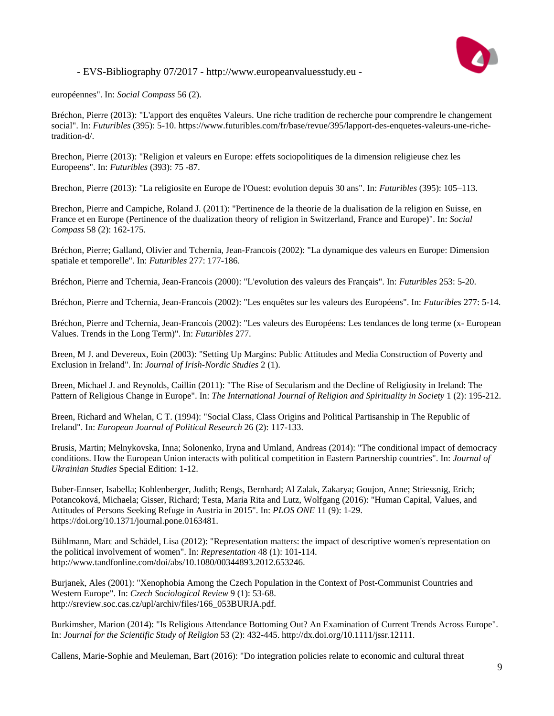

européennes". In: *Social Compass* 56 (2).

Bréchon, Pierre (2013): "L'apport des enquêtes Valeurs. Une riche tradition de recherche pour comprendre le changement social". In: *Futuribles* (395): 5-10. https://www.futuribles.com/fr/base/revue/395/lapport-des-enquetes-valeurs-une-richetradition-d/.

Brechon, Pierre (2013): "Religion et valeurs en Europe: effets sociopolitiques de la dimension religieuse chez les Europeens". In: *Futuribles* (393): 75 -87.

Brechon, Pierre (2013): "La religiosite en Europe de l'Ouest: evolution depuis 30 ans". In: *Futuribles* (395): 105–113.

Brechon, Pierre and Campiche, Roland J. (2011): "Pertinence de la theorie de la dualisation de la religion en Suisse, en France et en Europe (Pertinence of the dualization theory of religion in Switzerland, France and Europe)". In: *Social Compass* 58 (2): 162-175.

Bréchon, Pierre; Galland, Olivier and Tchernia, Jean-Francois (2002): "La dynamique des valeurs en Europe: Dimension spatiale et temporelle". In: *Futuribles* 277: 177-186.

Bréchon, Pierre and Tchernia, Jean-Francois (2000): "L'evolution des valeurs des Français". In: *Futuribles* 253: 5-20.

Bréchon, Pierre and Tchernia, Jean-Francois (2002): "Les enquêtes sur les valeurs des Européens". In: *Futuribles* 277: 5-14.

Bréchon, Pierre and Tchernia, Jean-Francois (2002): "Les valeurs des Européens: Les tendances de long terme (x- European Values. Trends in the Long Term)". In: *Futuribles* 277.

Breen, M J. and Devereux, Eoin (2003): "Setting Up Margins: Public Attitudes and Media Construction of Poverty and Exclusion in Ireland". In: *Journal of Irish-Nordic Studies* 2 (1).

Breen, Michael J. and Reynolds, Caillin (2011): "The Rise of Secularism and the Decline of Religiosity in Ireland: The Pattern of Religious Change in Europe". In: *The International Journal of Religion and Spirituality in Society* 1 (2): 195-212.

Breen, Richard and Whelan, C T. (1994): "Social Class, Class Origins and Political Partisanship in The Republic of Ireland". In: *European Journal of Political Research* 26 (2): 117-133.

Brusis, Martin; Melnykovska, Inna; Solonenko, Iryna and Umland, Andreas (2014): "The conditional impact of democracy conditions. How the European Union interacts with political competition in Eastern Partnership countries". In: *Journal of Ukrainian Studies* Special Edition: 1-12.

Buber-Ennser, Isabella; Kohlenberger, Judith; Rengs, Bernhard; Al Zalak, Zakarya; Goujon, Anne; Striessnig, Erich; Potancoková, Michaela; Gisser, Richard; Testa, Maria Rita and Lutz, Wolfgang (2016): "Human Capital, Values, and Attitudes of Persons Seeking Refuge in Austria in 2015". In: *PLOS ONE* 11 (9): 1-29. https://doi.org/10.1371/journal.pone.0163481.

Bühlmann, Marc and Schädel, Lisa (2012): "Representation matters: the impact of descriptive women's representation on the political involvement of women". In: *Representation* 48 (1): 101-114. http://www.tandfonline.com/doi/abs/10.1080/00344893.2012.653246.

Burjanek, Ales (2001): "Xenophobia Among the Czech Population in the Context of Post-Communist Countries and Western Europe". In: *Czech Sociological Review* 9 (1): 53-68. http://sreview.soc.cas.cz/upl/archiv/files/166\_053BURJA.pdf.

Burkimsher, Marion (2014): "Is Religious Attendance Bottoming Out? An Examination of Current Trends Across Europe". In: *Journal for the Scientific Study of Religion* 53 (2): 432-445. http://dx.doi.org/10.1111/jssr.12111.

Callens, Marie-Sophie and Meuleman, Bart (2016): "Do integration policies relate to economic and cultural threat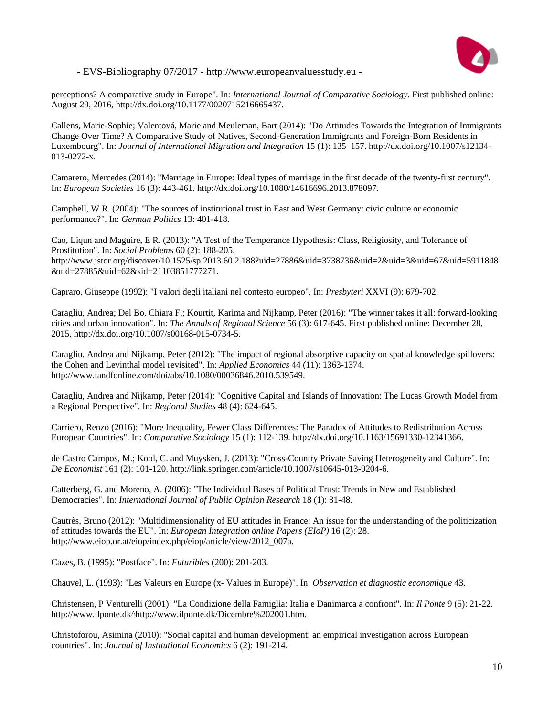

perceptions? A comparative study in Europe". In: *International Journal of Comparative Sociology*. First published online: August 29, 2016, http://dx.doi.org/10.1177/0020715216665437.

Callens, Marie-Sophie; Valentová, Marie and Meuleman, Bart (2014): "Do Attitudes Towards the Integration of Immigrants Change Over Time? A Comparative Study of Natives, Second-Generation Immigrants and Foreign-Born Residents in Luxembourg". In: *Journal of International Migration and Integration* 15 (1): 135–157. http://dx.doi.org/10.1007/s12134- 013-0272-x.

Camarero, Mercedes (2014): "Marriage in Europe: Ideal types of marriage in the first decade of the twenty-first century". In: *European Societies* 16 (3): 443-461. http://dx.doi.org/10.1080/14616696.2013.878097.

Campbell, W R. (2004): "The sources of institutional trust in East and West Germany: civic culture or economic performance?". In: *German Politics* 13: 401-418.

Cao, Liqun and Maguire, E R. (2013): "A Test of the Temperance Hypothesis: Class, Religiosity, and Tolerance of Prostitution". In: *Social Problems* 60 (2): 188-205. http://www.jstor.org/discover/10.1525/sp.2013.60.2.188?uid=27886&uid=3738736&uid=2&uid=3&uid=67&uid=5911848 &uid=27885&uid=62&sid=21103851777271.

Capraro, Giuseppe (1992): "I valori degli italiani nel contesto europeo". In: *Presbyteri* XXVI (9): 679-702.

Caragliu, Andrea; Del Bo, Chiara F.; Kourtit, Karima and Nijkamp, Peter (2016): "The winner takes it all: forward-looking cities and urban innovation". In: *The Annals of Regional Science* 56 (3): 617-645. First published online: December 28, 2015, http://dx.doi.org/10.1007/s00168-015-0734-5.

Caragliu, Andrea and Nijkamp, Peter (2012): "The impact of regional absorptive capacity on spatial knowledge spillovers: the Cohen and Levinthal model revisited". In: *Applied Economics* 44 (11): 1363-1374. http://www.tandfonline.com/doi/abs/10.1080/00036846.2010.539549.

Caragliu, Andrea and Nijkamp, Peter (2014): "Cognitive Capital and Islands of Innovation: The Lucas Growth Model from a Regional Perspective". In: *Regional Studies* 48 (4): 624-645.

Carriero, Renzo (2016): "More Inequality, Fewer Class Differences: The Paradox of Attitudes to Redistribution Across European Countries". In: *Comparative Sociology* 15 (1): 112-139. http://dx.doi.org/10.1163/15691330-12341366.

de Castro Campos, M.; Kool, C. and Muysken, J. (2013): "Cross-Country Private Saving Heterogeneity and Culture". In: *De Economist* 161 (2): 101-120. http://link.springer.com/article/10.1007/s10645-013-9204-6.

Catterberg, G. and Moreno, A. (2006): "The Individual Bases of Political Trust: Trends in New and Established Democracies". In: *International Journal of Public Opinion Research* 18 (1): 31-48.

Cautrès, Bruno (2012): "Multidimensionality of EU attitudes in France: An issue for the understanding of the politicization of attitudes towards the EU". In: *European Integration online Papers (EIoP)* 16 (2): 28. http://www.eiop.or.at/eiop/index.php/eiop/article/view/2012\_007a.

Cazes, B. (1995): "Postface". In: *Futuribles* (200): 201-203.

Chauvel, L. (1993): "Les Valeurs en Europe (x- Values in Europe)". In: *Observation et diagnostic economique* 43.

Christensen, P Venturelli (2001): "La Condizione della Famiglia: Italia e Danimarca a confront". In: *Il Ponte* 9 (5): 21-22. http://www.ilponte.dk^http://www.ilponte.dk/Dicembre%202001.htm.

Christoforou, Asimina (2010): "Social capital and human development: an empirical investigation across European countries". In: *Journal of Institutional Economics* 6 (2): 191-214.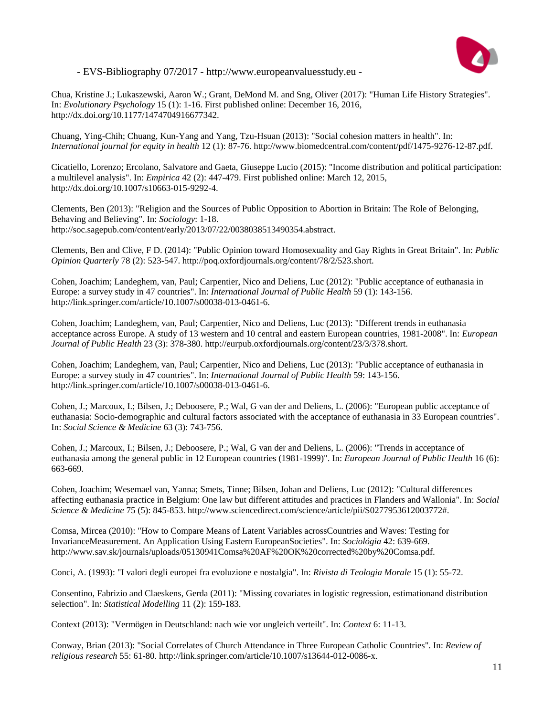

Chua, Kristine J.; Lukaszewski, Aaron W.; Grant, DeMond M. and Sng, Oliver (2017): "Human Life History Strategies". In: *Evolutionary Psychology* 15 (1): 1-16. First published online: December 16, 2016, http://dx.doi.org/10.1177/1474704916677342.

Chuang, Ying-Chih; Chuang, Kun-Yang and Yang, Tzu-Hsuan (2013): "Social cohesion matters in health". In: *International journal for equity in health* 12 (1): 87-76. http://www.biomedcentral.com/content/pdf/1475-9276-12-87.pdf.

Cicatiello, Lorenzo; Ercolano, Salvatore and Gaeta, Giuseppe Lucio (2015): "Income distribution and political participation: a multilevel analysis". In: *Empirica* 42 (2): 447-479. First published online: March 12, 2015, http://dx.doi.org/10.1007/s10663-015-9292-4.

Clements, Ben (2013): "Religion and the Sources of Public Opposition to Abortion in Britain: The Role of Belonging, Behaving and Believing". In: *Sociology*: 1-18. http://soc.sagepub.com/content/early/2013/07/22/0038038513490354.abstract.

Clements, Ben and Clive, F D. (2014): "Public Opinion toward Homosexuality and Gay Rights in Great Britain". In: *Public Opinion Quarterly* 78 (2): 523-547. http://poq.oxfordjournals.org/content/78/2/523.short.

Cohen, Joachim; Landeghem, van, Paul; Carpentier, Nico and Deliens, Luc (2012): "Public acceptance of euthanasia in Europe: a survey study in 47 countries". In: *International Journal of Public Health* 59 (1): 143-156. http://link.springer.com/article/10.1007/s00038-013-0461-6.

Cohen, Joachim; Landeghem, van, Paul; Carpentier, Nico and Deliens, Luc (2013): "Different trends in euthanasia acceptance across Europe. A study of 13 western and 10 central and eastern European countries, 1981-2008". In: *European Journal of Public Health* 23 (3): 378-380. http://eurpub.oxfordjournals.org/content/23/3/378.short.

Cohen, Joachim; Landeghem, van, Paul; Carpentier, Nico and Deliens, Luc (2013): "Public acceptance of euthanasia in Europe: a survey study in 47 countries". In: *International Journal of Public Health* 59: 143-156. http://link.springer.com/article/10.1007/s00038-013-0461-6.

Cohen, J.; Marcoux, I.; Bilsen, J.; Deboosere, P.; Wal, G van der and Deliens, L. (2006): "European public acceptance of euthanasia: Socio-demographic and cultural factors associated with the acceptance of euthanasia in 33 European countries". In: *Social Science & Medicine* 63 (3): 743-756.

Cohen, J.; Marcoux, I.; Bilsen, J.; Deboosere, P.; Wal, G van der and Deliens, L. (2006): "Trends in acceptance of euthanasia among the general public in 12 European countries (1981-1999)". In: *European Journal of Public Health* 16 (6): 663-669.

Cohen, Joachim; Wesemael van, Yanna; Smets, Tinne; Bilsen, Johan and Deliens, Luc (2012): "Cultural differences affecting euthanasia practice in Belgium: One law but different attitudes and practices in Flanders and Wallonia". In: *Social Science & Medicine* 75 (5): 845-853. http://www.sciencedirect.com/science/article/pii/S0277953612003772#.

Comsa, Mircea (2010): "How to Compare Means of Latent Variables acrossCountries and Waves: Testing for InvarianceMeasurement. An Application Using Eastern EuropeanSocieties". In: *Sociológia* 42: 639-669. http://www.sav.sk/journals/uploads/05130941Comsa%20AF%20OK%20corrected%20by%20Comsa.pdf.

Conci, A. (1993): "I valori degli europei fra evoluzione e nostalgia". In: *Rivista di Teologia Morale* 15 (1): 55-72.

Consentino, Fabrizio and Claeskens, Gerda (2011): "Missing covariates in logistic regression, estimationand distribution selection". In: *Statistical Modelling* 11 (2): 159-183.

Context (2013): "Vermögen in Deutschland: nach wie vor ungleich verteilt". In: *Context* 6: 11-13.

Conway, Brian (2013): "Social Correlates of Church Attendance in Three European Catholic Countries". In: *Review of religious research* 55: 61-80. http://link.springer.com/article/10.1007/s13644-012-0086-x.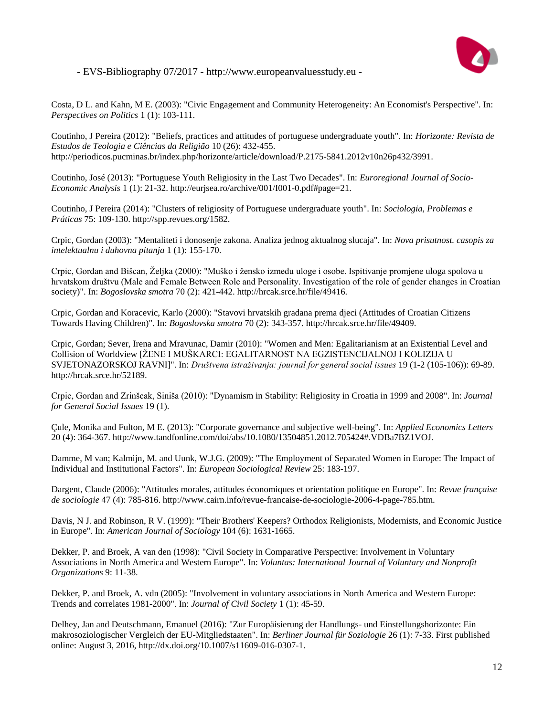

Costa, D L. and Kahn, M E. (2003): "Civic Engagement and Community Heterogeneity: An Economist's Perspective". In: *Perspectives on Politics* 1 (1): 103-111.

Coutinho, J Pereira (2012): "Beliefs, practices and attitudes of portuguese undergraduate youth". In: *Horizonte: Revista de Estudos de Teologia e Ciências da Religião* 10 (26): 432-455. http://periodicos.pucminas.br/index.php/horizonte/article/download/P.2175-5841.2012v10n26p432/3991.

Coutinho, José (2013): "Portuguese Youth Religiosity in the Last Two Decades". In: *Euroregional Journal of Socio-Economic Analysis* 1 (1): 21-32. http://eurjsea.ro/archive/001/I001-0.pdf#page=21.

Coutinho, J Pereira (2014): "Clusters of religiosity of Portuguese undergraduate youth". In: *Sociologia, Problemas e Práticas* 75: 109-130. http://spp.revues.org/1582.

Crpic, Gordan (2003): "Mentaliteti i donosenje zakona. Analiza jednog aktualnog slucaja". In: *Nova prisutnost. casopis za intelektualnu i duhovna pitanja* 1 (1): 155-170.

Crpic, Gordan and Bišcan, Željka (2000): "Muško i žensko izmedu uloge i osobe. Ispitivanje promjene uloga spolova u hrvatskom društvu (Male and Female Between Role and Personality. Investigation of the role of gender changes in Croatian society)". In: *Bogoslovska smotra* 70 (2): 421-442. http://hrcak.srce.hr/file/49416.

Crpic, Gordan and Koracevic, Karlo (2000): "Stavovi hrvatskih gradana prema djeci (Attitudes of Croatian Citizens Towards Having Children)". In: *Bogoslovska smotra* 70 (2): 343-357. http://hrcak.srce.hr/file/49409.

Crpic, Gordan; Sever, Irena and Mravunac, Damir (2010): "Women and Men: Egalitarianism at an Existential Level and Collision of Worldview [ŽENE I MUŠKARCI: EGALITARNOST NA EGZISTENCIJALNOJ I KOLIZIJA U SVJETONAZORSKOJ RAVNI]". In: *Društvena istraživanja: journal for general social issues* 19 (1-2 (105-106)): 69-89. http://hrcak.srce.hr/52189.

Crpic, Gordan and Zrinšcak, Siniša (2010): "Dynamism in Stability: Religiosity in Croatia in 1999 and 2008". In: *Journal for General Social Issues* 19 (1).

Çule, Monika and Fulton, M E. (2013): "Corporate governance and subjective well-being". In: *Applied Economics Letters* 20 (4): 364-367. http://www.tandfonline.com/doi/abs/10.1080/13504851.2012.705424#.VDBa7BZ1VOJ.

Damme, M van; Kalmijn, M. and Uunk, W.J.G. (2009): "The Employment of Separated Women in Europe: The Impact of Individual and Institutional Factors". In: *European Sociological Review* 25: 183-197.

Dargent, Claude (2006): "Attitudes morales, attitudes économiques et orientation politique en Europe". In: *Revue française de sociologie* 47 (4): 785-816. http://www.cairn.info/revue-francaise-de-sociologie-2006-4-page-785.htm.

Davis, N J. and Robinson, R V. (1999): "Their Brothers' Keepers? Orthodox Religionists, Modernists, and Economic Justice in Europe". In: *American Journal of Sociology* 104 (6): 1631-1665.

Dekker, P. and Broek, A van den (1998): "Civil Society in Comparative Perspective: Involvement in Voluntary Associations in North America and Western Europe". In: *Voluntas: International Journal of Voluntary and Nonprofit Organizations* 9: 11-38.

Dekker, P. and Broek, A. vdn (2005): "Involvement in voluntary associations in North America and Western Europe: Trends and correlates 1981-2000". In: *Journal of Civil Society* 1 (1): 45-59.

Delhey, Jan and Deutschmann, Emanuel (2016): "Zur Europäisierung der Handlungs- und Einstellungshorizonte: Ein makrosoziologischer Vergleich der EU-Mitgliedstaaten". In: *Berliner Journal für Soziologie* 26 (1): 7-33. First published online: August 3, 2016, http://dx.doi.org/10.1007/s11609-016-0307-1.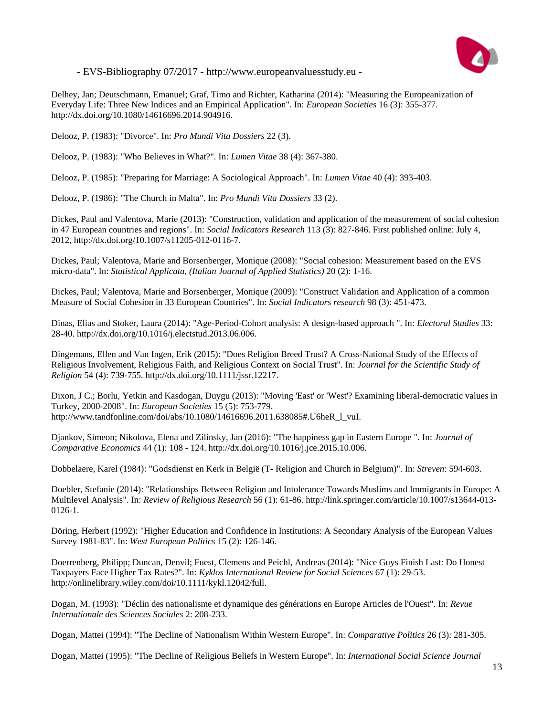

Delhey, Jan; Deutschmann, Emanuel; Graf, Timo and Richter, Katharina (2014): "Measuring the Europeanization of Everyday Life: Three New Indices and an Empirical Application". In: *European Societies* 16 (3): 355-377. http://dx.doi.org/10.1080/14616696.2014.904916.

Delooz, P. (1983): "Divorce". In: *Pro Mundi Vita Dossiers* 22 (3).

Delooz, P. (1983): "Who Believes in What?". In: *Lumen Vitae* 38 (4): 367-380.

Delooz, P. (1985): "Preparing for Marriage: A Sociological Approach". In: *Lumen Vitae* 40 (4): 393-403.

Delooz, P. (1986): "The Church in Malta". In: *Pro Mundi Vita Dossiers* 33 (2).

Dickes, Paul and Valentova, Marie (2013): "Construction, validation and application of the measurement of social cohesion in 47 European countries and regions". In: *Social Indicators Research* 113 (3): 827-846. First published online: July 4, 2012, http://dx.doi.org/10.1007/s11205-012-0116-7.

Dickes, Paul; Valentova, Marie and Borsenberger, Monique (2008): "Social cohesion: Measurement based on the EVS micro-data". In: *Statistical Applicata, (Italian Journal of Applied Statistics)* 20 (2): 1-16.

Dickes, Paul; Valentova, Marie and Borsenberger, Monique (2009): "Construct Validation and Application of a common Measure of Social Cohesion in 33 European Countries". In: *Social Indicators research* 98 (3): 451-473.

Dinas, Elias and Stoker, Laura (2014): "Age-Period-Cohort analysis: A design-based approach ". In: *Electoral Studies* 33: 28-40. http://dx.doi.org/10.1016/j.electstud.2013.06.006.

Dingemans, Ellen and Van Ingen, Erik (2015): "Does Religion Breed Trust? A Cross-National Study of the Effects of Religious Involvement, Religious Faith, and Religious Context on Social Trust". In: *Journal for the Scientific Study of Religion* 54 (4): 739-755. http://dx.doi.org/10.1111/jssr.12217.

Dixon, J C.; Borlu, Yetkin and Kasdogan, Duygu (2013): "Moving 'East' or 'West'? Examining liberal-democratic values in Turkey, 2000-2008". In: *European Societies* 15 (5): 753-779. http://www.tandfonline.com/doi/abs/10.1080/14616696.2011.638085#.U6heR\_l\_vuI.

Djankov, Simeon; Nikolova, Elena and Zilinsky, Jan (2016): "The happiness gap in Eastern Europe ". In: *Journal of Comparative Economics* 44 (1): 108 - 124. http://dx.doi.org/10.1016/j.jce.2015.10.006.

Dobbelaere, Karel (1984): "Godsdienst en Kerk in België (T- Religion and Church in Belgium)". In: *Streven*: 594-603.

Doebler, Stefanie (2014): "Relationships Between Religion and Intolerance Towards Muslims and Immigrants in Europe: A Multilevel Analysis". In: *Review of Religious Research* 56 (1): 61-86. http://link.springer.com/article/10.1007/s13644-013- 0126-1.

Döring, Herbert (1992): "Higher Education and Confidence in Institutions: A Secondary Analysis of the European Values Survey 1981-83". In: *West European Politics* 15 (2): 126-146.

Doerrenberg, Philipp; Duncan, Denvil; Fuest, Clemens and Peichl, Andreas (2014): "Nice Guys Finish Last: Do Honest Taxpayers Face Higher Tax Rates?". In: *Kyklos International Review for Social Sciences* 67 (1): 29-53. http://onlinelibrary.wiley.com/doi/10.1111/kykl.12042/full.

Dogan, M. (1993): "Déclin des nationalisme et dynamique des générations en Europe Articles de l'Ouest". In: *Revue Internationale des Sciences Sociales* 2: 208-233.

Dogan, Mattei (1994): "The Decline of Nationalism Within Western Europe". In: *Comparative Politics* 26 (3): 281-305.

Dogan, Mattei (1995): "The Decline of Religious Beliefs in Western Europe". In: *International Social Science Journal*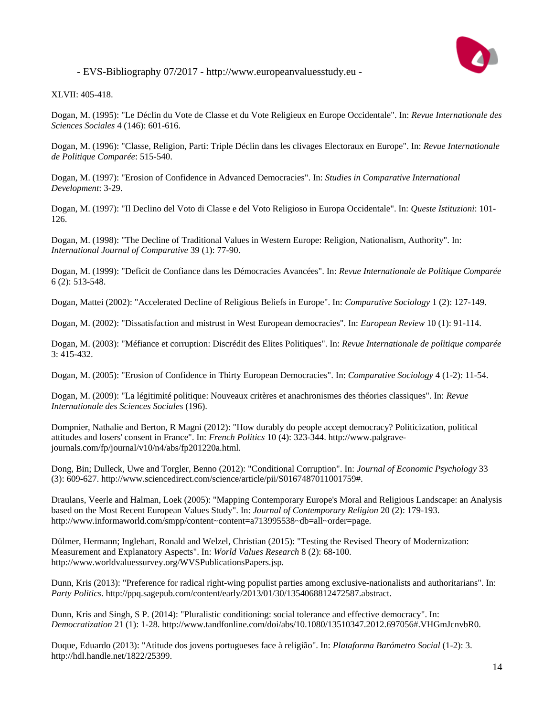

XLVII: 405-418.

Dogan, M. (1995): "Le Déclin du Vote de Classe et du Vote Religieux en Europe Occidentale". In: *Revue Internationale des Sciences Sociales* 4 (146): 601-616.

Dogan, M. (1996): "Classe, Religion, Parti: Triple Déclin dans les clivages Electoraux en Europe". In: *Revue Internationale de Politique Comparée*: 515-540.

Dogan, M. (1997): "Erosion of Confidence in Advanced Democracies". In: *Studies in Comparative International Development*: 3-29.

Dogan, M. (1997): "Il Declino del Voto di Classe e del Voto Religioso in Europa Occidentale". In: *Queste Istituzioni*: 101- 126.

Dogan, M. (1998): "The Decline of Traditional Values in Western Europe: Religion, Nationalism, Authority". In: *International Journal of Comparative* 39 (1): 77-90.

Dogan, M. (1999): "Deficit de Confiance dans les Démocracies Avancées". In: *Revue Internationale de Politique Comparée* 6 (2): 513-548.

Dogan, Mattei (2002): "Accelerated Decline of Religious Beliefs in Europe". In: *Comparative Sociology* 1 (2): 127-149.

Dogan, M. (2002): "Dissatisfaction and mistrust in West European democracies". In: *European Review* 10 (1): 91-114.

Dogan, M. (2003): "Méfiance et corruption: Discrédit des Elites Politiques". In: *Revue Internationale de politique comparée* 3: 415-432.

Dogan, M. (2005): "Erosion of Confidence in Thirty European Democracies". In: *Comparative Sociology* 4 (1-2): 11-54.

Dogan, M. (2009): "La légitimité politique: Nouveaux critères et anachronismes des théories classiques". In: *Revue Internationale des Sciences Sociales* (196).

Dompnier, Nathalie and Berton, R Magni (2012): "How durably do people accept democracy? Politicization, political attitudes and losers' consent in France". In: *French Politics* 10 (4): 323-344. http://www.palgravejournals.com/fp/journal/v10/n4/abs/fp201220a.html.

Dong, Bin; Dulleck, Uwe and Torgler, Benno (2012): "Conditional Corruption". In: *Journal of Economic Psychology* 33 (3): 609-627. http://www.sciencedirect.com/science/article/pii/S0167487011001759#.

Draulans, Veerle and Halman, Loek (2005): "Mapping Contemporary Europe's Moral and Religious Landscape: an Analysis based on the Most Recent European Values Study". In: *Journal of Contemporary Religion* 20 (2): 179-193. http://www.informaworld.com/smpp/content~content=a713995538~db=all~order=page.

Dülmer, Hermann; Inglehart, Ronald and Welzel, Christian (2015): "Testing the Revised Theory of Modernization: Measurement and Explanatory Aspects". In: *World Values Research* 8 (2): 68-100. http://www.worldvaluessurvey.org/WVSPublicationsPapers.jsp.

Dunn, Kris (2013): "Preference for radical right-wing populist parties among exclusive-nationalists and authoritarians". In: *Party Politics*. http://ppq.sagepub.com/content/early/2013/01/30/1354068812472587.abstract.

Dunn, Kris and Singh, S P. (2014): "Pluralistic conditioning: social tolerance and effective democracy". In: *Democratization* 21 (1): 1-28. http://www.tandfonline.com/doi/abs/10.1080/13510347.2012.697056#.VHGmJcnvbR0.

Duque, Eduardo (2013): "Atitude dos jovens portugueses face à religião". In: *Plataforma Barómetro Social* (1-2): 3. http://hdl.handle.net/1822/25399.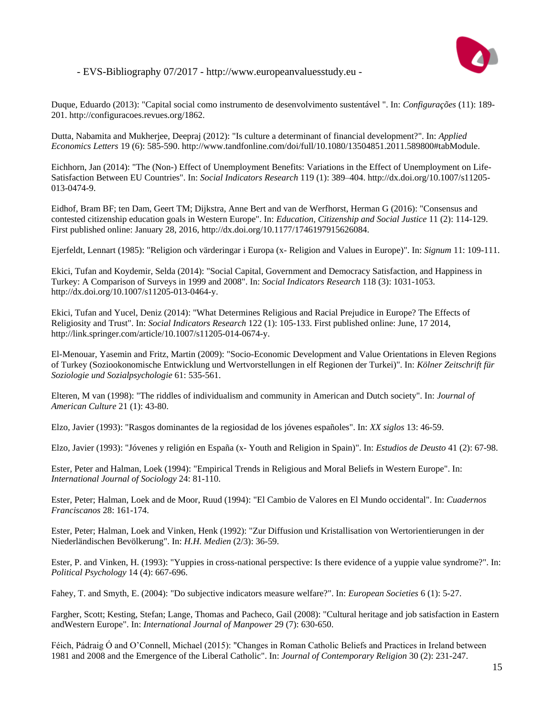

Duque, Eduardo (2013): "Capital social como instrumento de desenvolvimento sustentável ". In: *Configurações* (11): 189- 201. http://configuracoes.revues.org/1862.

Dutta, Nabamita and Mukherjee, Deepraj (2012): "Is culture a determinant of financial development?". In: *Applied Economics Letters* 19 (6): 585-590. http://www.tandfonline.com/doi/full/10.1080/13504851.2011.589800#tabModule.

Eichhorn, Jan (2014): "The (Non-) Effect of Unemployment Benefits: Variations in the Effect of Unemployment on Life-Satisfaction Between EU Countries". In: *Social Indicators Research* 119 (1): 389–404. http://dx.doi.org/10.1007/s11205- 013-0474-9.

Eidhof, Bram BF; ten Dam, Geert TM; Dijkstra, Anne Bert and van de Werfhorst, Herman G (2016): "Consensus and contested citizenship education goals in Western Europe". In: *Education, Citizenship and Social Justice* 11 (2): 114-129. First published online: January 28, 2016, http://dx.doi.org/10.1177/1746197915626084.

Ejerfeldt, Lennart (1985): "Religion och värderingar i Europa (x- Religion and Values in Europe)". In: *Signum* 11: 109-111.

Ekici, Tufan and Koydemir, Selda (2014): "Social Capital, Government and Democracy Satisfaction, and Happiness in Turkey: A Comparison of Surveys in 1999 and 2008". In: *Social Indicators Research* 118 (3): 1031-1053. http://dx.doi.org/10.1007/s11205-013-0464-y.

Ekici, Tufan and Yucel, Deniz (2014): "What Determines Religious and Racial Prejudice in Europe? The Effects of Religiosity and Trust". In: *Social Indicators Research* 122 (1): 105-133. First published online: June, 17 2014, http://link.springer.com/article/10.1007/s11205-014-0674-y.

El-Menouar, Yasemin and Fritz, Martin (2009): "Socio-Economic Development and Value Orientations in Eleven Regions of Turkey (Soziookonomische Entwicklung und Wertvorstellungen in elf Regionen der Turkei)". In: *Kölner Zeitschrift für Soziologie und Sozialpsychologie* 61: 535-561.

Elteren, M van (1998): "The riddles of individualism and community in American and Dutch society". In: *Journal of American Culture* 21 (1): 43-80.

Elzo, Javier (1993): "Rasgos dominantes de la regiosidad de los jóvenes españoles". In: *XX siglos* 13: 46-59.

Elzo, Javier (1993): "Jóvenes y religión en España (x- Youth and Religion in Spain)". In: *Estudios de Deusto* 41 (2): 67-98.

Ester, Peter and Halman, Loek (1994): "Empirical Trends in Religious and Moral Beliefs in Western Europe". In: *International Journal of Sociology* 24: 81-110.

Ester, Peter; Halman, Loek and de Moor, Ruud (1994): "El Cambio de Valores en El Mundo occidental". In: *Cuadernos Franciscanos* 28: 161-174.

Ester, Peter; Halman, Loek and Vinken, Henk (1992): "Zur Diffusion und Kristallisation von Wertorientierungen in der Niederländischen Bevölkerung". In: *H.H. Medien* (2/3): 36-59.

Ester, P. and Vinken, H. (1993): "Yuppies in cross-national perspective: Is there evidence of a yuppie value syndrome?". In: *Political Psychology* 14 (4): 667-696.

Fahey, T. and Smyth, E. (2004): "Do subjective indicators measure welfare?". In: *European Societies* 6 (1): 5-27.

Fargher, Scott; Kesting, Stefan; Lange, Thomas and Pacheco, Gail (2008): "Cultural heritage and job satisfaction in Eastern andWestern Europe". In: *International Journal of Manpower* 29 (7): 630-650.

Féich, Pádraig Ó and O'Connell, Michael (2015): "Changes in Roman Catholic Beliefs and Practices in Ireland between 1981 and 2008 and the Emergence of the Liberal Catholic". In: *Journal of Contemporary Religion* 30 (2): 231-247.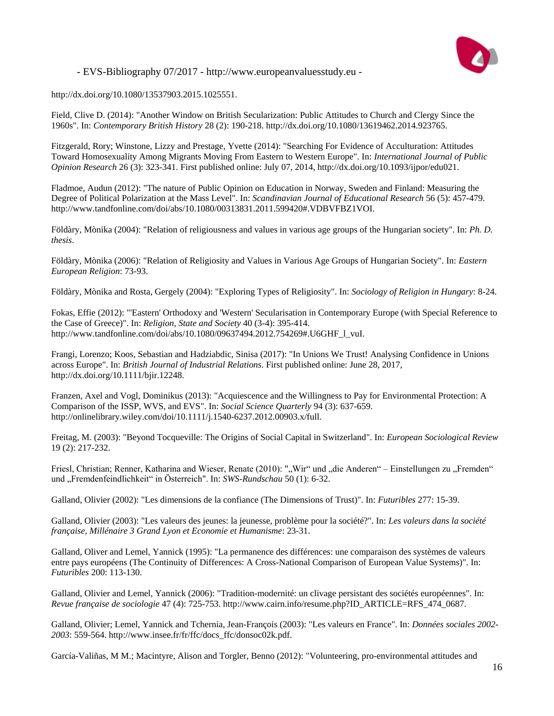

http://dx.doi.org/10.1080/13537903.2015.1025551.

Field, Clive D. (2014): "Another Window on British Secularization: Public Attitudes to Church and Clergy Since the 1960s". In: *Contemporary British History* 28 (2): 190-218. http://dx.doi.org/10.1080/13619462.2014.923765.

Fitzgerald, Rory; Winstone, Lizzy and Prestage, Yvette (2014): "Searching For Evidence of Acculturation: Attitudes Toward Homosexuality Among Migrants Moving From Eastern to Western Europe". In: *International Journal of Public Opinion Research* 26 (3): 323-341. First published online: July 07, 2014, http://dx.doi.org/10.1093/ijpor/edu021.

Fladmoe, Audun (2012): "The nature of Public Opinion on Education in Norway, Sweden and Finland: Measuring the Degree of Political Polarization at the Mass Level". In: *Scandinavian Journal of Educational Research* 56 (5): 457-479. http://www.tandfonline.com/doi/abs/10.1080/00313831.2011.599420#.VDBVFBZ1VOI.

Földàry, Mònika (2004): "Relation of religiousness and values in various age groups of the Hungarian society". In: *Ph. D. thesis*.

Földàry, Mònika (2006): "Relation of Religiosity and Values in Various Age Groups of Hungarian Society". In: *Eastern European Religion*: 73-93.

Földàry, Mònika and Rosta, Gergely (2004): "Exploring Types of Religiosity". In: *Sociology of Religion in Hungary*: 8-24.

Fokas, Effie (2012): "'Eastern' Orthodoxy and 'Western' Secularisation in Contemporary Europe (with Special Reference to the Case of Greece)". In: *Religion, State and Society* 40 (3-4): 395-414. http://www.tandfonline.com/doi/abs/10.1080/09637494.2012.754269#.U6GHF\_l\_vuI.

Frangi, Lorenzo; Koos, Sebastian and Hadziabdic, Sinisa (2017): "In Unions We Trust! Analysing Confidence in Unions across Europe". In: *British Journal of Industrial Relations*. First published online: June 28, 2017, http://dx.doi.org/10.1111/bjir.12248.

Franzen, Axel and Vogl, Dominikus (2013): "Acquiescence and the Willingness to Pay for Environmental Protection: A Comparison of the ISSP, WVS, and EVS". In: *Social Science Quarterly* 94 (3): 637-659. http://onlinelibrary.wiley.com/doi/10.1111/j.1540-6237.2012.00903.x/full.

Freitag, M. (2003): "Beyond Tocqueville: The Origins of Social Capital in Switzerland". In: *European Sociological Review* 19 (2): 217-232.

Friesl, Christian; Renner, Katharina and Wieser, Renate (2010): ""Wir" und "die Anderen" – Einstellungen zu "Fremden" und "Fremdenfeindlichkeit" in Österreich". In: *SWS-Rundschau* 50 (1): 6-32.

Galland, Olivier (2002): "Les dimensions de la confiance (The Dimensions of Trust)". In: *Futuribles* 277: 15-39.

Galland, Olivier (2003): "Les valeurs des jeunes: la jeunesse, problème pour la société?". In: *Les valeurs dans la société française, Millénaire 3 Grand Lyon et Economie et Humanisme*: 23-31.

Galland, Oliver and Lemel, Yannick (1995): "La permanence des différences: une comparaison des systèmes de valeurs entre pays européens (The Continuity of Differences: A Cross-National Comparison of European Value Systems)". In: *Futuribles* 200: 113-130.

Galland, Olivier and Lemel, Yannick (2006): "Tradition-modernité: un clivage persistant des sociétés européennes". In: *Revue française de sociologie* 47 (4): 725-753. http://www.cairn.info/resume.php?ID\_ARTICLE=RFS\_474\_0687.

Galland, Olivier; Lemel, Yannick and Tchernia, Jean-François (2003): "Les valeurs en France". In: *Données sociales 2002- 2003*: 559-564. http://www.insee.fr/fr/ffc/docs\_ffc/donsoc02k.pdf.

García-Valiñas, M M.; Macintyre, Alison and Torgler, Benno (2012): "Volunteering, pro-environmental attitudes and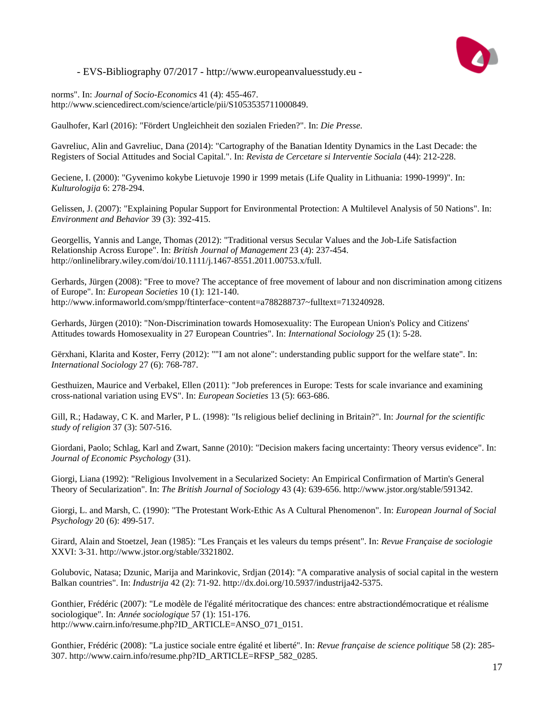

norms". In: *Journal of Socio-Economics* 41 (4): 455-467. http://www.sciencedirect.com/science/article/pii/S1053535711000849.

Gaulhofer, Karl (2016): "Fördert Ungleichheit den sozialen Frieden?". In: *Die Presse*.

Gavreliuc, Alin and Gavreliuc, Dana (2014): "Cartography of the Banatian Identity Dynamics in the Last Decade: the Registers of Social Attitudes and Social Capital.". In: *Revista de Cercetare si Interventie Sociala* (44): 212-228.

Geciene, I. (2000): "Gyvenimo kokybe Lietuvoje 1990 ir 1999 metais (Life Quality in Lithuania: 1990-1999)". In: *Kulturologija* 6: 278-294.

Gelissen, J. (2007): "Explaining Popular Support for Environmental Protection: A Multilevel Analysis of 50 Nations". In: *Environment and Behavior* 39 (3): 392-415.

Georgellis, Yannis and Lange, Thomas (2012): "Traditional versus Secular Values and the Job-Life Satisfaction Relationship Across Europe". In: *British Journal of Management* 23 (4): 237-454. http://onlinelibrary.wiley.com/doi/10.1111/j.1467-8551.2011.00753.x/full.

Gerhards, Jürgen (2008): "Free to move? The acceptance of free movement of labour and non discrimination among citizens of Europe". In: *European Societies* 10 (1): 121-140. http://www.informaworld.com/smpp/ftinterface~content=a788288737~fulltext=713240928.

Gerhards, Jürgen (2010): "Non-Discrimination towards Homosexuality: The European Union's Policy and Citizens' Attitudes towards Homosexuality in 27 European Countries". In: *International Sociology* 25 (1): 5-28.

Gërxhani, Klarita and Koster, Ferry (2012): ""I am not alone": understanding public support for the welfare state". In: *International Sociology* 27 (6): 768-787.

Gesthuizen, Maurice and Verbakel, Ellen (2011): "Job preferences in Europe: Tests for scale invariance and examining cross-national variation using EVS". In: *European Societies* 13 (5): 663-686.

Gill, R.; Hadaway, C K. and Marler, P L. (1998): "Is religious belief declining in Britain?". In: *Journal for the scientific study of religion* 37 (3): 507-516.

Giordani, Paolo; Schlag, Karl and Zwart, Sanne (2010): "Decision makers facing uncertainty: Theory versus evidence". In: *Journal of Economic Psychology* (31).

Giorgi, Liana (1992): "Religious Involvement in a Secularized Society: An Empirical Confirmation of Martin's General Theory of Secularization". In: *The British Journal of Sociology* 43 (4): 639-656. http://www.jstor.org/stable/591342.

Giorgi, L. and Marsh, C. (1990): "The Protestant Work-Ethic As A Cultural Phenomenon". In: *European Journal of Social Psychology* 20 (6): 499-517.

Girard, Alain and Stoetzel, Jean (1985): "Les Français et les valeurs du temps présent". In: *Revue Française de sociologie* XXVI: 3-31. http://www.jstor.org/stable/3321802.

Golubovic, Natasa; Dzunic, Marija and Marinkovic, Srdjan (2014): "A comparative analysis of social capital in the western Balkan countries". In: *Industrija* 42 (2): 71-92. http://dx.doi.org/10.5937/industrija42-5375.

Gonthier, Frédéric (2007): "Le modèle de l'égalité méritocratique des chances: entre abstractiondémocratique et réalisme sociologique". In: *Année sociologique* 57 (1): 151-176. http://www.cairn.info/resume.php?ID\_ARTICLE=ANSO\_071\_0151.

Gonthier, Frédéric (2008): "La justice sociale entre égalité et liberté". In: *Revue française de science politique* 58 (2): 285- 307. http://www.cairn.info/resume.php?ID\_ARTICLE=RFSP\_582\_0285.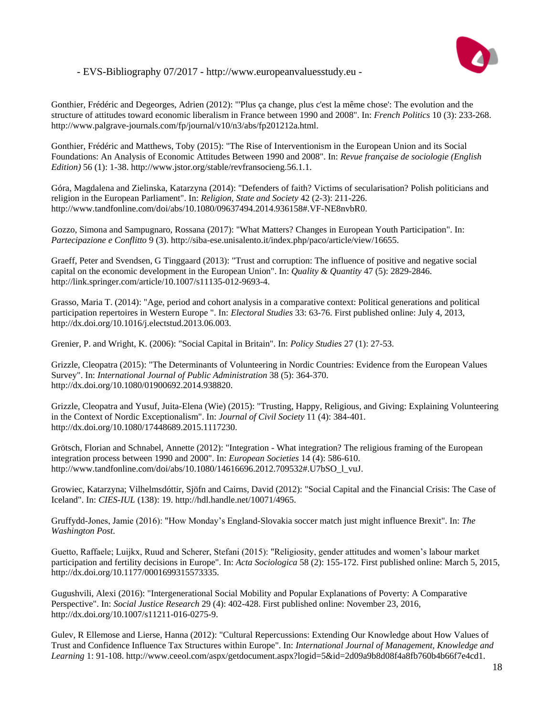

Gonthier, Frédéric and Degeorges, Adrien (2012): "'Plus ça change, plus c'est la même chose': The evolution and the structure of attitudes toward economic liberalism in France between 1990 and 2008". In: *French Politics* 10 (3): 233-268. http://www.palgrave-journals.com/fp/journal/v10/n3/abs/fp201212a.html.

Gonthier, Frédéric and Matthews, Toby (2015): "The Rise of Interventionism in the European Union and its Social Foundations: An Analysis of Economic Attitudes Between 1990 and 2008". In: *Revue française de sociologie (English Edition)* 56 (1): 1-38. http://www.jstor.org/stable/revfransocieng.56.1.1.

Góra, Magdalena and Zielinska, Katarzyna (2014): "Defenders of faith? Victims of secularisation? Polish politicians and religion in the European Parliament". In: *Religion, State and Society* 42 (2-3): 211-226. http://www.tandfonline.com/doi/abs/10.1080/09637494.2014.936158#.VF-NE8nvbR0.

Gozzo, Simona and Sampugnaro, Rossana (2017): "What Matters? Changes in European Youth Participation". In: *Partecipazione e Conflitto* 9 (3). http://siba-ese.unisalento.it/index.php/paco/article/view/16655.

Graeff, Peter and Svendsen, G Tinggaard (2013): "Trust and corruption: The influence of positive and negative social capital on the economic development in the European Union". In: *Quality & Quantity* 47 (5): 2829-2846. http://link.springer.com/article/10.1007/s11135-012-9693-4.

Grasso, Maria T. (2014): "Age, period and cohort analysis in a comparative context: Political generations and political participation repertoires in Western Europe ". In: *Electoral Studies* 33: 63-76. First published online: July 4, 2013, http://dx.doi.org/10.1016/j.electstud.2013.06.003.

Grenier, P. and Wright, K. (2006): "Social Capital in Britain". In: *Policy Studies* 27 (1): 27-53.

Grizzle, Cleopatra (2015): "The Determinants of Volunteering in Nordic Countries: Evidence from the European Values Survey". In: *International Journal of Public Administration* 38 (5): 364-370. http://dx.doi.org/10.1080/01900692.2014.938820.

Grizzle, Cleopatra and Yusuf, Juita-Elena (Wie) (2015): "Trusting, Happy, Religious, and Giving: Explaining Volunteering in the Context of Nordic Exceptionalism". In: *Journal of Civil Society* 11 (4): 384-401. http://dx.doi.org/10.1080/17448689.2015.1117230.

Grötsch, Florian and Schnabel, Annette (2012): "Integration - What integration? The religious framing of the European integration process between 1990 and 2000". In: *European Societies* 14 (4): 586-610. http://www.tandfonline.com/doi/abs/10.1080/14616696.2012.709532#.U7bSO\_l\_vuJ.

Growiec, Katarzyna; Vilhelmsdóttir, Sjöfn and Cairns, David (2012): "Social Capital and the Financial Crisis: The Case of Iceland". In: *CIES-IUL* (138): 19. http://hdl.handle.net/10071/4965.

Gruffydd-Jones, Jamie (2016): "How Monday's England-Slovakia soccer match just might influence Brexit". In: *The Washington Post*.

Guetto, Raffaele; Luijkx, Ruud and Scherer, Stefani (2015): "Religiosity, gender attitudes and women's labour market participation and fertility decisions in Europe". In: *Acta Sociologica* 58 (2): 155-172. First published online: March 5, 2015, http://dx.doi.org/10.1177/0001699315573335.

Gugushvili, Alexi (2016): "Intergenerational Social Mobility and Popular Explanations of Poverty: A Comparative Perspective". In: *Social Justice Research* 29 (4): 402-428. First published online: November 23, 2016, http://dx.doi.org/10.1007/s11211-016-0275-9.

Gulev, R Ellemose and Lierse, Hanna (2012): "Cultural Repercussions: Extending Our Knowledge about How Values of Trust and Confidence Influence Tax Structures within Europe". In: *International Journal of Management, Knowledge and Learning* 1: 91-108. http://www.ceeol.com/aspx/getdocument.aspx?logid=5&id=2d09a9b8d08f4a8fb760b4b66f7e4cd1.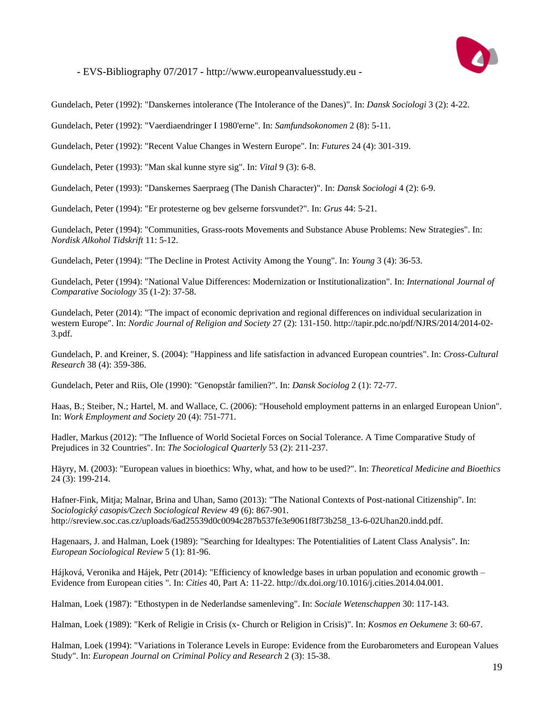

Gundelach, Peter (1992): "Danskernes intolerance (The Intolerance of the Danes)". In: *Dansk Sociologi* 3 (2): 4-22.

Gundelach, Peter (1992): "Vaerdiaendringer I 1980'erne". In: *Samfundsokonomen* 2 (8): 5-11.

Gundelach, Peter (1992): "Recent Value Changes in Western Europe". In: *Futures* 24 (4): 301-319.

Gundelach, Peter (1993): "Man skal kunne styre sig". In: *Vital* 9 (3): 6-8.

Gundelach, Peter (1993): "Danskernes Saerpraeg (The Danish Character)". In: *Dansk Sociologi* 4 (2): 6-9.

Gundelach, Peter (1994): "Er protesterne og bev gelserne forsvundet?". In: *Grus* 44: 5-21.

Gundelach, Peter (1994): "Communities, Grass-roots Movements and Substance Abuse Problems: New Strategies". In: *Nordisk Alkohol Tidskrift* 11: 5-12.

Gundelach, Peter (1994): "The Decline in Protest Activity Among the Young". In: *Young* 3 (4): 36-53.

Gundelach, Peter (1994): "National Value Differences: Modernization or Institutionalization". In: *International Journal of Comparative Sociology* 35 (1-2): 37-58.

Gundelach, Peter (2014): "The impact of economic deprivation and regional differences on individual secularization in western Europe". In: *Nordic Journal of Religion and Society* 27 (2): 131-150. http://tapir.pdc.no/pdf/NJRS/2014/2014-02- 3.pdf.

Gundelach, P. and Kreiner, S. (2004): "Happiness and life satisfaction in advanced European countries". In: *Cross-Cultural Research* 38 (4): 359-386.

Gundelach, Peter and Riis, Ole (1990): "Genopstår familien?". In: *Dansk Sociolog* 2 (1): 72-77.

Haas, B.; Steiber, N.; Hartel, M. and Wallace, C. (2006): "Household employment patterns in an enlarged European Union". In: *Work Employment and Society* 20 (4): 751-771.

Hadler, Markus (2012): "The Influence of World Societal Forces on Social Tolerance. A Time Comparative Study of Prejudices in 32 Countries". In: *The Sociological Quarterly* 53 (2): 211-237.

Häyry, M. (2003): "European values in bioethics: Why, what, and how to be used?". In: *Theoretical Medicine and Bioethics* 24 (3): 199-214.

Hafner-Fink, Mitja; Malnar, Brina and Uhan, Samo (2013): "The National Contexts of Post-national Citizenship". In: *Sociologický casopis/Czech Sociological Review* 49 (6): 867-901. http://sreview.soc.cas.cz/uploads/6ad25539d0c0094c287b537fe3e9061f8f73b258\_13-6-02Uhan20.indd.pdf.

Hagenaars, J. and Halman, Loek (1989): "Searching for Idealtypes: The Potentialities of Latent Class Analysis". In: *European Sociological Review* 5 (1): 81-96.

Hájková, Veronika and Hájek, Petr (2014): "Efficiency of knowledge bases in urban population and economic growth – Evidence from European cities ". In: *Cities* 40, Part A: 11-22. http://dx.doi.org/10.1016/j.cities.2014.04.001.

Halman, Loek (1987): "Ethostypen in de Nederlandse samenleving". In: *Sociale Wetenschappen* 30: 117-143.

Halman, Loek (1989): "Kerk of Religie in Crisis (x- Church or Religion in Crisis)". In: *Kosmos en Oekumene* 3: 60-67.

Halman, Loek (1994): "Variations in Tolerance Levels in Europe: Evidence from the Eurobarometers and European Values Study". In: *European Journal on Criminal Policy and Research* 2 (3): 15-38.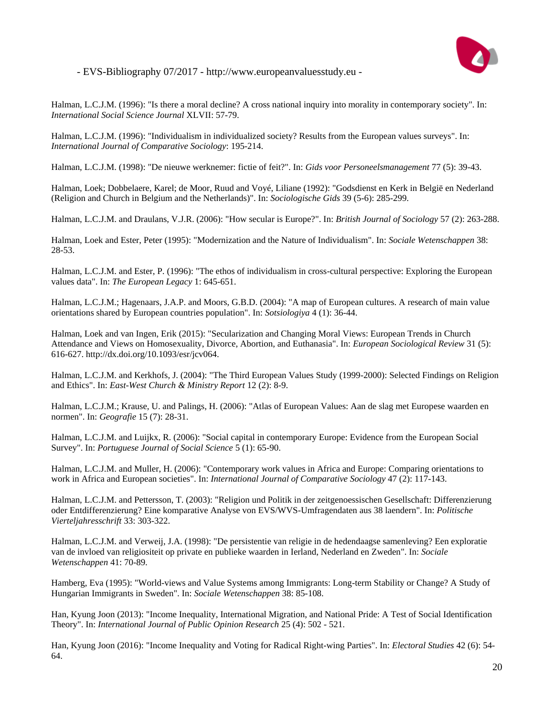

Halman, L.C.J.M. (1996): "Is there a moral decline? A cross national inquiry into morality in contemporary society". In: *International Social Science Journal* XLVII: 57-79.

Halman, L.C.J.M. (1996): "Individualism in individualized society? Results from the European values surveys". In: *International Journal of Comparative Sociology*: 195-214.

Halman, L.C.J.M. (1998): "De nieuwe werknemer: fictie of feit?". In: *Gids voor Personeelsmanagement* 77 (5): 39-43.

Halman, Loek; Dobbelaere, Karel; de Moor, Ruud and Voyé, Liliane (1992): "Godsdienst en Kerk in België en Nederland (Religion and Church in Belgium and the Netherlands)". In: *Sociologische Gids* 39 (5-6): 285-299.

Halman, L.C.J.M. and Draulans, V.J.R. (2006): "How secular is Europe?". In: *British Journal of Sociology* 57 (2): 263-288.

Halman, Loek and Ester, Peter (1995): "Modernization and the Nature of Individualism". In: *Sociale Wetenschappen* 38: 28-53.

Halman, L.C.J.M. and Ester, P. (1996): "The ethos of individualism in cross-cultural perspective: Exploring the European values data". In: *The European Legacy* 1: 645-651.

Halman, L.C.J.M.; Hagenaars, J.A.P. and Moors, G.B.D. (2004): "A map of European cultures. A research of main value orientations shared by European countries population". In: *Sotsiologiya* 4 (1): 36-44.

Halman, Loek and van Ingen, Erik (2015): "Secularization and Changing Moral Views: European Trends in Church Attendance and Views on Homosexuality, Divorce, Abortion, and Euthanasia". In: *European Sociological Review* 31 (5): 616-627. http://dx.doi.org/10.1093/esr/jcv064.

Halman, L.C.J.M. and Kerkhofs, J. (2004): "The Third European Values Study (1999-2000): Selected Findings on Religion and Ethics". In: *East-West Church & Ministry Report* 12 (2): 8-9.

Halman, L.C.J.M.; Krause, U. and Palings, H. (2006): "Atlas of European Values: Aan de slag met Europese waarden en normen". In: *Geografie* 15 (7): 28-31.

Halman, L.C.J.M. and Luijkx, R. (2006): "Social capital in contemporary Europe: Evidence from the European Social Survey". In: *Portuguese Journal of Social Science* 5 (1): 65-90.

Halman, L.C.J.M. and Muller, H. (2006): "Contemporary work values in Africa and Europe: Comparing orientations to work in Africa and European societies". In: *International Journal of Comparative Sociology* 47 (2): 117-143.

Halman, L.C.J.M. and Pettersson, T. (2003): "Religion und Politik in der zeitgenoessischen Gesellschaft: Differenzierung oder Entdifferenzierung? Eine komparative Analyse von EVS/WVS-Umfragendaten aus 38 laendern". In: *Politische Vierteljahresschrift* 33: 303-322.

Halman, L.C.J.M. and Verweij, J.A. (1998): "De persistentie van religie in de hedendaagse samenleving? Een exploratie van de invloed van religiositeit op private en publieke waarden in Ierland, Nederland en Zweden". In: *Sociale Wetenschappen* 41: 70-89.

Hamberg, Eva (1995): "World-views and Value Systems among Immigrants: Long-term Stability or Change? A Study of Hungarian Immigrants in Sweden". In: *Sociale Wetenschappen* 38: 85-108.

Han, Kyung Joon (2013): "Income Inequality, International Migration, and National Pride: A Test of Social Identification Theory". In: *International Journal of Public Opinion Research* 25 (4): 502 - 521.

Han, Kyung Joon (2016): "Income Inequality and Voting for Radical Right-wing Parties". In: *Electoral Studies* 42 (6): 54- 64.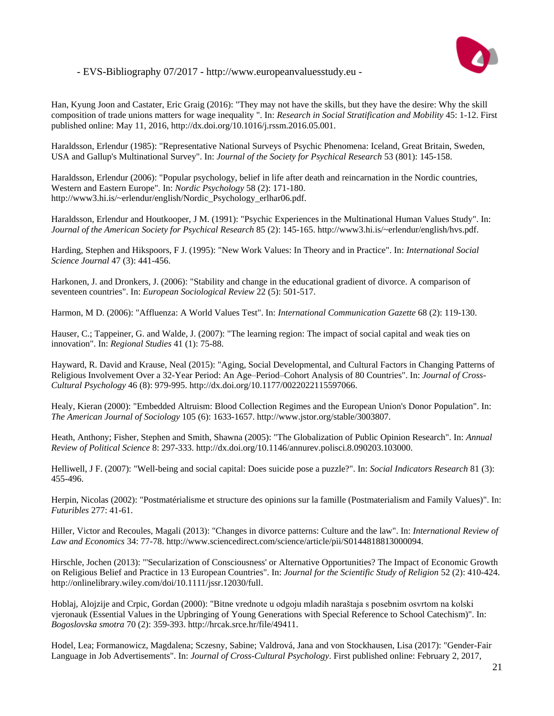

Han, Kyung Joon and Castater, Eric Graig (2016): "They may not have the skills, but they have the desire: Why the skill composition of trade unions matters for wage inequality ". In: *Research in Social Stratification and Mobility* 45: 1-12. First published online: May 11, 2016, http://dx.doi.org/10.1016/j.rssm.2016.05.001.

Haraldsson, Erlendur (1985): "Representative National Surveys of Psychic Phenomena: Iceland, Great Britain, Sweden, USA and Gallup's Multinational Survey". In: *Journal of the Society for Psychical Research* 53 (801): 145-158.

Haraldsson, Erlendur (2006): "Popular psychology, belief in life after death and reincarnation in the Nordic countries, Western and Eastern Europe". In: *Nordic Psychology* 58 (2): 171-180. http://www3.hi.is/~erlendur/english/Nordic\_Psychology\_erlhar06.pdf.

Haraldsson, Erlendur and Houtkooper, J M. (1991): "Psychic Experiences in the Multinational Human Values Study". In: *Journal of the American Society for Psychical Research* 85 (2): 145-165. http://www3.hi.is/~erlendur/english/hvs.pdf.

Harding, Stephen and Hikspoors, F J. (1995): "New Work Values: In Theory and in Practice". In: *International Social Science Journal* 47 (3): 441-456.

Harkonen, J. and Dronkers, J. (2006): "Stability and change in the educational gradient of divorce. A comparison of seventeen countries". In: *European Sociological Review* 22 (5): 501-517.

Harmon, M D. (2006): "Affluenza: A World Values Test". In: *International Communication Gazette* 68 (2): 119-130.

Hauser, C.; Tappeiner, G. and Walde, J. (2007): "The learning region: The impact of social capital and weak ties on innovation". In: *Regional Studies* 41 (1): 75-88.

Hayward, R. David and Krause, Neal (2015): "Aging, Social Developmental, and Cultural Factors in Changing Patterns of Religious Involvement Over a 32-Year Period: An Age–Period–Cohort Analysis of 80 Countries". In: *Journal of Cross-Cultural Psychology* 46 (8): 979-995. http://dx.doi.org/10.1177/0022022115597066.

Healy, Kieran (2000): "Embedded Altruism: Blood Collection Regimes and the European Union's Donor Population". In: *The American Journal of Sociology* 105 (6): 1633-1657. http://www.jstor.org/stable/3003807.

Heath, Anthony; Fisher, Stephen and Smith, Shawna (2005): "The Globalization of Public Opinion Research". In: *Annual Review of Political Science* 8: 297-333. http://dx.doi.org/10.1146/annurev.polisci.8.090203.103000.

Helliwell, J F. (2007): "Well-being and social capital: Does suicide pose a puzzle?". In: *Social Indicators Research* 81 (3): 455-496.

Herpin, Nicolas (2002): "Postmatérialisme et structure des opinions sur la famille (Postmaterialism and Family Values)". In: *Futuribles* 277: 41-61.

Hiller, Victor and Recoules, Magali (2013): "Changes in divorce patterns: Culture and the law". In: *International Review of Law and Economics* 34: 77-78. http://www.sciencedirect.com/science/article/pii/S0144818813000094.

Hirschle, Jochen (2013): "'Secularization of Consciousness' or Alternative Opportunities? The Impact of Economic Growth on Religious Belief and Practice in 13 European Countries". In: *Journal for the Scientific Study of Religion* 52 (2): 410-424. http://onlinelibrary.wiley.com/doi/10.1111/jssr.12030/full.

Hoblaj, Alojzije and Crpic, Gordan (2000): "Bitne vrednote u odgoju mladih naraštaja s posebnim osvrtom na kolski vjeronauk (Essential Values in the Upbringing of Young Generations with Special Reference to School Catechism)". In: *Bogoslovska smotra* 70 (2): 359-393. http://hrcak.srce.hr/file/49411.

Hodel, Lea; Formanowicz, Magdalena; Sczesny, Sabine; Valdrová, Jana and von Stockhausen, Lisa (2017): "Gender-Fair Language in Job Advertisements". In: *Journal of Cross-Cultural Psychology*. First published online: February 2, 2017,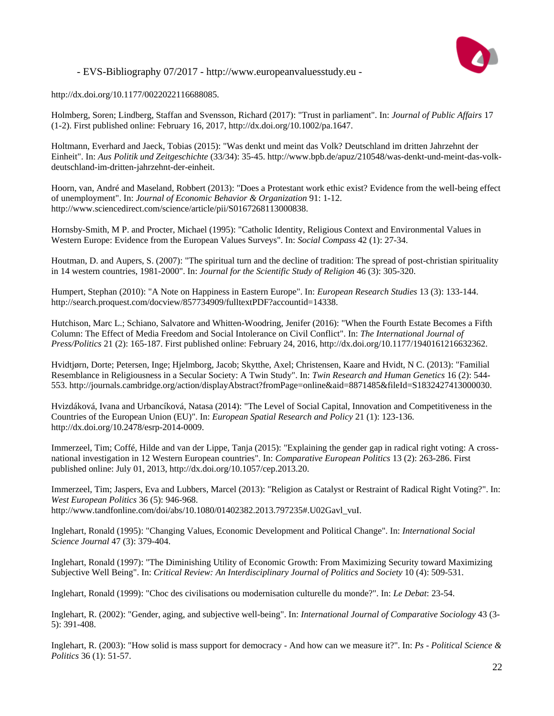

http://dx.doi.org/10.1177/0022022116688085.

Holmberg, Soren; Lindberg, Staffan and Svensson, Richard (2017): "Trust in parliament". In: *Journal of Public Affairs* 17 (1-2). First published online: February 16, 2017, http://dx.doi.org/10.1002/pa.1647.

Holtmann, Everhard and Jaeck, Tobias (2015): "Was denkt und meint das Volk? Deutschland im dritten Jahrzehnt der Einheit". In: *Aus Politik und Zeitgeschichte* (33/34): 35-45. http://www.bpb.de/apuz/210548/was-denkt-und-meint-das-volkdeutschland-im-dritten-jahrzehnt-der-einheit.

Hoorn, van, André and Maseland, Robbert (2013): "Does a Protestant work ethic exist? Evidence from the well-being effect of unemployment". In: *Journal of Economic Behavior & Organization* 91: 1-12. http://www.sciencedirect.com/science/article/pii/S0167268113000838.

Hornsby-Smith, M P. and Procter, Michael (1995): "Catholic Identity, Religious Context and Environmental Values in Western Europe: Evidence from the European Values Surveys". In: *Social Compass* 42 (1): 27-34.

Houtman, D. and Aupers, S. (2007): "The spiritual turn and the decline of tradition: The spread of post-christian spirituality in 14 western countries, 1981-2000". In: *Journal for the Scientific Study of Religion* 46 (3): 305-320.

Humpert, Stephan (2010): "A Note on Happiness in Eastern Europe". In: *European Research Studies* 13 (3): 133-144. http://search.proquest.com/docview/857734909/fulltextPDF?accountid=14338.

Hutchison, Marc L.; Schiano, Salvatore and Whitten-Woodring, Jenifer (2016): "When the Fourth Estate Becomes a Fifth Column: The Effect of Media Freedom and Social Intolerance on Civil Conflict". In: *The International Journal of Press/Politics* 21 (2): 165-187. First published online: February 24, 2016, http://dx.doi.org/10.1177/1940161216632362.

Hvidtjørn, Dorte; Petersen, Inge; Hjelmborg, Jacob; Skytthe, Axel; Christensen, Kaare and Hvidt, N C. (2013): "Familial Resemblance in Religiousness in a Secular Society: A Twin Study". In: *Twin Research and Human Genetics* 16 (2): 544- 553. http://journals.cambridge.org/action/displayAbstract?fromPage=online&aid=8871485&fileId=S1832427413000030.

Hvizdáková, Ivana and Urbancíková, Natasa (2014): "The Level of Social Capital, Innovation and Competitiveness in the Countries of the European Union (EU)". In: *European Spatial Research and Policy* 21 (1): 123-136. http://dx.doi.org/10.2478/esrp-2014-0009.

Immerzeel, Tim; Coffé, Hilde and van der Lippe, Tanja (2015): "Explaining the gender gap in radical right voting: A crossnational investigation in 12 Western European countries". In: *Comparative European Politics* 13 (2): 263-286. First published online: July 01, 2013, http://dx.doi.org/10.1057/cep.2013.20.

Immerzeel, Tim; Jaspers, Eva and Lubbers, Marcel (2013): "Religion as Catalyst or Restraint of Radical Right Voting?". In: *West European Politics* 36 (5): 946-968. http://www.tandfonline.com/doi/abs/10.1080/01402382.2013.797235#.U02Gavl\_vuI.

Inglehart, Ronald (1995): "Changing Values, Economic Development and Political Change". In: *International Social Science Journal* 47 (3): 379-404.

Inglehart, Ronald (1997): "The Diminishing Utility of Economic Growth: From Maximizing Security toward Maximizing Subjective Well Being". In: *Critical Review: An Interdisciplinary Journal of Politics and Society* 10 (4): 509-531.

Inglehart, Ronald (1999): "Choc des civilisations ou modernisation culturelle du monde?". In: *Le Debat*: 23-54.

Inglehart, R. (2002): "Gender, aging, and subjective well-being". In: *International Journal of Comparative Sociology* 43 (3- 5): 391-408.

Inglehart, R. (2003): "How solid is mass support for democracy - And how can we measure it?". In: *Ps - Political Science & Politics* 36 (1): 51-57.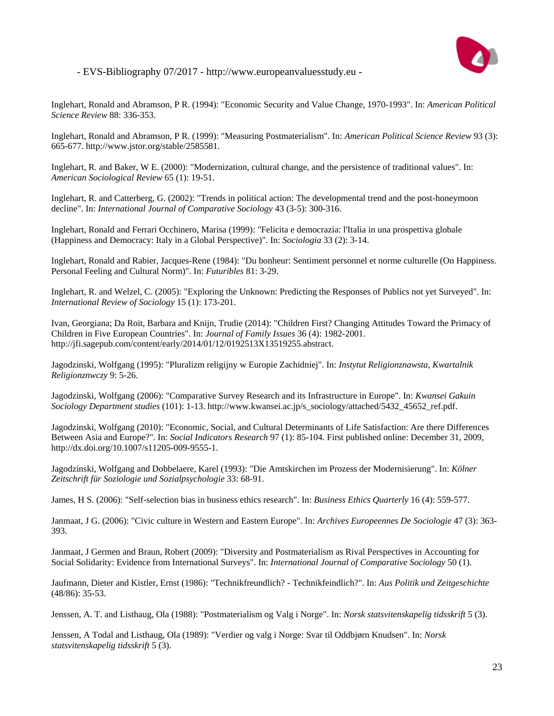

Inglehart, Ronald and Abramson, P R. (1994): "Economic Security and Value Change, 1970-1993". In: *American Political Science Review* 88: 336-353.

Inglehart, Ronald and Abramson, P R. (1999): "Measuring Postmaterialism". In: *American Political Science Review* 93 (3): 665-677. http://www.jstor.org/stable/2585581.

Inglehart, R. and Baker, W E. (2000): "Modernization, cultural change, and the persistence of traditional values". In: *American Sociological Review* 65 (1): 19-51.

Inglehart, R. and Catterberg, G. (2002): "Trends in political action: The developmental trend and the post-honeymoon decline". In: *International Journal of Comparative Sociology* 43 (3-5): 300-316.

Inglehart, Ronald and Ferrari Occhinero, Marisa (1999): "Felicita e democrazia: l'Italia in una prospettiva globale (Happiness and Democracy: Italy in a Global Perspective)". In: *Sociologia* 33 (2): 3-14.

Inglehart, Ronald and Rabier, Jacques-Rene (1984): "Du bonheur: Sentiment personnel et norme culturelle (On Happiness. Personal Feeling and Cultural Norm)". In: *Futuribles* 81: 3-29.

Inglehart, R. and Welzel, C. (2005): "Exploring the Unknown: Predicting the Responses of Publics not yet Surveyed". In: *International Review of Sociology* 15 (1): 173-201.

Ivan, Georgiana; Da Roit, Barbara and Knijn, Trudie (2014): "Children First? Changing Attitudes Toward the Primacy of Children in Five European Countries". In: *Journal of Family Issues* 36 (4): 1982-2001. http://jfi.sagepub.com/content/early/2014/01/12/0192513X13519255.abstract.

Jagodzinski, Wolfgang (1995): "Pluralizm religijny w Europie Zachidniej". In: *Instytut Religionznawsta, Kwartalnik Religionznwczy* 9: 5-26.

Jagodzinski, Wolfgang (2006): "Comparative Survey Research and its Infrastructure in Europe". In: *Kwansei Gakuin Sociology Department studies* (101): 1-13. http://www.kwansei.ac.jp/s\_sociology/attached/5432\_45652\_ref.pdf.

Jagodzinski, Wolfgang (2010): "Economic, Social, and Cultural Determinants of Life Satisfaction: Are there Differences Between Asia and Europe?". In: *Social Indicators Research* 97 (1): 85-104. First published online: December 31, 2009, http://dx.doi.org/10.1007/s11205-009-9555-1.

Jagodzinski, Wolfgang and Dobbelaere, Karel (1993): "Die Amtskirchen im Prozess der Modernisierung". In: *Kölner Zeitschrift für Soziologie und Sozialpsychologie* 33: 68-91.

James, H S. (2006): "Self-selection bias in business ethics research". In: *Business Ethics Quarterly* 16 (4): 559-577.

Janmaat, J G. (2006): "Civic culture in Western and Eastern Europe". In: *Archives Europeennes De Sociologie* 47 (3): 363- 393.

Janmaat, J Germen and Braun, Robert (2009): "Diversity and Postmaterialism as Rival Perspectives in Accounting for Social Solidarity: Evidence from International Surveys". In: *International Journal of Comparative Sociology* 50 (1).

Jaufmann, Dieter and Kistler, Ernst (1986): "Technikfreundlich? - Technikfeindlich?". In: *Aus Politik und Zeitgeschichte* (48/86): 35-53.

Jenssen, A. T. and Listhaug, Ola (1988): "Postmaterialism og Valg i Norge". In: *Norsk statsvitenskapelig tidsskrift* 5 (3).

Jenssen, A Todal and Listhaug, Ola (1989): "Verdier og valg i Norge: Svar til Oddbjørn Knudsen". In: *Norsk statsvitenskapelig tidsskrift* 5 (3).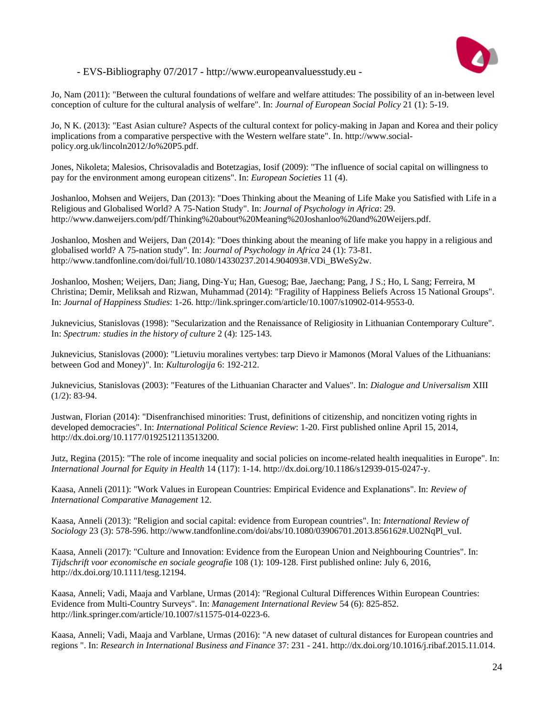

Jo, Nam (2011): "Between the cultural foundations of welfare and welfare attitudes: The possibility of an in-between level conception of culture for the cultural analysis of welfare". In: *Journal of European Social Policy* 21 (1): 5-19.

Jo, N K. (2013): "East Asian culture? Aspects of the cultural context for policy-making in Japan and Korea and their policy implications from a comparative perspective with the Western welfare state". In. http://www.socialpolicy.org.uk/lincoln2012/Jo%20P5.pdf.

Jones, Nikoleta; Malesios, Chrisovaladis and Botetzagias, Iosif (2009): "The influence of social capital on willingness to pay for the environment among european citizens". In: *European Societies* 11 (4).

Joshanloo, Mohsen and Weijers, Dan (2013): "Does Thinking about the Meaning of Life Make you Satisfied with Life in a Religious and Globalised World? A 75-Nation Study". In: *Journal of Psychology in Africa*: 29. http://www.danweijers.com/pdf/Thinking%20about%20Meaning%20Joshanloo%20and%20Weijers.pdf.

Joshanloo, Moshen and Weijers, Dan (2014): "Does thinking about the meaning of life make you happy in a religious and globalised world? A 75-nation study". In: *Journal of Psychology in Africa* 24 (1): 73-81. http://www.tandfonline.com/doi/full/10.1080/14330237.2014.904093#.VDi\_BWeSy2w.

Joshanloo, Moshen; Weijers, Dan; Jiang, Ding-Yu; Han, Guesog; Bae, Jaechang; Pang, J S.; Ho, L Sang; Ferreira, M Christina; Demir, Meliksah and Rizwan, Muhammad (2014): "Fragility of Happiness Beliefs Across 15 National Groups". In: *Journal of Happiness Studies*: 1-26. http://link.springer.com/article/10.1007/s10902-014-9553-0.

Juknevicius, Stanislovas (1998): "Secularization and the Renaissance of Religiosity in Lithuanian Contemporary Culture". In: *Spectrum: studies in the history of culture* 2 (4): 125-143.

Juknevicius, Stanislovas (2000): "Lietuviu moralines vertybes: tarp Dievo ir Mamonos (Moral Values of the Lithuanians: between God and Money)". In: *Kulturologija* 6: 192-212.

Juknevicius, Stanislovas (2003): "Features of the Lithuanian Character and Values". In: *Dialogue and Universalism* XIII  $(1/2)$ : 83-94.

Justwan, Florian (2014): "Disenfranchised minorities: Trust, definitions of citizenship, and noncitizen voting rights in developed democracies". In: *International Political Science Review*: 1-20. First published online April 15, 2014, http://dx.doi.org/10.1177/0192512113513200.

Jutz, Regina (2015): "The role of income inequality and social policies on income-related health inequalities in Europe". In: *International Journal for Equity in Health* 14 (117): 1-14. http://dx.doi.org/10.1186/s12939-015-0247-y.

Kaasa, Anneli (2011): "Work Values in European Countries: Empirical Evidence and Explanations". In: *Review of International Comparative Management* 12.

Kaasa, Anneli (2013): "Religion and social capital: evidence from European countries". In: *International Review of Sociology* 23 (3): 578-596. http://www.tandfonline.com/doi/abs/10.1080/03906701.2013.856162#.U02NqPl\_vuI.

Kaasa, Anneli (2017): "Culture and Innovation: Evidence from the European Union and Neighbouring Countries". In: *Tijdschrift voor economische en sociale geografie* 108 (1): 109-128. First published online: July 6, 2016, http://dx.doi.org/10.1111/tesg.12194.

Kaasa, Anneli; Vadi, Maaja and Varblane, Urmas (2014): "Regional Cultural Differences Within European Countries: Evidence from Multi-Country Surveys". In: *Management International Review* 54 (6): 825-852. http://link.springer.com/article/10.1007/s11575-014-0223-6.

Kaasa, Anneli; Vadi, Maaja and Varblane, Urmas (2016): "A new dataset of cultural distances for European countries and regions ". In: *Research in International Business and Finance* 37: 231 - 241. http://dx.doi.org/10.1016/j.ribaf.2015.11.014.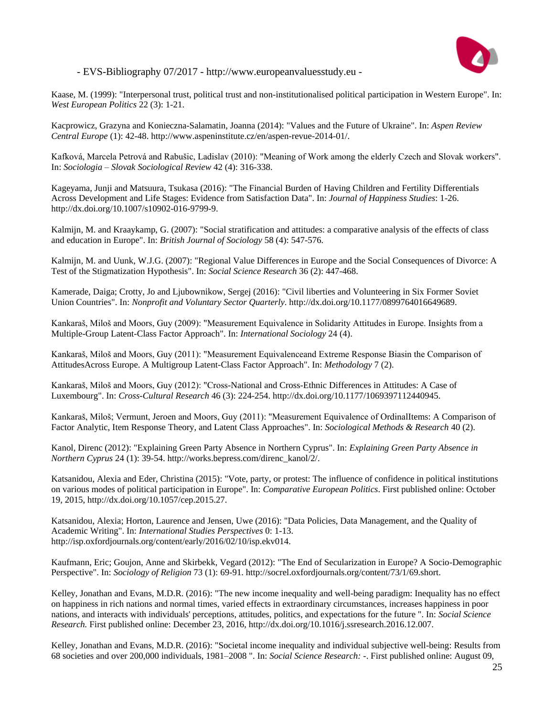

Kaase, M. (1999): "Interpersonal trust, political trust and non-institutionalised political participation in Western Europe". In: *West European Politics* 22 (3): 1-21.

Kacprowicz, Grazyna and Konieczna-Salamatin, Joanna (2014): "Values and the Future of Ukraine". In: *Aspen Review Central Europe* (1): 42-48. http://www.aspeninstitute.cz/en/aspen-revue-2014-01/.

Kafková, Marcela Petrová and Rabušic, Ladislav (2010): "Meaning of Work among the elderly Czech and Slovak workers". In: *Sociologia – Slovak Sociological Review* 42 (4): 316-338.

Kageyama, Junji and Matsuura, Tsukasa (2016): "The Financial Burden of Having Children and Fertility Differentials Across Development and Life Stages: Evidence from Satisfaction Data". In: *Journal of Happiness Studies*: 1-26. http://dx.doi.org/10.1007/s10902-016-9799-9.

Kalmijn, M. and Kraaykamp, G. (2007): "Social stratification and attitudes: a comparative analysis of the effects of class and education in Europe". In: *British Journal of Sociology* 58 (4): 547-576.

Kalmijn, M. and Uunk, W.J.G. (2007): "Regional Value Differences in Europe and the Social Consequences of Divorce: A Test of the Stigmatization Hypothesis". In: *Social Science Research* 36 (2): 447-468.

Kamerade, Daiga; Crotty, Jo and Ljubownikow, Sergej (2016): "Civil liberties and Volunteering in Six Former Soviet Union Countries". In: *Nonprofit and Voluntary Sector Quarterly*. http://dx.doi.org/10.1177/0899764016649689.

Kankaraš, Miloš and Moors, Guy (2009): "Measurement Equivalence in Solidarity Attitudes in Europe. Insights from a Multiple-Group Latent-Class Factor Approach". In: *International Sociology* 24 (4).

Kankaraš, Miloš and Moors, Guy (2011): "Measurement Equivalenceand Extreme Response Biasin the Comparison of AttitudesAcross Europe. A Multigroup Latent-Class Factor Approach". In: *Methodology* 7 (2).

Kankaraš, Miloš and Moors, Guy (2012): "Cross-National and Cross-Ethnic Differences in Attitudes: A Case of Luxembourg". In: *Cross-Cultural Research* 46 (3): 224-254. http://dx.doi.org/10.1177/1069397112440945.

Kankaraš, Miloš; Vermunt, Jeroen and Moors, Guy (2011): "Measurement Equivalence of OrdinalItems: A Comparison of Factor Analytic, Item Response Theory, and Latent Class Approaches". In: *Sociological Methods & Research* 40 (2).

Kanol, Direnc (2012): "Explaining Green Party Absence in Northern Cyprus". In: *Explaining Green Party Absence in Northern Cyprus* 24 (1): 39-54. http://works.bepress.com/direnc\_kanol/2/.

Katsanidou, Alexia and Eder, Christina (2015): "Vote, party, or protest: The influence of confidence in political institutions on various modes of political participation in Europe". In: *Comparative European Politics*. First published online: October 19, 2015, http://dx.doi.org/10.1057/cep.2015.27.

Katsanidou, Alexia; Horton, Laurence and Jensen, Uwe (2016): "Data Policies, Data Management, and the Quality of Academic Writing". In: *International Studies Perspectives* 0: 1-13. http://isp.oxfordjournals.org/content/early/2016/02/10/isp.ekv014.

Kaufmann, Eric; Goujon, Anne and Skirbekk, Vegard (2012): "The End of Secularization in Europe? A Socio-Demographic Perspective". In: *Sociology of Religion* 73 (1): 69-91. http://socrel.oxfordjournals.org/content/73/1/69.short.

Kelley, Jonathan and Evans, M.D.R. (2016): "The new income inequality and well-being paradigm: Inequality has no effect on happiness in rich nations and normal times, varied effects in extraordinary circumstances, increases happiness in poor nations, and interacts with individuals' perceptions, attitudes, politics, and expectations for the future ". In: *Social Science Research.* First published online: December 23, 2016, http://dx.doi.org/10.1016/j.ssresearch.2016.12.007.

Kelley, Jonathan and Evans, M.D.R. (2016): "Societal income inequality and individual subjective well-being: Results from 68 societies and over 200,000 individuals, 1981–2008 ". In: *Social Science Research:* -. First published online: August 09,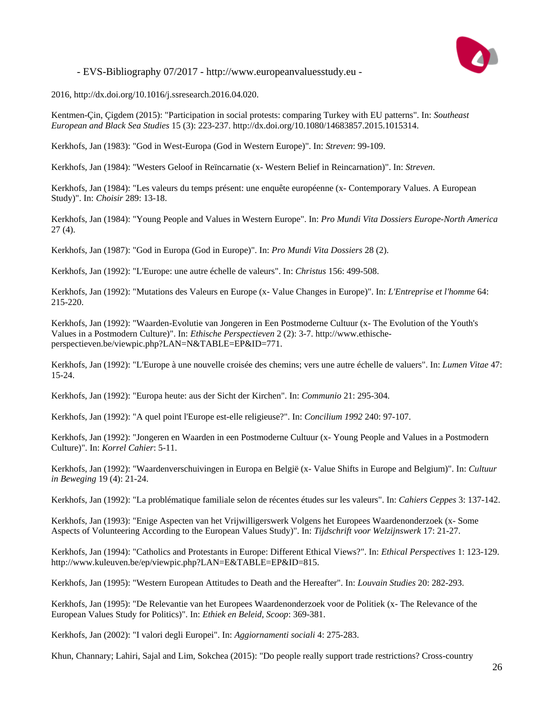

2016, http://dx.doi.org/10.1016/j.ssresearch.2016.04.020.

Kentmen-Çin, Çigdem (2015): "Participation in social protests: comparing Turkey with EU patterns". In: *Southeast European and Black Sea Studies* 15 (3): 223-237. http://dx.doi.org/10.1080/14683857.2015.1015314.

Kerkhofs, Jan (1983): "God in West-Europa (God in Western Europe)". In: *Streven*: 99-109.

Kerkhofs, Jan (1984): "Westers Geloof in Reïncarnatie (x- Western Belief in Reincarnation)". In: *Streven*.

Kerkhofs, Jan (1984): "Les valeurs du temps présent: une enquête européenne (x- Contemporary Values. A European Study)". In: *Choisir* 289: 13-18.

Kerkhofs, Jan (1984): "Young People and Values in Western Europe". In: *Pro Mundi Vita Dossiers Europe-North America* 27 (4).

Kerkhofs, Jan (1987): "God in Europa (God in Europe)". In: *Pro Mundi Vita Dossiers* 28 (2).

Kerkhofs, Jan (1992): "L'Europe: une autre échelle de valeurs". In: *Christus* 156: 499-508.

Kerkhofs, Jan (1992): "Mutations des Valeurs en Europe (x- Value Changes in Europe)". In: *L'Entreprise et l'homme* 64: 215-220.

Kerkhofs, Jan (1992): "Waarden-Evolutie van Jongeren in Een Postmoderne Cultuur (x- The Evolution of the Youth's Values in a Postmodern Culture)". In: *Ethische Perspectieven* 2 (2): 3-7. http://www.ethischeperspectieven.be/viewpic.php?LAN=N&TABLE=EP&ID=771.

Kerkhofs, Jan (1992): "L'Europe à une nouvelle croisée des chemins; vers une autre échelle de valuers". In: *Lumen Vitae* 47: 15-24.

Kerkhofs, Jan (1992): "Europa heute: aus der Sicht der Kirchen". In: *Communio* 21: 295-304.

Kerkhofs, Jan (1992): "A quel point l'Europe est-elle religieuse?". In: *Concilium 1992* 240: 97-107.

Kerkhofs, Jan (1992): "Jongeren en Waarden in een Postmoderne Cultuur (x- Young People and Values in a Postmodern Culture)". In: *Korrel Cahier*: 5-11.

Kerkhofs, Jan (1992): "Waardenverschuivingen in Europa en België (x- Value Shifts in Europe and Belgium)". In: *Cultuur in Beweging* 19 (4): 21-24.

Kerkhofs, Jan (1992): "La problématique familiale selon de récentes études sur les valeurs". In: *Cahiers Ceppes* 3: 137-142.

Kerkhofs, Jan (1993): "Enige Aspecten van het Vrijwilligerswerk Volgens het Europees Waardenonderzoek (x- Some Aspects of Volunteering According to the European Values Study)". In: *Tijdschrift voor Welzijnswerk* 17: 21-27.

Kerkhofs, Jan (1994): "Catholics and Protestants in Europe: Different Ethical Views?". In: *Ethical Perspectives* 1: 123-129. http://www.kuleuven.be/ep/viewpic.php?LAN=E&TABLE=EP&ID=815.

Kerkhofs, Jan (1995): "Western European Attitudes to Death and the Hereafter". In: *Louvain Studies* 20: 282-293.

Kerkhofs, Jan (1995): "De Relevantie van het Europees Waardenonderzoek voor de Politiek (x- The Relevance of the European Values Study for Politics)". In: *Ethiek en Beleid, Scoop*: 369-381.

Kerkhofs, Jan (2002): "I valori degli Europei". In: *Aggiornamenti sociali* 4: 275-283.

Khun, Channary; Lahiri, Sajal and Lim, Sokchea (2015): "Do people really support trade restrictions? Cross-country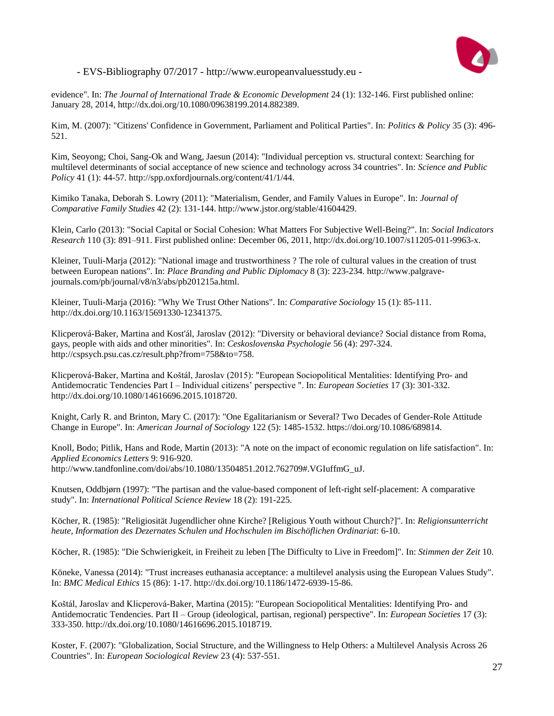

evidence". In: *The Journal of International Trade & Economic Development* 24 (1): 132-146. First published online: January 28, 2014, http://dx.doi.org/10.1080/09638199.2014.882389.

Kim, M. (2007): "Citizens' Confidence in Government, Parliament and Political Parties". In: *Politics & Policy* 35 (3): 496- 521.

Kim, Seoyong; Choi, Sang-Ok and Wang, Jaesun (2014): "Individual perception vs. structural context: Searching for multilevel determinants of social acceptance of new science and technology across 34 countries". In: *Science and Public Policy* 41 (1): 44-57. http://spp.oxfordjournals.org/content/41/1/44.

Kimiko Tanaka, Deborah S. Lowry (2011): "Materialism, Gender, and Family Values in Europe". In: *Journal of Comparative Family Studies* 42 (2): 131-144. http://www.jstor.org/stable/41604429.

Klein, Carlo (2013): "Social Capital or Social Cohesion: What Matters For Subjective Well-Being?". In: *Social Indicators Research* 110 (3): 891–911. First published online: December 06, 2011, http://dx.doi.org/10.1007/s11205-011-9963-x.

Kleiner, Tuuli-Marja (2012): "National image and trustworthiness ? The role of cultural values in the creation of trust between European nations". In: *Place Branding and Public Diplomacy* 8 (3): 223-234. http://www.palgravejournals.com/pb/journal/v8/n3/abs/pb201215a.html.

Kleiner, Tuuli-Marja (2016): "Why We Trust Other Nations". In: *Comparative Sociology* 15 (1): 85-111. http://dx.doi.org/10.1163/15691330-12341375.

Klicperová-Baker, Martina and Kost'ál, Jaroslav (2012): "Diversity or behavioral deviance? Social distance from Roma, gays, people with aids and other minorities". In: *Ceskoslovenska Psychologie* 56 (4): 297-324. http://cspsych.psu.cas.cz/result.php?from=758&to=758.

Klicperová-Baker, Martina and Koštál, Jaroslav (2015): "European Sociopolitical Mentalities: Identifying Pro- and Antidemocratic Tendencies Part I – Individual citizens' perspective ". In: *European Societies* 17 (3): 301-332. http://dx.doi.org/10.1080/14616696.2015.1018720.

Knight, Carly R. and Brinton, Mary C. (2017): "One Egalitarianism or Several? Two Decades of Gender-Role Attitude Change in Europe". In: *American Journal of Sociology* 122 (5): 1485-1532. https://doi.org/10.1086/689814.

Knoll, Bodo; Pitlik, Hans and Rode, Martin (2013): "A note on the impact of economic regulation on life satisfaction". In: *Applied Economics Letters* 9: 916-920. http://www.tandfonline.com/doi/abs/10.1080/13504851.2012.762709#.VGIuffmG\_uJ.

Knutsen, Oddbjørn (1997): "The partisan and the value-based component of left-right self-placement: A comparative study". In: *International Political Science Review* 18 (2): 191-225.

Köcher, R. (1985): "Religiosität Jugendlicher ohne Kirche? [Religious Youth without Church?]". In: *Religionsunterricht heute, Information des Dezernates Schulen und Hochschulen im Bischöflichen Ordinariat*: 6-10.

Köcher, R. (1985): "Die Schwierigkeit, in Freiheit zu leben [The Difficulty to Live in Freedom]". In: *Stimmen der Zeit* 10.

Köneke, Vanessa (2014): "Trust increases euthanasia acceptance: a multilevel analysis using the European Values Study". In: *BMC Medical Ethics* 15 (86): 1-17. http://dx.doi.org/10.1186/1472-6939-15-86.

Koštál, Jaroslav and Klicperová-Baker, Martina (2015): "European Sociopolitical Mentalities: Identifying Pro- and Antidemocratic Tendencies. Part II – Group (ideological, partisan, regional) perspective". In: *European Societies* 17 (3): 333-350. http://dx.doi.org/10.1080/14616696.2015.1018719.

Koster, F. (2007): "Globalization, Social Structure, and the Willingness to Help Others: a Multilevel Analysis Across 26 Countries". In: *European Sociological Review* 23 (4): 537-551.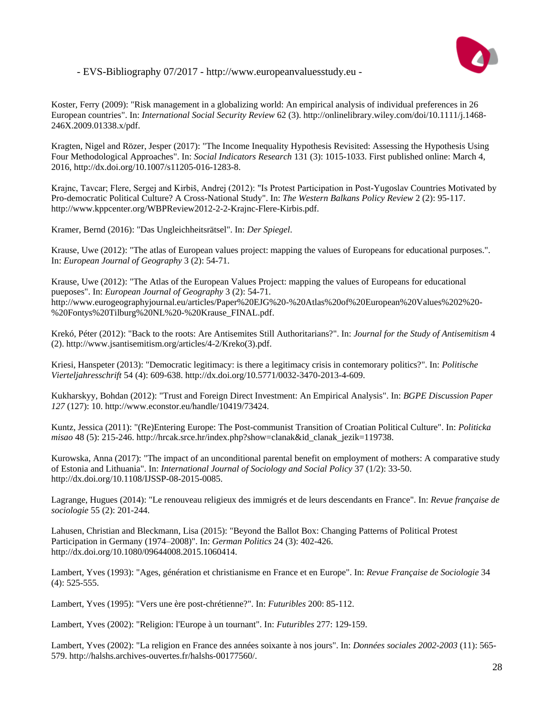

Koster, Ferry (2009): "Risk management in a globalizing world: An empirical analysis of individual preferences in 26 European countries". In: *International Social Security Review* 62 (3). http://onlinelibrary.wiley.com/doi/10.1111/j.1468- 246X.2009.01338.x/pdf.

Kragten, Nigel and Rözer, Jesper (2017): "The Income Inequality Hypothesis Revisited: Assessing the Hypothesis Using Four Methodological Approaches". In: *Social Indicators Research* 131 (3): 1015-1033. First published online: March 4, 2016, http://dx.doi.org/10.1007/s11205-016-1283-8.

Krajnc, Tavcar; Flere, Sergej and Kirbiš, Andrej (2012): "Is Protest Participation in Post-Yugoslav Countries Motivated by Pro-democratic Political Culture? A Cross-National Study". In: *The Western Balkans Policy Review* 2 (2): 95-117. http://www.kppcenter.org/WBPReview2012-2-2-Krajnc-Flere-Kirbis.pdf.

Kramer, Bernd (2016): "Das Ungleichheitsrätsel". In: *Der Spiegel*.

Krause, Uwe (2012): "The atlas of European values project: mapping the values of Europeans for educational purposes.". In: *European Journal of Geography* 3 (2): 54-71.

Krause, Uwe (2012): "The Atlas of the European Values Project: mapping the values of Europeans for educational pueposes". In: *European Journal of Geography* 3 (2): 54-71. http://www.eurogeographyjournal.eu/articles/Paper%20EJG%20-%20Atlas%20of%20European%20Values%202%20- %20Fontys%20Tilburg%20NL%20-%20Krause\_FINAL.pdf.

Krekó, Péter (2012): "Back to the roots: Are Antisemites Still Authoritarians?". In: *Journal for the Study of Antisemitism* 4 (2). http://www.jsantisemitism.org/articles/4-2/Kreko(3).pdf.

Kriesi, Hanspeter (2013): "Democratic legitimacy: is there a legitimacy crisis in contemorary politics?". In: *Politische Vierteljahresschrift* 54 (4): 609-638. http://dx.doi.org/10.5771/0032-3470-2013-4-609.

Kukharskyy, Bohdan (2012): "Trust and Foreign Direct Investment: An Empirical Analysis". In: *BGPE Discussion Paper 127* (127): 10. http://www.econstor.eu/handle/10419/73424.

Kuntz, Jessica (2011): "(Re)Entering Europe: The Post-communist Transition of Croatian Political Culture". In: *Politicka misao* 48 (5): 215-246. http://hrcak.srce.hr/index.php?show=clanak&id\_clanak\_jezik=119738.

Kurowska, Anna (2017): "The impact of an unconditional parental benefit on employment of mothers: A comparative study of Estonia and Lithuania". In: *International Journal of Sociology and Social Policy* 37 (1/2): 33-50. http://dx.doi.org/10.1108/IJSSP-08-2015-0085.

Lagrange, Hugues (2014): "Le renouveau religieux des immigrés et de leurs descendants en France". In: *Revue française de sociologie* 55 (2): 201-244.

Lahusen, Christian and Bleckmann, Lisa (2015): "Beyond the Ballot Box: Changing Patterns of Political Protest Participation in Germany (1974–2008)". In: *German Politics* 24 (3): 402-426. http://dx.doi.org/10.1080/09644008.2015.1060414.

Lambert, Yves (1993): "Ages, génération et christianisme en France et en Europe". In: *Revue Française de Sociologie* 34 (4): 525-555.

Lambert, Yves (1995): "Vers une ère post-chrétienne?". In: *Futuribles* 200: 85-112.

Lambert, Yves (2002): "Religion: l'Europe à un tournant". In: *Futuribles* 277: 129-159.

Lambert, Yves (2002): "La religion en France des années soixante à nos jours". In: *Données sociales 2002-2003* (11): 565- 579. http://halshs.archives-ouvertes.fr/halshs-00177560/.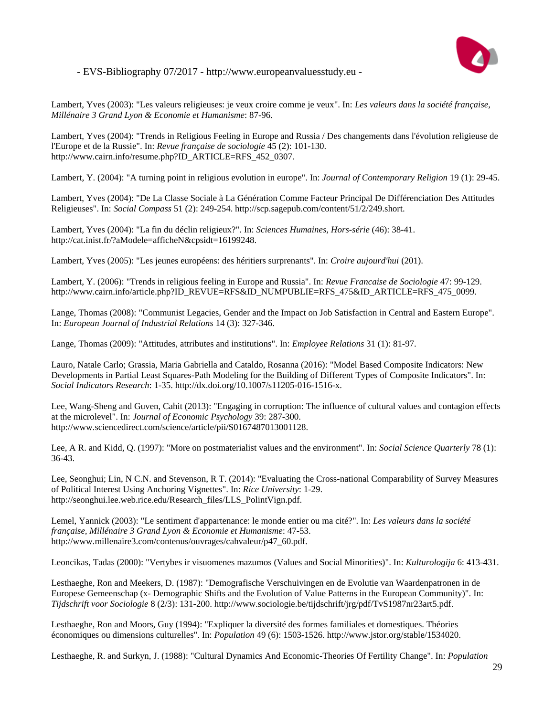

Lambert, Yves (2003): "Les valeurs religieuses: je veux croire comme je veux". In: *Les valeurs dans la société française, Millénaire 3 Grand Lyon & Economie et Humanisme*: 87-96.

Lambert, Yves (2004): "Trends in Religious Feeling in Europe and Russia / Des changements dans l'évolution religieuse de l'Europe et de la Russie". In: *Revue française de sociologie* 45 (2): 101-130. http://www.cairn.info/resume.php?ID\_ARTICLE=RFS\_452\_0307.

Lambert, Y. (2004): "A turning point in religious evolution in europe". In: *Journal of Contemporary Religion* 19 (1): 29-45.

Lambert, Yves (2004): "De La Classe Sociale à La Génération Comme Facteur Principal De Différenciation Des Attitudes Religieuses". In: *Social Compass* 51 (2): 249-254. http://scp.sagepub.com/content/51/2/249.short.

Lambert, Yves (2004): "La fin du déclin religieux?". In: *Sciences Humaines, Hors-série* (46): 38-41. http://cat.inist.fr/?aModele=afficheN&cpsidt=16199248.

Lambert, Yves (2005): "Les jeunes européens: des héritiers surprenants". In: *Croire aujourd'hui* (201).

Lambert, Y. (2006): "Trends in religious feeling in Europe and Russia". In: *Revue Francaise de Sociologie* 47: 99-129. http://www.cairn.info/article.php?ID\_REVUE=RFS&ID\_NUMPUBLIE=RFS\_475&ID\_ARTICLE=RFS\_475\_0099.

Lange, Thomas (2008): "Communist Legacies, Gender and the Impact on Job Satisfaction in Central and Eastern Europe". In: *European Journal of Industrial Relations* 14 (3): 327-346.

Lange, Thomas (2009): "Attitudes, attributes and institutions". In: *Employee Relations* 31 (1): 81-97.

Lauro, Natale Carlo; Grassia, Maria Gabriella and Cataldo, Rosanna (2016): "Model Based Composite Indicators: New Developments in Partial Least Squares-Path Modeling for the Building of Different Types of Composite Indicators". In: *Social Indicators Research*: 1-35. http://dx.doi.org/10.1007/s11205-016-1516-x.

Lee, Wang-Sheng and Guven, Cahit (2013): "Engaging in corruption: The influence of cultural values and contagion effects at the microlevel". In: *Journal of Economic Psychology* 39: 287-300. http://www.sciencedirect.com/science/article/pii/S0167487013001128.

Lee, A R. and Kidd, Q. (1997): "More on postmaterialist values and the environment". In: *Social Science Quarterly* 78 (1): 36-43.

Lee, Seonghui; Lin, N C.N. and Stevenson, R T. (2014): "Evaluating the Cross-national Comparability of Survey Measures of Political Interest Using Anchoring Vignettes". In: *Rice University*: 1-29. http://seonghui.lee.web.rice.edu/Research\_files/LLS\_PolintVign.pdf.

Lemel, Yannick (2003): "Le sentiment d'appartenance: le monde entier ou ma cité?". In: *Les valeurs dans la société française, Millénaire 3 Grand Lyon & Economie et Humanisme*: 47-53. http://www.millenaire3.com/contenus/ouvrages/cahvaleur/p47\_60.pdf.

Leoncikas, Tadas (2000): "Vertybes ir visuomenes mazumos (Values and Social Minorities)". In: *Kulturologija* 6: 413-431.

Lesthaeghe, Ron and Meekers, D. (1987): "Demografische Verschuivingen en de Evolutie van Waardenpatronen in de Europese Gemeenschap (x- Demographic Shifts and the Evolution of Value Patterns in the European Community)". In: *Tijdschrift voor Sociologie* 8 (2/3): 131-200. http://www.sociologie.be/tijdschrift/jrg/pdf/TvS1987nr23art5.pdf.

Lesthaeghe, Ron and Moors, Guy (1994): "Expliquer la diversité des formes familiales et domestiques. Théories économiques ou dimensions culturelles". In: *Population* 49 (6): 1503-1526. http://www.jstor.org/stable/1534020.

Lesthaeghe, R. and Surkyn, J. (1988): "Cultural Dynamics And Economic-Theories Of Fertility Change". In: *Population*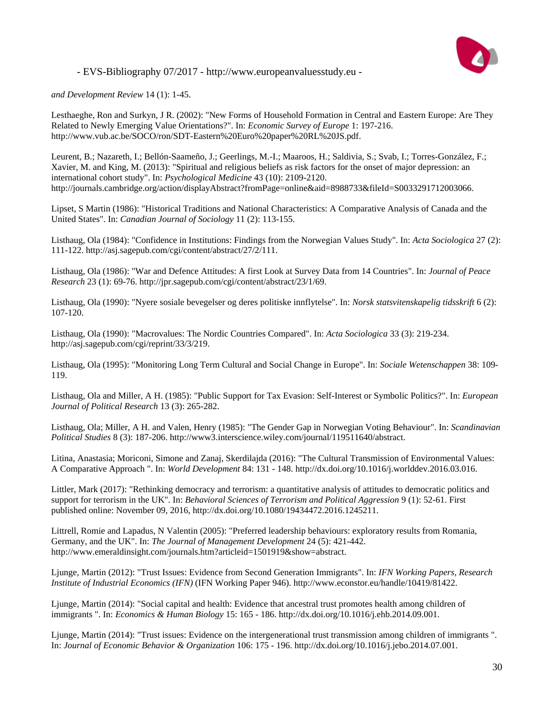

*and Development Review* 14 (1): 1-45.

Lesthaeghe, Ron and Surkyn, J R. (2002): "New Forms of Household Formation in Central and Eastern Europe: Are They Related to Newly Emerging Value Orientations?". In: *Economic Survey of Europe* 1: 197-216. http://www.vub.ac.be/SOCO/ron/SDT-Eastern%20Euro%20paper%20RL%20JS.pdf.

Leurent, B.; Nazareth, I.; Bellón-Saameño, J.; Geerlings, M.-I.; Maaroos, H.; Saldivia, S.; Svab, I.; Torres-González, F.; Xavier, M. and King, M. (2013): "Spiritual and religious beliefs as risk factors for the onset of major depression: an international cohort study". In: *Psychological Medicine* 43 (10): 2109-2120. http://journals.cambridge.org/action/displayAbstract?fromPage=online&aid=8988733&fileId=S0033291712003066.

Lipset, S Martin (1986): "Historical Traditions and National Characteristics: A Comparative Analysis of Canada and the United States". In: *Canadian Journal of Sociology* 11 (2): 113-155.

Listhaug, Ola (1984): "Confidence in Institutions: Findings from the Norwegian Values Study". In: *Acta Sociologica* 27 (2): 111-122. http://asj.sagepub.com/cgi/content/abstract/27/2/111.

Listhaug, Ola (1986): "War and Defence Attitudes: A first Look at Survey Data from 14 Countries". In: *Journal of Peace Research* 23 (1): 69-76. http://jpr.sagepub.com/cgi/content/abstract/23/1/69.

Listhaug, Ola (1990): "Nyere sosiale bevegelser og deres politiske innflytelse". In: *Norsk statsvitenskapelig tidsskrift* 6 (2): 107-120.

Listhaug, Ola (1990): "Macrovalues: The Nordic Countries Compared". In: *Acta Sociologica* 33 (3): 219-234. http://asj.sagepub.com/cgi/reprint/33/3/219.

Listhaug, Ola (1995): "Monitoring Long Term Cultural and Social Change in Europe". In: *Sociale Wetenschappen* 38: 109- 119.

Listhaug, Ola and Miller, A H. (1985): "Public Support for Tax Evasion: Self-Interest or Symbolic Politics?". In: *European Journal of Political Research* 13 (3): 265-282.

Listhaug, Ola; Miller, A H. and Valen, Henry (1985): "The Gender Gap in Norwegian Voting Behaviour". In: *Scandinavian Political Studies* 8 (3): 187-206. http://www3.interscience.wiley.com/journal/119511640/abstract.

Litina, Anastasia; Moriconi, Simone and Zanaj, Skerdilajda (2016): "The Cultural Transmission of Environmental Values: A Comparative Approach ". In: *World Development* 84: 131 - 148. http://dx.doi.org/10.1016/j.worlddev.2016.03.016.

Littler, Mark (2017): "Rethinking democracy and terrorism: a quantitative analysis of attitudes to democratic politics and support for terrorism in the UK". In: *Behavioral Sciences of Terrorism and Political Aggression* 9 (1): 52-61. First published online: November 09, 2016, http://dx.doi.org/10.1080/19434472.2016.1245211.

Littrell, Romie and Lapadus, N Valentin (2005): "Preferred leadership behaviours: exploratory results from Romania, Germany, and the UK". In: *The Journal of Management Development* 24 (5): 421-442. http://www.emeraldinsight.com/journals.htm?articleid=1501919&show=abstract.

Ljunge, Martin (2012): "Trust Issues: Evidence from Second Generation Immigrants". In: *IFN Working Papers, Research Institute of Industrial Economics (IFN)* (IFN Working Paper 946). http://www.econstor.eu/handle/10419/81422.

Ljunge, Martin (2014): "Social capital and health: Evidence that ancestral trust promotes health among children of immigrants ". In: *Economics & Human Biology* 15: 165 - 186. http://dx.doi.org/10.1016/j.ehb.2014.09.001.

Ljunge, Martin (2014): "Trust issues: Evidence on the intergenerational trust transmission among children of immigrants ". In: *Journal of Economic Behavior & Organization* 106: 175 - 196. http://dx.doi.org/10.1016/j.jebo.2014.07.001.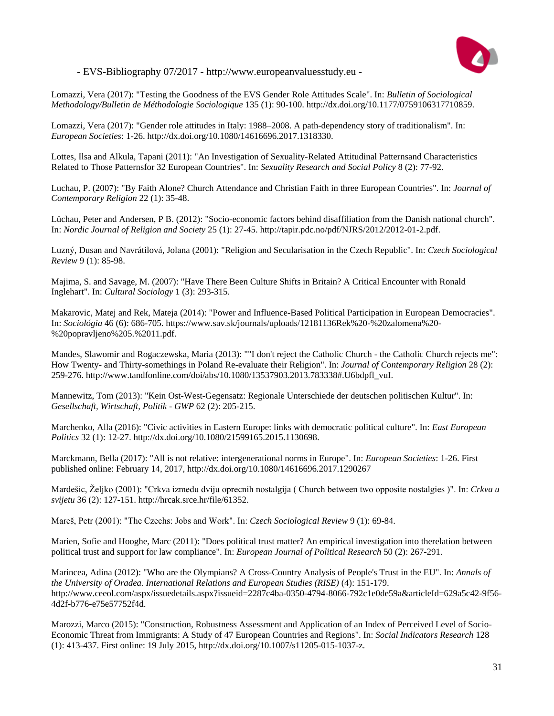

Lomazzi, Vera (2017): "Testing the Goodness of the EVS Gender Role Attitudes Scale". In: *Bulletin of Sociological Methodology/Bulletin de Méthodologie Sociologique* 135 (1): 90-100. http://dx.doi.org/10.1177/0759106317710859.

Lomazzi, Vera (2017): "Gender role attitudes in Italy: 1988–2008. A path-dependency story of traditionalism". In: *European Societies*: 1-26. http://dx.doi.org/10.1080/14616696.2017.1318330.

Lottes, Ilsa and Alkula, Tapani (2011): "An Investigation of Sexuality-Related Attitudinal Patternsand Characteristics Related to Those Patternsfor 32 European Countries". In: *Sexuality Research and Social Policy* 8 (2): 77-92.

Luchau, P. (2007): "By Faith Alone? Church Attendance and Christian Faith in three European Countries". In: *Journal of Contemporary Religion* 22 (1): 35-48.

Lüchau, Peter and Andersen, P B. (2012): "Socio-economic factors behind disaffiliation from the Danish national church". In: *Nordic Journal of Religion and Society* 25 (1): 27-45. http://tapir.pdc.no/pdf/NJRS/2012/2012-01-2.pdf.

Luzný, Dusan and Navrátilová, Jolana (2001): "Religion and Secularisation in the Czech Republic". In: *Czech Sociological Review* 9 (1): 85-98.

Majima, S. and Savage, M. (2007): "Have There Been Culture Shifts in Britain? A Critical Encounter with Ronald Inglehart". In: *Cultural Sociology* 1 (3): 293-315.

Makarovic, Matej and Rek, Mateja (2014): "Power and Influence-Based Political Participation in European Democracies". In: *Sociológia* 46 (6): 686-705. https://www.sav.sk/journals/uploads/12181136Rek%20-%20zalomena%20- %20popravljeno%205.%2011.pdf.

Mandes, Slawomir and Rogaczewska, Maria (2013): ""I don't reject the Catholic Church - the Catholic Church rejects me": How Twenty- and Thirty-somethings in Poland Re-evaluate their Religion". In: *Journal of Contemporary Religion* 28 (2): 259-276. http://www.tandfonline.com/doi/abs/10.1080/13537903.2013.783338#.U6bdpfl\_vuI.

Mannewitz, Tom (2013): "Kein Ost-West-Gegensatz: Regionale Unterschiede der deutschen politischen Kultur". In: *Gesellschaft, Wirtschaft, Politik - GWP* 62 (2): 205-215.

Marchenko, Alla (2016): "Civic activities in Eastern Europe: links with democratic political culture". In: *East European Politics* 32 (1): 12-27. http://dx.doi.org/10.1080/21599165.2015.1130698.

Marckmann, Bella (2017): "All is not relative: intergenerational norms in Europe". In: *European Societies*: 1-26. First published online: February 14, 2017, http://dx.doi.org/10.1080/14616696.2017.1290267

Mardešic, Željko (2001): "Crkva izmedu dviju oprecnih nostalgija ( Church between two opposite nostalgies )". In: *Crkva u svijetu* 36 (2): 127-151. http://hrcak.srce.hr/file/61352.

Mareš, Petr (2001): "The Czechs: Jobs and Work". In: *Czech Sociological Review* 9 (1): 69-84.

Marien, Sofie and Hooghe, Marc (2011): "Does political trust matter? An empirical investigation into therelation between political trust and support for law compliance". In: *European Journal of Political Research* 50 (2): 267-291.

Marincea, Adina (2012): "Who are the Olympians? A Cross-Country Analysis of People's Trust in the EU". In: *Annals of the University of Oradea. International Relations and European Studies (RISE)* (4): 151-179. http://www.ceeol.com/aspx/issuedetails.aspx?issueid=2287c4ba-0350-4794-8066-792c1e0de59a&articleId=629a5c42-9f56- 4d2f-b776-e75e57752f4d.

Marozzi, Marco (2015): "Construction, Robustness Assessment and Application of an Index of Perceived Level of Socio-Economic Threat from Immigrants: A Study of 47 European Countries and Regions". In: *Social Indicators Research* 128 (1): 413-437. First online: 19 July 2015, http://dx.doi.org/10.1007/s11205-015-1037-z.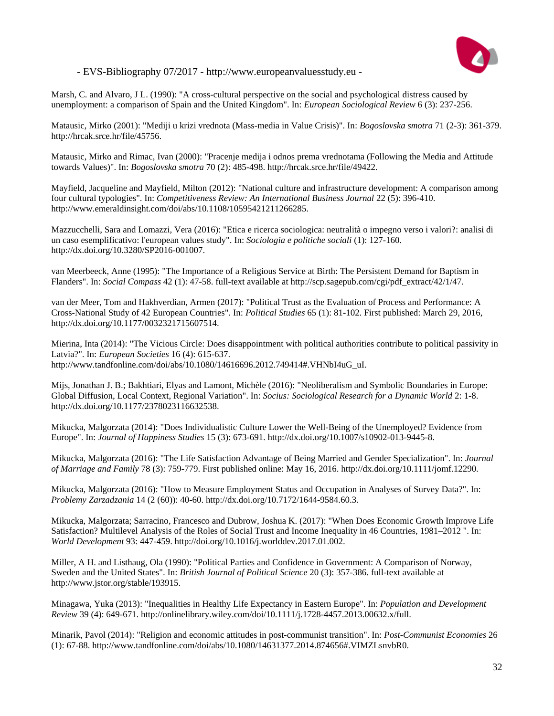

Marsh, C. and Alvaro, J L. (1990): "A cross-cultural perspective on the social and psychological distress caused by unemployment: a comparison of Spain and the United Kingdom". In: *European Sociological Review* 6 (3): 237-256.

Matausic, Mirko (2001): "Mediji u krizi vrednota (Mass-media in Value Crisis)". In: *Bogoslovska smotra* 71 (2-3): 361-379. http://hrcak.srce.hr/file/45756.

Matausic, Mirko and Rimac, Ivan (2000): "Pracenje medija i odnos prema vrednotama (Following the Media and Attitude towards Values)". In: *Bogoslovska smotra* 70 (2): 485-498. http://hrcak.srce.hr/file/49422.

Mayfield, Jacqueline and Mayfield, Milton (2012): "National culture and infrastructure development: A comparison among four cultural typologies". In: *Competitiveness Review: An International Business Journal* 22 (5): 396-410. http://www.emeraldinsight.com/doi/abs/10.1108/10595421211266285.

Mazzucchelli, Sara and Lomazzi, Vera (2016): "Etica e ricerca sociologica: neutralità o impegno verso i valori?: analisi di un caso esemplificativo: l'european values study". In: *Sociologia e politiche sociali* (1): 127-160. http://dx.doi.org/10.3280/SP2016-001007.

van Meerbeeck, Anne (1995): "The Importance of a Religious Service at Birth: The Persistent Demand for Baptism in Flanders". In: *Social Compass* 42 (1): 47-58. full-text available at http://scp.sagepub.com/cgi/pdf\_extract/42/1/47.

van der Meer, Tom and Hakhverdian, Armen (2017): "Political Trust as the Evaluation of Process and Performance: A Cross-National Study of 42 European Countries". In: *Political Studies* 65 (1): 81-102. First published: March 29, 2016, http://dx.doi.org/10.1177/0032321715607514.

Mierina, Inta (2014): "The Vicious Circle: Does disappointment with political authorities contribute to political passivity in Latvia?". In: *European Societies* 16 (4): 615-637. http://www.tandfonline.com/doi/abs/10.1080/14616696.2012.749414#.VHNbI4uG\_uI.

Mijs, Jonathan J. B.; Bakhtiari, Elyas and Lamont, Michèle (2016): "Neoliberalism and Symbolic Boundaries in Europe: Global Diffusion, Local Context, Regional Variation". In: *Socius: Sociological Research for a Dynamic World* 2: 1-8. http://dx.doi.org/10.1177/2378023116632538.

Mikucka, Malgorzata (2014): "Does Individualistic Culture Lower the Well-Being of the Unemployed? Evidence from Europe". In: *Journal of Happiness Studies* 15 (3): 673-691. http://dx.doi.org/10.1007/s10902-013-9445-8.

Mikucka, Malgorzata (2016): "The Life Satisfaction Advantage of Being Married and Gender Specialization". In: *Journal of Marriage and Family* 78 (3): 759-779. First published online: May 16, 2016. http://dx.doi.org/10.1111/jomf.12290.

Mikucka, Malgorzata (2016): "How to Measure Employment Status and Occupation in Analyses of Survey Data?". In: *Problemy Zarzadzania* 14 (2 (60)): 40-60. http://dx.doi.org/10.7172/1644-9584.60.3.

Mikucka, Malgorzata; Sarracino, Francesco and Dubrow, Joshua K. (2017): "When Does Economic Growth Improve Life Satisfaction? Multilevel Analysis of the Roles of Social Trust and Income Inequality in 46 Countries, 1981–2012 ". In: *World Development* 93: 447-459. http://doi.org/10.1016/j.worlddev.2017.01.002.

Miller, A H. and Listhaug, Ola (1990): "Political Parties and Confidence in Government: A Comparison of Norway, Sweden and the United States". In: *British Journal of Political Science* 20 (3): 357-386. full-text available at http://www.jstor.org/stable/193915.

Minagawa, Yuka (2013): "Inequalities in Healthy Life Expectancy in Eastern Europe". In: *Population and Development Review* 39 (4): 649-671. http://onlinelibrary.wiley.com/doi/10.1111/j.1728-4457.2013.00632.x/full.

Minarik, Pavol (2014): "Religion and economic attitudes in post-communist transition". In: *Post-Communist Economies* 26 (1): 67-88. http://www.tandfonline.com/doi/abs/10.1080/14631377.2014.874656#.VIMZLsnvbR0.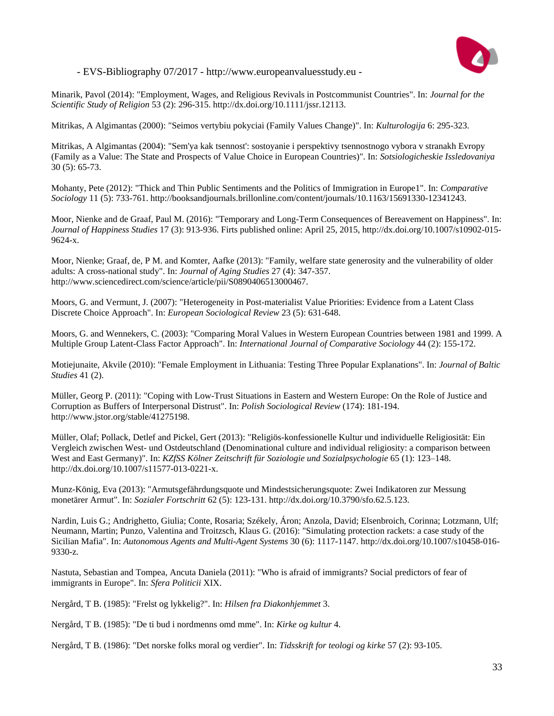

Minarik, Pavol (2014): "Employment, Wages, and Religious Revivals in Postcommunist Countries". In: *Journal for the Scientific Study of Religion* 53 (2): 296-315. http://dx.doi.org/10.1111/jssr.12113.

Mitrikas, A Algimantas (2000): "Seimos vertybiu pokyciai (Family Values Change)". In: *Kulturologija* 6: 295-323.

Mitrikas, A Algimantas (2004): "Sem'ya kak tsennost': sostoyanie i perspektivy tsennostnogo vybora v stranakh Evropy (Family as a Value: The State and Prospects of Value Choice in European Countries)". In: *Sotsiologicheskie Issledovaniya* 30 (5): 65-73.

Mohanty, Pete (2012): "Thick and Thin Public Sentiments and the Politics of Immigration in Europe1". In: *Comparative Sociology* 11 (5): 733-761. http://booksandjournals.brillonline.com/content/journals/10.1163/15691330-12341243.

Moor, Nienke and de Graaf, Paul M. (2016): "Temporary and Long-Term Consequences of Bereavement on Happiness". In: *Journal of Happiness Studies* 17 (3): 913-936. Firts published online: April 25, 2015, http://dx.doi.org/10.1007/s10902-015- 9624-x.

Moor, Nienke; Graaf, de, P M. and Komter, Aafke (2013): "Family, welfare state generosity and the vulnerability of older adults: A cross-national study". In: *Journal of Aging Studies* 27 (4): 347-357. http://www.sciencedirect.com/science/article/pii/S0890406513000467.

Moors, G. and Vermunt, J. (2007): "Heterogeneity in Post-materialist Value Priorities: Evidence from a Latent Class Discrete Choice Approach". In: *European Sociological Review* 23 (5): 631-648.

Moors, G. and Wennekers, C. (2003): "Comparing Moral Values in Western European Countries between 1981 and 1999. A Multiple Group Latent-Class Factor Approach". In: *International Journal of Comparative Sociology* 44 (2): 155-172.

Motiejunaite, Akvile (2010): "Female Employment in Lithuania: Testing Three Popular Explanations". In: *Journal of Baltic Studies* 41 (2).

Müller, Georg P. (2011): "Coping with Low-Trust Situations in Eastern and Western Europe: On the Role of Justice and Corruption as Buffers of Interpersonal Distrust". In: *Polish Sociological Review* (174): 181-194. http://www.jstor.org/stable/41275198.

Müller, Olaf; Pollack, Detlef and Pickel, Gert (2013): "Religiös-konfessionelle Kultur und individuelle Religiosität: Ein Vergleich zwischen West- und Ostdeutschland (Denominational culture and individual religiosity: a comparison between West and East Germany)". In: *KZfSS Kölner Zeitschrift für Soziologie und Sozialpsychologie* 65 (1): 123–148. http://dx.doi.org/10.1007/s11577-013-0221-x.

Munz-König, Eva (2013): "Armutsgefährdungsquote und Mindestsicherungsquote: Zwei Indikatoren zur Messung monetärer Armut". In: *Sozialer Fortschritt* 62 (5): 123-131. http://dx.doi.org/10.3790/sfo.62.5.123.

Nardin, Luis G.; Andrighetto, Giulia; Conte, Rosaria; Székely, Áron; Anzola, David; Elsenbroich, Corinna; Lotzmann, Ulf; Neumann, Martin; Punzo, Valentina and Troitzsch, Klaus G. (2016): "Simulating protection rackets: a case study of the Sicilian Mafia". In: *Autonomous Agents and Multi-Agent Systems* 30 (6): 1117-1147. http://dx.doi.org/10.1007/s10458-016- 9330-z.

Nastuta, Sebastian and Tompea, Ancuta Daniela (2011): "Who is afraid of immigrants? Social predictors of fear of immigrants in Europe". In: *Sfera Politicii* XIX.

Nergård, T B. (1985): "Frelst og lykkelig?". In: *Hilsen fra Diakonhjemmet* 3.

Nergård, T B. (1985): "De ti bud i nordmenns omd mme". In: *Kirke og kultur* 4.

Nergård, T B. (1986): "Det norske folks moral og verdier". In: *Tidsskrift for teologi og kirke* 57 (2): 93-105.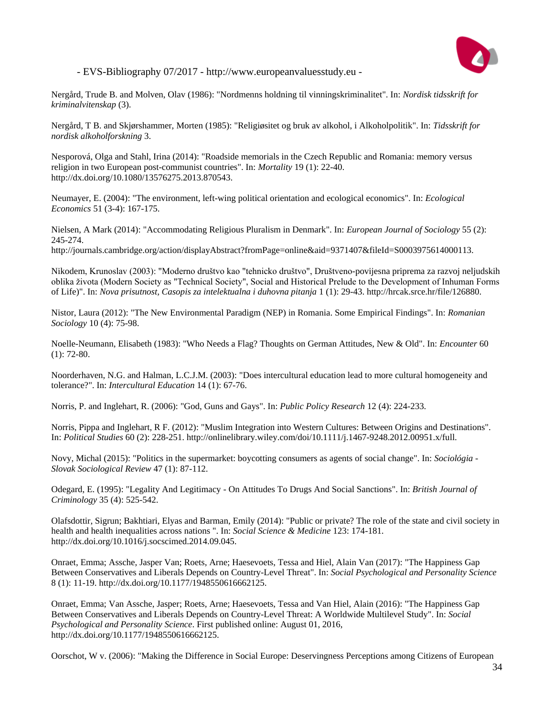

Nergård, Trude B. and Molven, Olav (1986): "Nordmenns holdning til vinningskriminalitet". In: *Nordisk tidsskrift for kriminalvitenskap* (3).

Nergård, T B. and Skjørshammer, Morten (1985): "Religiøsitet og bruk av alkohol, i Alkoholpolitik". In: *Tidsskrift for nordisk alkoholforskning* 3.

Nesporová, Olga and Stahl, Irina (2014): "Roadside memorials in the Czech Republic and Romania: memory versus religion in two European post-communist countries". In: *Mortality* 19 (1): 22-40. http://dx.doi.org/10.1080/13576275.2013.870543.

Neumayer, E. (2004): "The environment, left-wing political orientation and ecological economics". In: *Ecological Economics* 51 (3-4): 167-175.

Nielsen, A Mark (2014): "Accommodating Religious Pluralism in Denmark". In: *European Journal of Sociology* 55 (2): 245-274.

http://journals.cambridge.org/action/displayAbstract?fromPage=online&aid=9371407&fileId=S0003975614000113.

Nikodem, Krunoslav (2003): "Moderno društvo kao "tehnicko društvo", Društveno-povijesna priprema za razvoj neljudskih oblika života (Modern Society as "Technical Society", Social and Historical Prelude to the Development of Inhuman Forms of Life)". In: *Nova prisutnost, Casopis za intelektualna i duhovna pitanja* 1 (1): 29-43. http://hrcak.srce.hr/file/126880.

Nistor, Laura (2012): "The New Environmental Paradigm (NEP) in Romania. Some Empirical Findings". In: *Romanian Sociology* 10 (4): 75-98.

Noelle-Neumann, Elisabeth (1983): "Who Needs a Flag? Thoughts on German Attitudes, New & Old". In: *Encounter* 60  $(1)$ : 72-80.

Noorderhaven, N.G. and Halman, L.C.J.M. (2003): "Does intercultural education lead to more cultural homogeneity and tolerance?". In: *Intercultural Education* 14 (1): 67-76.

Norris, P. and Inglehart, R. (2006): "God, Guns and Gays". In: *Public Policy Research* 12 (4): 224-233.

Norris, Pippa and Inglehart, R F. (2012): "Muslim Integration into Western Cultures: Between Origins and Destinations". In: *Political Studies* 60 (2): 228-251. http://onlinelibrary.wiley.com/doi/10.1111/j.1467-9248.2012.00951.x/full.

Novy, Michal (2015): "Politics in the supermarket: boycotting consumers as agents of social change". In: *Sociológia - Slovak Sociological Review* 47 (1): 87-112.

Odegard, E. (1995): "Legality And Legitimacy - On Attitudes To Drugs And Social Sanctions". In: *British Journal of Criminology* 35 (4): 525-542.

Olafsdottir, Sigrun; Bakhtiari, Elyas and Barman, Emily (2014): "Public or private? The role of the state and civil society in health and health inequalities across nations ". In: *Social Science & Medicine* 123: 174-181. http://dx.doi.org/10.1016/j.socscimed.2014.09.045.

Onraet, Emma; Assche, Jasper Van; Roets, Arne; Haesevoets, Tessa and Hiel, Alain Van (2017): "The Happiness Gap Between Conservatives and Liberals Depends on Country-Level Threat". In: *Social Psychological and Personality Science* 8 (1): 11-19. http://dx.doi.org/10.1177/1948550616662125.

Onraet, Emma; Van Assche, Jasper; Roets, Arne; Haesevoets, Tessa and Van Hiel, Alain (2016): "The Happiness Gap Between Conservatives and Liberals Depends on Country-Level Threat: A Worldwide Multilevel Study". In: *Social Psychological and Personality Science*. First published online: August 01, 2016, http://dx.doi.org/10.1177/1948550616662125.

Oorschot, W v. (2006): "Making the Difference in Social Europe: Deservingness Perceptions among Citizens of European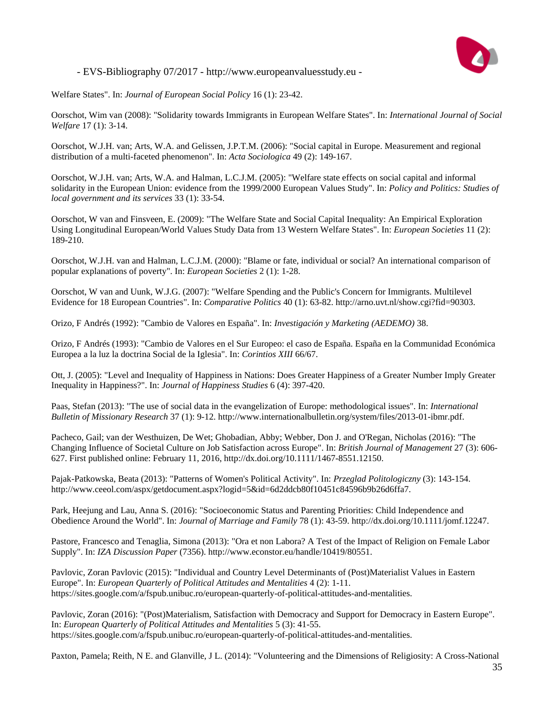

Welfare States". In: *Journal of European Social Policy* 16 (1): 23-42.

Oorschot, Wim van (2008): "Solidarity towards Immigrants in European Welfare States". In: *International Journal of Social Welfare* 17 (1): 3-14.

Oorschot, W.J.H. van; Arts, W.A. and Gelissen, J.P.T.M. (2006): "Social capital in Europe. Measurement and regional distribution of a multi-faceted phenomenon". In: *Acta Sociologica* 49 (2): 149-167.

Oorschot, W.J.H. van; Arts, W.A. and Halman, L.C.J.M. (2005): "Welfare state effects on social capital and informal solidarity in the European Union: evidence from the 1999/2000 European Values Study". In: *Policy and Politics: Studies of local government and its services* 33 (1): 33-54.

Oorschot, W van and Finsveen, E. (2009): "The Welfare State and Social Capital Inequality: An Empirical Exploration Using Longitudinal European/World Values Study Data from 13 Western Welfare States". In: *European Societies* 11 (2): 189-210.

Oorschot, W.J.H. van and Halman, L.C.J.M. (2000): "Blame or fate, individual or social? An international comparison of popular explanations of poverty". In: *European Societies* 2 (1): 1-28.

Oorschot, W van and Uunk, W.J.G. (2007): "Welfare Spending and the Public's Concern for Immigrants. Multilevel Evidence for 18 European Countries". In: *Comparative Politics* 40 (1): 63-82. http://arno.uvt.nl/show.cgi?fid=90303.

Orizo, F Andrés (1992): "Cambio de Valores en España". In: *Investigación y Marketing (AEDEMO)* 38.

Orizo, F Andrés (1993): "Cambio de Valores en el Sur Europeo: el caso de España. España en la Communidad Económica Europea a la luz la doctrina Social de la Iglesia". In: *Corintios XIII* 66/67.

Ott, J. (2005): "Level and Inequality of Happiness in Nations: Does Greater Happiness of a Greater Number Imply Greater Inequality in Happiness?". In: *Journal of Happiness Studies* 6 (4): 397-420.

Paas, Stefan (2013): "The use of social data in the evangelization of Europe: methodological issues". In: *International Bulletin of Missionary Research* 37 (1): 9-12. http://www.internationalbulletin.org/system/files/2013-01-ibmr.pdf.

Pacheco, Gail; van der Westhuizen, De Wet; Ghobadian, Abby; Webber, Don J. and O'Regan, Nicholas (2016): "The Changing Influence of Societal Culture on Job Satisfaction across Europe". In: *British Journal of Management* 27 (3): 606- 627. First published online: February 11, 2016, http://dx.doi.org/10.1111/1467-8551.12150.

Pajak-Patkowska, Beata (2013): "Patterns of Women's Political Activity". In: *Przeglad Politologiczny* (3): 143-154. http://www.ceeol.com/aspx/getdocument.aspx?logid=5&id=6d2ddcb80f10451c84596b9b26d6ffa7.

Park, Heejung and Lau, Anna S. (2016): "Socioeconomic Status and Parenting Priorities: Child Independence and Obedience Around the World". In: *Journal of Marriage and Family* 78 (1): 43-59. http://dx.doi.org/10.1111/jomf.12247.

Pastore, Francesco and Tenaglia, Simona (2013): "Ora et non Labora? A Test of the Impact of Religion on Female Labor Supply". In: *IZA Discussion Paper* (7356). http://www.econstor.eu/handle/10419/80551.

Pavlovic, Zoran Pavlovic (2015): "Individual and Country Level Determinants of (Post)Materialist Values in Eastern Europe". In: *European Quarterly of Political Attitudes and Mentalities* 4 (2): 1-11. https://sites.google.com/a/fspub.unibuc.ro/european-quarterly-of-political-attitudes-and-mentalities.

Pavlovic, Zoran (2016): "(Post)Materialism, Satisfaction with Democracy and Support for Democracy in Eastern Europe". In: *European Quarterly of Political Attitudes and Mentalities* 5 (3): 41-55. https://sites.google.com/a/fspub.unibuc.ro/european-quarterly-of-political-attitudes-and-mentalities.

Paxton, Pamela; Reith, N E. and Glanville, J L. (2014): "Volunteering and the Dimensions of Religiosity: A Cross-National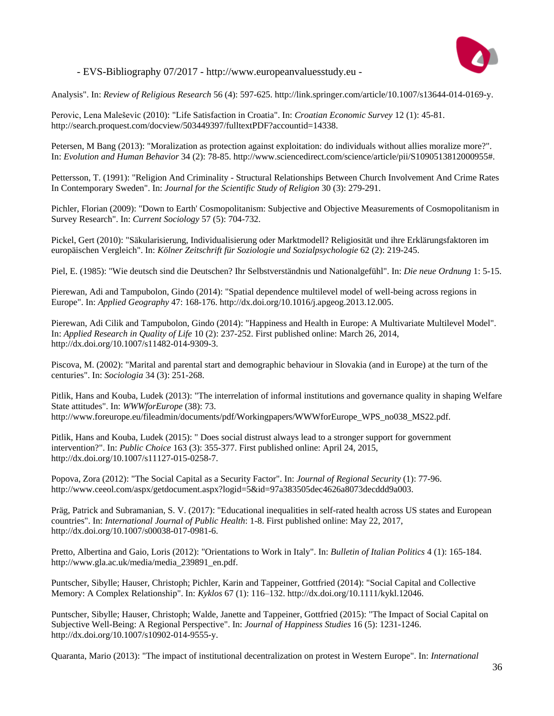

Analysis". In: *Review of Religious Research* 56 (4): 597-625. http://link.springer.com/article/10.1007/s13644-014-0169-y.

Perovic, Lena Maleševic (2010): "Life Satisfaction in Croatia". In: *Croatian Economic Survey* 12 (1): 45-81. http://search.proquest.com/docview/503449397/fulltextPDF?accountid=14338.

Petersen, M Bang (2013): "Moralization as protection against exploitation: do individuals without allies moralize more?". In: *Evolution and Human Behavior* 34 (2): 78-85. http://www.sciencedirect.com/science/article/pii/S1090513812000955#.

Pettersson, T. (1991): "Religion And Criminality - Structural Relationships Between Church Involvement And Crime Rates In Contemporary Sweden". In: *Journal for the Scientific Study of Religion* 30 (3): 279-291.

Pichler, Florian (2009): "Down to Earth' Cosmopolitanism: Subjective and Objective Measurements of Cosmopolitanism in Survey Research". In: *Current Sociology* 57 (5): 704-732.

Pickel, Gert (2010): "Säkularisierung, Individualisierung oder Marktmodell? Religiosität und ihre Erklärungsfaktoren im europäischen Vergleich". In: *Kölner Zeitschrift für Soziologie und Sozialpsychologie* 62 (2): 219-245.

Piel, E. (1985): "Wie deutsch sind die Deutschen? Ihr Selbstverständnis und Nationalgefühl". In: *Die neue Ordnung* 1: 5-15.

Pierewan, Adi and Tampubolon, Gindo (2014): "Spatial dependence multilevel model of well-being across regions in Europe". In: *Applied Geography* 47: 168-176. http://dx.doi.org/10.1016/j.apgeog.2013.12.005.

Pierewan, Adi Cilik and Tampubolon, Gindo (2014): "Happiness and Health in Europe: A Multivariate Multilevel Model". In: *Applied Research in Quality of Life* 10 (2): 237-252. First published online: March 26, 2014, http://dx.doi.org/10.1007/s11482-014-9309-3.

Piscova, M. (2002): "Marital and parental start and demographic behaviour in Slovakia (and in Europe) at the turn of the centuries". In: *Sociologia* 34 (3): 251-268.

Pitlik, Hans and Kouba, Ludek (2013): "The interrelation of informal institutions and governance quality in shaping Welfare State attitudes". In: *WWWforEurope* (38): 73. http://www.foreurope.eu/fileadmin/documents/pdf/Workingpapers/WWWforEurope\_WPS\_no038\_MS22.pdf.

Pitlik, Hans and Kouba, Ludek (2015): " Does social distrust always lead to a stronger support for government intervention?". In: *Public Choice* 163 (3): 355-377. First published online: April 24, 2015, http://dx.doi.org/10.1007/s11127-015-0258-7.

Popova, Zora (2012): "The Social Capital as a Security Factor". In: *Journal of Regional Security* (1): 77-96. http://www.ceeol.com/aspx/getdocument.aspx?logid=5&id=97a383505dec4626a8073decddd9a003.

Präg, Patrick and Subramanian, S. V. (2017): "Educational inequalities in self-rated health across US states and European countries". In: *International Journal of Public Health*: 1-8. First published online: May 22, 2017, http://dx.doi.org/10.1007/s00038-017-0981-6.

Pretto, Albertina and Gaio, Loris (2012): "Orientations to Work in Italy". In: *Bulletin of Italian Politics* 4 (1): 165-184. http://www.gla.ac.uk/media/media\_239891\_en.pdf.

Puntscher, Sibylle; Hauser, Christoph; Pichler, Karin and Tappeiner, Gottfried (2014): "Social Capital and Collective Memory: A Complex Relationship". In: *Kyklos* 67 (1): 116–132. http://dx.doi.org/10.1111/kykl.12046.

Puntscher, Sibylle; Hauser, Christoph; Walde, Janette and Tappeiner, Gottfried (2015): "The Impact of Social Capital on Subjective Well-Being: A Regional Perspective". In: *Journal of Happiness Studies* 16 (5): 1231-1246. http://dx.doi.org/10.1007/s10902-014-9555-y.

Quaranta, Mario (2013): "The impact of institutional decentralization on protest in Western Europe". In: *International*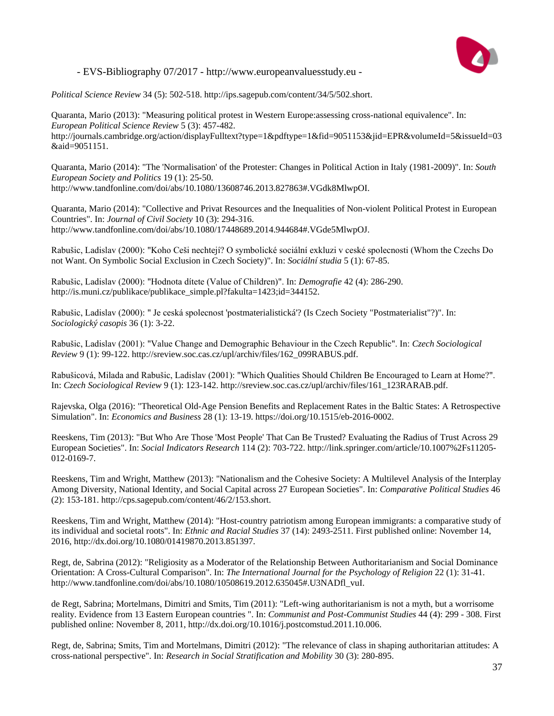

*Political Science Review* 34 (5): 502-518. http://ips.sagepub.com/content/34/5/502.short.

Quaranta, Mario (2013): "Measuring political protest in Western Europe:assessing cross-national equivalence". In: *European Political Science Review* 5 (3): 457-482. http://journals.cambridge.org/action/displayFulltext?type=1&pdftype=1&fid=9051153&jid=EPR&volumeId=5&issueId=03 &aid=9051151.

Quaranta, Mario (2014): "The 'Normalisation' of the Protester: Changes in Political Action in Italy (1981-2009)". In: *South European Society and Politics* 19 (1): 25-50. http://www.tandfonline.com/doi/abs/10.1080/13608746.2013.827863#.VGdk8MlwpOI.

Quaranta, Mario (2014): "Collective and Privat Resources and the Inequalities of Non-violent Political Protest in European Countries". In: *Journal of Civil Society* 10 (3): 294-316. http://www.tandfonline.com/doi/abs/10.1080/17448689.2014.944684#.VGde5MlwpOJ.

Rabušic, Ladislav (2000): "Koho Ceši nechtejí? O symbolické sociální exkluzi v ceské spolecnosti (Whom the Czechs Do not Want. On Symbolic Social Exclusion in Czech Society)". In: *Sociální studia* 5 (1): 67-85.

Rabušic, Ladislav (2000): "Hodnota dítete (Value of Children)". In: *Demografie* 42 (4): 286-290. http://is.muni.cz/publikace/publikace\_simple.pl?fakulta=1423;id=344152.

Rabušic, Ladislav (2000): " Je ceská spolecnost 'postmaterialistická'? (Is Czech Society "Postmaterialist"?)". In: *Sociologický casopis* 36 (1): 3-22.

Rabušic, Ladislav (2001): "Value Change and Demographic Behaviour in the Czech Republic". In: *Czech Sociological Review* 9 (1): 99-122. http://sreview.soc.cas.cz/upl/archiv/files/162\_099RABUS.pdf.

Rabušicová, Milada and Rabušic, Ladislav (2001): "Which Qualities Should Children Be Encouraged to Learn at Home?". In: *Czech Sociological Review* 9 (1): 123-142. http://sreview.soc.cas.cz/upl/archiv/files/161\_123RARAB.pdf.

Rajevska, Olga (2016): "Theoretical Old-Age Pension Benefits and Replacement Rates in the Baltic States: A Retrospective Simulation". In: *Economics and Business* 28 (1): 13-19. https://doi.org/10.1515/eb-2016-0002.

Reeskens, Tim (2013): "But Who Are Those 'Most People' That Can Be Trusted? Evaluating the Radius of Trust Across 29 European Societies". In: *Social Indicators Research* 114 (2): 703-722. http://link.springer.com/article/10.1007%2Fs11205- 012-0169-7.

Reeskens, Tim and Wright, Matthew (2013): "Nationalism and the Cohesive Society: A Multilevel Analysis of the Interplay Among Diversity, National Identity, and Social Capital across 27 European Societies". In: *Comparative Political Studies* 46 (2): 153-181. http://cps.sagepub.com/content/46/2/153.short.

Reeskens, Tim and Wright, Matthew (2014): "Host-country patriotism among European immigrants: a comparative study of its individual and societal roots". In: *Ethnic and Racial Studies* 37 (14): 2493-2511. First published online: November 14, 2016, http://dx.doi.org/10.1080/01419870.2013.851397.

Regt, de, Sabrina (2012): "Religiosity as a Moderator of the Relationship Between Authoritarianism and Social Dominance Orientation: A Cross-Cultural Comparison". In: *The International Journal for the Psychology of Religion* 22 (1): 31-41. http://www.tandfonline.com/doi/abs/10.1080/10508619.2012.635045#.U3NADfl\_vuI.

de Regt, Sabrina; Mortelmans, Dimitri and Smits, Tim (2011): "Left-wing authoritarianism is not a myth, but a worrisome reality. Evidence from 13 Eastern European countries ". In: *Communist and Post-Communist Studies* 44 (4): 299 - 308. First published online: November 8, 2011, http://dx.doi.org/10.1016/j.postcomstud.2011.10.006.

Regt, de, Sabrina; Smits, Tim and Mortelmans, Dimitri (2012): "The relevance of class in shaping authoritarian attitudes: A cross-national perspective". In: *Research in Social Stratification and Mobility* 30 (3): 280-895.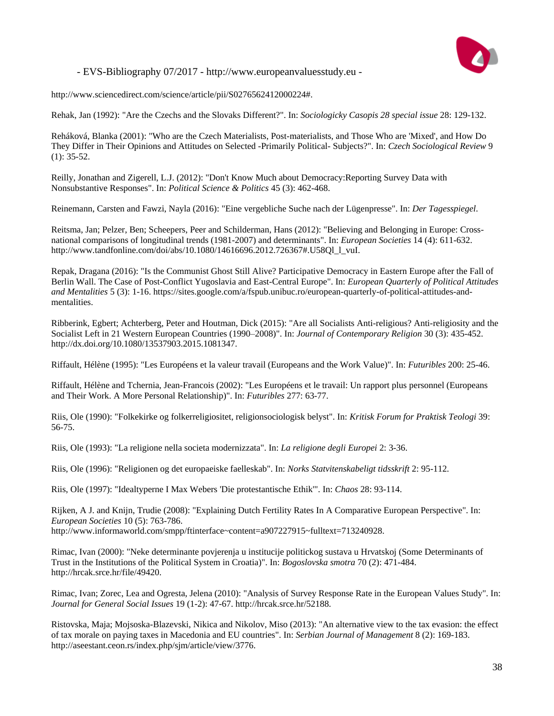

http://www.sciencedirect.com/science/article/pii/S0276562412000224#.

Rehak, Jan (1992): "Are the Czechs and the Slovaks Different?". In: *Sociologicky Casopis 28 special issue* 28: 129-132.

Reháková, Blanka (2001): "Who are the Czech Materialists, Post-materialists, and Those Who are 'Mixed', and How Do They Differ in Their Opinions and Attitudes on Selected -Primarily Political- Subjects?". In: *Czech Sociological Review* 9  $(1): 35-52.$ 

Reilly, Jonathan and Zigerell, L.J. (2012): "Don't Know Much about Democracy:Reporting Survey Data with Nonsubstantive Responses". In: *Political Science & Politics* 45 (3): 462-468.

Reinemann, Carsten and Fawzi, Nayla (2016): "Eine vergebliche Suche nach der Lügenpresse". In: *Der Tagesspiegel*.

Reitsma, Jan; Pelzer, Ben; Scheepers, Peer and Schilderman, Hans (2012): "Believing and Belonging in Europe: Crossnational comparisons of longitudinal trends (1981-2007) and determinants". In: *European Societies* 14 (4): 611-632. http://www.tandfonline.com/doi/abs/10.1080/14616696.2012.726367#.U58Ql\_l\_vuI.

Repak, Dragana (2016): "Is the Communist Ghost Still Alive? Participative Democracy in Eastern Europe after the Fall of Berlin Wall. The Case of Post-Conflict Yugoslavia and East-Central Europe". In: *European Quarterly of Political Attitudes and Mentalities* 5 (3): 1-16. https://sites.google.com/a/fspub.unibuc.ro/european-quarterly-of-political-attitudes-andmentalities.

Ribberink, Egbert; Achterberg, Peter and Houtman, Dick (2015): "Are all Socialists Anti-religious? Anti-religiosity and the Socialist Left in 21 Western European Countries (1990–2008)". In: *Journal of Contemporary Religion* 30 (3): 435-452. http://dx.doi.org/10.1080/13537903.2015.1081347.

Riffault, Hélène (1995): "Les Européens et la valeur travail (Europeans and the Work Value)". In: *Futuribles* 200: 25-46.

Riffault, Hélène and Tchernia, Jean-Francois (2002): "Les Européens et le travail: Un rapport plus personnel (Europeans and Their Work. A More Personal Relationship)". In: *Futuribles* 277: 63-77.

Riis, Ole (1990): "Folkekirke og folkerreligiositet, religionsociologisk belyst". In: *Kritisk Forum for Praktisk Teologi* 39: 56-75.

Riis, Ole (1993): "La religione nella societa modernizzata". In: *La religione degli Europei* 2: 3-36.

Riis, Ole (1996): "Religionen og det europaeiske faelleskab". In: *Norks Statvitenskabeligt tidsskrift* 2: 95-112.

Riis, Ole (1997): "Idealtyperne I Max Webers 'Die protestantische Ethik'". In: *Chaos* 28: 93-114.

Rijken, A J. and Knijn, Trudie (2008): "Explaining Dutch Fertility Rates In A Comparative European Perspective". In: *European Societies* 10 (5): 763-786. http://www.informaworld.com/smpp/ftinterface~content=a907227915~fulltext=713240928.

Rimac, Ivan (2000): "Neke determinante povjerenja u institucije politickog sustava u Hrvatskoj (Some Determinants of Trust in the Institutions of the Political System in Croatia)". In: *Bogoslovska smotra* 70 (2): 471-484. http://hrcak.srce.hr/file/49420.

Rimac, Ivan; Zorec, Lea and Ogresta, Jelena (2010): "Analysis of Survey Response Rate in the European Values Study". In: *Journal for General Social Issues* 19 (1-2): 47-67. http://hrcak.srce.hr/52188.

Ristovska, Maja; Mojsoska-Blazevski, Nikica and Nikolov, Miso (2013): "An alternative view to the tax evasion: the effect of tax morale on paying taxes in Macedonia and EU countries". In: *Serbian Journal of Management* 8 (2): 169-183. http://aseestant.ceon.rs/index.php/sjm/article/view/3776.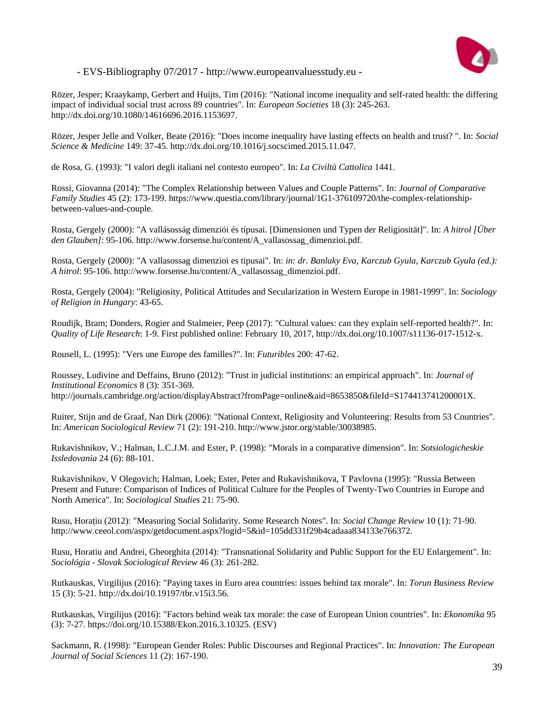

Rözer, Jesper; Kraaykamp, Gerbert and Huijts, Tim (2016): "National income inequality and self-rated health: the differing impact of individual social trust across 89 countries". In: *European Societies* 18 (3): 245-263. http://dx.doi.org/10.1080/14616696.2016.1153697.

Rözer, Jesper Jelle and Volker, Beate (2016): "Does income inequality have lasting effects on health and trust? ". In: *Social Science & Medicine* 149: 37-45. http://dx.doi.org/10.1016/j.socscimed.2015.11.047.

de Rosa, G. (1993): "I valori degli italiani nel contesto europeo". In: *La Civiltà Cattolica* 1441.

Rossi, Giovanna (2014): "The Complex Relationship between Values and Couple Patterns". In: *Journal of Comparative Family Studies* 45 (2): 173-199. https://www.questia.com/library/journal/1G1-376109720/the-complex-relationshipbetween-values-and-couple.

Rosta, Gergely (2000): "A vallásosság dimenziói és típusai. [Dimensionen und Typen der Religiosität]". In: *A hitrol [Über den Glauben]*: 95-106. http://www.forsense.hu/content/A\_vallasossag\_dimenzioi.pdf.

Rosta, Gergely (2000): "A vallasossag dimenzioi es tipusai". In: *in: dr. Banlaky Eva, Karczub Gyula, Karczub Gyula (ed.): A hitrol*: 95-106. http://www.forsense.hu/content/A\_vallasossag\_dimenzioi.pdf.

Rosta, Gergely (2004): "Religiosity, Political Attitudes and Secularization in Western Europe in 1981-1999". In: *Sociology of Religion in Hungary*: 43-65.

Roudijk, Bram; Donders, Rogier and Stalmeier, Peep (2017): "Cultural values: can they explain self-reported health?". In: *Quality of Life Research*: 1-9. First published online: February 10, 2017, http://dx.doi.org/10.1007/s11136-017-1512-x.

Rousell, L. (1995): "Vers une Europe des familles?". In: *Futuribles* 200: 47-62.

Roussey, Ludivine and Deffains, Bruno (2012): "Trust in judicial institutions: an empirical approach". In: *Journal of Institutional Economics* 8 (3): 351-369. http://journals.cambridge.org/action/displayAbstract?fromPage=online&aid=8653850&fileId=S174413741200001X.

Ruiter, Stijn and de Graaf, Nan Dirk (2006): "National Context, Religiosity and Volunteering: Results from 53 Countries". In: *American Sociological Review* 71 (2): 191-210. http://www.jstor.org/stable/30038985.

Rukavishnikov, V.; Halman, L.C.J.M. and Ester, P. (1998): "Morals in a comparative dimension". In: *Sotsiologicheskie Issledovania* 24 (6): 88-101.

Rukavishnikov, V Olegovich; Halman, Loek; Ester, Peter and Rukavishnikova, T Pavlovna (1995): "Russia Between Present and Future: Comparison of Indices of Political Culture for the Peoples of Twenty-Two Countries in Europe and North America". In: *Sociological Studies* 21: 75-90.

Rusu, Horațiu (2012): "Measuring Social Solidarity. Some Research Notes". In: *Social Change Review* 10 (1): 71-90. http://www.ceeol.com/aspx/getdocument.aspx?logid=5&id=105dd331f29b4cadaaa834133e766372.

Rusu, Horatiu and Andrei, Gheorghita (2014): "Transnational Solidarity and Public Support for the EU Enlargement". In: *Sociológia - Slovak Sociological Review* 46 (3): 261-282.

Rutkauskas, Virgilijus (2016): "Paying taxes in Euro area countries: issues behind tax morale". In: *Torun Business Review* 15 (3): 5-21. http://dx.doi/10.19197/tbr.v15i3.56.

Rutkauskas, Virgilijus (2016): "Factors behind weak tax morale: the case of European Union countries". In: *Ekonomika* 95 (3): 7-27. https://doi.org/10.15388/Ekon.2016.3.10325. (ESV)

Sackmann, R. (1998): "European Gender Roles: Public Discourses and Regional Practices". In: *Innovation: The European Journal of Social Sciences* 11 (2): 167-190.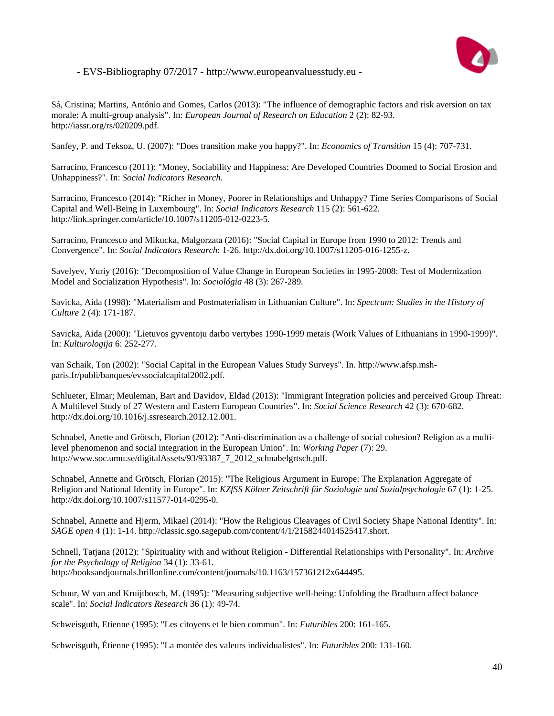

Sá, Cristina; Martins, António and Gomes, Carlos (2013): "The influence of demographic factors and risk aversion on tax morale: A multi-group analysis". In: *European Journal of Research on Education* 2 (2): 82-93. http://iassr.org/rs/020209.pdf.

Sanfey, P. and Teksoz, U. (2007): "Does transition make you happy?". In: *Economics of Transition* 15 (4): 707-731.

Sarracino, Francesco (2011): "Money, Sociability and Happiness: Are Developed Countries Doomed to Social Erosion and Unhappiness?". In: *Social Indicators Research*.

Sarracino, Francesco (2014): "Richer in Money, Poorer in Relationships and Unhappy? Time Series Comparisons of Social Capital and Well-Being in Luxembourg". In: *Social Indicators Research* 115 (2): 561-622. http://link.springer.com/article/10.1007/s11205-012-0223-5.

Sarracino, Francesco and Mikucka, Malgorzata (2016): "Social Capital in Europe from 1990 to 2012: Trends and Convergence". In: *Social Indicators Research*: 1-26. http://dx.doi.org/10.1007/s11205-016-1255-z.

Savelyev, Yuriy (2016): "Decomposition of Value Change in European Societies in 1995-2008: Test of Modernization Model and Socialization Hypothesis". In: *Sociológia* 48 (3): 267-289.

Savicka, Aida (1998): "Materialism and Postmaterialism in Lithuanian Culture". In: *Spectrum: Studies in the History of Culture* 2 (4): 171-187.

Savicka, Aida (2000): "Lietuvos gyventoju darbo vertybes 1990-1999 metais (Work Values of Lithuanians in 1990-1999)". In: *Kulturologija* 6: 252-277.

van Schaik, Ton (2002): "Social Capital in the European Values Study Surveys". In. http://www.afsp.mshparis.fr/publi/banques/evssocialcapital2002.pdf.

Schlueter, Elmar; Meuleman, Bart and Davidov, Eldad (2013): "Immigrant Integration policies and perceived Group Threat: A Multilevel Study of 27 Western and Eastern European Countries". In: *Social Science Research* 42 (3): 670-682. http://dx.doi.org/10.1016/j.ssresearch.2012.12.001.

Schnabel, Anette and Grötsch, Florian (2012): "Anti-discrimination as a challenge of social cohesion? Religion as a multilevel phenomenon and social integration in the European Union". In: *Working Paper* (7): 29. http://www.soc.umu.se/digitalAssets/93/93387\_7\_2012\_schnabelgrtsch.pdf.

Schnabel, Annette and Grötsch, Florian (2015): "The Religious Argument in Europe: The Explanation Aggregate of Religion and National Identity in Europe". In: *KZfSS Kölner Zeitschrift für Soziologie und Sozialpsychologie* 67 (1): 1-25. http://dx.doi.org/10.1007/s11577-014-0295-0.

Schnabel, Annette and Hjerm, Mikael (2014): "How the Religious Cleavages of Civil Society Shape National Identity". In: *SAGE open* 4 (1): 1-14. http://classic.sgo.sagepub.com/content/4/1/2158244014525417.short.

Schnell, Tatjana (2012): "Spirituality with and without Religion - Differential Relationships with Personality". In: *Archive for the Psychology of Religion* 34 (1): 33-61. http://booksandjournals.brillonline.com/content/journals/10.1163/157361212x644495.

Schuur, W van and Kruijtbosch, M. (1995): "Measuring subjective well-being: Unfolding the Bradburn affect balance scale". In: *Social Indicators Research* 36 (1): 49-74.

Schweisguth, Etienne (1995): "Les citoyens et le bien commun". In: *Futuribles* 200: 161-165.

Schweisguth, Étienne (1995): "La montée des valeurs individualistes". In: *Futuribles* 200: 131-160.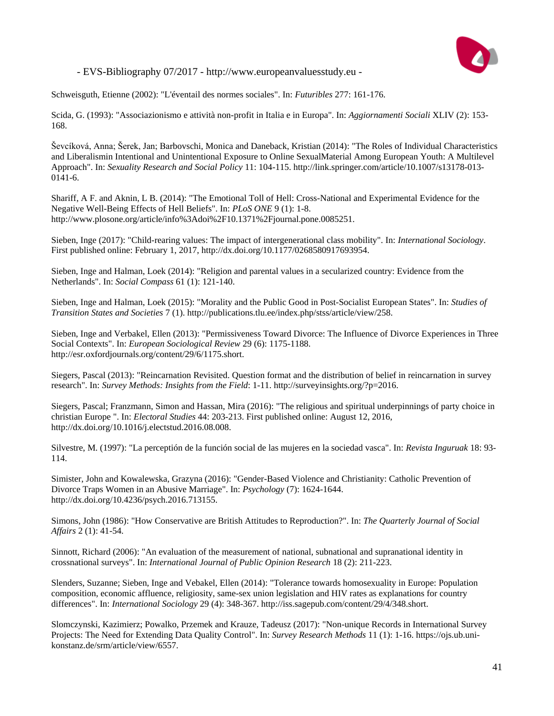

Schweisguth, Etienne (2002): "L'éventail des normes sociales". In: *Futuribles* 277: 161-176.

Scida, G. (1993): "Associazionismo e attività non-profit in Italia e in Europa". In: *Aggiornamenti Sociali* XLIV (2): 153- 168.

Ševcíková, Anna; Šerek, Jan; Barbovschi, Monica and Daneback, Kristian (2014): "The Roles of Individual Characteristics and Liberalismin Intentional and Unintentional Exposure to Online SexualMaterial Among European Youth: A Multilevel Approach". In: *Sexuality Research and Social Policy* 11: 104-115. http://link.springer.com/article/10.1007/s13178-013- 0141-6.

Shariff, A F. and Aknin, L B. (2014): "The Emotional Toll of Hell: Cross-National and Experimental Evidence for the Negative Well-Being Effects of Hell Beliefs". In: *PLoS ONE* 9 (1): 1-8. http://www.plosone.org/article/info%3Adoi%2F10.1371%2Fjournal.pone.0085251.

Sieben, Inge (2017): "Child-rearing values: The impact of intergenerational class mobility". In: *International Sociology*. First published online: February 1, 2017, http://dx.doi.org/10.1177/0268580917693954.

Sieben, Inge and Halman, Loek (2014): "Religion and parental values in a secularized country: Evidence from the Netherlands". In: *Social Compass* 61 (1): 121-140.

Sieben, Inge and Halman, Loek (2015): "Morality and the Public Good in Post-Socialist European States". In: *Studies of Transition States and Societies* 7 (1). http://publications.tlu.ee/index.php/stss/article/view/258.

Sieben, Inge and Verbakel, Ellen (2013): "Permissiveness Toward Divorce: The Influence of Divorce Experiences in Three Social Contexts". In: *European Sociological Review* 29 (6): 1175-1188. http://esr.oxfordjournals.org/content/29/6/1175.short.

Siegers, Pascal (2013): "Reincarnation Revisited. Question format and the distribution of belief in reincarnation in survey research". In: *Survey Methods: Insights from the Field*: 1-11. http://surveyinsights.org/?p=2016.

Siegers, Pascal; Franzmann, Simon and Hassan, Mira (2016): "The religious and spiritual underpinnings of party choice in christian Europe ". In: *Electoral Studies* 44: 203-213. First published online: August 12, 2016, http://dx.doi.org/10.1016/j.electstud.2016.08.008.

Silvestre, M. (1997): "La perceptión de la función social de las mujeres en la sociedad vasca". In: *Revista Inguruak* 18: 93- 114.

Simister, John and Kowalewska, Grazyna (2016): "Gender-Based Violence and Christianity: Catholic Prevention of Divorce Traps Women in an Abusive Marriage". In: *Psychology* (7): 1624-1644. http://dx.doi.org/10.4236/psych.2016.713155.

Simons, John (1986): "How Conservative are British Attitudes to Reproduction?". In: *The Quarterly Journal of Social Affairs* 2 (1): 41-54.

Sinnott, Richard (2006): "An evaluation of the measurement of national, subnational and supranational identity in crossnational surveys". In: *International Journal of Public Opinion Research* 18 (2): 211-223.

Slenders, Suzanne; Sieben, Inge and Vebakel, Ellen (2014): "Tolerance towards homosexuality in Europe: Population composition, economic affluence, religiosity, same-sex union legislation and HIV rates as explanations for country differences". In: *International Sociology* 29 (4): 348-367. http://iss.sagepub.com/content/29/4/348.short.

Slomczynski, Kazimierz; Powalko, Przemek and Krauze, Tadeusz (2017): "Non-unique Records in International Survey Projects: The Need for Extending Data Quality Control". In: *Survey Research Methods* 11 (1): 1-16. https://ojs.ub.unikonstanz.de/srm/article/view/6557.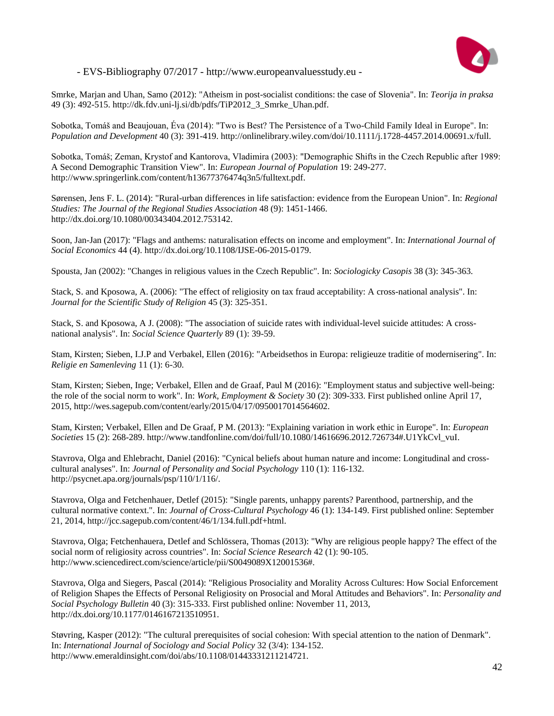

Smrke, Marjan and Uhan, Samo (2012): "Atheism in post-socialist conditions: the case of Slovenia". In: *Teorija in praksa* 49 (3): 492-515. http://dk.fdv.uni-lj.si/db/pdfs/TiP2012\_3\_Smrke\_Uhan.pdf.

Sobotka, Tomáš and Beaujouan, Éva (2014): "Two is Best? The Persistence of a Two-Child Family Ideal in Europe". In: *Population and Development* 40 (3): 391-419. http://onlinelibrary.wiley.com/doi/10.1111/j.1728-4457.2014.00691.x/full.

Sobotka, Tomáš; Zeman, Krystof and Kantorova, Vladimira (2003): "Demographic Shifts in the Czech Republic after 1989: A Second Demographic Transition View". In: *European Journal of Population* 19: 249-277. http://www.springerlink.com/content/h13677376474q3n5/fulltext.pdf.

Sørensen, Jens F. L. (2014): "Rural-urban differences in life satisfaction: evidence from the European Union". In: *Regional Studies: The Journal of the Regional Studies Association* 48 (9): 1451-1466. http://dx.doi.org/10.1080/00343404.2012.753142.

Soon, Jan-Jan (2017): "Flags and anthems: naturalisation effects on income and employment". In: *International Journal of Social Economics* 44 (4). http://dx.doi.org/10.1108/IJSE-06-2015-0179.

Spousta, Jan (2002): "Changes in religious values in the Czech Republic". In: *Sociologicky Casopis* 38 (3): 345-363.

Stack, S. and Kposowa, A. (2006): "The effect of religiosity on tax fraud acceptability: A cross-national analysis". In: *Journal for the Scientific Study of Religion* 45 (3): 325-351.

Stack, S. and Kposowa, A J. (2008): "The association of suicide rates with individual-level suicide attitudes: A crossnational analysis". In: *Social Science Quarterly* 89 (1): 39-59.

Stam, Kirsten; Sieben, I.J.P and Verbakel, Ellen (2016): "Arbeidsethos in Europa: religieuze traditie of modernisering". In: *Religie en Samenleving* 11 (1): 6-30.

Stam, Kirsten; Sieben, Inge; Verbakel, Ellen and de Graaf, Paul M (2016): "Employment status and subjective well-being: the role of the social norm to work". In: *Work, Employment & Society* 30 (2): 309-333. First published online April 17, 2015, http://wes.sagepub.com/content/early/2015/04/17/0950017014564602.

Stam, Kirsten; Verbakel, Ellen and De Graaf, P M. (2013): "Explaining variation in work ethic in Europe". In: *European Societies* 15 (2): 268-289. http://www.tandfonline.com/doi/full/10.1080/14616696.2012.726734#.U1YkCvl\_vuI.

Stavrova, Olga and Ehlebracht, Daniel (2016): "Cynical beliefs about human nature and income: Longitudinal and crosscultural analyses". In: *Journal of Personality and Social Psychology* 110 (1): 116-132. http://psycnet.apa.org/journals/psp/110/1/116/.

Stavrova, Olga and Fetchenhauer, Detlef (2015): "Single parents, unhappy parents? Parenthood, partnership, and the cultural normative context.". In: *Journal of Cross-Cultural Psychology* 46 (1): 134-149. First published online: September 21, 2014, http://jcc.sagepub.com/content/46/1/134.full.pdf+html.

Stavrova, Olga; Fetchenhauera, Detlef and Schlössera, Thomas (2013): "Why are religious people happy? The effect of the social norm of religiosity across countries". In: *Social Science Research* 42 (1): 90-105. http://www.sciencedirect.com/science/article/pii/S0049089X12001536#.

Stavrova, Olga and Siegers, Pascal (2014): "Religious Prosociality and Morality Across Cultures: How Social Enforcement of Religion Shapes the Effects of Personal Religiosity on Prosocial and Moral Attitudes and Behaviors". In: *Personality and Social Psychology Bulletin* 40 (3): 315-333. First published online: November 11, 2013, http://dx.doi.org/10.1177/0146167213510951.

Støvring, Kasper (2012): "The cultural prerequisites of social cohesion: With special attention to the nation of Denmark". In: *International Journal of Sociology and Social Policy* 32 (3/4): 134-152. http://www.emeraldinsight.com/doi/abs/10.1108/01443331211214721.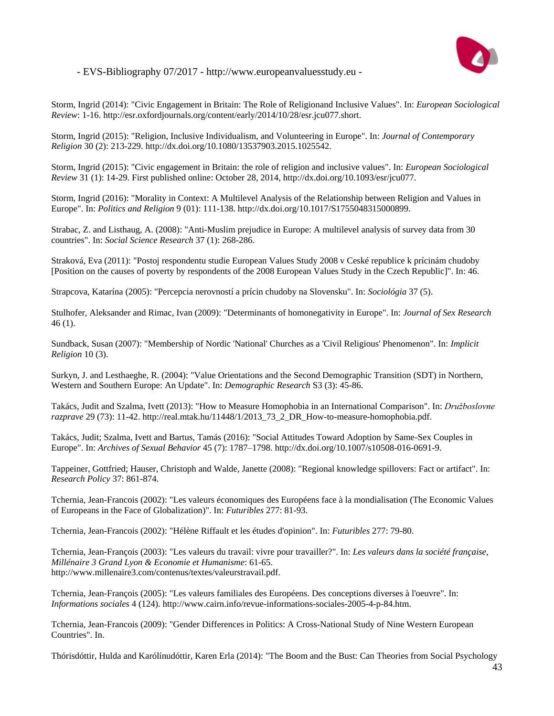

Storm, Ingrid (2014): "Civic Engagement in Britain: The Role of Religionand Inclusive Values". In: *European Sociological Review*: 1-16. http://esr.oxfordjournals.org/content/early/2014/10/28/esr.jcu077.short.

Storm, Ingrid (2015): "Religion, Inclusive Individualism, and Volunteering in Europe". In: *Journal of Contemporary Religion* 30 (2): 213-229. http://dx.doi.org/10.1080/13537903.2015.1025542.

Storm, Ingrid (2015): "Civic engagement in Britain: the role of religion and inclusive values". In: *European Sociological Review* 31 (1): 14-29. First published online: October 28, 2014, http://dx.doi.org/10.1093/esr/jcu077.

Storm, Ingrid (2016): "Morality in Context: A Multilevel Analysis of the Relationship between Religion and Values in Europe". In: *Politics and Religion* 9 (01): 111-138. http://dx.doi.org/10.1017/S1755048315000899.

Strabac, Z. and Listhaug, A. (2008): "Anti-Muslim prejudice in Europe: A multilevel analysis of survey data from 30 countries". In: *Social Science Research* 37 (1): 268-286.

Straková, Eva (2011): "Postoj respondentu studie European Values Study 2008 v Ceské republice k prícinám chudoby [Position on the causes of poverty by respondents of the 2008 European Values Study in the Czech Republic]". In: 46.

Strapcova, Katarína (2005): "Percepcia nerovností a prícin chudoby na Slovensku". In: *Sociológia* 37 (5).

Stulhofer, Aleksander and Rimac, Ivan (2009): "Determinants of homonegativity in Europe". In: *Journal of Sex Research* 46 (1).

Sundback, Susan (2007): "Membership of Nordic 'National' Churches as a 'Civil Religious' Phenomenon". In: *Implicit Religion* 10 (3).

Surkyn, J. and Lesthaeghe, R. (2004): "Value Orientations and the Second Demographic Transition (SDT) in Northern, Western and Southern Europe: An Update". In: *Demographic Research* S3 (3): 45-86.

Takács, Judit and Szalma, Ivett (2013): "How to Measure Homophobia in an International Comparison". In: *Družboslovne razprave* 29 (73): 11-42. http://real.mtak.hu/11448/1/2013\_73\_2\_DR\_How-to-measure-homophobia.pdf.

Takács, Judit; Szalma, Ivett and Bartus, Tamás (2016): "Social Attitudes Toward Adoption by Same-Sex Couples in Europe". In: *Archives of Sexual Behavior* 45 (7): 1787–1798. http://dx.doi.org/10.1007/s10508-016-0691-9.

Tappeiner, Gottfried; Hauser, Christoph and Walde, Janette (2008): "Regional knowledge spillovers: Fact or artifact". In: *Research Policy* 37: 861-874.

Tchernia, Jean-Francois (2002): "Les valeurs économiques des Européens face à la mondialisation (The Economic Values of Europeans in the Face of Globalization)". In: *Futuribles* 277: 81-93.

Tchernia, Jean-Francois (2002): "Hélène Riffault et les études d'opinion". In: *Futuribles* 277: 79-80.

Tchernia, Jean-François (2003): "Les valeurs du travail: vivre pour travailler?". In: *Les valeurs dans la société française, Millénaire 3 Grand Lyon & Economie et Humanisme*: 61-65. http://www.millenaire3.com/contenus/textes/valeurstravail.pdf.

Tchernia, Jean-François (2005): "Les valeurs familiales des Européens. Des conceptions diverses à l'oeuvre". In: *Informations sociales* 4 (124). http://www.cairn.info/revue-informations-sociales-2005-4-p-84.htm.

Tchernia, Jean-Francois (2009): "Gender Differences in Politics: A Cross-National Study of Nine Western European Countries". In.

Thórisdóttir, Hulda and Karólínudóttir, Karen Erla (2014): "The Boom and the Bust: Can Theories from Social Psychology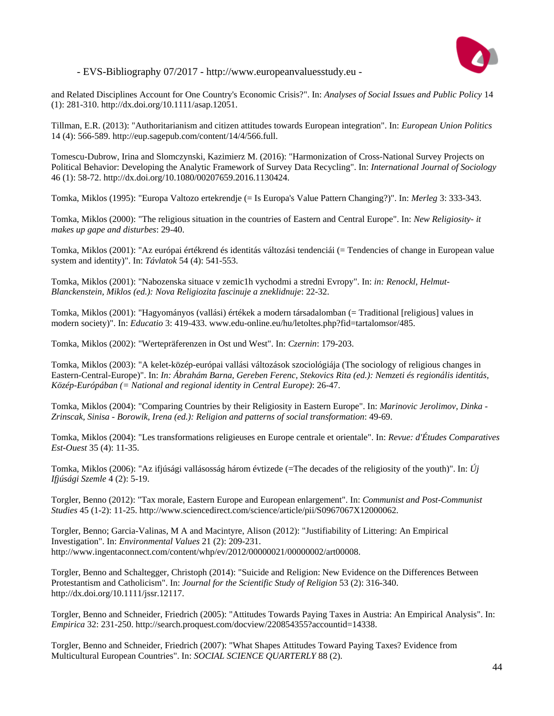

and Related Disciplines Account for One Country's Economic Crisis?". In: *Analyses of Social Issues and Public Policy* 14 (1): 281-310. http://dx.doi.org/10.1111/asap.12051.

Tillman, E.R. (2013): "Authoritarianism and citizen attitudes towards European integration". In: *European Union Politics* 14 (4): 566-589. http://eup.sagepub.com/content/14/4/566.full.

Tomescu-Dubrow, Irina and Slomczynski, Kazimierz M. (2016): "Harmonization of Cross-National Survey Projects on Political Behavior: Developing the Analytic Framework of Survey Data Recycling". In: *International Journal of Sociology* 46 (1): 58-72. http://dx.doi.org/10.1080/00207659.2016.1130424.

Tomka, Miklos (1995): "Europa Valtozo ertekrendje (= Is Europa's Value Pattern Changing?)". In: *Merleg* 3: 333-343.

Tomka, Miklos (2000): "The religious situation in the countries of Eastern and Central Europe". In: *New Religiosity- it makes up gape and disturbes*: 29-40.

Tomka, Miklos (2001): "Az európai értékrend és identitás változási tendenciái (= Tendencies of change in European value system and identity)". In: *Távlatok* 54 (4): 541-553.

Tomka, Miklos (2001): "Nabozenska situace v zemic1h vychodmi a stredni Evropy". In: *in: Renockl, Helmut-Blanckenstein, Miklos (ed.): Nova Religiozita fascinuje a zneklidnuje*: 22-32.

Tomka, Miklos (2001): "Hagyományos (vallási) értékek a modern társadalomban (= Traditional [religious] values in modern society)". In: *Educatio* 3: 419-433. www.edu-online.eu/hu/letoltes.php?fid=tartalomsor/485.

Tomka, Miklos (2002): "Wertepräferenzen in Ost und West". In: *Czernin*: 179-203.

Tomka, Miklos (2003): "A kelet-közép-európai vallási változások szociológiája (The sociology of religious changes in Eastern-Central-Europe)". In: *In: Ábrahám Barna, Gereben Ferenc, Stekovics Rita (ed.): Nemzeti és regionális identitás, Közép-Európában (= National and regional identity in Central Europe)*: 26-47.

Tomka, Miklos (2004): "Comparing Countries by their Religiosity in Eastern Europe". In: *Marinovic Jerolimov, Dinka - Zrinscak, Sinisa - Borowik, Irena (ed.): Religion and patterns of social transformation*: 49-69.

Tomka, Miklos (2004): "Les transformations religieuses en Europe centrale et orientale". In: *Revue: d'Études Comparatives Est-Ouest* 35 (4): 11-35.

Tomka, Miklos (2006): "Az ifjúsági vallásosság három évtizede (=The decades of the religiosity of the youth)". In: *Új Ifjúsági Szemle* 4 (2): 5-19.

Torgler, Benno (2012): "Tax morale, Eastern Europe and European enlargement". In: *Communist and Post-Communist Studies* 45 (1-2): 11-25. http://www.sciencedirect.com/science/article/pii/S0967067X12000062.

Torgler, Benno; Garcia-Valinas, M A and Macintyre, Alison (2012): "Justifiability of Littering: An Empirical Investigation". In: *Environmental Values* 21 (2): 209-231. http://www.ingentaconnect.com/content/whp/ev/2012/00000021/00000002/art00008.

Torgler, Benno and Schaltegger, Christoph (2014): "Suicide and Religion: New Evidence on the Differences Between Protestantism and Catholicism". In: *Journal for the Scientific Study of Religion* 53 (2): 316-340. http://dx.doi.org/10.1111/jssr.12117.

Torgler, Benno and Schneider, Friedrich (2005): "Attitudes Towards Paying Taxes in Austria: An Empirical Analysis". In: *Empirica* 32: 231-250. http://search.proquest.com/docview/220854355?accountid=14338.

Torgler, Benno and Schneider, Friedrich (2007): "What Shapes Attitudes Toward Paying Taxes? Evidence from Multicultural European Countries". In: *SOCIAL SCIENCE QUARTERLY* 88 (2).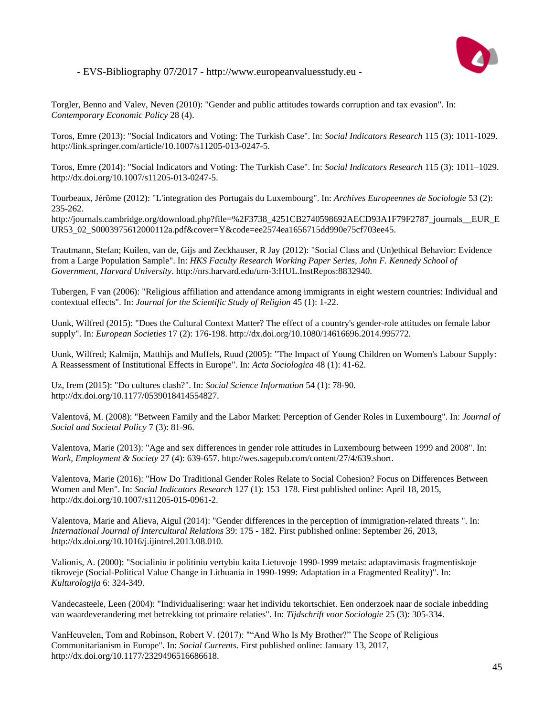

Torgler, Benno and Valev, Neven (2010): "Gender and public attitudes towards corruption and tax evasion". In: *Contemporary Economic Policy* 28 (4).

Toros, Emre (2013): "Social Indicators and Voting: The Turkish Case". In: *Social Indicators Research* 115 (3): 1011-1029. http://link.springer.com/article/10.1007/s11205-013-0247-5.

Toros, Emre (2014): "Social Indicators and Voting: The Turkish Case". In: *Social Indicators Research* 115 (3): 1011–1029. http://dx.doi.org/10.1007/s11205-013-0247-5.

Tourbeaux, Jérôme (2012): "L'integration des Portugais du Luxembourg". In: *Archives Europeennes de Sociologie* 53 (2): 235-262.

http://journals.cambridge.org/download.php?file=%2F3738\_4251CB2740598692AECD93A1F79F2787\_journals\_\_EUR\_E UR53\_02\_S0003975612000112a.pdf&cover=Y&code=ee2574ea1656715dd990e75cf703ee45.

Trautmann, Stefan; Kuilen, van de, Gijs and Zeckhauser, R Jay (2012): "Social Class and (Un)ethical Behavior: Evidence from a Large Population Sample". In: *HKS Faculty Research Working Paper Series, John F. Kennedy School of Government, Harvard University*. http://nrs.harvard.edu/urn-3:HUL.InstRepos:8832940.

Tubergen, F van (2006): "Religious affiliation and attendance among immigrants in eight western countries: Individual and contextual effects". In: *Journal for the Scientific Study of Religion* 45 (1): 1-22.

Uunk, Wilfred (2015): "Does the Cultural Context Matter? The effect of a country's gender-role attitudes on female labor supply". In: *European Societies* 17 (2): 176-198. http://dx.doi.org/10.1080/14616696.2014.995772.

Uunk, Wilfred; Kalmijn, Matthijs and Muffels, Ruud (2005): "The Impact of Young Children on Women's Labour Supply: A Reassessment of Institutional Effects in Europe". In: *Acta Sociologica* 48 (1): 41-62.

Uz, Irem (2015): "Do cultures clash?". In: *Social Science Information* 54 (1): 78-90. http://dx.doi.org/10.1177/0539018414554827.

Valentová, M. (2008): "Between Family and the Labor Market: Perception of Gender Roles in Luxembourg". In: *Journal of Social and Societal Policy* 7 (3): 81-96.

Valentova, Marie (2013): "Age and sex differences in gender role attitudes in Luxembourg between 1999 and 2008". In: *Work, Employment & Society* 27 (4): 639-657. http://wes.sagepub.com/content/27/4/639.short.

Valentova, Marie (2016): "How Do Traditional Gender Roles Relate to Social Cohesion? Focus on Differences Between Women and Men". In: *Social Indicators Research* 127 (1): 153–178. First published online: April 18, 2015, http://dx.doi.org/10.1007/s11205-015-0961-2.

Valentova, Marie and Alieva, Aigul (2014): "Gender differences in the perception of immigration-related threats ". In: *International Journal of Intercultural Relations* 39: 175 - 182. First published online: September 26, 2013, http://dx.doi.org/10.1016/j.ijintrel.2013.08.010.

Valionis, A. (2000): "Socialiniu ir politiniu vertybiu kaita Lietuvoje 1990-1999 metais: adaptavimasis fragmentiskoje tikroveje (Social-Political Value Change in Lithuania in 1990-1999: Adaptation in a Fragmented Reality)". In: *Kulturologija* 6: 324-349.

Vandecasteele, Leen (2004): "Individualisering: waar het individu tekortschiet. Een onderzoek naar de sociale inbedding van waardeverandering met betrekking tot primaire relaties". In: *Tijdschrift voor Sociologie* 25 (3): 305-334.

VanHeuvelen, Tom and Robinson, Robert V. (2017): ""And Who Is My Brother?" The Scope of Religious Communitarianism in Europe". In: *Social Currents*. First published online: January 13, 2017, http://dx.doi.org/10.1177/2329496516686618.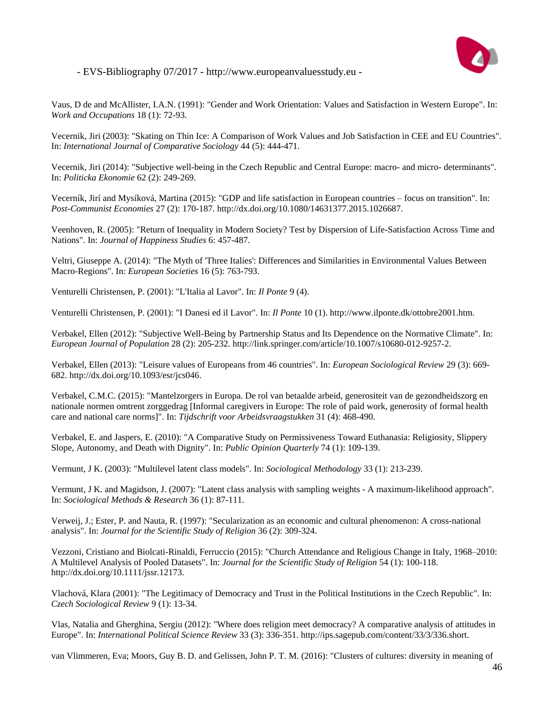

Vaus, D de and McAllister, I.A.N. (1991): "Gender and Work Orientation: Values and Satisfaction in Western Europe". In: *Work and Occupations* 18 (1): 72-93.

Vecernik, Jiri (2003): "Skating on Thin Ice: A Comparison of Work Values and Job Satisfaction in CEE and EU Countries". In: *International Journal of Comparative Sociology* 44 (5): 444-471.

Vecernik, Jiri (2014): "Subjective well-being in the Czech Republic and Central Europe: macro- and micro- determinants". In: *Politicka Ekonomie* 62 (2): 249-269.

Vecerník, Jirí and Mysíková, Martina (2015): "GDP and life satisfaction in European countries – focus on transition". In: *Post-Communist Economies* 27 (2): 170-187. http://dx.doi.org/10.1080/14631377.2015.1026687.

Veenhoven, R. (2005): "Return of Inequality in Modern Society? Test by Dispersion of Life-Satisfaction Across Time and Nations". In: *Journal of Happiness Studies* 6: 457-487.

Veltri, Giuseppe A. (2014): "The Myth of 'Three Italies': Differences and Similarities in Environmental Values Between Macro-Regions". In: *European Societies* 16 (5): 763-793.

Venturelli Christensen, P. (2001): "L'Italia al Lavor". In: *Il Ponte* 9 (4).

Venturelli Christensen, P. (2001): "I Danesi ed il Lavor". In: *Il Ponte* 10 (1). http://www.ilponte.dk/ottobre2001.htm.

Verbakel, Ellen (2012): "Subjective Well-Being by Partnership Status and Its Dependence on the Normative Climate". In: *European Journal of Population* 28 (2): 205-232. http://link.springer.com/article/10.1007/s10680-012-9257-2.

Verbakel, Ellen (2013): "Leisure values of Europeans from 46 countries". In: *European Sociological Review* 29 (3): 669- 682. http://dx.doi.org/10.1093/esr/jcs046.

Verbakel, C.M.C. (2015): "Mantelzorgers in Europa. De rol van betaalde arbeid, generositeit van de gezondheidszorg en nationale normen omtrent zorggedrag [Informal caregivers in Europe: The role of paid work, generosity of formal health care and national care norms]". In: *Tijdschrift voor Arbeidsvraagstukken* 31 (4): 468-490.

Verbakel, E. and Jaspers, E. (2010): "A Comparative Study on Permissiveness Toward Euthanasia: Religiosity, Slippery Slope, Autonomy, and Death with Dignity". In: *Public Opinion Quarterly* 74 (1): 109-139.

Vermunt, J K. (2003): "Multilevel latent class models". In: *Sociological Methodology* 33 (1): 213-239.

Vermunt, J K. and Magidson, J. (2007): "Latent class analysis with sampling weights - A maximum-likelihood approach". In: *Sociological Methods & Research* 36 (1): 87-111.

Verweij, J.; Ester, P. and Nauta, R. (1997): "Secularization as an economic and cultural phenomenon: A cross-national analysis". In: *Journal for the Scientific Study of Religion* 36 (2): 309-324.

Vezzoni, Cristiano and Biolcati-Rinaldi, Ferruccio (2015): "Church Attendance and Religious Change in Italy, 1968–2010: A Multilevel Analysis of Pooled Datasets". In: *Journal for the Scientific Study of Religion* 54 (1): 100-118. http://dx.doi.org/10.1111/jssr.12173.

Vlachová, Klara (2001): "The Legitimacy of Democracy and Trust in the Political Institutions in the Czech Republic". In: *Czech Sociological Review* 9 (1): 13-34.

Vlas, Natalia and Gherghina, Sergiu (2012): "Where does religion meet democracy? A comparative analysis of attitudes in Europe". In: *International Political Science Review* 33 (3): 336-351. http://ips.sagepub.com/content/33/3/336.short.

van Vlimmeren, Eva; Moors, Guy B. D. and Gelissen, John P. T. M. (2016): "Clusters of cultures: diversity in meaning of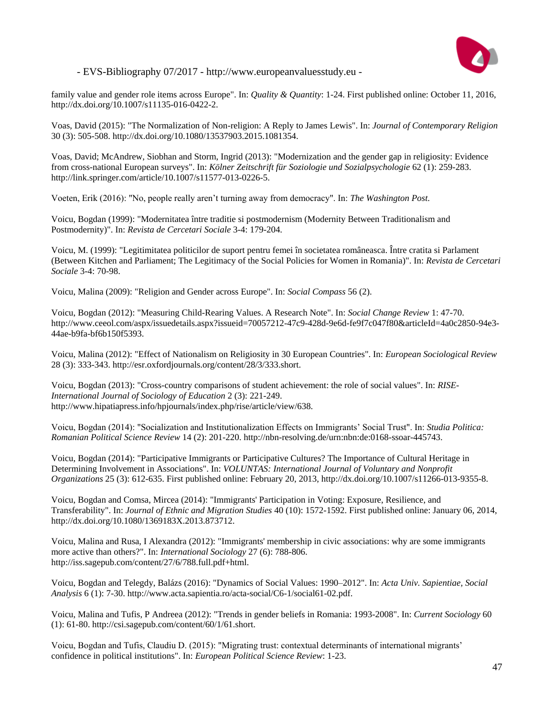

family value and gender role items across Europe". In: *Quality & Quantity*: 1-24. First published online: October 11, 2016, http://dx.doi.org/10.1007/s11135-016-0422-2.

Voas, David (2015): "The Normalization of Non-religion: A Reply to James Lewis". In: *Journal of Contemporary Religion* 30 (3): 505-508. http://dx.doi.org/10.1080/13537903.2015.1081354.

Voas, David; McAndrew, Siobhan and Storm, Ingrid (2013): "Modernization and the gender gap in religiosity: Evidence from cross-national European surveys". In: *Kölner Zeitschrift für Soziologie und Sozialpsychologie* 62 (1): 259-283. http://link.springer.com/article/10.1007/s11577-013-0226-5.

Voeten, Erik (2016): "No, people really aren't turning away from democracy". In: *The Washington Post*.

Voicu, Bogdan (1999): "Modernitatea între traditie si postmodernism (Modernity Between Traditionalism and Postmodernity)". In: *Revista de Cercetari Sociale* 3-4: 179-204.

Voicu, M. (1999): "Legitimitatea politicilor de suport pentru femei în societatea româneasca. Între cratita si Parlament (Between Kitchen and Parliament; The Legitimacy of the Social Policies for Women in Romania)". In: *Revista de Cercetari Sociale* 3-4: 70-98.

Voicu, Malina (2009): "Religion and Gender across Europe". In: *Social Compass* 56 (2).

Voicu, Bogdan (2012): "Measuring Child-Rearing Values. A Research Note". In: *Social Change Review* 1: 47-70. http://www.ceeol.com/aspx/issuedetails.aspx?issueid=70057212-47c9-428d-9e6d-fe9f7c047f80&articleId=4a0c2850-94e3- 44ae-b9fa-bf6b150f5393.

Voicu, Malina (2012): "Effect of Nationalism on Religiosity in 30 European Countries". In: *European Sociological Review* 28 (3): 333-343. http://esr.oxfordjournals.org/content/28/3/333.short.

Voicu, Bogdan (2013): "Cross-country comparisons of student achievement: the role of social values". In: *RISE-International Journal of Sociology of Education* 2 (3): 221-249. http://www.hipatiapress.info/hpjournals/index.php/rise/article/view/638.

Voicu, Bogdan (2014): "Socialization and Institutionalization Effects on Immigrants' Social Trust". In: *Studia Politica: Romanian Political Science Review* 14 (2): 201-220. http://nbn-resolving.de/urn:nbn:de:0168-ssoar-445743.

Voicu, Bogdan (2014): "Participative Immigrants or Participative Cultures? The Importance of Cultural Heritage in Determining Involvement in Associations". In: *VOLUNTAS: International Journal of Voluntary and Nonprofit Organizations* 25 (3): 612-635. First published online: February 20, 2013, http://dx.doi.org/10.1007/s11266-013-9355-8.

Voicu, Bogdan and Comsa, Mircea (2014): "Immigrants' Participation in Voting: Exposure, Resilience, and Transferability". In: *Journal of Ethnic and Migration Studies* 40 (10): 1572-1592. First published online: January 06, 2014, http://dx.doi.org/10.1080/1369183X.2013.873712.

Voicu, Malina and Rusa, I Alexandra (2012): "Immigrants' membership in civic associations: why are some immigrants more active than others?". In: *International Sociology* 27 (6): 788-806. http://iss.sagepub.com/content/27/6/788.full.pdf+html.

Voicu, Bogdan and Telegdy, Balázs (2016): "Dynamics of Social Values: 1990–2012". In: *Acta Univ. Sapientiae, Social Analysis* 6 (1): 7-30. http://www.acta.sapientia.ro/acta-social/C6-1/social61-02.pdf.

Voicu, Malina and Tufis, P Andreea (2012): "Trends in gender beliefs in Romania: 1993-2008". In: *Current Sociology* 60 (1): 61-80. http://csi.sagepub.com/content/60/1/61.short.

Voicu, Bogdan and Tufis, Claudiu D. (2015): "Migrating trust: contextual determinants of international migrants' confidence in political institutions". In: *European Political Science Review*: 1-23.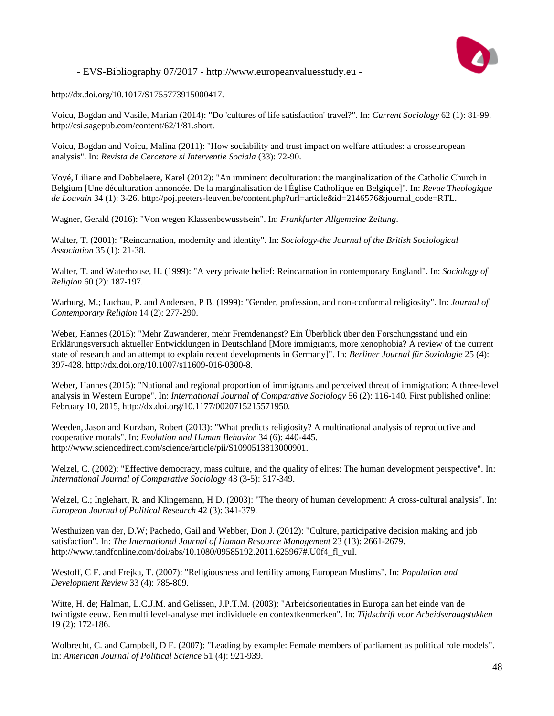

http://dx.doi.org/10.1017/S1755773915000417.

Voicu, Bogdan and Vasile, Marian (2014): "Do 'cultures of life satisfaction' travel?". In: *Current Sociology* 62 (1): 81-99. http://csi.sagepub.com/content/62/1/81.short.

Voicu, Bogdan and Voicu, Malina (2011): "How sociability and trust impact on welfare attitudes: a crosseuropean analysis". In: *Revista de Cercetare si Interventie Sociala* (33): 72-90.

Voyé, Liliane and Dobbelaere, Karel (2012): "An imminent deculturation: the marginalization of the Catholic Church in Belgium [Une déculturation annoncée. De la marginalisation de l'Église Catholique en Belgique]". In: *Revue Theologique de Louvain* 34 (1): 3-26. http://poj.peeters-leuven.be/content.php?url=article&id=2146576&journal\_code=RTL.

Wagner, Gerald (2016): "Von wegen Klassenbewusstsein". In: *Frankfurter Allgemeine Zeitung*.

Walter, T. (2001): "Reincarnation, modernity and identity". In: *Sociology-the Journal of the British Sociological Association* 35 (1): 21-38.

Walter, T. and Waterhouse, H. (1999): "A very private belief: Reincarnation in contemporary England". In: *Sociology of Religion* 60 (2): 187-197.

Warburg, M.; Luchau, P. and Andersen, P B. (1999): "Gender, profession, and non-conformal religiosity". In: *Journal of Contemporary Religion* 14 (2): 277-290.

Weber, Hannes (2015): "Mehr Zuwanderer, mehr Fremdenangst? Ein Überblick über den Forschungsstand und ein Erklärungsversuch aktueller Entwicklungen in Deutschland [More immigrants, more xenophobia? A review of the current state of research and an attempt to explain recent developments in Germany]". In: *Berliner Journal für Soziologie* 25 (4): 397-428. http://dx.doi.org/10.1007/s11609-016-0300-8.

Weber, Hannes (2015): "National and regional proportion of immigrants and perceived threat of immigration: A three-level analysis in Western Europe". In: *International Journal of Comparative Sociology* 56 (2): 116-140. First published online: February 10, 2015, http://dx.doi.org/10.1177/0020715215571950.

Weeden, Jason and Kurzban, Robert (2013): "What predicts religiosity? A multinational analysis of reproductive and cooperative morals". In: *Evolution and Human Behavior* 34 (6): 440-445. http://www.sciencedirect.com/science/article/pii/S1090513813000901.

Welzel, C. (2002): "Effective democracy, mass culture, and the quality of elites: The human development perspective". In: *International Journal of Comparative Sociology* 43 (3-5): 317-349.

Welzel, C.; Inglehart, R. and Klingemann, H D. (2003): "The theory of human development: A cross-cultural analysis". In: *European Journal of Political Research* 42 (3): 341-379.

Westhuizen van der, D.W; Pachedo, Gail and Webber, Don J. (2012): "Culture, participative decision making and job satisfaction". In: *The International Journal of Human Resource Management* 23 (13): 2661-2679. http://www.tandfonline.com/doi/abs/10.1080/09585192.2011.625967#.U0f4\_fl\_vuI.

Westoff, C F. and Frejka, T. (2007): "Religiousness and fertility among European Muslims". In: *Population and Development Review* 33 (4): 785-809.

Witte, H. de; Halman, L.C.J.M. and Gelissen, J.P.T.M. (2003): "Arbeidsorientaties in Europa aan het einde van de twintigste eeuw. Een multi level-analyse met individuele en contextkenmerken". In: *Tijdschrift voor Arbeidsvraagstukken* 19 (2): 172-186.

Wolbrecht, C. and Campbell, D E. (2007): "Leading by example: Female members of parliament as political role models". In: *American Journal of Political Science* 51 (4): 921-939.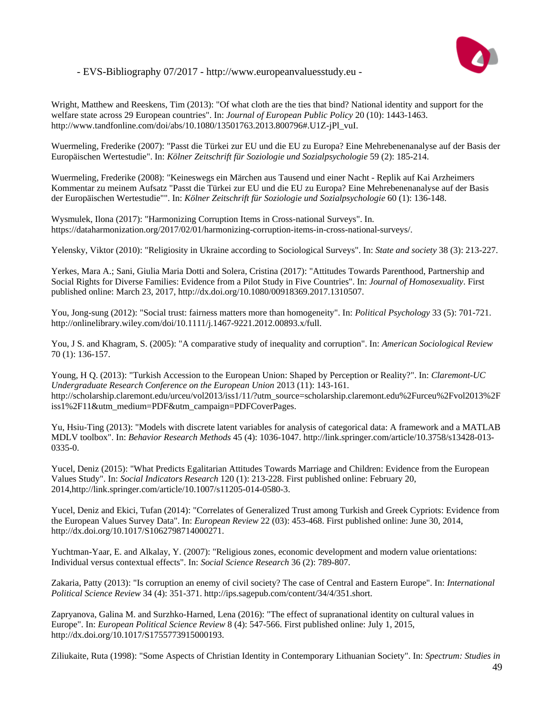

Wright, Matthew and Reeskens, Tim (2013): "Of what cloth are the ties that bind? National identity and support for the welfare state across 29 European countries". In: *Journal of European Public Policy* 20 (10): 1443-1463. http://www.tandfonline.com/doi/abs/10.1080/13501763.2013.800796#.U1Z-jPl\_vuI.

Wuermeling, Frederike (2007): "Passt die Türkei zur EU und die EU zu Europa? Eine Mehrebenenanalyse auf der Basis der Europäischen Wertestudie". In: *Kölner Zeitschrift für Soziologie und Sozialpsychologie* 59 (2): 185-214.

Wuermeling, Frederike (2008): "Keineswegs ein Märchen aus Tausend und einer Nacht - Replik auf Kai Arzheimers Kommentar zu meinem Aufsatz "Passt die Türkei zur EU und die EU zu Europa? Eine Mehrebenenanalyse auf der Basis der Europäischen Wertestudie"". In: *Kölner Zeitschrift für Soziologie und Sozialpsychologie* 60 (1): 136-148.

Wysmulek, Ilona (2017): "Harmonizing Corruption Items in Cross-national Surveys". In. https://dataharmonization.org/2017/02/01/harmonizing-corruption-items-in-cross-national-surveys/.

Yelensky, Viktor (2010): "Religiosity in Ukraine according to Sociological Surveys". In: *State and society* 38 (3): 213-227.

Yerkes, Mara A.; Sani, Giulia Maria Dotti and Solera, Cristina (2017): "Attitudes Towards Parenthood, Partnership and Social Rights for Diverse Families: Evidence from a Pilot Study in Five Countries". In: *Journal of Homosexuality*. First published online: March 23, 2017, http://dx.doi.org/10.1080/00918369.2017.1310507.

You, Jong-sung (2012): "Social trust: fairness matters more than homogeneity". In: *Political Psychology* 33 (5): 701-721. http://onlinelibrary.wiley.com/doi/10.1111/j.1467-9221.2012.00893.x/full.

You, J S. and Khagram, S. (2005): "A comparative study of inequality and corruption". In: *American Sociological Review* 70 (1): 136-157.

Young, H Q. (2013): "Turkish Accession to the European Union: Shaped by Perception or Reality?". In: *Claremont-UC Undergraduate Research Conference on the European Union* 2013 (11): 143-161. http://scholarship.claremont.edu/urceu/vol2013/iss1/11/?utm\_source=scholarship.claremont.edu%2Furceu%2Fvol2013%2F iss1%2F11&utm\_medium=PDF&utm\_campaign=PDFCoverPages.

Yu, Hsiu-Ting (2013): "Models with discrete latent variables for analysis of categorical data: A framework and a MATLAB MDLV toolbox". In: *Behavior Research Methods* 45 (4): 1036-1047. http://link.springer.com/article/10.3758/s13428-013- 0335-0.

Yucel, Deniz (2015): "What Predicts Egalitarian Attitudes Towards Marriage and Children: Evidence from the European Values Study". In: *Social Indicators Research* 120 (1): 213-228. First published online: February 20, 2014,http://link.springer.com/article/10.1007/s11205-014-0580-3.

Yucel, Deniz and Ekici, Tufan (2014): "Correlates of Generalized Trust among Turkish and Greek Cypriots: Evidence from the European Values Survey Data". In: *European Review* 22 (03): 453-468. First published online: June 30, 2014, http://dx.doi.org/10.1017/S1062798714000271.

Yuchtman-Yaar, E. and Alkalay, Y. (2007): "Religious zones, economic development and modern value orientations: Individual versus contextual effects". In: *Social Science Research* 36 (2): 789-807.

Zakaria, Patty (2013): "Is corruption an enemy of civil society? The case of Central and Eastern Europe". In: *International Political Science Review* 34 (4): 351-371. http://ips.sagepub.com/content/34/4/351.short.

Zapryanova, Galina M. and Surzhko-Harned, Lena (2016): "The effect of supranational identity on cultural values in Europe". In: *European Political Science Review* 8 (4): 547-566. First published online: July 1, 2015, http://dx.doi.org/10.1017/S1755773915000193.

Ziliukaite, Ruta (1998): "Some Aspects of Christian Identity in Contemporary Lithuanian Society". In: *Spectrum: Studies in*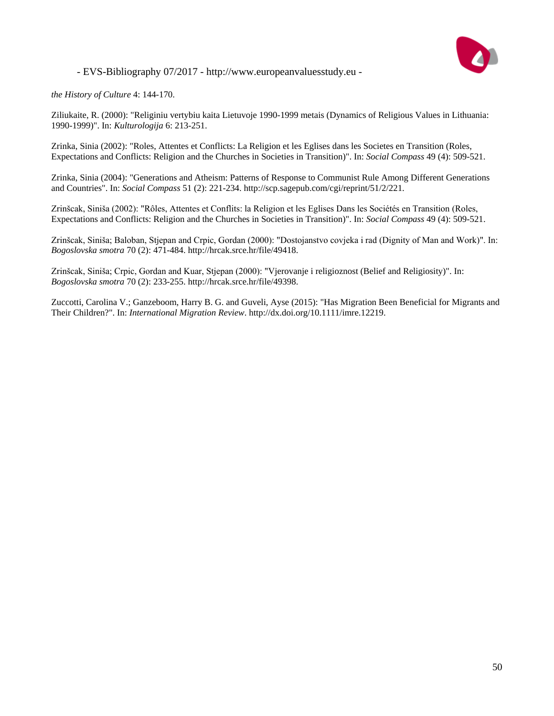

*the History of Culture* 4: 144-170.

Ziliukaite, R. (2000): "Religiniu vertybiu kaita Lietuvoje 1990-1999 metais (Dynamics of Religious Values in Lithuania: 1990-1999)". In: *Kulturologija* 6: 213-251.

Zrinka, Sinia (2002): "Roles, Attentes et Conflicts: La Religion et les Eglises dans les Societes en Transition (Roles, Expectations and Conflicts: Religion and the Churches in Societies in Transition)". In: *Social Compass* 49 (4): 509-521.

Zrinka, Sinia (2004): "Generations and Atheism: Patterns of Response to Communist Rule Among Different Generations and Countries". In: *Social Compass* 51 (2): 221-234. http://scp.sagepub.com/cgi/reprint/51/2/221.

Zrinšcak, Siniša (2002): "Rôles, Attentes et Conflits: la Religion et les Eglises Dans les Sociétés en Transition (Roles, Expectations and Conflicts: Religion and the Churches in Societies in Transition)". In: *Social Compass* 49 (4): 509-521.

Zrinšcak, Siniša; Baloban, Stjepan and Crpic, Gordan (2000): "Dostojanstvo covjeka i rad (Dignity of Man and Work)". In: *Bogoslovska smotra* 70 (2): 471-484. http://hrcak.srce.hr/file/49418.

Zrinšcak, Siniša; Crpic, Gordan and Kuar, Stjepan (2000): "Vjerovanje i religioznost (Belief and Religiosity)". In: *Bogoslovska smotra* 70 (2): 233-255. http://hrcak.srce.hr/file/49398.

Zuccotti, Carolina V.; Ganzeboom, Harry B. G. and Guveli, Ayse (2015): "Has Migration Been Beneficial for Migrants and Their Children?". In: *International Migration Review*. http://dx.doi.org/10.1111/imre.12219.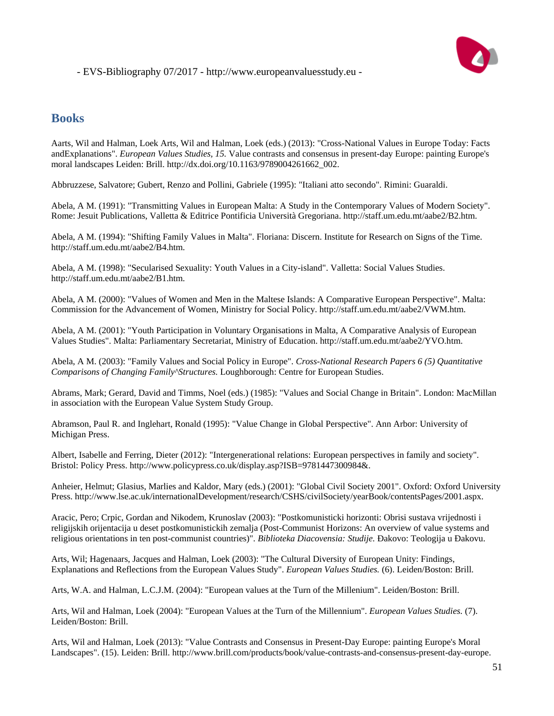

## **Books**

Aarts, Wil and Halman, Loek Arts, Wil and Halman, Loek (eds.) (2013): "Cross-National Values in Europe Today: Facts andExplanations". *European Values Studies, 15.* Value contrasts and consensus in present-day Europe: painting Europe's moral landscapes Leiden: Brill. http://dx.doi.org/10.1163/9789004261662\_002.

Abbruzzese, Salvatore; Gubert, Renzo and Pollini, Gabriele (1995): "Italiani atto secondo". Rimini: Guaraldi.

Abela, A M. (1991): "Transmitting Values in European Malta: A Study in the Contemporary Values of Modern Society". Rome: Jesuit Publications, Valletta & Editrice Pontificia Università Gregoriana. http://staff.um.edu.mt/aabe2/B2.htm.

Abela, A M. (1994): "Shifting Family Values in Malta". Floriana: Discern. Institute for Research on Signs of the Time. http://staff.um.edu.mt/aabe2/B4.htm.

Abela, A M. (1998): "Secularised Sexuality: Youth Values in a City-island". Valletta: Social Values Studies. http://staff.um.edu.mt/aabe2/B1.htm.

Abela, A M. (2000): "Values of Women and Men in the Maltese Islands: A Comparative European Perspective". Malta: Commission for the Advancement of Women, Ministry for Social Policy. http://staff.um.edu.mt/aabe2/VWM.htm.

Abela, A M. (2001): "Youth Participation in Voluntary Organisations in Malta, A Comparative Analysis of European Values Studies". Malta: Parliamentary Secretariat, Ministry of Education. http://staff.um.edu.mt/aabe2/YVO.htm.

Abela, A M. (2003): "Family Values and Social Policy in Europe". *Cross-National Research Papers 6 (5) Quantitative Comparisons of Changing Family^Structures.* Loughborough: Centre for European Studies.

Abrams, Mark; Gerard, David and Timms, Noel (eds.) (1985): "Values and Social Change in Britain". London: MacMillan in association with the European Value System Study Group.

Abramson, Paul R. and Inglehart, Ronald (1995): "Value Change in Global Perspective". Ann Arbor: University of Michigan Press.

Albert, Isabelle and Ferring, Dieter (2012): "Intergenerational relations: European perspectives in family and society". Bristol: Policy Press. http://www.policypress.co.uk/display.asp?ISB=9781447300984&.

Anheier, Helmut; Glasius, Marlies and Kaldor, Mary (eds.) (2001): "Global Civil Society 2001". Oxford: Oxford University Press. http://www.lse.ac.uk/internationalDevelopment/research/CSHS/civilSociety/yearBook/contentsPages/2001.aspx.

Aracic, Pero; Crpic, Gordan and Nikodem, Krunoslav (2003): "Postkomunisticki horizonti: Obrisi sustava vrijednosti i religijskih orijentacija u deset postkomunistickih zemalja (Post-Communist Horizons: An overview of value systems and religious orientations in ten post-communist countries)". *Biblioteka Diacovensia: Studije.* Ðakovo: Teologija u Ðakovu.

Arts, Wil; Hagenaars, Jacques and Halman, Loek (2003): "The Cultural Diversity of European Unity: Findings, Explanations and Reflections from the European Values Study". *European Values Studies.* (6). Leiden/Boston: Brill.

Arts, W.A. and Halman, L.C.J.M. (2004): "European values at the Turn of the Millenium". Leiden/Boston: Brill.

Arts, Wil and Halman, Loek (2004): "European Values at the Turn of the Millennium". *European Values Studies.* (7). Leiden/Boston: Brill.

Arts, Wil and Halman, Loek (2013): "Value Contrasts and Consensus in Present-Day Europe: painting Europe's Moral Landscapes". (15). Leiden: Brill. http://www.brill.com/products/book/value-contrasts-and-consensus-present-day-europe.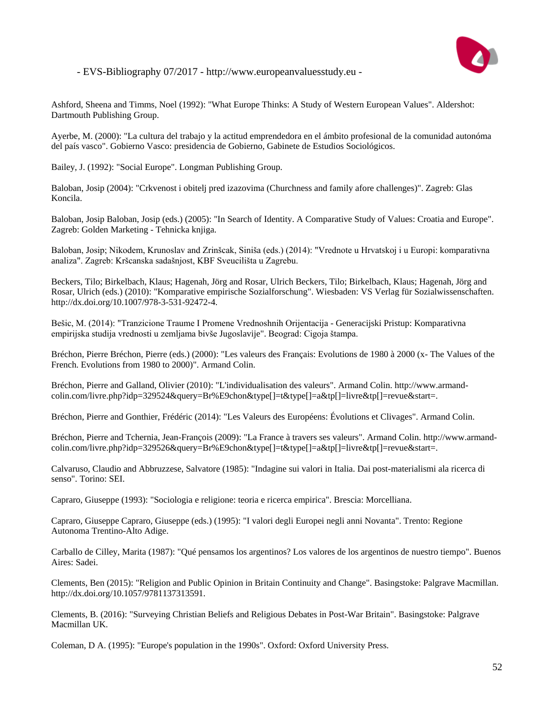

Ashford, Sheena and Timms, Noel (1992): "What Europe Thinks: A Study of Western European Values". Aldershot: Dartmouth Publishing Group.

Ayerbe, M. (2000): "La cultura del trabajo y la actitud emprendedora en el ámbito profesional de la comunidad autonóma del país vasco". Gobierno Vasco: presidencia de Gobierno, Gabinete de Estudios Sociológicos.

Bailey, J. (1992): "Social Europe". Longman Publishing Group.

Baloban, Josip (2004): "Crkvenost i obitelj pred izazovima (Churchness and family afore challenges)". Zagreb: Glas Koncila.

Baloban, Josip Baloban, Josip (eds.) (2005): "In Search of Identity. A Comparative Study of Values: Croatia and Europe". Zagreb: Golden Marketing - Tehnicka knjiga.

Baloban, Josip; Nikodem, Krunoslav and Zrinšcak, Siniša (eds.) (2014): "Vrednote u Hrvatskoj i u Europi: komparativna analiza". Zagreb: Kršcanska sadašnjost, KBF Sveucilišta u Zagrebu.

Beckers, Tilo; Birkelbach, Klaus; Hagenah, Jörg and Rosar, Ulrich Beckers, Tilo; Birkelbach, Klaus; Hagenah, Jörg and Rosar, Ulrich (eds.) (2010): "Komparative empirische Sozialforschung". Wiesbaden: VS Verlag für Sozialwissenschaften. http://dx.doi.org/10.1007/978-3-531-92472-4.

Bešic, M. (2014): "Tranzicione Traume I Promene Vrednoshnih Orijentacija - Generacijski Pristup: Komparativna empirijska studija vrednosti u zemljama bivše Jugoslavije". Beograd: Cigoja štampa.

Bréchon, Pierre Bréchon, Pierre (eds.) (2000): "Les valeurs des Français: Evolutions de 1980 à 2000 (x- The Values of the French. Evolutions from 1980 to 2000)". Armand Colin.

Bréchon, Pierre and Galland, Olivier (2010): "L'individualisation des valeurs". Armand Colin. http://www.armandcolin.com/livre.php?idp=329524&query=Br%E9chon&type[]=t&type[]=a&tp[]=livre&tp[]=revue&start=.

Bréchon, Pierre and Gonthier, Frédéric (2014): "Les Valeurs des Européens: Évolutions et Clivages". Armand Colin.

Bréchon, Pierre and Tchernia, Jean-François (2009): "La France à travers ses valeurs". Armand Colin. http://www.armandcolin.com/livre.php?idp=329526&query=Br%E9chon&type[]=t&type[]=a&tp[]=livre&tp[]=revue&start=.

Calvaruso, Claudio and Abbruzzese, Salvatore (1985): "Indagine sui valori in Italia. Dai post-materialismi ala ricerca di senso". Torino: SEI.

Capraro, Giuseppe (1993): "Sociologia e religione: teoria e ricerca empirica". Brescia: Morcelliana.

Capraro, Giuseppe Capraro, Giuseppe (eds.) (1995): "I valori degli Europei negli anni Novanta". Trento: Regione Autonoma Trentino-Alto Adige.

Carballo de Cilley, Marita (1987): "Qué pensamos los argentinos? Los valores de los argentinos de nuestro tiempo". Buenos Aires: Sadei.

Clements, Ben (2015): "Religion and Public Opinion in Britain Continuity and Change". Basingstoke: Palgrave Macmillan. http://dx.doi.org/10.1057/9781137313591.

Clements, B. (2016): "Surveying Christian Beliefs and Religious Debates in Post-War Britain". Basingstoke: Palgrave Macmillan UK.

Coleman, D A. (1995): "Europe's population in the 1990s". Oxford: Oxford University Press.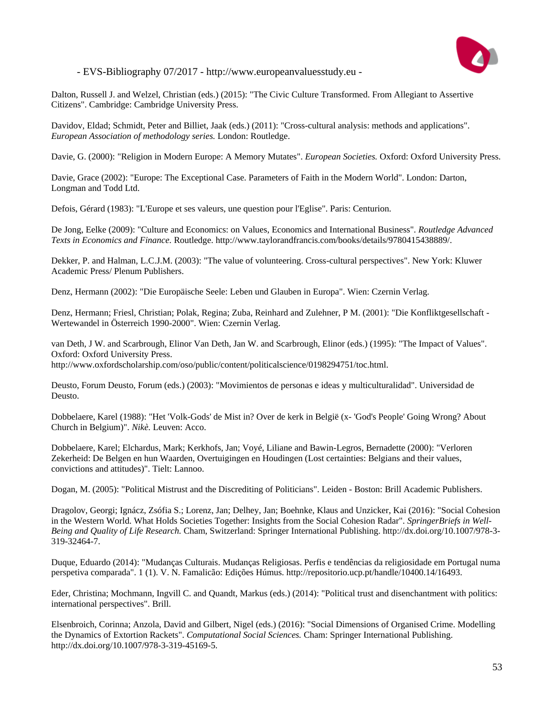

Dalton, Russell J. and Welzel, Christian (eds.) (2015): "The Civic Culture Transformed. From Allegiant to Assertive Citizens". Cambridge: Cambridge University Press.

Davidov, Eldad; Schmidt, Peter and Billiet, Jaak (eds.) (2011): "Cross-cultural analysis: methods and applications". *European Association of methodology series.* London: Routledge.

Davie, G. (2000): "Religion in Modern Europe: A Memory Mutates". *European Societies.* Oxford: Oxford University Press.

Davie, Grace (2002): "Europe: The Exceptional Case. Parameters of Faith in the Modern World". London: Darton, Longman and Todd Ltd.

Defois, Gérard (1983): "L'Europe et ses valeurs, une question pour l'Eglise". Paris: Centurion.

De Jong, Eelke (2009): "Culture and Economics: on Values, Economics and International Business". *Routledge Advanced Texts in Economics and Finance.* Routledge. http://www.taylorandfrancis.com/books/details/9780415438889/.

Dekker, P. and Halman, L.C.J.M. (2003): "The value of volunteering. Cross-cultural perspectives". New York: Kluwer Academic Press/ Plenum Publishers.

Denz, Hermann (2002): "Die Europäische Seele: Leben und Glauben in Europa". Wien: Czernin Verlag.

Denz, Hermann; Friesl, Christian; Polak, Regina; Zuba, Reinhard and Zulehner, P M. (2001): "Die Konfliktgesellschaft - Wertewandel in Österreich 1990-2000". Wien: Czernin Verlag.

van Deth, J W. and Scarbrough, Elinor Van Deth, Jan W. and Scarbrough, Elinor (eds.) (1995): "The Impact of Values". Oxford: Oxford University Press. http://www.oxfordscholarship.com/oso/public/content/politicalscience/0198294751/toc.html.

Deusto, Forum Deusto, Forum (eds.) (2003): "Movimientos de personas e ideas y multiculturalidad". Universidad de Deusto.

Dobbelaere, Karel (1988): "Het 'Volk-Gods' de Mist in? Over de kerk in België (x- 'God's People' Going Wrong? About Church in Belgium)". *Nikè.* Leuven: Acco.

Dobbelaere, Karel; Elchardus, Mark; Kerkhofs, Jan; Voyé, Liliane and Bawin-Legros, Bernadette (2000): "Verloren Zekerheid: De Belgen en hun Waarden, Overtuigingen en Houdingen (Lost certainties: Belgians and their values, convictions and attitudes)". Tielt: Lannoo.

Dogan, M. (2005): "Political Mistrust and the Discrediting of Politicians". Leiden - Boston: Brill Academic Publishers.

Dragolov, Georgi; Ignácz, Zsófia S.; Lorenz, Jan; Delhey, Jan; Boehnke, Klaus and Unzicker, Kai (2016): "Social Cohesion in the Western World. What Holds Societies Together: Insights from the Social Cohesion Radar". *SpringerBriefs in Well-Being and Quality of Life Research.* Cham, Switzerland: Springer International Publishing. http://dx.doi.org/10.1007/978-3- 319-32464-7.

Duque, Eduardo (2014): "Mudanças Culturais. Mudanças Religiosas. Perfis e tendências da religiosidade em Portugal numa perspetiva comparada". 1 (1). V. N. Famalicão: Edições Húmus. http://repositorio.ucp.pt/handle/10400.14/16493.

Eder, Christina; Mochmann, Ingvill C. and Quandt, Markus (eds.) (2014): "Political trust and disenchantment with politics: international perspectives". Brill.

Elsenbroich, Corinna; Anzola, David and Gilbert, Nigel (eds.) (2016): "Social Dimensions of Organised Crime. Modelling the Dynamics of Extortion Rackets". *Computational Social Sciences.* Cham: Springer International Publishing. http://dx.doi.org/10.1007/978-3-319-45169-5.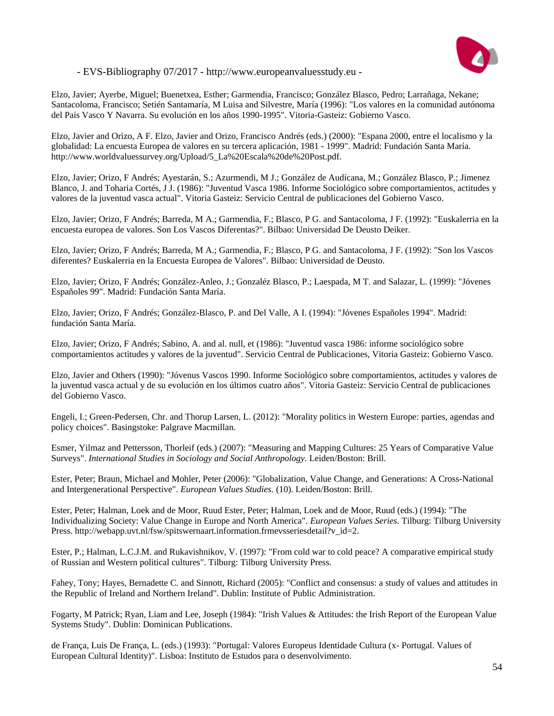

Elzo, Javier; Ayerbe, Miguel; Buenetxea, Esther; Garmendia, Francisco; González Blasco, Pedro; Larrañaga, Nekane; Santacoloma, Francisco; Setién Santamaría, M Luisa and Silvestre, María (1996): "Los valores en la comunidad autónoma del País Vasco Y Navarra. Su evolución en los años 1990-1995". Vitoria-Gasteiz: Gobierno Vasco.

Elzo, Javier and Orizo, A F. Elzo, Javier and Orizo, Francisco Andrés (eds.) (2000): "Espana 2000, entre el localismo y la globalidad: La encuesta Europea de valores en su tercera aplicación, 1981 - 1999". Madrid: Fundación Santa María. http://www.worldvaluessurvey.org/Upload/5\_La%20Escala%20de%20Post.pdf.

Elzo, Javier; Orizo, F Andrés; Ayestarán, S.; Azurmendi, M J.; González de Audícana, M.; González Blasco, P.; Jimenez Blanco, J. and Toharia Cortés, J J. (1986): "Juventud Vasca 1986. Informe Sociológico sobre comportamientos, actitudes y valores de la juventud vasca actual". Vitoria Gasteiz: Servicio Central de publicaciones del Gobierno Vasco.

Elzo, Javier; Orizo, F Andrés; Barreda, M A.; Garmendia, F.; Blasco, P G. and Santacoloma, J F. (1992): "Euskalerria en la encuesta europea de valores. Son Los Vascos Diferentas?". Bilbao: Universidad De Deusto Deiker.

Elzo, Javier; Orizo, F Andrés; Barreda, M A.; Garmendia, F.; Blasco, P G. and Santacoloma, J F. (1992): "Son los Vascos diferentes? Euskalerria en la Encuesta Europea de Valores". Bilbao: Universidad de Deusto.

Elzo, Javier; Orizo, F Andrés; González-Anleo, J.; Gonzaléz Blasco, P.; Laespada, M T. and Salazar, L. (1999): "Jóvenes Españoles 99". Madrid: Fundación Santa María.

Elzo, Javier; Orizo, F Andrés; González-Blasco, P. and Del Valle, A I. (1994): "Jóvenes Españoles 1994". Madrid: fundación Santa María.

Elzo, Javier; Orizo, F Andrés; Sabino, A. and al. null, et (1986): "Juventud vasca 1986: informe sociológico sobre comportamientos actitudes y valores de la juventud". Servicio Central de Publicaciones, Vitoria Gasteiz: Gobierno Vasco.

Elzo, Javier and Others (1990): "Jóvenus Vascos 1990. Informe Sociológico sobre comportamientos, actitudes y valores de la juventud vasca actual y de su evolución en los últimos cuatro años". Vitoria Gasteiz: Servicio Central de publicaciones del Gobierno Vasco.

Engeli, I.; Green-Pedersen, Chr. and Thorup Larsen, L. (2012): "Morality politics in Western Europe: parties, agendas and policy choices". Basingstoke: Palgrave Macmillan.

Esmer, Yilmaz and Pettersson, Thorleif (eds.) (2007): "Measuring and Mapping Cultures: 25 Years of Comparative Value Surveys". *International Studies in Sociology and Social Anthropology.* Leiden/Boston: Brill.

Ester, Peter; Braun, Michael and Mohler, Peter (2006): "Globalization, Value Change, and Generations: A Cross-National and Intergenerational Perspective". *European Values Studies.* (10). Leiden/Boston: Brill.

Ester, Peter; Halman, Loek and de Moor, Ruud Ester, Peter; Halman, Loek and de Moor, Ruud (eds.) (1994): "The Individualizing Society: Value Change in Europe and North America". *European Values Series.* Tilburg: Tilburg University Press. http://webapp.uvt.nl/fsw/spitswernaart.information.frmevsseriesdetail?v\_id=2.

Ester, P.; Halman, L.C.J.M. and Rukavishnikov, V. (1997): "From cold war to cold peace? A comparative empirical study of Russian and Western political cultures". Tilburg: Tilburg University Press.

Fahey, Tony; Hayes, Bernadette C. and Sinnott, Richard (2005): "Conflict and consensus: a study of values and attitudes in the Republic of Ireland and Northern Ireland". Dublin: Institute of Public Administration.

Fogarty, M Patrick; Ryan, Liam and Lee, Joseph (1984): "Irish Values & Attitudes: the Irish Report of the European Value Systems Study". Dublin: Dominican Publications.

de França, Luis De França, L. (eds.) (1993): "Portugal: Valores Europeus Identidade Cultura (x- Portugal. Values of European Cultural Identity)". Lisboa: Instituto de Estudos para o desenvolvimento.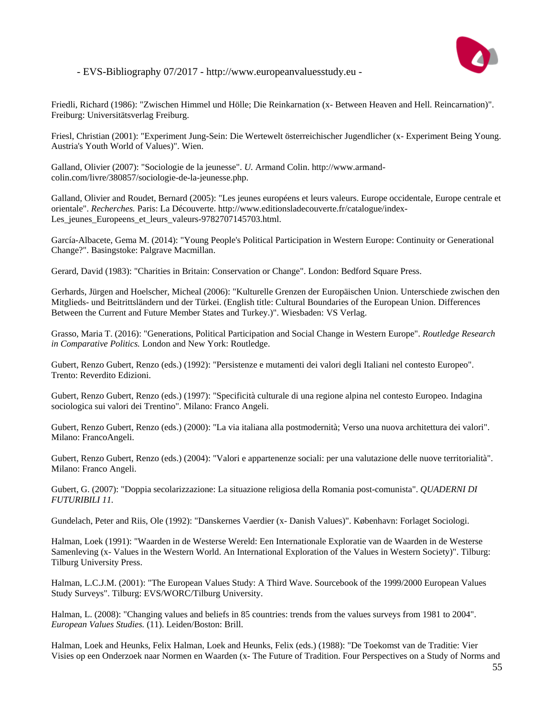

Friedli, Richard (1986): "Zwischen Himmel und Hölle; Die Reinkarnation (x- Between Heaven and Hell. Reincarnation)". Freiburg: Universitätsverlag Freiburg.

Friesl, Christian (2001): "Experiment Jung-Sein: Die Wertewelt österreichischer Jugendlicher (x- Experiment Being Young. Austria's Youth World of Values)". Wien.

Galland, Olivier (2007): "Sociologie de la jeunesse". *U.* Armand Colin. http://www.armandcolin.com/livre/380857/sociologie-de-la-jeunesse.php.

Galland, Olivier and Roudet, Bernard (2005): "Les jeunes européens et leurs valeurs. Europe occidentale, Europe centrale et orientale". *Recherches.* Paris: La Découverte. http://www.editionsladecouverte.fr/catalogue/index-Les\_jeunes\_Europeens\_et\_leurs\_valeurs-9782707145703.html.

García-Albacete, Gema M. (2014): "Young People's Political Participation in Western Europe: Continuity or Generational Change?". Basingstoke: Palgrave Macmillan.

Gerard, David (1983): "Charities in Britain: Conservation or Change". London: Bedford Square Press.

Gerhards, Jürgen and Hoelscher, Micheal (2006): "Kulturelle Grenzen der Europäischen Union. Unterschiede zwischen den Mitglieds- und Beitrittsländern und der Türkei. (English title: Cultural Boundaries of the European Union. Differences Between the Current and Future Member States and Turkey.)". Wiesbaden: VS Verlag.

Grasso, Maria T. (2016): "Generations, Political Participation and Social Change in Western Europe". *Routledge Research in Comparative Politics.* London and New York: Routledge.

Gubert, Renzo Gubert, Renzo (eds.) (1992): "Persistenze e mutamenti dei valori degli Italiani nel contesto Europeo". Trento: Reverdito Edizioni.

Gubert, Renzo Gubert, Renzo (eds.) (1997): "Specificità culturale di una regione alpina nel contesto Europeo. Indagina sociologica sui valori dei Trentino". Milano: Franco Angeli.

Gubert, Renzo Gubert, Renzo (eds.) (2000): "La via italiana alla postmodernità; Verso una nuova architettura dei valori". Milano: FrancoAngeli.

Gubert, Renzo Gubert, Renzo (eds.) (2004): "Valori e appartenenze sociali: per una valutazione delle nuove territorialità". Milano: Franco Angeli.

Gubert, G. (2007): "Doppia secolarizzazione: La situazione religiosa della Romania post-comunista". *QUADERNI DI FUTURIBILI 11.*

Gundelach, Peter and Riis, Ole (1992): "Danskernes Vaerdier (x- Danish Values)". København: Forlaget Sociologi.

Halman, Loek (1991): "Waarden in de Westerse Wereld: Een Internationale Exploratie van de Waarden in de Westerse Samenleving (x- Values in the Western World. An International Exploration of the Values in Western Society)". Tilburg: Tilburg University Press.

Halman, L.C.J.M. (2001): "The European Values Study: A Third Wave. Sourcebook of the 1999/2000 European Values Study Surveys". Tilburg: EVS/WORC/Tilburg University.

Halman, L. (2008): "Changing values and beliefs in 85 countries: trends from the values surveys from 1981 to 2004". *European Values Studies.* (11). Leiden/Boston: Brill.

Halman, Loek and Heunks, Felix Halman, Loek and Heunks, Felix (eds.) (1988): "De Toekomst van de Traditie: Vier Visies op een Onderzoek naar Normen en Waarden (x- The Future of Tradition. Four Perspectives on a Study of Norms and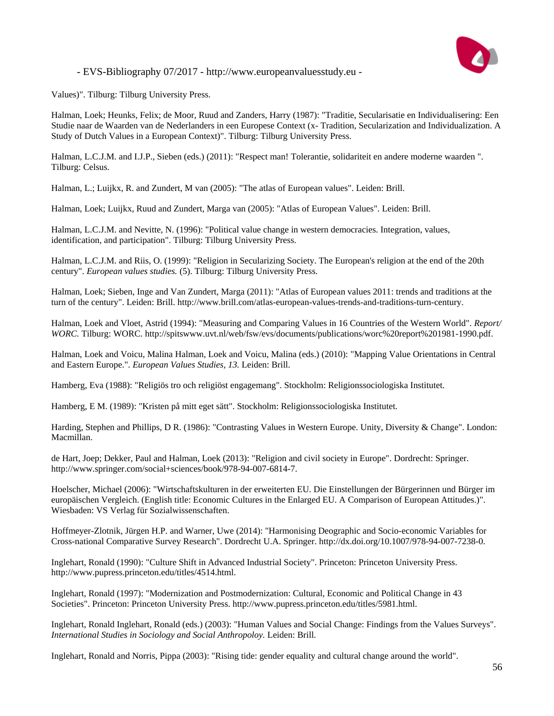

Values)". Tilburg: Tilburg University Press.

Halman, Loek; Heunks, Felix; de Moor, Ruud and Zanders, Harry (1987): "Traditie, Secularisatie en Individualisering: Een Studie naar de Waarden van de Nederlanders in een Europese Context (x- Tradition, Secularization and Individualization. A Study of Dutch Values in a European Context)". Tilburg: Tilburg University Press.

Halman, L.C.J.M. and I.J.P., Sieben (eds.) (2011): "Respect man! Tolerantie, solidariteit en andere moderne waarden ". Tilburg: Celsus.

Halman, L.; Luijkx, R. and Zundert, M van (2005): "The atlas of European values". Leiden: Brill.

Halman, Loek; Luijkx, Ruud and Zundert, Marga van (2005): "Atlas of European Values". Leiden: Brill.

Halman, L.C.J.M. and Nevitte, N. (1996): "Political value change in western democracies. Integration, values, identification, and participation". Tilburg: Tilburg University Press.

Halman, L.C.J.M. and Riis, O. (1999): "Religion in Secularizing Society. The European's religion at the end of the 20th century". *European values studies.* (5). Tilburg: Tilburg University Press.

Halman, Loek; Sieben, Inge and Van Zundert, Marga (2011): "Atlas of European values 2011: trends and traditions at the turn of the century". Leiden: Brill. http://www.brill.com/atlas-european-values-trends-and-traditions-turn-century.

Halman, Loek and Vloet, Astrid (1994): "Measuring and Comparing Values in 16 Countries of the Western World". *Report/ WORC.* Tilburg: WORC. http://spitswww.uvt.nl/web/fsw/evs/documents/publications/worc%20report%201981-1990.pdf.

Halman, Loek and Voicu, Malina Halman, Loek and Voicu, Malina (eds.) (2010): "Mapping Value Orientations in Central and Eastern Europe.". *European Values Studies, 13.* Leiden: Brill.

Hamberg, Eva (1988): "Religiös tro och religiöst engagemang". Stockholm: Religionssociologiska Institutet.

Hamberg, E M. (1989): "Kristen på mitt eget sätt". Stockholm: Religionssociologiska Institutet.

Harding, Stephen and Phillips, D R. (1986): "Contrasting Values in Western Europe. Unity, Diversity & Change". London: Macmillan.

de Hart, Joep; Dekker, Paul and Halman, Loek (2013): "Religion and civil society in Europe". Dordrecht: Springer. http://www.springer.com/social+sciences/book/978-94-007-6814-7.

Hoelscher, Michael (2006): "Wirtschaftskulturen in der erweiterten EU. Die Einstellungen der Bürgerinnen und Bürger im europäischen Vergleich. (English title: Economic Cultures in the Enlarged EU. A Comparison of European Attitudes.)". Wiesbaden: VS Verlag für Sozialwissenschaften.

Hoffmeyer-Zlotnik, Jürgen H.P. and Warner, Uwe (2014): "Harmonising Deographic and Socio-economic Variables for Cross-national Comparative Survey Research". Dordrecht U.A. Springer. http://dx.doi.org/10.1007/978-94-007-7238-0.

Inglehart, Ronald (1990): "Culture Shift in Advanced Industrial Society". Princeton: Princeton University Press. http://www.pupress.princeton.edu/titles/4514.html.

Inglehart, Ronald (1997): "Modernization and Postmodernization: Cultural, Economic and Political Change in 43 Societies". Princeton: Princeton University Press. http://www.pupress.princeton.edu/titles/5981.html.

Inglehart, Ronald Inglehart, Ronald (eds.) (2003): "Human Values and Social Change: Findings from the Values Surveys". *International Studies in Sociology and Social Anthropoloy.* Leiden: Brill.

Inglehart, Ronald and Norris, Pippa (2003): "Rising tide: gender equality and cultural change around the world".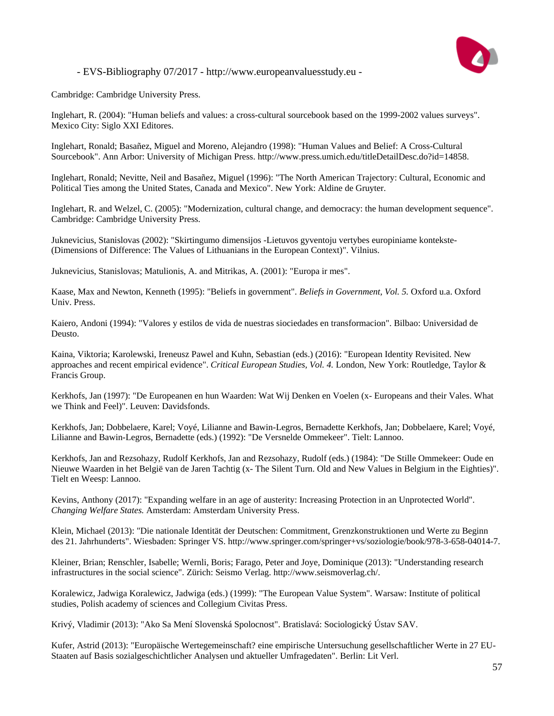

Cambridge: Cambridge University Press.

Inglehart, R. (2004): "Human beliefs and values: a cross-cultural sourcebook based on the 1999-2002 values surveys". Mexico City: Siglo XXI Editores.

Inglehart, Ronald; Basañez, Miguel and Moreno, Alejandro (1998): "Human Values and Belief: A Cross-Cultural Sourcebook". Ann Arbor: University of Michigan Press. http://www.press.umich.edu/titleDetailDesc.do?id=14858.

Inglehart, Ronald; Nevitte, Neil and Basañez, Miguel (1996): "The North American Trajectory: Cultural, Economic and Political Ties among the United States, Canada and Mexico". New York: Aldine de Gruyter.

Inglehart, R. and Welzel, C. (2005): "Modernization, cultural change, and democracy: the human development sequence". Cambridge: Cambridge University Press.

Juknevicius, Stanislovas (2002): "Skirtingumo dimensijos -Lietuvos gyventoju vertybes europiniame kontekste- (Dimensions of Difference: The Values of Lithuanians in the European Context)". Vilnius.

Juknevicius, Stanislovas; Matulionis, A. and Mitrikas, A. (2001): "Europa ir mes".

Kaase, Max and Newton, Kenneth (1995): "Beliefs in government". *Beliefs in Government, Vol. 5.* Oxford u.a. Oxford Univ. Press.

Kaiero, Andoni (1994): "Valores y estilos de vida de nuestras siociedades en transformacion". Bilbao: Universidad de Deusto.

Kaina, Viktoria; Karolewski, Ireneusz Pawel and Kuhn, Sebastian (eds.) (2016): "European Identity Revisited. New approaches and recent empirical evidence". *Critical European Studies, Vol. 4.* London, New York: Routledge, Taylor & Francis Group.

Kerkhofs, Jan (1997): "De Europeanen en hun Waarden: Wat Wij Denken en Voelen (x- Europeans and their Vales. What we Think and Feel)". Leuven: Davidsfonds.

Kerkhofs, Jan; Dobbelaere, Karel; Voyé, Lilianne and Bawin-Legros, Bernadette Kerkhofs, Jan; Dobbelaere, Karel; Voyé, Lilianne and Bawin-Legros, Bernadette (eds.) (1992): "De Versnelde Ommekeer". Tielt: Lannoo.

Kerkhofs, Jan and Rezsohazy, Rudolf Kerkhofs, Jan and Rezsohazy, Rudolf (eds.) (1984): "De Stille Ommekeer: Oude en Nieuwe Waarden in het België van de Jaren Tachtig (x- The Silent Turn. Old and New Values in Belgium in the Eighties)". Tielt en Weesp: Lannoo.

Kevins, Anthony (2017): "Expanding welfare in an age of austerity: Increasing Protection in an Unprotected World". *Changing Welfare States.* Amsterdam: Amsterdam University Press.

Klein, Michael (2013): "Die nationale Identität der Deutschen: Commitment, Grenzkonstruktionen und Werte zu Beginn des 21. Jahrhunderts". Wiesbaden: Springer VS. http://www.springer.com/springer+vs/soziologie/book/978-3-658-04014-7.

Kleiner, Brian; Renschler, Isabelle; Wernli, Boris; Farago, Peter and Joye, Dominique (2013): "Understanding research infrastructures in the social science". Zürich: Seismo Verlag. http://www.seismoverlag.ch/.

Koralewicz, Jadwiga Koralewicz, Jadwiga (eds.) (1999): "The European Value System". Warsaw: Institute of political studies, Polish academy of sciences and Collegium Civitas Press.

Krivý, Vladimir (2013): "Ako Sa Mení Slovenská Spolocnost". Bratislavá: Sociologický Ústav SAV.

Kufer, Astrid (2013): "Europäische Wertegemeinschaft? eine empirische Untersuchung gesellschaftlicher Werte in 27 EU-Staaten auf Basis sozialgeschichtlicher Analysen und aktueller Umfragedaten". Berlin: Lit Verl.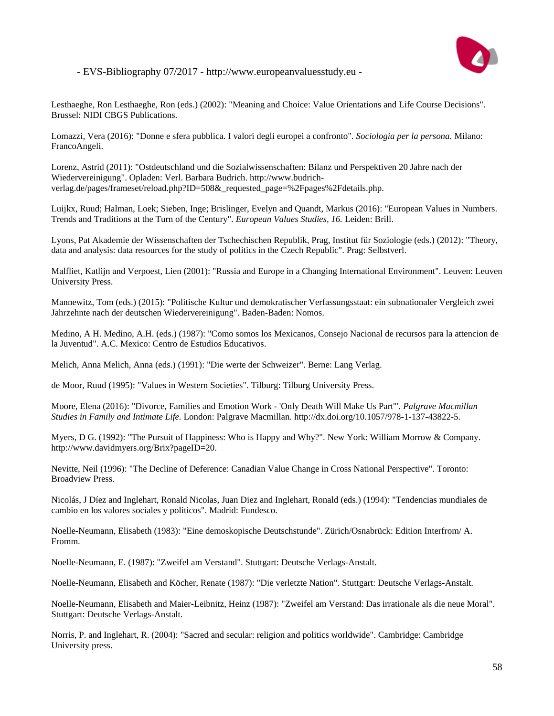

Lesthaeghe, Ron Lesthaeghe, Ron (eds.) (2002): "Meaning and Choice: Value Orientations and Life Course Decisions". Brussel: NIDI CBGS Publications.

Lomazzi, Vera (2016): "Donne e sfera pubblica. I valori degli europei a confronto". *Sociologia per la persona.* Milano: FrancoAngeli.

Lorenz, Astrid (2011): "Ostdeutschland und die Sozialwissenschaften: Bilanz und Perspektiven 20 Jahre nach der Wiedervereinigung". Opladen: Verl. Barbara Budrich. http://www.budrichverlag.de/pages/frameset/reload.php?ID=508&\_requested\_page=%2Fpages%2Fdetails.php.

Luijkx, Ruud; Halman, Loek; Sieben, Inge; Brislinger, Evelyn and Quandt, Markus (2016): "European Values in Numbers. Trends and Traditions at the Turn of the Century". *European Values Studies, 16.* Leiden: Brill.

Lyons, Pat Akademie der Wissenschaften der Tschechischen Republik, Prag, Institut für Soziologie (eds.) (2012): "Theory, data and analysis: data resources for the study of politics in the Czech Republic". Prag: Selbstverl.

Malfliet, Katlijn and Verpoest, Lien (2001): "Russia and Europe in a Changing International Environment". Leuven: Leuven University Press.

Mannewitz, Tom (eds.) (2015): "Politische Kultur und demokratischer Verfassungsstaat: ein subnationaler Vergleich zwei Jahrzehnte nach der deutschen Wiedervereinigung". Baden-Baden: Nomos.

Medino, A H. Medino, A.H. (eds.) (1987): "Como somos los Mexicanos, Consejo Nacional de recursos para la attencion de la Juventud". A.C. Mexico: Centro de Estudios Educativos.

Melich, Anna Melich, Anna (eds.) (1991): "Die werte der Schweizer". Berne: Lang Verlag.

de Moor, Ruud (1995): "Values in Western Societies". Tilburg: Tilburg University Press.

Moore, Elena (2016): "Divorce, Families and Emotion Work - 'Only Death Will Make Us Part'". *Palgrave Macmillan Studies in Family and Intimate Life.* London: Palgrave Macmillan. http://dx.doi.org/10.1057/978-1-137-43822-5.

Myers, D G. (1992): "The Pursuit of Happiness: Who is Happy and Why?". New York: William Morrow & Company. http://www.davidmyers.org/Brix?pageID=20.

Nevitte, Neil (1996): "The Decline of Deference: Canadian Value Change in Cross National Perspective". Toronto: Broadview Press.

Nicolás, J Díez and Inglehart, Ronald Nicolas, Juan Diez and Inglehart, Ronald (eds.) (1994): "Tendencias mundiales de cambio en los valores sociales y politicos". Madrid: Fundesco.

Noelle-Neumann, Elisabeth (1983): "Eine demoskopische Deutschstunde". Zürich/Osnabrück: Edition Interfrom/ A. Fromm.

Noelle-Neumann, E. (1987): "Zweifel am Verstand". Stuttgart: Deutsche Verlags-Anstalt.

Noelle-Neumann, Elisabeth and Köcher, Renate (1987): "Die verletzte Nation". Stuttgart: Deutsche Verlags-Anstalt.

Noelle-Neumann, Elisabeth and Maier-Leibnitz, Heinz (1987): "Zweifel am Verstand: Das irrationale als die neue Moral". Stuttgart: Deutsche Verlags-Anstalt.

Norris, P. and Inglehart, R. (2004): "Sacred and secular: religion and politics worldwide". Cambridge: Cambridge University press.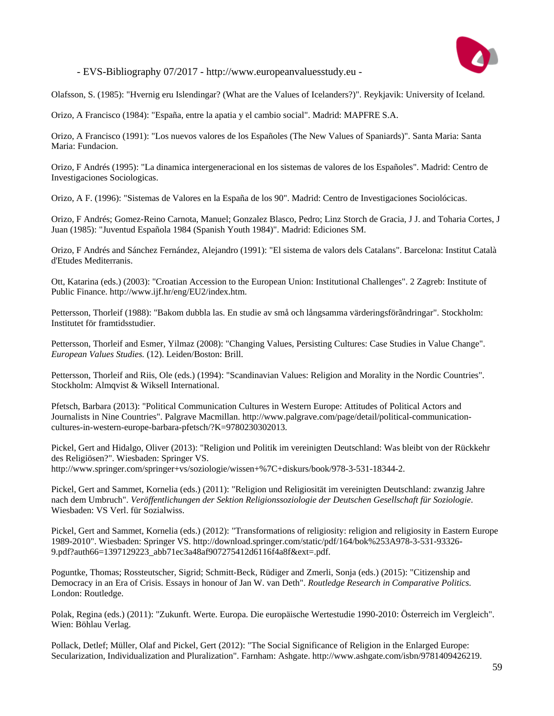

Olafsson, S. (1985): "Hvernig eru Islendingar? (What are the Values of Icelanders?)". Reykjavik: University of Iceland.

Orizo, A Francisco (1984): "España, entre la apatia y el cambio social". Madrid: MAPFRE S.A.

Orizo, A Francisco (1991): "Los nuevos valores de los Españoles (The New Values of Spaniards)". Santa Maria: Santa Maria: Fundacion.

Orizo, F Andrés (1995): "La dinamica intergeneracional en los sistemas de valores de los Españoles". Madrid: Centro de Investigaciones Sociologicas.

Orizo, A F. (1996): "Sistemas de Valores en la España de los 90". Madrid: Centro de Investigaciones Sociolócicas.

Orizo, F Andrés; Gomez-Reino Carnota, Manuel; Gonzalez Blasco, Pedro; Linz Storch de Gracia, J J. and Toharia Cortes, J Juan (1985): "Juventud Española 1984 (Spanish Youth 1984)". Madrid: Ediciones SM.

Orizo, F Andrés and Sánchez Fernández, Alejandro (1991): "El sistema de valors dels Catalans". Barcelona: Institut Català d'Etudes Mediterranis.

Ott, Katarina (eds.) (2003): "Croatian Accession to the European Union: Institutional Challenges". 2 Zagreb: Institute of Public Finance. http://www.ijf.hr/eng/EU2/index.htm.

Pettersson, Thorleif (1988): "Bakom dubbla las. En studie av små och långsamma värderingsförãndringar". Stockholm: Institutet för framtidsstudier.

Pettersson, Thorleif and Esmer, Yilmaz (2008): "Changing Values, Persisting Cultures: Case Studies in Value Change". *European Values Studies.* (12). Leiden/Boston: Brill.

Pettersson, Thorleif and Riis, Ole (eds.) (1994): "Scandinavian Values: Religion and Morality in the Nordic Countries". Stockholm: Almqvist & Wiksell International.

Pfetsch, Barbara (2013): "Political Communication Cultures in Western Europe: Attitudes of Political Actors and Journalists in Nine Countries". Palgrave Macmillan. http://www.palgrave.com/page/detail/political-communicationcultures-in-western-europe-barbara-pfetsch/?K=9780230302013.

Pickel, Gert and Hidalgo, Oliver (2013): "Religion und Politik im vereinigten Deutschland: Was bleibt von der Rückkehr des Religiösen?". Wiesbaden: Springer VS. http://www.springer.com/springer+vs/soziologie/wissen+%7C+diskurs/book/978-3-531-18344-2.

Pickel, Gert and Sammet, Kornelia (eds.) (2011): "Religion und Religiosität im vereinigten Deutschland: zwanzig Jahre nach dem Umbruch". *Veröffentlichungen der Sektion Religionssoziologie der Deutschen Gesellschaft für Soziologie.*  Wiesbaden: VS Verl. für Sozialwiss.

Pickel, Gert and Sammet, Kornelia (eds.) (2012): "Transformations of religiosity: religion and religiosity in Eastern Europe 1989-2010". Wiesbaden: Springer VS. http://download.springer.com/static/pdf/164/bok%253A978-3-531-93326- 9.pdf?auth66=1397129223\_abb71ec3a48af907275412d6116f4a8f&ext=.pdf.

Poguntke, Thomas; Rossteutscher, Sigrid; Schmitt-Beck, Rüdiger and Zmerli, Sonja (eds.) (2015): "Citizenship and Democracy in an Era of Crisis. Essays in honour of Jan W. van Deth". *Routledge Research in Comparative Politics.* London: Routledge.

Polak, Regina (eds.) (2011): "Zukunft. Werte. Europa. Die europäische Wertestudie 1990-2010: Österreich im Vergleich". Wien: Böhlau Verlag.

Pollack, Detlef; Müller, Olaf and Pickel, Gert (2012): "The Social Significance of Religion in the Enlarged Europe: Secularization, Individualization and Pluralization". Farnham: Ashgate. http://www.ashgate.com/isbn/9781409426219.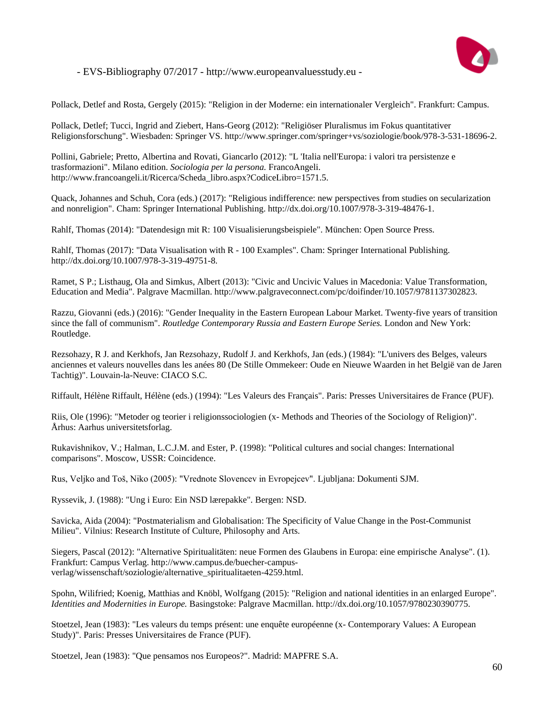

Pollack, Detlef and Rosta, Gergely (2015): "Religion in der Moderne: ein internationaler Vergleich". Frankfurt: Campus.

Pollack, Detlef; Tucci, Ingrid and Ziebert, Hans-Georg (2012): "Religiöser Pluralismus im Fokus quantitativer Religionsforschung". Wiesbaden: Springer VS. http://www.springer.com/springer+vs/soziologie/book/978-3-531-18696-2.

Pollini, Gabriele; Pretto, Albertina and Rovati, Giancarlo (2012): "L 'Italia nell'Europa: i valori tra persistenze e trasformazioni". Milano edition. *Sociologia per la persona.* FrancoAngeli. http://www.francoangeli.it/Ricerca/Scheda\_libro.aspx?CodiceLibro=1571.5.

Quack, Johannes and Schuh, Cora (eds.) (2017): "Religious indifference: new perspectives from studies on secularization and nonreligion". Cham: Springer International Publishing. http://dx.doi.org/10.1007/978-3-319-48476-1.

Rahlf, Thomas (2014): "Datendesign mit R: 100 Visualisierungsbeispiele". München: Open Source Press.

Rahlf, Thomas (2017): "Data Visualisation with R - 100 Examples". Cham: Springer International Publishing. http://dx.doi.org/10.1007/978-3-319-49751-8.

Ramet, S P.; Listhaug, Ola and Simkus, Albert (2013): "Civic and Uncivic Values in Macedonia: Value Transformation, Education and Media". Palgrave Macmillan. http://www.palgraveconnect.com/pc/doifinder/10.1057/9781137302823.

Razzu, Giovanni (eds.) (2016): "Gender Inequality in the Eastern European Labour Market. Twenty-five years of transition since the fall of communism". *Routledge Contemporary Russia and Eastern Europe Series.* London and New York: Routledge.

Rezsohazy, R J. and Kerkhofs, Jan Rezsohazy, Rudolf J. and Kerkhofs, Jan (eds.) (1984): "L'univers des Belges, valeurs anciennes et valeurs nouvelles dans les anées 80 (De Stille Ommekeer: Oude en Nieuwe Waarden in het België van de Jaren Tachtig)". Louvain-la-Neuve: CIACO S.C.

Riffault, Hélène Riffault, Hélène (eds.) (1994): "Les Valeurs des Français". Paris: Presses Universitaires de France (PUF).

Riis, Ole (1996): "Metoder og teorier i religionssociologien (x- Methods and Theories of the Sociology of Religion)". Århus: Aarhus universitetsforlag.

Rukavishnikov, V.; Halman, L.C.J.M. and Ester, P. (1998): "Political cultures and social changes: International comparisons". Moscow, USSR: Coincidence.

Rus, Veljko and Toš, Niko (2005): "Vrednote Slovencev in Evropejcev". Ljubljana: Dokumenti SJM.

Ryssevik, J. (1988): "Ung i Euro: Ein NSD lærepakke". Bergen: NSD.

Savicka, Aida (2004): "Postmaterialism and Globalisation: The Specificity of Value Change in the Post-Communist Milieu". Vilnius: Research Institute of Culture, Philosophy and Arts.

Siegers, Pascal (2012): "Alternative Spiritualitäten: neue Formen des Glaubens in Europa: eine empirische Analyse". (1). Frankfurt: Campus Verlag. http://www.campus.de/buecher-campusverlag/wissenschaft/soziologie/alternative\_spiritualitaeten-4259.html.

Spohn, Wilifried; Koenig, Matthias and Knöbl, Wolfgang (2015): "Religion and national identities in an enlarged Europe". *Identities and Modernities in Europe.* Basingstoke: Palgrave Macmillan. http://dx.doi.org/10.1057/9780230390775.

Stoetzel, Jean (1983): "Les valeurs du temps présent: une enquête européenne (x- Contemporary Values: A European Study)". Paris: Presses Universitaires de France (PUF).

Stoetzel, Jean (1983): "Que pensamos nos Europeos?". Madrid: MAPFRE S.A.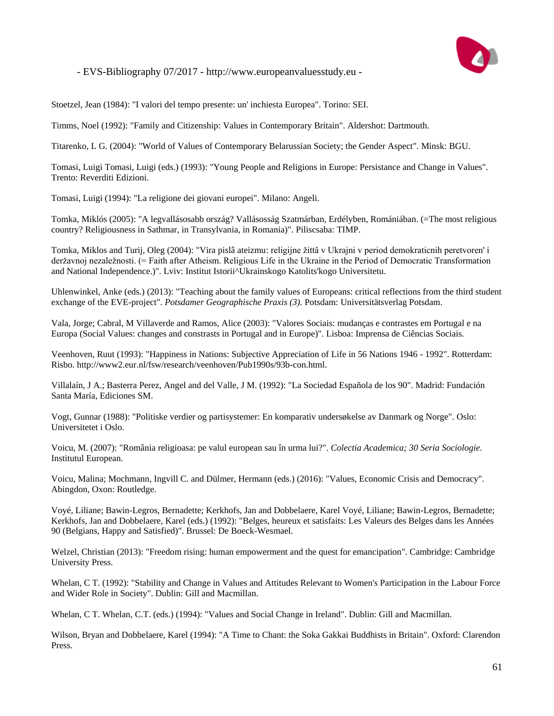

Stoetzel, Jean (1984): "I valori del tempo presente: un' inchiesta Europea". Torino: SEI.

Timms, Noel (1992): "Family and Citizenship: Values in Contemporary Britain". Aldershot: Dartmouth.

Titarenko, L G. (2004): "World of Values of Contemporary Belarussian Society; the Gender Aspect". Minsk: BGU.

Tomasi, Luigi Tomasi, Luigi (eds.) (1993): "Young People and Religions in Europe: Persistance and Change in Values". Trento: Reverditi Edizioni.

Tomasi, Luigi (1994): "La religione dei giovani europei". Milano: Angeli.

Tomka, Miklós (2005): "A legvallásosabb ország? Vallásosság Szatmárban, Erdélyben, Romániában. (=The most religious country? Religiousness in Sathmar, in Transylvania, in Romania)". Piliscsaba: TIMP.

Tomka, Miklos and Turij, Oleg (2004): "Vira pislâ ateizmu: religijne žittâ v Ukrajni v period demokraticnih peretvoren' i deržavnoj nezaležnosti. (= Faith after Atheism. Religious Life in the Ukraine in the Period of Democratic Transformation and National Independence.)". Lviv: Institut Istorii^Ukrainskogo Katolits'kogo Universitetu.

Uhlenwinkel, Anke (eds.) (2013): "Teaching about the family values of Europeans: critical reflections from the third student exchange of the EVE-project". *Potsdamer Geographische Praxis (3).* Potsdam: Universitätsverlag Potsdam.

Vala, Jorge; Cabral, M Villaverde and Ramos, Alice (2003): "Valores Sociais: mudanças e contrastes em Portugal e na Europa (Social Values: changes and constrasts in Portugal and in Europe)". Lisboa: Imprensa de Ciências Sociais.

Veenhoven, Ruut (1993): "Happiness in Nations: Subjective Appreciation of Life in 56 Nations 1946 - 1992". Rotterdam: Risbo. http://www2.eur.nl/fsw/research/veenhoven/Pub1990s/93b-con.html.

Villalaín, J A.; Basterra Perez, Angel and del Valle, J M. (1992): "La Sociedad Española de los 90". Madrid: Fundación Santa María, Ediciones SM.

Vogt, Gunnar (1988): "Politiske verdier og partisystemer: En komparativ undersøkelse av Danmark og Norge". Oslo: Universitetet i Oslo.

Voicu, M. (2007): "România religioasa: pe valul european sau în urma lui?". *Colectia Academica; 30 Seria Sociologie.* Institutul European.

Voicu, Malina; Mochmann, Ingvill C. and Dülmer, Hermann (eds.) (2016): "Values, Economic Crisis and Democracy". Abingdon, Oxon: Routledge.

Voyé, Liliane; Bawin-Legros, Bernadette; Kerkhofs, Jan and Dobbelaere, Karel Voyé, Liliane; Bawin-Legros, Bernadette; Kerkhofs, Jan and Dobbelaere, Karel (eds.) (1992): "Belges, heureux et satisfaits: Les Valeurs des Belges dans les Années 90 (Belgians, Happy and Satisfied)". Brussel: De Boeck-Wesmael.

Welzel, Christian (2013): "Freedom rising: human empowerment and the quest for emancipation". Cambridge: Cambridge University Press.

Whelan, C T. (1992): "Stability and Change in Values and Attitudes Relevant to Women's Participation in the Labour Force and Wider Role in Society". Dublin: Gill and Macmillan.

Whelan, C T. Whelan, C.T. (eds.) (1994): "Values and Social Change in Ireland". Dublin: Gill and Macmillan.

Wilson, Bryan and Dobbelaere, Karel (1994): "A Time to Chant: the Soka Gakkai Buddhists in Britain". Oxford: Clarendon Press.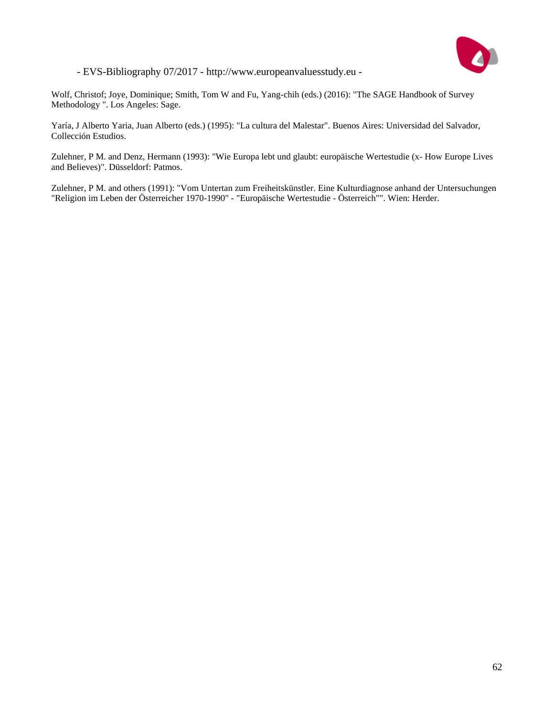

Wolf, Christof; Joye, Dominique; Smith, Tom W and Fu, Yang-chih (eds.) (2016): "The SAGE Handbook of Survey Methodology ". Los Angeles: Sage.

Yaría, J Alberto Yaria, Juan Alberto (eds.) (1995): "La cultura del Malestar". Buenos Aires: Universidad del Salvador, Collección Estudios.

Zulehner, P M. and Denz, Hermann (1993): "Wie Europa lebt und glaubt: europäische Wertestudie (x- How Europe Lives and Believes)". Düsseldorf: Patmos.

Zulehner, P M. and others (1991): "Vom Untertan zum Freiheitskünstler. Eine Kulturdiagnose anhand der Untersuchungen "Religion im Leben der Österreicher 1970-1990" - "Europäische Wertestudie - Österreich"". Wien: Herder.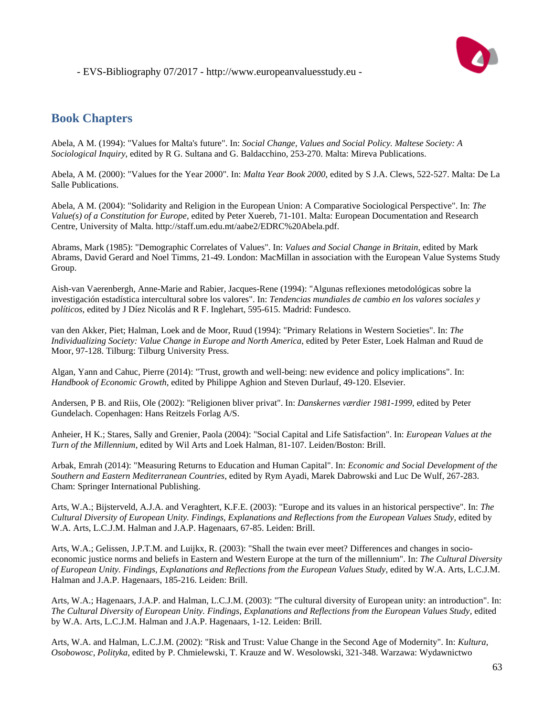

## **Book Chapters**

Abela, A M. (1994): "Values for Malta's future". In: *Social Change, Values and Social Policy. Maltese Society: A Sociological Inquiry*, edited by R G. Sultana and G. Baldacchino, 253-270. Malta: Mireva Publications.

Abela, A M. (2000): "Values for the Year 2000". In: *Malta Year Book 2000*, edited by S J.A. Clews, 522-527. Malta: De La Salle Publications.

Abela, A M. (2004): "Solidarity and Religion in the European Union: A Comparative Sociological Perspective". In: *The Value(s) of a Constitution for Europe*, edited by Peter Xuereb, 71-101. Malta: European Documentation and Research Centre, University of Malta. http://staff.um.edu.mt/aabe2/EDRC%20Abela.pdf.

Abrams, Mark (1985): "Demographic Correlates of Values". In: *Values and Social Change in Britain*, edited by Mark Abrams, David Gerard and Noel Timms, 21-49. London: MacMillan in association with the European Value Systems Study Group.

Aish-van Vaerenbergh, Anne-Marie and Rabier, Jacques-Rene (1994): "Algunas reflexiones metodológicas sobre la investigación estadística intercultural sobre los valores". In: *Tendencias mundiales de cambio en los valores sociales y políticos*, edited by J Díez Nicolás and R F. Inglehart, 595-615. Madrid: Fundesco.

van den Akker, Piet; Halman, Loek and de Moor, Ruud (1994): "Primary Relations in Western Societies". In: *The Individualizing Society: Value Change in Europe and North America*, edited by Peter Ester, Loek Halman and Ruud de Moor, 97-128. Tilburg: Tilburg University Press.

Algan, Yann and Cahuc, Pierre (2014): "Trust, growth and well-being: new evidence and policy implications". In: *Handbook of Economic Growth*, edited by Philippe Aghion and Steven Durlauf, 49-120. Elsevier.

Andersen, P B. and Riis, Ole (2002): "Religionen bliver privat". In: *Danskernes værdier 1981-1999*, edited by Peter Gundelach. Copenhagen: Hans Reitzels Forlag A/S.

Anheier, H K.; Stares, Sally and Grenier, Paola (2004): "Social Capital and Life Satisfaction". In: *European Values at the Turn of the Millennium*, edited by Wil Arts and Loek Halman, 81-107. Leiden/Boston: Brill.

Arbak, Emrah (2014): "Measuring Returns to Education and Human Capital". In: *Economic and Social Development of the Southern and Eastern Mediterranean Countries*, edited by Rym Ayadi, Marek Dabrowski and Luc De Wulf, 267-283. Cham: Springer International Publishing.

Arts, W.A.; Bijsterveld, A.J.A. and Veraghtert, K.F.E. (2003): "Europe and its values in an historical perspective". In: *The Cultural Diversity of European Unity. Findings, Explanations and Reflections from the European Values Study*, edited by W.A. Arts, L.C.J.M. Halman and J.A.P. Hagenaars, 67-85. Leiden: Brill.

Arts, W.A.; Gelissen, J.P.T.M. and Luijkx, R. (2003): "Shall the twain ever meet? Differences and changes in socioeconomic justice norms and beliefs in Eastern and Western Europe at the turn of the millennium". In: *The Cultural Diversity of European Unity. Findings, Explanations and Reflections from the European Values Study*, edited by W.A. Arts, L.C.J.M. Halman and J.A.P. Hagenaars, 185-216. Leiden: Brill.

Arts, W.A.; Hagenaars, J.A.P. and Halman, L.C.J.M. (2003): "The cultural diversity of European unity: an introduction". In: *The Cultural Diversity of European Unity. Findings, Explanations and Reflections from the European Values Study*, edited by W.A. Arts, L.C.J.M. Halman and J.A.P. Hagenaars, 1-12. Leiden: Brill.

Arts, W.A. and Halman, L.C.J.M. (2002): "Risk and Trust: Value Change in the Second Age of Modernity". In: *Kultura, Osobowosc, Polityka*, edited by P. Chmielewski, T. Krauze and W. Wesolowski, 321-348. Warzawa: Wydawnictwo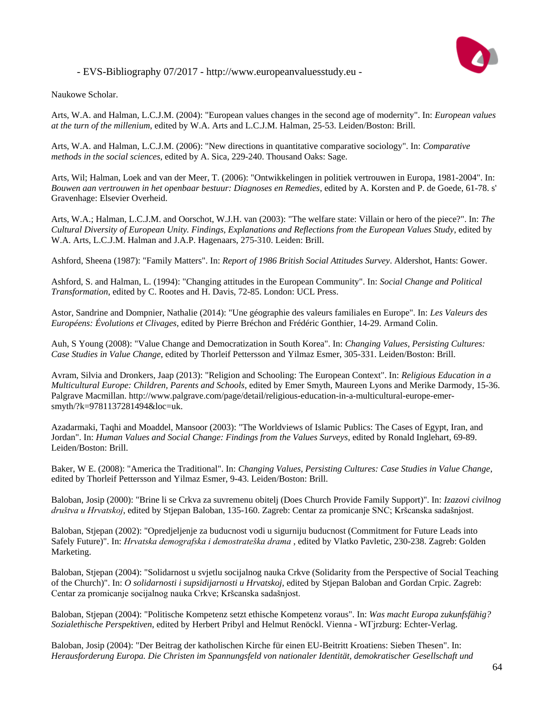

Naukowe Scholar.

Arts, W.A. and Halman, L.C.J.M. (2004): "European values changes in the second age of modernity". In: *European values at the turn of the millenium*, edited by W.A. Arts and L.C.J.M. Halman, 25-53. Leiden/Boston: Brill.

Arts, W.A. and Halman, L.C.J.M. (2006): "New directions in quantitative comparative sociology". In: *Comparative methods in the social sciences*, edited by A. Sica, 229-240. Thousand Oaks: Sage.

Arts, Wil; Halman, Loek and van der Meer, T. (2006): "Ontwikkelingen in politiek vertrouwen in Europa, 1981-2004". In: *Bouwen aan vertrouwen in het openbaar bestuur: Diagnoses en Remedies*, edited by A. Korsten and P. de Goede, 61-78. s' Gravenhage: Elsevier Overheid.

Arts, W.A.; Halman, L.C.J.M. and Oorschot, W.J.H. van (2003): "The welfare state: Villain or hero of the piece?". In: *The Cultural Diversity of European Unity. Findings, Explanations and Reflections from the European Values Study*, edited by W.A. Arts, L.C.J.M. Halman and J.A.P. Hagenaars, 275-310. Leiden: Brill.

Ashford, Sheena (1987): "Family Matters". In: *Report of 1986 British Social Attitudes Survey*. Aldershot, Hants: Gower.

Ashford, S. and Halman, L. (1994): "Changing attitudes in the European Community". In: *Social Change and Political Transformation*, edited by C. Rootes and H. Davis, 72-85. London: UCL Press.

Astor, Sandrine and Dompnier, Nathalie (2014): "Une géographie des valeurs familiales en Europe". In: *Les Valeurs des Européens: Évolutions et Clivages*, edited by Pierre Bréchon and Frédéric Gonthier, 14-29. Armand Colin.

Auh, S Young (2008): "Value Change and Democratization in South Korea". In: *Changing Values, Persisting Cultures: Case Studies in Value Change*, edited by Thorleif Pettersson and Yilmaz Esmer, 305-331. Leiden/Boston: Brill.

Avram, Silvia and Dronkers, Jaap (2013): "Religion and Schooling: The European Context". In: *Religious Education in a Multicultural Europe: Children, Parents and Schools*, edited by Emer Smyth, Maureen Lyons and Merike Darmody, 15-36. Palgrave Macmillan. http://www.palgrave.com/page/detail/religious-education-in-a-multicultural-europe-emersmyth/?k=9781137281494&loc=uk.

Azadarmaki, Taqhi and Moaddel, Mansoor (2003): "The Worldviews of Islamic Publics: The Cases of Egypt, Iran, and Jordan". In: *Human Values and Social Change: Findings from the Values Surveys*, edited by Ronald Inglehart, 69-89. Leiden/Boston: Brill.

Baker, W E. (2008): "America the Traditional". In: *Changing Values, Persisting Cultures: Case Studies in Value Change*, edited by Thorleif Pettersson and Yilmaz Esmer, 9-43. Leiden/Boston: Brill.

Baloban, Josip (2000): "Brine li se Crkva za suvremenu obitelj (Does Church Provide Family Support)". In: *Izazovi civilnog društva u Hrvatskoj*, edited by Stjepan Baloban, 135-160. Zagreb: Centar za promicanje SNC; Kršcanska sadašnjost.

Baloban, Stjepan (2002): "Opredjeljenje za buducnost vodi u sigurniju buducnost (Commitment for Future Leads into Safely Future)". In: *Hrvatska demografska i demostrateška drama* , edited by Vlatko Pavletic, 230-238. Zagreb: Golden Marketing.

Baloban, Stjepan (2004): "Solidarnost u svjetlu socijalnog nauka Crkve (Solidarity from the Perspective of Social Teaching of the Church)". In: *O solidarnosti i supsidijarnosti u Hrvatskoj*, edited by Stjepan Baloban and Gordan Crpic. Zagreb: Centar za promicanje socijalnog nauka Crkve; Kršcanska sadašnjost.

Baloban, Stjepan (2004): "Politische Kompetenz setzt ethische Kompetenz voraus". In: *Was macht Europa zukunfsfähig? Sozialethische Perspektiven*, edited by Herbert Pribyl and Helmut Renöckl. Vienna - WГјrzburg: Echter-Verlag.

Baloban, Josip (2004): "Der Beitrag der katholischen Kirche für einen EU-Beitritt Kroatiens: Sieben Thesen". In: *Herausforderung Europa. Die Christen im Spannungsfeld von nationaler Identität, demokratischer Gesellschaft und*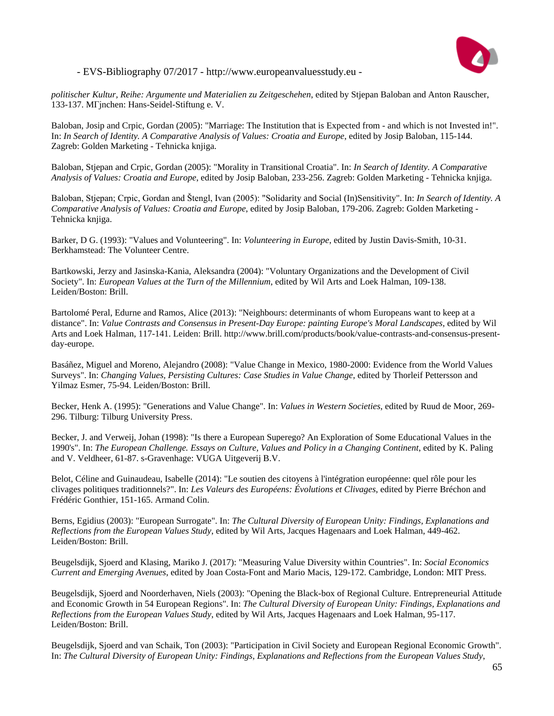

*politischer Kultur, Reihe: Argumente und Materialien zu Zeitgeschehen*, edited by Stjepan Baloban and Anton Rauscher, 133-137. MГјnchen: Hans-Seidel-Stiftung e. V.

Baloban, Josip and Crpic, Gordan (2005): "Marriage: The Institution that is Expected from - and which is not Invested in!". In: *In Search of Identity. A Comparative Analysis of Values: Croatia and Europe*, edited by Josip Baloban, 115-144. Zagreb: Golden Marketing - Tehnicka knjiga.

Baloban, Stjepan and Crpic, Gordan (2005): "Morality in Transitional Croatia". In: *In Search of Identity. A Comparative Analysis of Values: Croatia and Europe*, edited by Josip Baloban, 233-256. Zagreb: Golden Marketing - Tehnicka knjiga.

Baloban, Stjepan; Crpic, Gordan and Štengl, Ivan (2005): "Solidarity and Social (In)Sensitivity". In: *In Search of Identity. A Comparative Analysis of Values: Croatia and Europe*, edited by Josip Baloban, 179-206. Zagreb: Golden Marketing - Tehnicka knjiga.

Barker, D G. (1993): "Values and Volunteering". In: *Volunteering in Europe*, edited by Justin Davis-Smith, 10-31. Berkhamstead: The Volunteer Centre.

Bartkowski, Jerzy and Jasinska-Kania, Aleksandra (2004): "Voluntary Organizations and the Development of Civil Society". In: *European Values at the Turn of the Millennium*, edited by Wil Arts and Loek Halman, 109-138. Leiden/Boston: Brill.

Bartolomé Peral, Edurne and Ramos, Alice (2013): "Neighbours: determinants of whom Europeans want to keep at a distance". In: *Value Contrasts and Consensus in Present-Day Europe: painting Europe's Moral Landscapes*, edited by Wil Arts and Loek Halman, 117-141. Leiden: Brill. http://www.brill.com/products/book/value-contrasts-and-consensus-presentday-europe.

Basáñez, Miguel and Moreno, Alejandro (2008): "Value Change in Mexico, 1980-2000: Evidence from the World Values Surveys". In: *Changing Values, Persisting Cultures: Case Studies in Value Change*, edited by Thorleif Pettersson and Yilmaz Esmer, 75-94. Leiden/Boston: Brill.

Becker, Henk A. (1995): "Generations and Value Change". In: *Values in Western Societies*, edited by Ruud de Moor, 269- 296. Tilburg: Tilburg University Press.

Becker, J. and Verweij, Johan (1998): "Is there a European Superego? An Exploration of Some Educational Values in the 1990's". In: *The European Challenge. Essays on Culture, Values and Policy in a Changing Continent*, edited by K. Paling and V. Veldheer, 61-87. s-Gravenhage: VUGA Uitgeverij B.V.

Belot, Céline and Guinaudeau, Isabelle (2014): "Le soutien des citoyens à l'intégration européenne: quel rôle pour les clivages politiques traditionnels?". In: *Les Valeurs des Européens: Évolutions et Clivages*, edited by Pierre Bréchon and Frédéric Gonthier, 151-165. Armand Colin.

Berns, Egidius (2003): "European Surrogate". In: *The Cultural Diversity of European Unity: Findings, Explanations and Reflections from the European Values Study*, edited by Wil Arts, Jacques Hagenaars and Loek Halman, 449-462. Leiden/Boston: Brill.

Beugelsdijk, Sjoerd and Klasing, Mariko J. (2017): "Measuring Value Diversity within Countries". In: *Social Economics Current and Emerging Avenues*, edited by Joan Costa-Font and Mario Macis, 129-172. Cambridge, London: MIT Press.

Beugelsdijk, Sjoerd and Noorderhaven, Niels (2003): "Opening the Black-box of Regional Culture. Entrepreneurial Attitude and Economic Growth in 54 European Regions". In: *The Cultural Diversity of European Unity: Findings, Explanations and Reflections from the European Values Study*, edited by Wil Arts, Jacques Hagenaars and Loek Halman, 95-117. Leiden/Boston: Brill.

Beugelsdijk, Sjoerd and van Schaik, Ton (2003): "Participation in Civil Society and European Regional Economic Growth". In: *The Cultural Diversity of European Unity: Findings, Explanations and Reflections from the European Values Study*,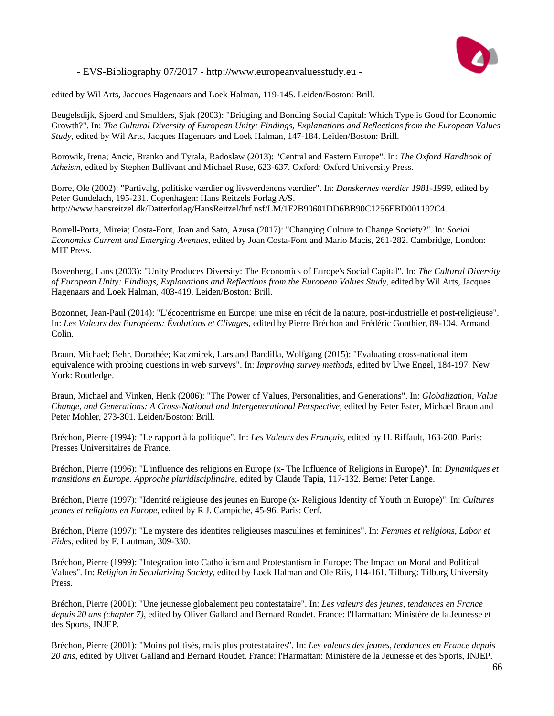

edited by Wil Arts, Jacques Hagenaars and Loek Halman, 119-145. Leiden/Boston: Brill.

Beugelsdijk, Sjoerd and Smulders, Sjak (2003): "Bridging and Bonding Social Capital: Which Type is Good for Economic Growth?". In: *The Cultural Diversity of European Unity: Findings, Explanations and Reflections from the European Values Study*, edited by Wil Arts, Jacques Hagenaars and Loek Halman, 147-184. Leiden/Boston: Brill.

Borowik, Irena; Ancic, Branko and Tyrala, Radoslaw (2013): "Central and Eastern Europe". In: *The Oxford Handbook of Atheism*, edited by Stephen Bullivant and Michael Ruse, 623-637. Oxford: Oxford University Press.

Borre, Ole (2002): "Partivalg, politiske værdier og livsverdenens værdier". In: *Danskernes værdier 1981-1999*, edited by Peter Gundelach, 195-231. Copenhagen: Hans Reitzels Forlag A/S. http://www.hansreitzel.dk/Datterforlag/HansReitzel/hrf.nsf/LM/1F2B90601DD6BB90C1256EBD001192C4.

Borrell-Porta, Mireia; Costa-Font, Joan and Sato, Azusa (2017): "Changing Culture to Change Society?". In: *Social Economics Current and Emerging Avenues*, edited by Joan Costa-Font and Mario Macis, 261-282. Cambridge, London: MIT Press.

Bovenberg, Lans (2003): "Unity Produces Diversity: The Economics of Europe's Social Capital". In: *The Cultural Diversity of European Unity: Findings, Explanations and Reflections from the European Values Study*, edited by Wil Arts, Jacques Hagenaars and Loek Halman, 403-419. Leiden/Boston: Brill.

Bozonnet, Jean-Paul (2014): "L'écocentrisme en Europe: une mise en récit de la nature, post-industrielle et post-religieuse". In: *Les Valeurs des Européens: Évolutions et Clivages*, edited by Pierre Bréchon and Frédéric Gonthier, 89-104. Armand Colin.

Braun, Michael; Behr, Dorothée; Kaczmirek, Lars and Bandilla, Wolfgang (2015): "Evaluating cross-national item equivalence with probing questions in web surveys". In: *Improving survey methods*, edited by Uwe Engel, 184-197. New York: Routledge.

Braun, Michael and Vinken, Henk (2006): "The Power of Values, Personalities, and Generations". In: *Globalization, Value Change, and Generations: A Cross-National and Intergenerational Perspective*, edited by Peter Ester, Michael Braun and Peter Mohler, 273-301. Leiden/Boston: Brill.

Bréchon, Pierre (1994): "Le rapport à la politique". In: *Les Valeurs des Français*, edited by H. Riffault, 163-200. Paris: Presses Universitaires de France.

Bréchon, Pierre (1996): "L'influence des religions en Europe (x- The Influence of Religions in Europe)". In: *Dynamiques et transitions en Europe. Approche pluridisciplinaire*, edited by Claude Tapia, 117-132. Berne: Peter Lange.

Bréchon, Pierre (1997): "Identité religieuse des jeunes en Europe (x- Religious Identity of Youth in Europe)". In: *Cultures jeunes et religions en Europe*, edited by R J. Campiche, 45-96. Paris: Cerf.

Bréchon, Pierre (1997): "Le mystere des identites religieuses masculines et feminines". In: *Femmes et religions, Labor et Fides*, edited by F. Lautman, 309-330.

Bréchon, Pierre (1999): "Integration into Catholicism and Protestantism in Europe: The Impact on Moral and Political Values". In: *Religion in Secularizing Society*, edited by Loek Halman and Ole Riis, 114-161. Tilburg: Tilburg University Press.

Bréchon, Pierre (2001): "Une jeunesse globalement peu contestataire". In: *Les valeurs des jeunes, tendances en France depuis 20 ans (chapter 7)*, edited by Oliver Galland and Bernard Roudet. France: l'Harmattan: Ministère de la Jeunesse et des Sports, INJEP.

Bréchon, Pierre (2001): "Moins politisés, mais plus protestataires". In: *Les valeurs des jeunes, tendances en France depuis 20 ans*, edited by Oliver Galland and Bernard Roudet. France: l'Harmattan: Ministère de la Jeunesse et des Sports, INJEP.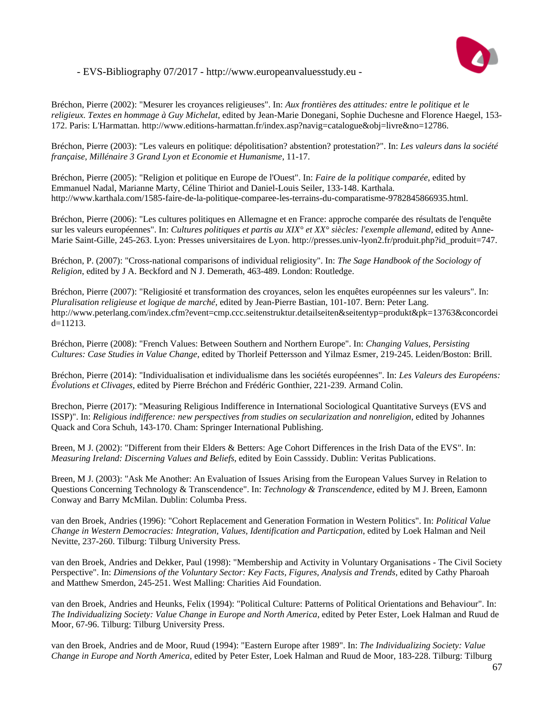

Bréchon, Pierre (2002): "Mesurer les croyances religieuses". In: *Aux frontières des attitudes: entre le politique et le religieux. Textes en hommage à Guy Michelat*, edited by Jean-Marie Donegani, Sophie Duchesne and Florence Haegel, 153- 172. Paris: L'Harmattan. http://www.editions-harmattan.fr/index.asp?navig=catalogue&obj=livre&no=12786.

Bréchon, Pierre (2003): "Les valeurs en politique: dépolitisation? abstention? protestation?". In: *Les valeurs dans la société française, Millénaire 3 Grand Lyon et Economie et Humanisme*, 11-17.

Bréchon, Pierre (2005): "Religion et politique en Europe de l'Ouest". In: *Faire de la politique comparée*, edited by Emmanuel Nadal, Marianne Marty, Céline Thiriot and Daniel-Louis Seiler, 133-148. Karthala. http://www.karthala.com/1585-faire-de-la-politique-comparee-les-terrains-du-comparatisme-9782845866935.html.

Bréchon, Pierre (2006): "Les cultures politiques en Allemagne et en France: approche comparée des résultats de l'enquête sur les valeurs européennes". In: *Cultures politiques et partis au XIX° et XX° siècles: l'exemple allemand*, edited by Anne-Marie Saint-Gille, 245-263. Lyon: Presses universitaires de Lyon. http://presses.univ-lyon2.fr/produit.php?id\_produit=747.

Bréchon, P. (2007): "Cross-national comparisons of individual religiosity". In: *The Sage Handbook of the Sociology of Religion*, edited by J A. Beckford and N J. Demerath, 463-489. London: Routledge.

Bréchon, Pierre (2007): "Religiosité et transformation des croyances, selon les enquêtes européennes sur les valeurs". In: *Pluralisation religieuse et logique de marché*, edited by Jean-Pierre Bastian, 101-107. Bern: Peter Lang. http://www.peterlang.com/index.cfm?event=cmp.ccc.seitenstruktur.detailseiten&seitentyp=produkt&pk=13763&concordei  $d=11213$ .

Bréchon, Pierre (2008): "French Values: Between Southern and Northern Europe". In: *Changing Values, Persisting Cultures: Case Studies in Value Change*, edited by Thorleif Pettersson and Yilmaz Esmer, 219-245. Leiden/Boston: Brill.

Bréchon, Pierre (2014): "Individualisation et individualisme dans les sociétés européennes". In: *Les Valeurs des Européens: Évolutions et Clivages*, edited by Pierre Bréchon and Frédéric Gonthier, 221-239. Armand Colin.

Brechon, Pierre (2017): "Measuring Religious Indifference in International Sociological Quantitative Surveys (EVS and ISSP)". In: *Religious indifference: new perspectives from studies on secularization and nonreligion*, edited by Johannes Quack and Cora Schuh, 143-170. Cham: Springer International Publishing.

Breen, M J. (2002): "Different from their Elders & Betters: Age Cohort Differences in the Irish Data of the EVS". In: *Measuring Ireland: Discerning Values and Beliefs*, edited by Eoin Casssidy. Dublin: Veritas Publications.

Breen, M J. (2003): "Ask Me Another: An Evaluation of Issues Arising from the European Values Survey in Relation to Questions Concerning Technology & Transcendence". In: *Technology & Transcendence*, edited by M J. Breen, Eamonn Conway and Barry McMilan. Dublin: Columba Press.

van den Broek, Andries (1996): "Cohort Replacement and Generation Formation in Western Politics". In: *Political Value Change in Western Democracies: Integration, Values, Identification and Particpation*, edited by Loek Halman and Neil Nevitte, 237-260. Tilburg: Tilburg University Press.

van den Broek, Andries and Dekker, Paul (1998): "Membership and Activity in Voluntary Organisations - The Civil Society Perspective". In: *Dimensions of the Voluntary Sector: Key Facts, Figures, Analysis and Trends*, edited by Cathy Pharoah and Matthew Smerdon, 245-251. West Malling: Charities Aid Foundation.

van den Broek, Andries and Heunks, Felix (1994): "Political Culture: Patterns of Political Orientations and Behaviour". In: *The Individualizing Society: Value Change in Europe and North America*, edited by Peter Ester, Loek Halman and Ruud de Moor, 67-96. Tilburg: Tilburg University Press.

van den Broek, Andries and de Moor, Ruud (1994): "Eastern Europe after 1989". In: *The Individualizing Society: Value Change in Europe and North America*, edited by Peter Ester, Loek Halman and Ruud de Moor, 183-228. Tilburg: Tilburg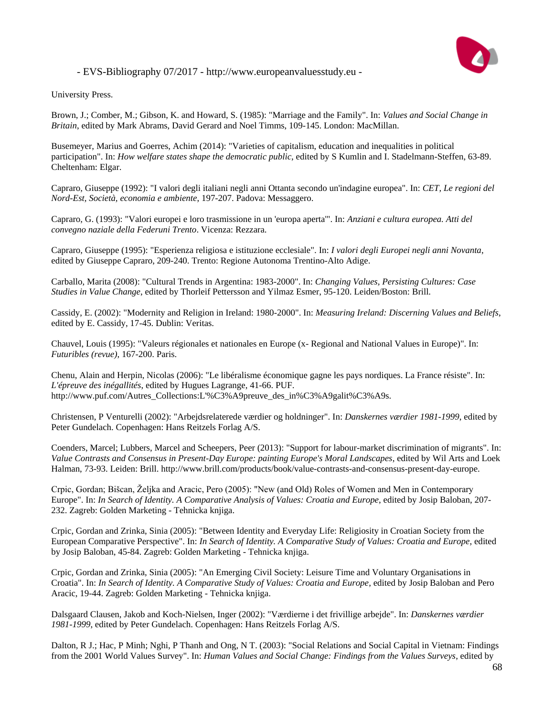

University Press.

Brown, J.; Comber, M.; Gibson, K. and Howard, S. (1985): "Marriage and the Family". In: *Values and Social Change in Britain*, edited by Mark Abrams, David Gerard and Noel Timms, 109-145. London: MacMillan.

Busemeyer, Marius and Goerres, Achim (2014): "Varieties of capitalism, education and inequalities in political participation". In: *How welfare states shape the democratic public*, edited by S Kumlin and I. Stadelmann-Steffen, 63-89. Cheltenham: Elgar.

Capraro, Giuseppe (1992): "I valori degli italiani negli anni Ottanta secondo un'indagine europea". In: *CET, Le regioni del Nord-Est, Società, economia e ambiente*, 197-207. Padova: Messaggero.

Capraro, G. (1993): "Valori europei e loro trasmissione in un 'europa aperta'". In: *Anziani e cultura europea. Atti del convegno naziale della Federuni Trento*. Vicenza: Rezzara.

Capraro, Giuseppe (1995): "Esperienza religiosa e istituzione ecclesiale". In: *I valori degli Europei negli anni Novanta*, edited by Giuseppe Capraro, 209-240. Trento: Regione Autonoma Trentino-Alto Adige.

Carballo, Marita (2008): "Cultural Trends in Argentina: 1983-2000". In: *Changing Values, Persisting Cultures: Case Studies in Value Change*, edited by Thorleif Pettersson and Yilmaz Esmer, 95-120. Leiden/Boston: Brill.

Cassidy, E. (2002): "Modernity and Religion in Ireland: 1980-2000". In: *Measuring Ireland: Discerning Values and Beliefs*, edited by E. Cassidy, 17-45. Dublin: Veritas.

Chauvel, Louis (1995): "Valeurs régionales et nationales en Europe (x- Regional and National Values in Europe)". In: *Futuribles (revue)*, 167-200. Paris.

Chenu, Alain and Herpin, Nicolas (2006): "Le libéralisme économique gagne les pays nordiques. La France résiste". In: *L'épreuve des inégallités*, edited by Hugues Lagrange, 41-66. PUF. http://www.puf.com/Autres\_Collections:L'%C3%A9preuve\_des\_in%C3%A9galit%C3%A9s.

Christensen, P Venturelli (2002): "Arbejdsrelaterede værdier og holdninger". In: *Danskernes værdier 1981-1999*, edited by Peter Gundelach. Copenhagen: Hans Reitzels Forlag A/S.

Coenders, Marcel; Lubbers, Marcel and Scheepers, Peer (2013): "Support for labour-market discrimination of migrants". In: *Value Contrasts and Consensus in Present-Day Europe: painting Europe's Moral Landscapes*, edited by Wil Arts and Loek Halman, 73-93. Leiden: Brill. http://www.brill.com/products/book/value-contrasts-and-consensus-present-day-europe.

Crpic, Gordan; Bišcan, Željka and Aracic, Pero (2005): "New (and Old) Roles of Women and Men in Contemporary Europe". In: *In Search of Identity. A Comparative Analysis of Values: Croatia and Europe*, edited by Josip Baloban, 207- 232. Zagreb: Golden Marketing - Tehnicka knjiga.

Crpic, Gordan and Zrinka, Sinia (2005): "Between Identity and Everyday Life: Religiosity in Croatian Society from the European Comparative Perspective". In: *In Search of Identity. A Comparative Study of Values: Croatia and Europe*, edited by Josip Baloban, 45-84. Zagreb: Golden Marketing - Tehnicka knjiga.

Crpic, Gordan and Zrinka, Sinia (2005): "An Emerging Civil Society: Leisure Time and Voluntary Organisations in Croatia". In: *In Search of Identity. A Comparative Study of Values: Croatia and Europe*, edited by Josip Baloban and Pero Aracic, 19-44. Zagreb: Golden Marketing - Tehnicka knjiga.

Dalsgaard Clausen, Jakob and Koch-Nielsen, Inger (2002): "Værdierne i det frivillige arbejde". In: *Danskernes værdier 1981-1999*, edited by Peter Gundelach. Copenhagen: Hans Reitzels Forlag A/S.

Dalton, R J.; Hac, P Minh; Nghi, P Thanh and Ong, N T. (2003): "Social Relations and Social Capital in Vietnam: Findings from the 2001 World Values Survey". In: *Human Values and Social Change: Findings from the Values Surveys*, edited by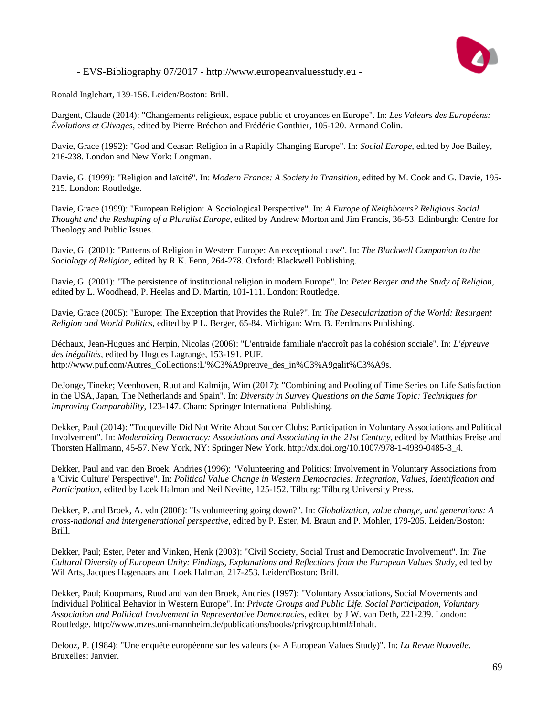

Ronald Inglehart, 139-156. Leiden/Boston: Brill.

Dargent, Claude (2014): "Changements religieux, espace public et croyances en Europe". In: *Les Valeurs des Européens: Évolutions et Clivages*, edited by Pierre Bréchon and Frédéric Gonthier, 105-120. Armand Colin.

Davie, Grace (1992): "God and Ceasar: Religion in a Rapidly Changing Europe". In: *Social Europe*, edited by Joe Bailey, 216-238. London and New York: Longman.

Davie, G. (1999): "Religion and laïcité". In: *Modern France: A Society in Transition*, edited by M. Cook and G. Davie, 195- 215. London: Routledge.

Davie, Grace (1999): "European Religion: A Sociological Perspective". In: *A Europe of Neighbours? Religious Social Thought and the Reshaping of a Pluralist Europe*, edited by Andrew Morton and Jim Francis, 36-53. Edinburgh: Centre for Theology and Public Issues.

Davie, G. (2001): "Patterns of Religion in Western Europe: An exceptional case". In: *The Blackwell Companion to the Sociology of Religion*, edited by R K. Fenn, 264-278. Oxford: Blackwell Publishing.

Davie, G. (2001): "The persistence of institutional religion in modern Europe". In: *Peter Berger and the Study of Religion*, edited by L. Woodhead, P. Heelas and D. Martin, 101-111. London: Routledge.

Davie, Grace (2005): "Europe: The Exception that Provides the Rule?". In: *The Desecularization of the World: Resurgent Religion and World Politics*, edited by P L. Berger, 65-84. Michigan: Wm. B. Eerdmans Publishing.

Déchaux, Jean-Hugues and Herpin, Nicolas (2006): "L'entraide familiale n'accroît pas la cohésion sociale". In: *L'épreuve des inégalités*, edited by Hugues Lagrange, 153-191. PUF. http://www.puf.com/Autres\_Collections:L'%C3%A9preuve\_des\_in%C3%A9galit%C3%A9s.

DeJonge, Tineke; Veenhoven, Ruut and Kalmijn, Wim (2017): "Combining and Pooling of Time Series on Life Satisfaction in the USA, Japan, The Netherlands and Spain". In: *Diversity in Survey Questions on the Same Topic: Techniques for Improving Comparability*, 123-147. Cham: Springer International Publishing.

Dekker, Paul (2014): "Tocqueville Did Not Write About Soccer Clubs: Participation in Voluntary Associations and Political Involvement". In: *Modernizing Democracy: Associations and Associating in the 21st Century*, edited by Matthias Freise and Thorsten Hallmann, 45-57. New York, NY: Springer New York. http://dx.doi.org/10.1007/978-1-4939-0485-3\_4.

Dekker, Paul and van den Broek, Andries (1996): "Volunteering and Politics: Involvement in Voluntary Associations from a 'Civic Culture' Perspective". In: *Political Value Change in Western Democracies: Integration, Values, Identification and Participation*, edited by Loek Halman and Neil Nevitte, 125-152. Tilburg: Tilburg University Press.

Dekker, P. and Broek, A. vdn (2006): "Is volunteering going down?". In: *Globalization, value change, and generations: A cross-national and intergenerational perspective*, edited by P. Ester, M. Braun and P. Mohler, 179-205. Leiden/Boston: Brill.

Dekker, Paul; Ester, Peter and Vinken, Henk (2003): "Civil Society, Social Trust and Democratic Involvement". In: *The Cultural Diversity of European Unity: Findings, Explanations and Reflections from the European Values Study*, edited by Wil Arts, Jacques Hagenaars and Loek Halman, 217-253. Leiden/Boston: Brill.

Dekker, Paul; Koopmans, Ruud and van den Broek, Andries (1997): "Voluntary Associations, Social Movements and Individual Political Behavior in Western Europe". In: *Private Groups and Public Life. Social Participation, Voluntary Association and Political Involvement in Representative Democracies*, edited by J W. van Deth, 221-239. London: Routledge. http://www.mzes.uni-mannheim.de/publications/books/privgroup.html#Inhalt.

Delooz, P. (1984): "Une enquête européenne sur les valeurs (x- A European Values Study)". In: *La Revue Nouvelle*. Bruxelles: Janvier.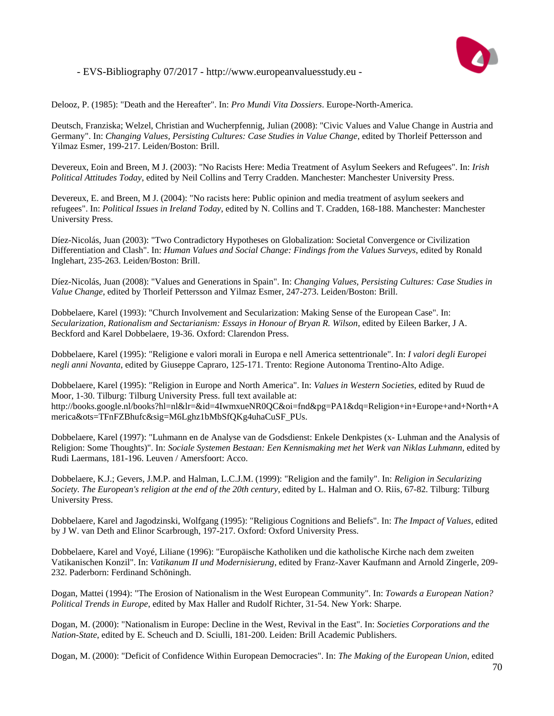

Delooz, P. (1985): "Death and the Hereafter". In: *Pro Mundi Vita Dossiers*. Europe-North-America.

Deutsch, Franziska; Welzel, Christian and Wucherpfennig, Julian (2008): "Civic Values and Value Change in Austria and Germany". In: *Changing Values, Persisting Cultures: Case Studies in Value Change*, edited by Thorleif Pettersson and Yilmaz Esmer, 199-217. Leiden/Boston: Brill.

Devereux, Eoin and Breen, M J. (2003): "No Racists Here: Media Treatment of Asylum Seekers and Refugees". In: *Irish Political Attitudes Today*, edited by Neil Collins and Terry Cradden. Manchester: Manchester University Press.

Devereux, E. and Breen, M J. (2004): "No racists here: Public opinion and media treatment of asylum seekers and refugees". In: *Political Issues in Ireland Today*, edited by N. Collins and T. Cradden, 168-188. Manchester: Manchester University Press.

Díez-Nicolás, Juan (2003): "Two Contradictory Hypotheses on Globalization: Societal Convergence or Civilization Differentiation and Clash". In: *Human Values and Social Change: Findings from the Values Surveys*, edited by Ronald Inglehart, 235-263. Leiden/Boston: Brill.

Díez-Nicolás, Juan (2008): "Values and Generations in Spain". In: *Changing Values, Persisting Cultures: Case Studies in Value Change*, edited by Thorleif Pettersson and Yilmaz Esmer, 247-273. Leiden/Boston: Brill.

Dobbelaere, Karel (1993): "Church Involvement and Secularization: Making Sense of the European Case". In: *Secularization, Rationalism and Sectarianism: Essays in Honour of Bryan R. Wilson*, edited by Eileen Barker, J A. Beckford and Karel Dobbelaere, 19-36. Oxford: Clarendon Press.

Dobbelaere, Karel (1995): "Religione e valori morali in Europa e nell America settentrionale". In: *I valori degli Europei negli anni Novanta*, edited by Giuseppe Capraro, 125-171. Trento: Regione Autonoma Trentino-Alto Adige.

Dobbelaere, Karel (1995): "Religion in Europe and North America". In: *Values in Western Societies*, edited by Ruud de Moor, 1-30. Tilburg: Tilburg University Press. full text available at: http://books.google.nl/books?hl=nl&lr=&id=4IwmxueNR0QC&oi=fnd&pg=PA1&dq=Religion+in+Europe+and+North+A merica&ots=TFnFZBhufc&sig=M6Lghz1bMbSfQKg4uhaCuSF\_PUs.

Dobbelaere, Karel (1997): "Luhmann en de Analyse van de Godsdienst: Enkele Denkpistes (x- Luhman and the Analysis of Religion: Some Thoughts)". In: *Sociale Systemen Bestaan: Een Kennismaking met het Werk van Niklas Luhmann*, edited by Rudi Laermans, 181-196. Leuven / Amersfoort: Acco.

Dobbelaere, K.J.; Gevers, J.M.P. and Halman, L.C.J.M. (1999): "Religion and the family". In: *Religion in Secularizing Society. The European's religion at the end of the 20th century*, edited by L. Halman and O. Riis, 67-82. Tilburg: Tilburg University Press.

Dobbelaere, Karel and Jagodzinski, Wolfgang (1995): "Religious Cognitions and Beliefs". In: *The Impact of Values*, edited by J W. van Deth and Elinor Scarbrough, 197-217. Oxford: Oxford University Press.

Dobbelaere, Karel and Voyé, Liliane (1996): "Europäische Katholiken und die katholische Kirche nach dem zweiten Vatikanischen Konzil". In: *Vatikanum II und Modernisierung*, edited by Franz-Xaver Kaufmann and Arnold Zingerle, 209- 232. Paderborn: Ferdinand Schöningh.

Dogan, Mattei (1994): "The Erosion of Nationalism in the West European Community". In: *Towards a European Nation? Political Trends in Europe*, edited by Max Haller and Rudolf Richter, 31-54. New York: Sharpe.

Dogan, M. (2000): "Nationalism in Europe: Decline in the West, Revival in the East". In: *Societies Corporations and the Nation-State*, edited by E. Scheuch and D. Sciulli, 181-200. Leiden: Brill Academic Publishers.

Dogan, M. (2000): "Deficit of Confidence Within European Democracies". In: *The Making of the European Union*, edited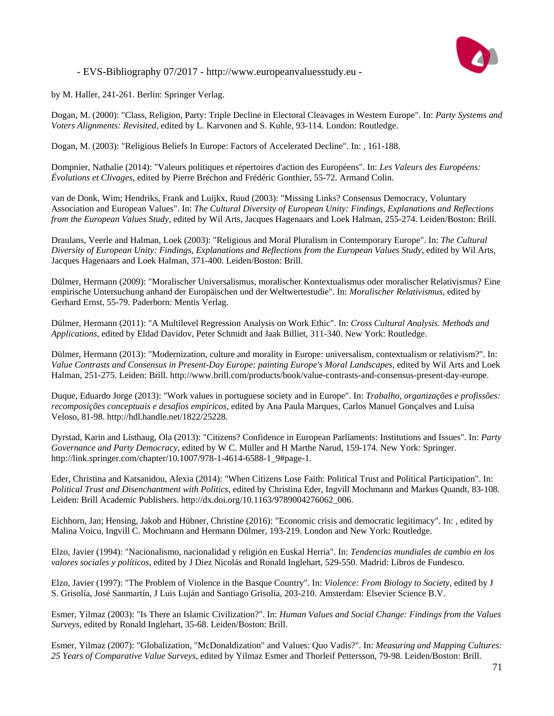

by M. Haller, 241-261. Berlin: Springer Verlag.

Dogan, M. (2000): "Class, Religion, Party: Triple Decline in Electoral Cleavages in Western Europe". In: *Party Systems and Voters Alignments: Revisited*, edited by L. Karvonen and S. Kuhle, 93-114. London: Routledge.

Dogan, M. (2003): "Religious Beliefs In Europe: Factors of Accelerated Decline". In: , 161-188.

Dompnier, Nathalie (2014): "Valeurs politiques et répertoires d'action des Européens". In: *Les Valeurs des Européens: Évolutions et Clivages*, edited by Pierre Bréchon and Frédéric Gonthier, 55-72. Armand Colin.

van de Donk, Wim; Hendriks, Frank and Luijkx, Ruud (2003): "Missing Links? Consensus Democracy, Voluntary Association and European Values". In: *The Cultural Diversity of European Unity: Findings, Explanations and Reflections from the European Values Study*, edited by Wil Arts, Jacques Hagenaars and Loek Halman, 255-274. Leiden/Boston: Brill.

Draulans, Veerle and Halman, Loek (2003): "Religious and Moral Pluralism in Contemporary Europe". In: *The Cultural Diversity of European Unity: Findings, Explanations and Reflections from the European Values Study*, edited by Wil Arts, Jacques Hagenaars and Loek Halman, 371-400. Leiden/Boston: Brill.

Dülmer, Hermann (2009): "Moralischer Universalismus, moralischer Kontextualismus oder moralischer Relativismus? Eine empirische Untersuchung anhand der Europäischen und der Weltwertestudie". In: *Moralischer Relativismus*, edited by Gerhard Ernst, 55-79. Paderborn: Mentis Verlag.

Dülmer, Hermann (2011): "A Multilevel Regression Analysis on Work Ethic". In: *Cross Cultural Analysis. Methods and Applications*, edited by Eldad Davidov, Peter Schmidt and Jaak Billiet, 311-340. New York: Routledge.

Dülmer, Hermann (2013): "Modernization, culture and morality in Europe: universalism, contextualism or relativism?". In: *Value Contrasts and Consensus in Present-Day Europe: painting Europe's Moral Landscapes*, edited by Wil Arts and Loek Halman, 251-275. Leiden: Brill. http://www.brill.com/products/book/value-contrasts-and-consensus-present-day-europe.

Duque, Eduardo Jorge (2013): "Work values in portuguese society and in Europe". In: *Trabalho, organizações e profissões: recomposições conceptuais e desafios empíricos*, edited by Ana Paula Marques, Carlos Manuel Gonçalves and Luísa Veloso, 81-98. http://hdl.handle.net/1822/25228.

Dyrstad, Karin and Listhaug, Ola (2013): "Citizens? Confidence in European Parliaments: Institutions and Issues". In: *Party Governance and Party Democracy*, edited by W C. Müller and H Marthe Narud, 159-174. New York: Springer. http://link.springer.com/chapter/10.1007/978-1-4614-6588-1\_9#page-1.

Eder, Christina and Katsanidou, Alexia (2014): "When Citizens Lose Faith: Political Trust and Political Participation". In: *Political Trust and Disenchantment with Politics*, edited by Christina Eder, Ingvill Mochmann and Markus Quandt, 83-108. Leiden: Brill Academic Publishers. http://dx.doi.org/10.1163/9789004276062\_006.

Eichhorn, Jan; Hensing, Jakob and Hübner, Christine (2016): "Economic crisis and democratic legitimacy". In: , edited by Malina Voicu, Ingvill C. Mochmann and Hermann Dülmer, 193-219. London and New York: Routledge.

Elzo, Javier (1994): "Nacionalismo, nacionalidad y religión en Euskal Herria". In: *Tendencias mundiales de cambio en los valores sociales y políticos*, edited by J Diez Nicolás and Ronald Inglehart, 529-550. Madrid: Libros de Fundesco.

Elzo, Javier (1997): "The Problem of Violence in the Basque Country". In: *Violence: From Biology to Society*, edited by J S. Grisolía, José Sanmartín, J Luis Luján and Santiago Grisolía, 203-210. Amsterdam: Elsevier Science B.V.

Esmer, Yilmaz (2003): "Is There an Islamic Civilization?". In: *Human Values and Social Change: Findings from the Values Surveys*, edited by Ronald Inglehart, 35-68. Leiden/Boston: Brill.

Esmer, Yilmaz (2007): "Globalization, "McDonaldization" and Values: Quo Vadis?". In: *Measuring and Mapping Cultures: 25 Years of Comparative Value Surveys*, edited by Yilmaz Esmer and Thorleif Pettersson, 79-98. Leiden/Boston: Brill.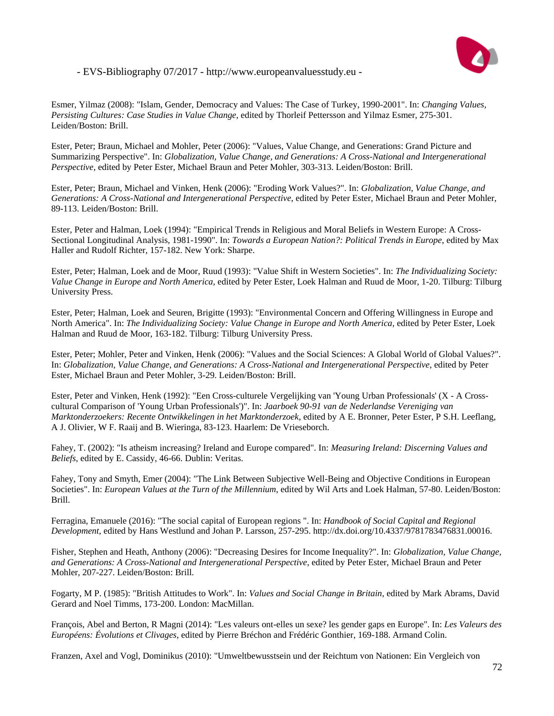

Esmer, Yilmaz (2008): "Islam, Gender, Democracy and Values: The Case of Turkey, 1990-2001". In: *Changing Values, Persisting Cultures: Case Studies in Value Change*, edited by Thorleif Pettersson and Yilmaz Esmer, 275-301. Leiden/Boston: Brill.

Ester, Peter; Braun, Michael and Mohler, Peter (2006): "Values, Value Change, and Generations: Grand Picture and Summarizing Perspective". In: *Globalization, Value Change, and Generations: A Cross-National and Intergenerational Perspective*, edited by Peter Ester, Michael Braun and Peter Mohler, 303-313. Leiden/Boston: Brill.

Ester, Peter; Braun, Michael and Vinken, Henk (2006): "Eroding Work Values?". In: *Globalization, Value Change, and Generations: A Cross-National and Intergenerational Perspective*, edited by Peter Ester, Michael Braun and Peter Mohler, 89-113. Leiden/Boston: Brill.

Ester, Peter and Halman, Loek (1994): "Empirical Trends in Religious and Moral Beliefs in Western Europe: A Cross-Sectional Longitudinal Analysis, 1981-1990". In: *Towards a European Nation?: Political Trends in Europe*, edited by Max Haller and Rudolf Richter, 157-182. New York: Sharpe.

Ester, Peter; Halman, Loek and de Moor, Ruud (1993): "Value Shift in Western Societies". In: *The Individualizing Society: Value Change in Europe and North America*, edited by Peter Ester, Loek Halman and Ruud de Moor, 1-20. Tilburg: Tilburg University Press.

Ester, Peter; Halman, Loek and Seuren, Brigitte (1993): "Environmental Concern and Offering Willingness in Europe and North America". In: *The Individualizing Society: Value Change in Europe and North America*, edited by Peter Ester, Loek Halman and Ruud de Moor, 163-182. Tilburg: Tilburg University Press.

Ester, Peter; Mohler, Peter and Vinken, Henk (2006): "Values and the Social Sciences: A Global World of Global Values?". In: *Globalization, Value Change, and Generations: A Cross-National and Intergenerational Perspective*, edited by Peter Ester, Michael Braun and Peter Mohler, 3-29. Leiden/Boston: Brill.

Ester, Peter and Vinken, Henk (1992): "Een Cross-culturele Vergelijking van 'Young Urban Professionals' (X - A Crosscultural Comparison of 'Young Urban Professionals')". In: *Jaarboek 90-91 van de Nederlandse Vereniging van Marktonderzoekers: Recente Ontwikkelingen in het Marktonderzoek*, edited by A E. Bronner, Peter Ester, P S.H. Leeflang, A J. Olivier, W F. Raaij and B. Wieringa, 83-123. Haarlem: De Vrieseborch.

Fahey, T. (2002): "Is atheism increasing? Ireland and Europe compared". In: *Measuring Ireland: Discerning Values and Beliefs*, edited by E. Cassidy, 46-66. Dublin: Veritas.

Fahey, Tony and Smyth, Emer (2004): "The Link Between Subjective Well-Being and Objective Conditions in European Societies". In: *European Values at the Turn of the Millennium*, edited by Wil Arts and Loek Halman, 57-80. Leiden/Boston: Brill.

Ferragina, Emanuele (2016): "The social capital of European regions ". In: *Handbook of Social Capital and Regional Development*, edited by Hans Westlund and Johan P. Larsson, 257-295. http://dx.doi.org/10.4337/9781783476831.00016.

Fisher, Stephen and Heath, Anthony (2006): "Decreasing Desires for Income Inequality?". In: *Globalization, Value Change, and Generations: A Cross-National and Intergenerational Perspective*, edited by Peter Ester, Michael Braun and Peter Mohler, 207-227. Leiden/Boston: Brill.

Fogarty, M P. (1985): "British Attitudes to Work". In: *Values and Social Change in Britain*, edited by Mark Abrams, David Gerard and Noel Timms, 173-200. London: MacMillan.

François, Abel and Berton, R Magni (2014): "Les valeurs ont-elles un sexe? les gender gaps en Europe". In: *Les Valeurs des Européens: Évolutions et Clivages*, edited by Pierre Bréchon and Frédéric Gonthier, 169-188. Armand Colin.

Franzen, Axel and Vogl, Dominikus (2010): "Umweltbewusstsein und der Reichtum von Nationen: Ein Vergleich von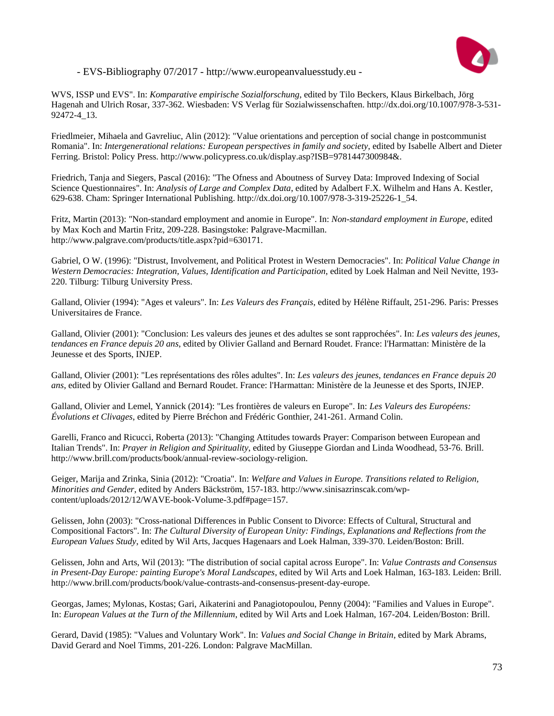

WVS, ISSP und EVS". In: *Komparative empirische Sozialforschung*, edited by Tilo Beckers, Klaus Birkelbach, Jörg Hagenah and Ulrich Rosar, 337-362. Wiesbaden: VS Verlag für Sozialwissenschaften. http://dx.doi.org/10.1007/978-3-531- 92472-4\_13.

Friedlmeier, Mihaela and Gavreliuc, Alin (2012): "Value orientations and perception of social change in postcommunist Romania". In: *Intergenerational relations: European perspectives in family and society*, edited by Isabelle Albert and Dieter Ferring. Bristol: Policy Press. http://www.policypress.co.uk/display.asp?ISB=9781447300984&.

Friedrich, Tanja and Siegers, Pascal (2016): "The Ofness and Aboutness of Survey Data: Improved Indexing of Social Science Questionnaires". In: *Analysis of Large and Complex Data*, edited by Adalbert F.X. Wilhelm and Hans A. Kestler, 629-638. Cham: Springer International Publishing. http://dx.doi.org/10.1007/978-3-319-25226-1\_54.

Fritz, Martin (2013): "Non-standard employment and anomie in Europe". In: *Non-standard employment in Europe*, edited by Max Koch and Martin Fritz, 209-228. Basingstoke: Palgrave-Macmillan. http://www.palgrave.com/products/title.aspx?pid=630171.

Gabriel, O W. (1996): "Distrust, Involvement, and Political Protest in Western Democracies". In: *Political Value Change in Western Democracies: Integration, Values, Identification and Participation*, edited by Loek Halman and Neil Nevitte, 193- 220. Tilburg: Tilburg University Press.

Galland, Olivier (1994): "Ages et valeurs". In: *Les Valeurs des Français*, edited by Hélène Riffault, 251-296. Paris: Presses Universitaires de France.

Galland, Olivier (2001): "Conclusion: Les valeurs des jeunes et des adultes se sont rapprochées". In: *Les valeurs des jeunes, tendances en France depuis 20 ans*, edited by Olivier Galland and Bernard Roudet. France: l'Harmattan: Ministère de la Jeunesse et des Sports, INJEP.

Galland, Olivier (2001): "Les représentations des rôles adultes". In: *Les valeurs des jeunes, tendances en France depuis 20 ans*, edited by Olivier Galland and Bernard Roudet. France: l'Harmattan: Ministère de la Jeunesse et des Sports, INJEP.

Galland, Olivier and Lemel, Yannick (2014): "Les frontières de valeurs en Europe". In: *Les Valeurs des Européens: Évolutions et Clivages*, edited by Pierre Bréchon and Frédéric Gonthier, 241-261. Armand Colin.

Garelli, Franco and Ricucci, Roberta (2013): "Changing Attitudes towards Prayer: Comparison between European and Italian Trends". In: *Prayer in Religion and Spirituality*, edited by Giuseppe Giordan and Linda Woodhead, 53-76. Brill. http://www.brill.com/products/book/annual-review-sociology-religion.

Geiger, Marija and Zrinka, Sinia (2012): "Croatia". In: *Welfare and Values in Europe. Transitions related to Religion, Minorities and Gender*, edited by Anders Bäckström, 157-183. http://www.sinisazrinscak.com/wpcontent/uploads/2012/12/WAVE-book-Volume-3.pdf#page=157.

Gelissen, John (2003): "Cross-national Differences in Public Consent to Divorce: Effects of Cultural, Structural and Compositional Factors". In: *The Cultural Diversity of European Unity: Findings, Explanations and Reflections from the European Values Study*, edited by Wil Arts, Jacques Hagenaars and Loek Halman, 339-370. Leiden/Boston: Brill.

Gelissen, John and Arts, Wil (2013): "The distribution of social capital across Europe". In: *Value Contrasts and Consensus in Present-Day Europe: painting Europe's Moral Landscapes*, edited by Wil Arts and Loek Halman, 163-183. Leiden: Brill. http://www.brill.com/products/book/value-contrasts-and-consensus-present-day-europe.

Georgas, James; Mylonas, Kostas; Gari, Aikaterini and Panagiotopoulou, Penny (2004): "Families and Values in Europe". In: *European Values at the Turn of the Millennium*, edited by Wil Arts and Loek Halman, 167-204. Leiden/Boston: Brill.

Gerard, David (1985): "Values and Voluntary Work". In: *Values and Social Change in Britain*, edited by Mark Abrams, David Gerard and Noel Timms, 201-226. London: Palgrave MacMillan.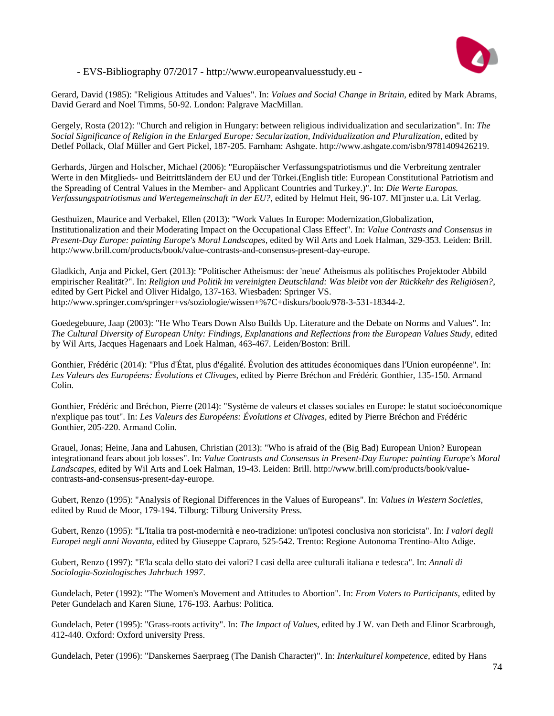

Gerard, David (1985): "Religious Attitudes and Values". In: *Values and Social Change in Britain*, edited by Mark Abrams, David Gerard and Noel Timms, 50-92. London: Palgrave MacMillan.

Gergely, Rosta (2012): "Church and religion in Hungary: between religious individualization and secularization". In: *The Social Significance of Religion in the Enlarged Europe: Secularization, Individualization and Pluralization*, edited by Detlef Pollack, Olaf Müller and Gert Pickel, 187-205. Farnham: Ashgate. http://www.ashgate.com/isbn/9781409426219.

Gerhards, Jürgen and Holscher, Michael (2006): "Europäischer Verfassungspatriotismus und die Verbreitung zentraler Werte in den Mitglieds- und Beitrittsländern der EU und der Türkei.(English title: European Constitutional Patriotism and the Spreading of Central Values in the Member- and Applicant Countries and Turkey.)". In: *Die Werte Europas. Verfassungspatriotismus und Wertegemeinschaft in der EU?*, edited by Helmut Heit, 96-107. MГјnster u.a. Lit Verlag.

Gesthuizen, Maurice and Verbakel, Ellen (2013): "Work Values In Europe: Modernization,Globalization, Institutionalization and their Moderating Impact on the Occupational Class Effect". In: *Value Contrasts and Consensus in Present-Day Europe: painting Europe's Moral Landscapes*, edited by Wil Arts and Loek Halman, 329-353. Leiden: Brill. http://www.brill.com/products/book/value-contrasts-and-consensus-present-day-europe.

Gladkich, Anja and Pickel, Gert (2013): "Politischer Atheismus: der 'neue' Atheismus als politisches Projektoder Abbild empirischer Realität?". In: *Religion und Politik im vereinigten Deutschland: Was bleibt von der Rückkehr des Religiösen?*, edited by Gert Pickel and Oliver Hidalgo, 137-163. Wiesbaden: Springer VS. http://www.springer.com/springer+vs/soziologie/wissen+%7C+diskurs/book/978-3-531-18344-2.

Goedegebuure, Jaap (2003): "He Who Tears Down Also Builds Up. Literature and the Debate on Norms and Values". In: *The Cultural Diversity of European Unity: Findings, Explanations and Reflections from the European Values Study*, edited by Wil Arts, Jacques Hagenaars and Loek Halman, 463-467. Leiden/Boston: Brill.

Gonthier, Frédéric (2014): "Plus d'État, plus d'égalité. Évolution des attitudes économiques dans l'Union européenne". In: *Les Valeurs des Européens: Évolutions et Clivages*, edited by Pierre Bréchon and Frédéric Gonthier, 135-150. Armand Colin.

Gonthier, Frédéric and Bréchon, Pierre (2014): "Système de valeurs et classes sociales en Europe: le statut socioéconomique n'explique pas tout". In: *Les Valeurs des Européens: Évolutions et Clivages*, edited by Pierre Bréchon and Frédéric Gonthier, 205-220. Armand Colin.

Grauel, Jonas; Heine, Jana and Lahusen, Christian (2013): "Who is afraid of the (Big Bad) European Union? European integrationand fears about job losses". In: *Value Contrasts and Consensus in Present-Day Europe: painting Europe's Moral Landscapes*, edited by Wil Arts and Loek Halman, 19-43. Leiden: Brill. http://www.brill.com/products/book/valuecontrasts-and-consensus-present-day-europe.

Gubert, Renzo (1995): "Analysis of Regional Differences in the Values of Europeans". In: *Values in Western Societies*, edited by Ruud de Moor, 179-194. Tilburg: Tilburg University Press.

Gubert, Renzo (1995): "L'Italia tra post-modernità e neo-tradizione: un'ipotesi conclusiva non storicista". In: *I valori degli Europei negli anni Novanta*, edited by Giuseppe Capraro, 525-542. Trento: Regione Autonoma Trentino-Alto Adige.

Gubert, Renzo (1997): "E'la scala dello stato dei valori? I casi della aree culturali italiana e tedesca". In: *Annali di Sociologia-Soziologisches Jahrbuch 1997*.

Gundelach, Peter (1992): "The Women's Movement and Attitudes to Abortion". In: *From Voters to Participants*, edited by Peter Gundelach and Karen Siune, 176-193. Aarhus: Politica.

Gundelach, Peter (1995): "Grass-roots activity". In: *The Impact of Values*, edited by J W. van Deth and Elinor Scarbrough, 412-440. Oxford: Oxford university Press.

Gundelach, Peter (1996): "Danskernes Saerpraeg (The Danish Character)". In: *Interkulturel kompetence*, edited by Hans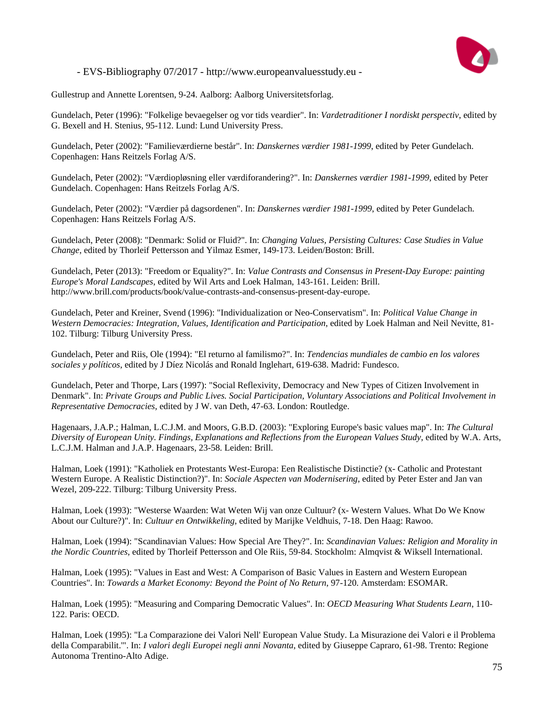

Gullestrup and Annette Lorentsen, 9-24. Aalborg: Aalborg Universitetsforlag.

Gundelach, Peter (1996): "Folkelige bevaegelser og vor tids veardier". In: *Vardetraditioner I nordiskt perspectiv*, edited by G. Bexell and H. Stenius, 95-112. Lund: Lund University Press.

Gundelach, Peter (2002): "Familieværdierne består". In: *Danskernes værdier 1981-1999*, edited by Peter Gundelach. Copenhagen: Hans Reitzels Forlag A/S.

Gundelach, Peter (2002): "Værdiopløsning eller værdiforandering?". In: *Danskernes værdier 1981-1999*, edited by Peter Gundelach. Copenhagen: Hans Reitzels Forlag A/S.

Gundelach, Peter (2002): "Værdier på dagsordenen". In: *Danskernes værdier 1981-1999*, edited by Peter Gundelach. Copenhagen: Hans Reitzels Forlag A/S.

Gundelach, Peter (2008): "Denmark: Solid or Fluid?". In: *Changing Values, Persisting Cultures: Case Studies in Value Change*, edited by Thorleif Pettersson and Yilmaz Esmer, 149-173. Leiden/Boston: Brill.

Gundelach, Peter (2013): "Freedom or Equality?". In: *Value Contrasts and Consensus in Present-Day Europe: painting Europe's Moral Landscapes*, edited by Wil Arts and Loek Halman, 143-161. Leiden: Brill. http://www.brill.com/products/book/value-contrasts-and-consensus-present-day-europe.

Gundelach, Peter and Kreiner, Svend (1996): "Individualization or Neo-Conservatism". In: *Political Value Change in Western Democracies: Integration, Values, Identification and Participation*, edited by Loek Halman and Neil Nevitte, 81- 102. Tilburg: Tilburg University Press.

Gundelach, Peter and Riis, Ole (1994): "El returno al familismo?". In: *Tendencias mundiales de cambio en los valores sociales y políticos*, edited by J Díez Nicolás and Ronald Inglehart, 619-638. Madrid: Fundesco.

Gundelach, Peter and Thorpe, Lars (1997): "Social Reflexivity, Democracy and New Types of Citizen Involvement in Denmark". In: *Private Groups and Public Lives. Social Participation, Voluntary Associations and Political Involvement in Representative Democracies*, edited by J W. van Deth, 47-63. London: Routledge.

Hagenaars, J.A.P.; Halman, L.C.J.M. and Moors, G.B.D. (2003): "Exploring Europe's basic values map". In: *The Cultural Diversity of European Unity. Findings, Explanations and Reflections from the European Values Study*, edited by W.A. Arts, L.C.J.M. Halman and J.A.P. Hagenaars, 23-58. Leiden: Brill.

Halman, Loek (1991): "Katholiek en Protestants West-Europa: Een Realistische Distinctie? (x- Catholic and Protestant Western Europe. A Realistic Distinction?)". In: *Sociale Aspecten van Modernisering*, edited by Peter Ester and Jan van Wezel, 209-222. Tilburg: Tilburg University Press.

Halman, Loek (1993): "Westerse Waarden: Wat Weten Wij van onze Cultuur? (x- Western Values. What Do We Know About our Culture?)". In: *Cultuur en Ontwikkeling*, edited by Marijke Veldhuis, 7-18. Den Haag: Rawoo.

Halman, Loek (1994): "Scandinavian Values: How Special Are They?". In: *Scandinavian Values: Religion and Morality in the Nordic Countries*, edited by Thorleif Pettersson and Ole Riis, 59-84. Stockholm: Almqvist & Wiksell International.

Halman, Loek (1995): "Values in East and West: A Comparison of Basic Values in Eastern and Western European Countries". In: *Towards a Market Economy: Beyond the Point of No Return*, 97-120. Amsterdam: ESOMAR.

Halman, Loek (1995): "Measuring and Comparing Democratic Values". In: *OECD Measuring What Students Learn*, 110- 122. Paris: OECD.

Halman, Loek (1995): "La Comparazione dei Valori Nell' European Value Study. La Misurazione dei Valori e il Problema della Comparabilit.'". In: *I valori degli Europei negli anni Novanta*, edited by Giuseppe Capraro, 61-98. Trento: Regione Autonoma Trentino-Alto Adige.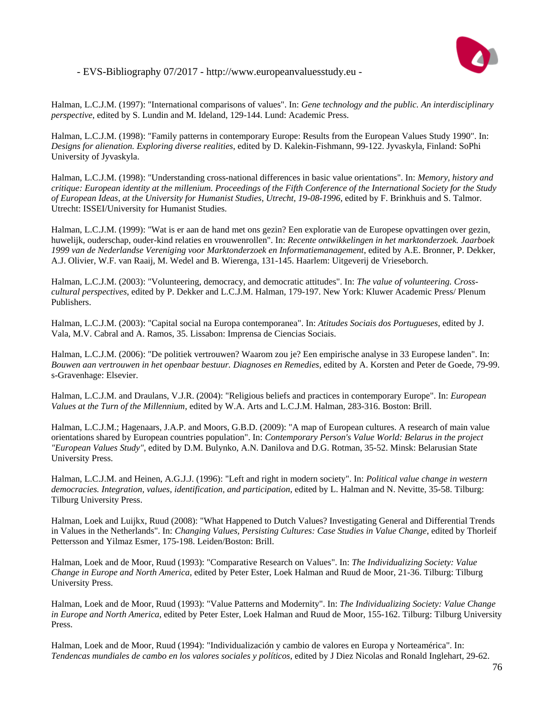

Halman, L.C.J.M. (1997): "International comparisons of values". In: *Gene technology and the public. An interdisciplinary perspective*, edited by S. Lundin and M. Ideland, 129-144. Lund: Academic Press.

Halman, L.C.J.M. (1998): "Family patterns in contemporary Europe: Results from the European Values Study 1990". In: *Designs for alienation. Exploring diverse realities*, edited by D. Kalekin-Fishmann, 99-122. Jyvaskyla, Finland: SoPhi University of Jyvaskyla.

Halman, L.C.J.M. (1998): "Understanding cross-national differences in basic value orientations". In: *Memory, history and critique: European identity at the millenium. Proceedings of the Fifth Conference of the International Society for the Study of European Ideas, at the University for Humanist Studies, Utrecht, 19-08-1996*, edited by F. Brinkhuis and S. Talmor. Utrecht: ISSEI/University for Humanist Studies.

Halman, L.C.J.M. (1999): "Wat is er aan de hand met ons gezin? Een exploratie van de Europese opvattingen over gezin, huwelijk, ouderschap, ouder-kind relaties en vrouwenrollen". In: *Recente ontwikkelingen in het marktonderzoek. Jaarboek 1999 van de Nederlandse Vereniging voor Marktonderzoek en Informatiemanagement*, edited by A.E. Bronner, P. Dekker, A.J. Olivier, W.F. van Raaij, M. Wedel and B. Wierenga, 131-145. Haarlem: Uitgeverij de Vrieseborch.

Halman, L.C.J.M. (2003): "Volunteering, democracy, and democratic attitudes". In: *The value of volunteering. Crosscultural perspectives*, edited by P. Dekker and L.C.J.M. Halman, 179-197. New York: Kluwer Academic Press/ Plenum Publishers.

Halman, L.C.J.M. (2003): "Capital social na Europa contemporanea". In: *Atitudes Sociais dos Portugueses*, edited by J. Vala, M.V. Cabral and A. Ramos, 35. Lissabon: Imprensa de Ciencias Sociais.

Halman, L.C.J.M. (2006): "De politiek vertrouwen? Waarom zou je? Een empirische analyse in 33 Europese landen". In: *Bouwen aan vertrouwen in het openbaar bestuur. Diagnoses en Remedies*, edited by A. Korsten and Peter de Goede, 79-99. s-Gravenhage: Elsevier.

Halman, L.C.J.M. and Draulans, V.J.R. (2004): "Religious beliefs and practices in contemporary Europe". In: *European Values at the Turn of the Millennium*, edited by W.A. Arts and L.C.J.M. Halman, 283-316. Boston: Brill.

Halman, L.C.J.M.; Hagenaars, J.A.P. and Moors, G.B.D. (2009): "A map of European cultures. A research of main value orientations shared by European countries population". In: *Contemporary Person's Value World: Belarus in the project "European Values Study"*, edited by D.M. Bulynko, A.N. Danilova and D.G. Rotman, 35-52. Minsk: Belarusian State University Press.

Halman, L.C.J.M. and Heinen, A.G.J.J. (1996): "Left and right in modern society". In: *Political value change in western democracies. Integration, values, identification, and participation*, edited by L. Halman and N. Nevitte, 35-58. Tilburg: Tilburg University Press.

Halman, Loek and Luijkx, Ruud (2008): "What Happened to Dutch Values? Investigating General and Differential Trends in Values in the Netherlands". In: *Changing Values, Persisting Cultures: Case Studies in Value Change*, edited by Thorleif Pettersson and Yilmaz Esmer, 175-198. Leiden/Boston: Brill.

Halman, Loek and de Moor, Ruud (1993): "Comparative Research on Values". In: *The Individualizing Society: Value Change in Europe and North America*, edited by Peter Ester, Loek Halman and Ruud de Moor, 21-36. Tilburg: Tilburg University Press.

Halman, Loek and de Moor, Ruud (1993): "Value Patterns and Modernity". In: *The Individualizing Society: Value Change in Europe and North America*, edited by Peter Ester, Loek Halman and Ruud de Moor, 155-162. Tilburg: Tilburg University Press.

Halman, Loek and de Moor, Ruud (1994): "Individualización y cambio de valores en Europa y Norteamérica". In: *Tendencas mundiales de cambo en los valores sociales y políticos*, edited by J Diez Nicolas and Ronald Inglehart, 29-62.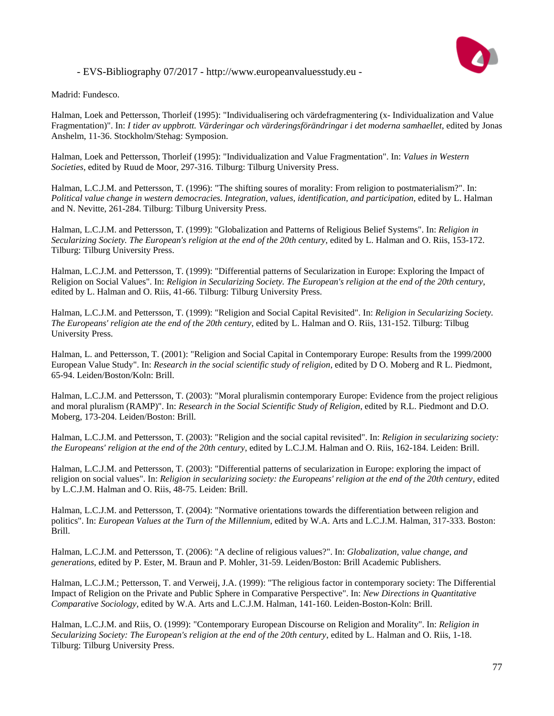

Madrid: Fundesco.

Halman, Loek and Pettersson, Thorleif (1995): "Individualisering och värdefragmentering (x- Individualization and Value Fragmentation)". In: *I tider av uppbrott. Värderingar och värderingsförändringar i det moderna samhaellet*, edited by Jonas Anshelm, 11-36. Stockholm/Stehag: Symposion.

Halman, Loek and Pettersson, Thorleif (1995): "Individualization and Value Fragmentation". In: *Values in Western Societies*, edited by Ruud de Moor, 297-316. Tilburg: Tilburg University Press.

Halman, L.C.J.M. and Pettersson, T. (1996): "The shifting soures of morality: From religion to postmaterialism?". In: *Political value change in western democracies. Integration, values, identification, and participation*, edited by L. Halman and N. Nevitte, 261-284. Tilburg: Tilburg University Press.

Halman, L.C.J.M. and Pettersson, T. (1999): "Globalization and Patterns of Religious Belief Systems". In: *Religion in Secularizing Society. The European's religion at the end of the 20th century*, edited by L. Halman and O. Riis, 153-172. Tilburg: Tilburg University Press.

Halman, L.C.J.M. and Pettersson, T. (1999): "Differential patterns of Secularization in Europe: Exploring the Impact of Religion on Social Values". In: *Religion in Secularizing Society. The European's religion at the end of the 20th century*, edited by L. Halman and O. Riis, 41-66. Tilburg: Tilburg University Press.

Halman, L.C.J.M. and Pettersson, T. (1999): "Religion and Social Capital Revisited". In: *Religion in Secularizing Society. The Europeans' religion ate the end of the 20th century*, edited by L. Halman and O. Riis, 131-152. Tilburg: Tilbug University Press.

Halman, L. and Pettersson, T. (2001): "Religion and Social Capital in Contemporary Europe: Results from the 1999/2000 European Value Study". In: *Research in the social scientific study of religion*, edited by D O. Moberg and R L. Piedmont, 65-94. Leiden/Boston/Koln: Brill.

Halman, L.C.J.M. and Pettersson, T. (2003): "Moral pluralismin contemporary Europe: Evidence from the project religious and moral pluralism (RAMP)". In: *Research in the Social Scientific Study of Religion*, edited by R.L. Piedmont and D.O. Moberg, 173-204. Leiden/Boston: Brill.

Halman, L.C.J.M. and Pettersson, T. (2003): "Religion and the social capital revisited". In: *Religion in secularizing society: the Europeans' religion at the end of the 20th century*, edited by L.C.J.M. Halman and O. Riis, 162-184. Leiden: Brill.

Halman, L.C.J.M. and Pettersson, T. (2003): "Differential patterns of secularization in Europe: exploring the impact of religion on social values". In: *Religion in secularizing society: the Europeans' religion at the end of the 20th century*, edited by L.C.J.M. Halman and O. Riis, 48-75. Leiden: Brill.

Halman, L.C.J.M. and Pettersson, T. (2004): "Normative orientations towards the differentiation between religion and politics". In: *European Values at the Turn of the Millennium*, edited by W.A. Arts and L.C.J.M. Halman, 317-333. Boston: Brill.

Halman, L.C.J.M. and Pettersson, T. (2006): "A decline of religious values?". In: *Globalization, value change, and generations*, edited by P. Ester, M. Braun and P. Mohler, 31-59. Leiden/Boston: Brill Academic Publishers.

Halman, L.C.J.M.; Pettersson, T. and Verweij, J.A. (1999): "The religious factor in contemporary society: The Differential Impact of Religion on the Private and Public Sphere in Comparative Perspective". In: *New Directions in Quantitative Comparative Sociology*, edited by W.A. Arts and L.C.J.M. Halman, 141-160. Leiden-Boston-Koln: Brill.

Halman, L.C.J.M. and Riis, O. (1999): "Contemporary European Discourse on Religion and Morality". In: *Religion in Secularizing Society: The European's religion at the end of the 20th century*, edited by L. Halman and O. Riis, 1-18. Tilburg: Tilburg University Press.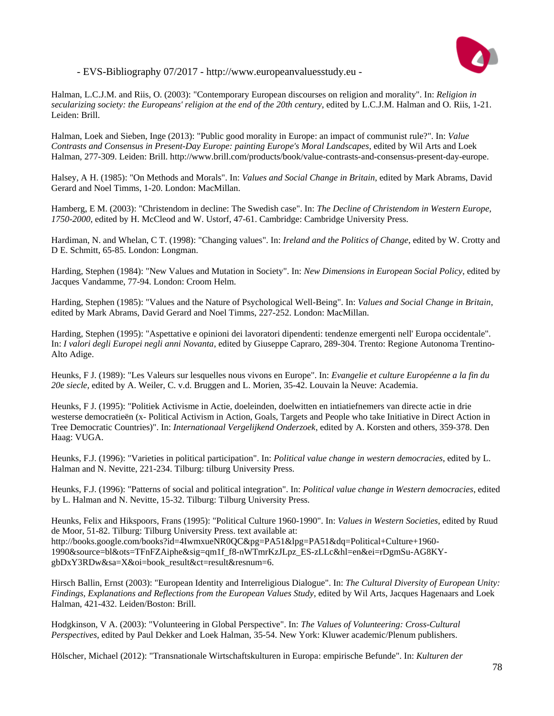

Halman, L.C.J.M. and Riis, O. (2003): "Contemporary European discourses on religion and morality". In: *Religion in secularizing society: the Europeans' religion at the end of the 20th century*, edited by L.C.J.M. Halman and O. Riis, 1-21. Leiden: Brill.

Halman, Loek and Sieben, Inge (2013): "Public good morality in Europe: an impact of communist rule?". In: *Value Contrasts and Consensus in Present-Day Europe: painting Europe's Moral Landscapes*, edited by Wil Arts and Loek Halman, 277-309. Leiden: Brill. http://www.brill.com/products/book/value-contrasts-and-consensus-present-day-europe.

Halsey, A H. (1985): "On Methods and Morals". In: *Values and Social Change in Britain*, edited by Mark Abrams, David Gerard and Noel Timms, 1-20. London: MacMillan.

Hamberg, E M. (2003): "Christendom in decline: The Swedish case". In: *The Decline of Christendom in Western Europe, 1750-2000*, edited by H. McCleod and W. Ustorf, 47-61. Cambridge: Cambridge University Press.

Hardiman, N. and Whelan, C T. (1998): "Changing values". In: *Ireland and the Politics of Change*, edited by W. Crotty and D E. Schmitt, 65-85. London: Longman.

Harding, Stephen (1984): "New Values and Mutation in Society". In: *New Dimensions in European Social Policy*, edited by Jacques Vandamme, 77-94. London: Croom Helm.

Harding, Stephen (1985): "Values and the Nature of Psychological Well-Being". In: *Values and Social Change in Britain*, edited by Mark Abrams, David Gerard and Noel Timms, 227-252. London: MacMillan.

Harding, Stephen (1995): "Aspettative e opinioni dei lavoratori dipendenti: tendenze emergenti nell' Europa occidentale". In: *I valori degli Europei negli anni Novanta*, edited by Giuseppe Capraro, 289-304. Trento: Regione Autonoma Trentino-Alto Adige.

Heunks, F J. (1989): "Les Valeurs sur lesquelles nous vivons en Europe". In: *Evangelie et culture Européenne a la fin du 20e siecle*, edited by A. Weiler, C. v.d. Bruggen and L. Morien, 35-42. Louvain la Neuve: Academia.

Heunks, F J. (1995): "Politiek Activisme in Actie, doeleinden, doelwitten en intiatiefnemers van directe actie in drie westerse democratieën (x- Political Activism in Action, Goals, Targets and People who take Initiative in Direct Action in Tree Democratic Countries)". In: *Internationaal Vergelijkend Onderzoek*, edited by A. Korsten and others, 359-378. Den Haag: VUGA.

Heunks, F.J. (1996): "Varieties in political participation". In: *Political value change in western democracies*, edited by L. Halman and N. Nevitte, 221-234. Tilburg: tilburg University Press.

Heunks, F.J. (1996): "Patterns of social and political integration". In: *Political value change in Western democracies*, edited by L. Halman and N. Nevitte, 15-32. Tilburg: Tilburg University Press.

Heunks, Felix and Hikspoors, Frans (1995): "Political Culture 1960-1990". In: *Values in Western Societies*, edited by Ruud de Moor, 51-82. Tilburg: Tilburg University Press. text available at: http://books.google.com/books?id=4IwmxueNR0QC&pg=PA51&lpg=PA51&dq=Political+Culture+1960- 1990&source=bl&ots=TFnFZAiphe&sig=qm1f\_f8-nWTmrKzJLpz\_ES-zLLc&hl=en&ei=rDgmSu-AG8KYgbDxY3RDw&sa=X&oi=book\_result&ct=result&resnum=6.

Hirsch Ballin, Ernst (2003): "European Identity and Interreligious Dialogue". In: *The Cultural Diversity of European Unity: Findings, Explanations and Reflections from the European Values Study*, edited by Wil Arts, Jacques Hagenaars and Loek Halman, 421-432. Leiden/Boston: Brill.

Hodgkinson, V A. (2003): "Volunteering in Global Perspective". In: *The Values of Volunteering: Cross-Cultural Perspectives*, edited by Paul Dekker and Loek Halman, 35-54. New York: Kluwer academic/Plenum publishers.

Hölscher, Michael (2012): "Transnationale Wirtschaftskulturen in Europa: empirische Befunde". In: *Kulturen der*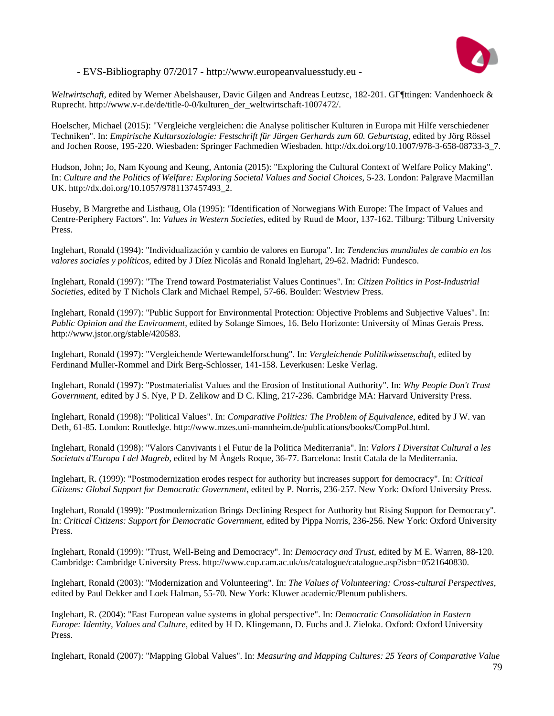

*Weltwirtschaft*, edited by Werner Abelshauser, Davic Gilgen and Andreas Leutzsc, 182-201. GГ¶ttingen: Vandenhoeck & Ruprecht. http://www.v-r.de/de/title-0-0/kulturen\_der\_weltwirtschaft-1007472/.

Hoelscher, Michael (2015): "Vergleiche vergleichen: die Analyse politischer Kulturen in Europa mit Hilfe verschiedener Techniken". In: *Empirische Kultursoziologie: Festschrift für Jürgen Gerhards zum 60. Geburtstag*, edited by Jörg Rössel and Jochen Roose, 195-220. Wiesbaden: Springer Fachmedien Wiesbaden. http://dx.doi.org/10.1007/978-3-658-08733-3\_7.

Hudson, John; Jo, Nam Kyoung and Keung, Antonia (2015): "Exploring the Cultural Context of Welfare Policy Making". In: *Culture and the Politics of Welfare: Exploring Societal Values and Social Choices*, 5-23. London: Palgrave Macmillan UK. http://dx.doi.org/10.1057/9781137457493\_2.

Huseby, B Margrethe and Listhaug, Ola (1995): "Identification of Norwegians With Europe: The Impact of Values and Centre-Periphery Factors". In: *Values in Western Societies*, edited by Ruud de Moor, 137-162. Tilburg: Tilburg University Press.

Inglehart, Ronald (1994): "Individualización y cambio de valores en Europa". In: *Tendencias mundiales de cambio en los valores sociales y políticos*, edited by J Díez Nicolás and Ronald Inglehart, 29-62. Madrid: Fundesco.

Inglehart, Ronald (1997): "The Trend toward Postmaterialist Values Continues". In: *Citizen Politics in Post-Industrial Societies*, edited by T Nichols Clark and Michael Rempel, 57-66. Boulder: Westview Press.

Inglehart, Ronald (1997): "Public Support for Environmental Protection: Objective Problems and Subjective Values". In: *Public Opinion and the Environment*, edited by Solange Simoes, 16. Belo Horizonte: University of Minas Gerais Press. http://www.jstor.org/stable/420583.

Inglehart, Ronald (1997): "Vergleichende Wertewandelforschung". In: *Vergleichende Politikwissenschaft*, edited by Ferdinand Muller-Rommel and Dirk Berg-Schlosser, 141-158. Leverkusen: Leske Verlag.

Inglehart, Ronald (1997): "Postmaterialist Values and the Erosion of Institutional Authority". In: *Why People Don't Trust Government*, edited by J S. Nye, P D. Zelikow and D C. Kling, 217-236. Cambridge MA: Harvard University Press.

Inglehart, Ronald (1998): "Political Values". In: *Comparative Politics: The Problem of Equivalence*, edited by J W. van Deth, 61-85. London: Routledge. http://www.mzes.uni-mannheim.de/publications/books/CompPol.html.

Inglehart, Ronald (1998): "Valors Canvivants i el Futur de la Politica Mediterrania". In: *Valors I Diversitat Cultural a les Societats d'Europa I del Magreb*, edited by M Àngels Roque, 36-77. Barcelona: Instit Catala de la Mediterrania.

Inglehart, R. (1999): "Postmodernization erodes respect for authority but increases support for democracy". In: *Critical Citizens: Global Support for Democratic Government*, edited by P. Norris, 236-257. New York: Oxford University Press.

Inglehart, Ronald (1999): "Postmodernization Brings Declining Respect for Authority but Rising Support for Democracy". In: *Critical Citizens: Support for Democratic Government*, edited by Pippa Norris, 236-256. New York: Oxford University Press.

Inglehart, Ronald (1999): "Trust, Well-Being and Democracy". In: *Democracy and Trust*, edited by M E. Warren, 88-120. Cambridge: Cambridge University Press. http://www.cup.cam.ac.uk/us/catalogue/catalogue.asp?isbn=0521640830.

Inglehart, Ronald (2003): "Modernization and Volunteering". In: *The Values of Volunteering: Cross-cultural Perspectives*, edited by Paul Dekker and Loek Halman, 55-70. New York: Kluwer academic/Plenum publishers.

Inglehart, R. (2004): "East European value systems in global perspective". In: *Democratic Consolidation in Eastern Europe: Identity, Values and Culture*, edited by H D. Klingemann, D. Fuchs and J. Zieloka. Oxford: Oxford University Press.

Inglehart, Ronald (2007): "Mapping Global Values". In: *Measuring and Mapping Cultures: 25 Years of Comparative Value*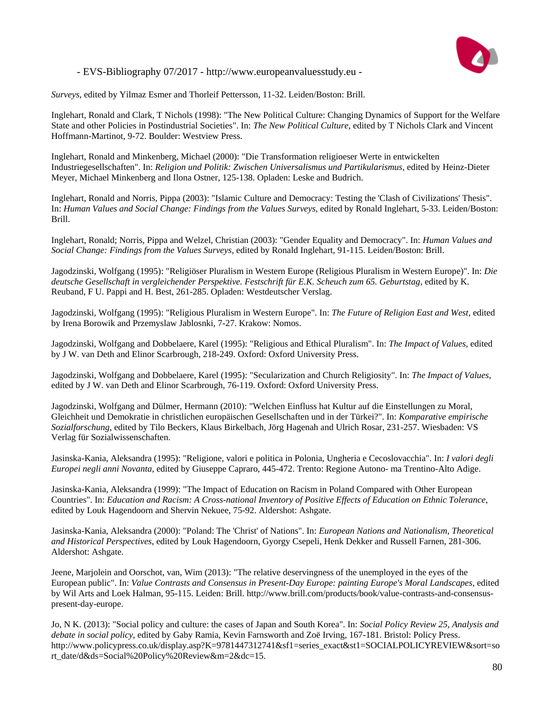

*Surveys*, edited by Yilmaz Esmer and Thorleif Pettersson, 11-32. Leiden/Boston: Brill.

Inglehart, Ronald and Clark, T Nichols (1998): "The New Political Culture: Changing Dynamics of Support for the Welfare State and other Policies in Postindustrial Societies". In: *The New Political Culture*, edited by T Nichols Clark and Vincent Hoffmann-Martinot, 9-72. Boulder: Westview Press.

Inglehart, Ronald and Minkenberg, Michael (2000): "Die Transformation religioeser Werte in entwickelten Industriegesellschaften". In: *Religion und Politik: Zwischen Universalismus und Partikularismus*, edited by Heinz-Dieter Meyer, Michael Minkenberg and Ilona Ostner, 125-138. Opladen: Leske and Budrich.

Inglehart, Ronald and Norris, Pippa (2003): "Islamic Culture and Democracy: Testing the 'Clash of Civilizations' Thesis". In: *Human Values and Social Change: Findings from the Values Surveys*, edited by Ronald Inglehart, 5-33. Leiden/Boston: Brill.

Inglehart, Ronald; Norris, Pippa and Welzel, Christian (2003): "Gender Equality and Democracy". In: *Human Values and Social Change: Findings from the Values Surveys*, edited by Ronald Inglehart, 91-115. Leiden/Boston: Brill.

Jagodzinski, Wolfgang (1995): "Religiöser Pluralism in Western Europe (Religious Pluralism in Western Europe)". In: *Die deutsche Gesellschaft in vergleichender Perspektive. Festschrift für E.K. Scheuch zum 65. Geburtstag*, edited by K. Reuband, F U. Pappi and H. Best, 261-285. Opladen: Westdeutscher Verslag.

Jagodzinski, Wolfgang (1995): "Religious Pluralism in Western Europe". In: *The Future of Religion East and West*, edited by Irena Borowik and Przemyslaw Jablosnki, 7-27. Krakow: Nomos.

Jagodzinski, Wolfgang and Dobbelaere, Karel (1995): "Religious and Ethical Pluralism". In: *The Impact of Values*, edited by J W. van Deth and Elinor Scarbrough, 218-249. Oxford: Oxford University Press.

Jagodzinski, Wolfgang and Dobbelaere, Karel (1995): "Secularization and Church Religiosity". In: *The Impact of Values*, edited by J W. van Deth and Elinor Scarbrough, 76-119. Oxford: Oxford University Press.

Jagodzinski, Wolfgang and Dülmer, Hermann (2010): "Welchen Einfluss hat Kultur auf die Einstellungen zu Moral, Gleichheit und Demokratie in christlichen europäischen Gesellschaften und in der Türkei?". In: *Komparative empirische Sozialforschung*, edited by Tilo Beckers, Klaus Birkelbach, Jörg Hagenah and Ulrich Rosar, 231-257. Wiesbaden: VS Verlag für Sozialwissenschaften.

Jasinska-Kania, Aleksandra (1995): "Religione, valori e politica in Polonia, Ungheria e Cecoslovacchia". In: *I valori degli Europei negli anni Novanta*, edited by Giuseppe Capraro, 445-472. Trento: Regione Autono- ma Trentino-Alto Adige.

Jasinska-Kania, Aleksandra (1999): "The Impact of Education on Racism in Poland Compared with Other European Countries". In: *Education and Racism: A Cross-national Inventory of Positive Effects of Education on Ethnic Tolerance*, edited by Louk Hagendoorn and Shervin Nekuee, 75-92. Aldershot: Ashgate.

Jasinska-Kania, Aleksandra (2000): "Poland: The 'Christ' of Nations". In: *European Nations and Nationalism, Theoretical and Historical Perspectives*, edited by Louk Hagendoorn, Gyorgy Csepeli, Henk Dekker and Russell Farnen, 281-306. Aldershot: Ashgate.

Jeene, Marjolein and Oorschot, van, Wim (2013): "The relative deservingness of the unemployed in the eyes of the European public". In: *Value Contrasts and Consensus in Present-Day Europe: painting Europe's Moral Landscapes*, edited by Wil Arts and Loek Halman, 95-115. Leiden: Brill. http://www.brill.com/products/book/value-contrasts-and-consensuspresent-day-europe.

Jo, N K. (2013): "Social policy and culture: the cases of Japan and South Korea". In: *Social Policy Review 25, Analysis and debate in social policy*, edited by Gaby Ramia, Kevin Farnsworth and Zoë Irving, 167-181. Bristol: Policy Press. http://www.policypress.co.uk/display.asp?K=9781447312741&sf1=series\_exact&st1=SOCIALPOLICYREVIEW&sort=so rt\_date/d&ds=Social%20Policy%20Review&m=2&dc=15.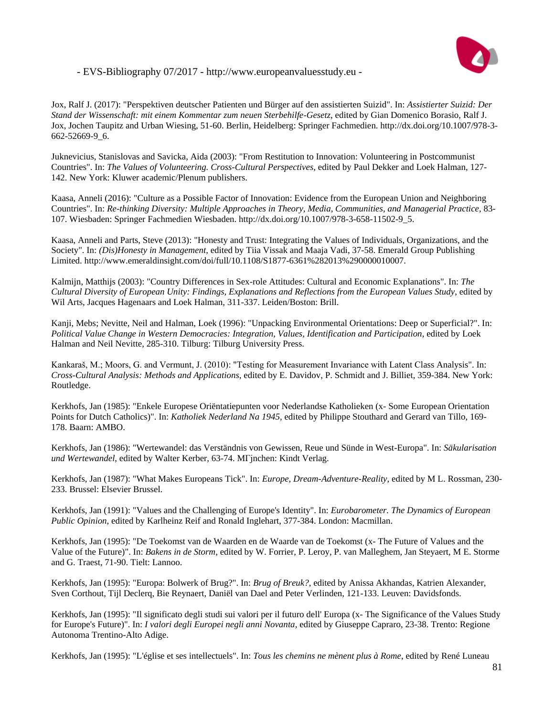

Jox, Ralf J. (2017): "Perspektiven deutscher Patienten und Bürger auf den assistierten Suizid". In: *Assistierter Suizid: Der Stand der Wissenschaft: mit einem Kommentar zum neuen Sterbehilfe-Gesetz*, edited by Gian Domenico Borasio, Ralf J. Jox, Jochen Taupitz and Urban Wiesing, 51-60. Berlin, Heidelberg: Springer Fachmedien. http://dx.doi.org/10.1007/978-3- 662-52669-9\_6.

Juknevicius, Stanislovas and Savicka, Aida (2003): "From Restitution to Innovation: Volunteering in Postcommunist Countries". In: *The Values of Volunteering. Cross-Cultural Perspectives*, edited by Paul Dekker and Loek Halman, 127- 142. New York: Kluwer academic/Plenum publishers.

Kaasa, Anneli (2016): "Culture as a Possible Factor of Innovation: Evidence from the European Union and Neighboring Countries". In: *Re-thinking Diversity: Multiple Approaches in Theory, Media, Communities, and Managerial Practice*, 83- 107. Wiesbaden: Springer Fachmedien Wiesbaden. http://dx.doi.org/10.1007/978-3-658-11502-9\_5.

Kaasa, Anneli and Parts, Steve (2013): "Honesty and Trust: Integrating the Values of Individuals, Organizations, and the Society". In: *(Dis)Honesty in Management*, edited by Tiia Vissak and Maaja Vadi, 37-58. Emerald Group Publishing Limited. http://www.emeraldinsight.com/doi/full/10.1108/S1877-6361%282013%290000010007.

Kalmijn, Matthijs (2003): "Country Differences in Sex-role Attitudes: Cultural and Economic Explanations". In: *The Cultural Diversity of European Unity: Findings, Explanations and Reflections from the European Values Study*, edited by Wil Arts, Jacques Hagenaars and Loek Halman, 311-337. Leiden/Boston: Brill.

Kanji, Mebs; Nevitte, Neil and Halman, Loek (1996): "Unpacking Environmental Orientations: Deep or Superficial?". In: *Political Value Change in Western Democracies: Integration, Values, Identification and Participation*, edited by Loek Halman and Neil Nevitte, 285-310. Tilburg: Tilburg University Press.

Kankaraš, M.; Moors, G. and Vermunt, J. (2010): "Testing for Measurement Invariance with Latent Class Analysis". In: *Cross-Cultural Analysis: Methods and Applications*, edited by E. Davidov, P. Schmidt and J. Billiet, 359-384. New York: Routledge.

Kerkhofs, Jan (1985): "Enkele Europese Oriëntatiepunten voor Nederlandse Katholieken (x- Some European Orientation Points for Dutch Catholics)". In: *Katholiek Nederland Na 1945*, edited by Philippe Stouthard and Gerard van Tillo, 169- 178. Baarn: AMBO.

Kerkhofs, Jan (1986): "Wertewandel: das Verständnis von Gewissen, Reue und Sünde in West-Europa". In: *Säkularisation und Wertewandel*, edited by Walter Kerber, 63-74. MГјnchen: Kindt Verlag.

Kerkhofs, Jan (1987): "What Makes Europeans Tick". In: *Europe, Dream-Adventure-Reality*, edited by M L. Rossman, 230- 233. Brussel: Elsevier Brussel.

Kerkhofs, Jan (1991): "Values and the Challenging of Europe's Identity". In: *Eurobarometer. The Dynamics of European Public Opinion*, edited by Karlheinz Reif and Ronald Inglehart, 377-384. London: Macmillan.

Kerkhofs, Jan (1995): "De Toekomst van de Waarden en de Waarde van de Toekomst (x- The Future of Values and the Value of the Future)". In: *Bakens in de Storm*, edited by W. Forrier, P. Leroy, P. van Malleghem, Jan Steyaert, M E. Storme and G. Traest, 71-90. Tielt: Lannoo.

Kerkhofs, Jan (1995): "Europa: Bolwerk of Brug?". In: *Brug of Breuk?*, edited by Anissa Akhandas, Katrien Alexander, Sven Corthout, Tijl Declerq, Bie Reynaert, Daniël van Dael and Peter Verlinden, 121-133. Leuven: Davidsfonds.

Kerkhofs, Jan (1995): "Il significato degli studi sui valori per il futuro dell' Europa (x- The Significance of the Values Study for Europe's Future)". In: *I valori degli Europei negli anni Novanta*, edited by Giuseppe Capraro, 23-38. Trento: Regione Autonoma Trentino-Alto Adige.

Kerkhofs, Jan (1995): "L'église et ses intellectuels". In: *Tous les chemins ne mènent plus à Rome*, edited by René Luneau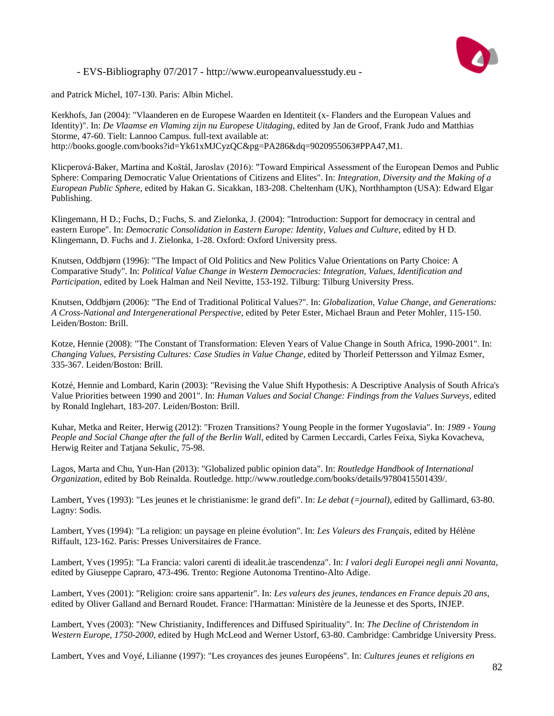

and Patrick Michel, 107-130. Paris: Albin Michel.

Kerkhofs, Jan (2004): "Vlaanderen en de Europese Waarden en Identiteit (x- Flanders and the European Values and Identity)". In: *De Vlaamse en Vlaming zijn nu Europese Uitdaging*, edited by Jan de Groof, Frank Judo and Matthias Storme, 47-60. Tielt: Lannoo Campus. full-text available at: http://books.google.com/books?id=Yk61xMJCyzQC&pg=PA286&dq=9020955063#PPA47,M1.

Klicperová-Baker, Martina and Koštál, Jaroslav (2016): "Toward Empirical Assessment of the European Demos and Public Sphere: Comparing Democratic Value Orientations of Citizens and Elites". In: *Integration, Diversity and the Making of a European Public Sphere*, edited by Hakan G. Sicakkan, 183-208. Cheltenham (UK), Northhampton (USA): Edward Elgar Publishing.

Klingemann, H D.; Fuchs, D.; Fuchs, S. and Zielonka, J. (2004): "Introduction: Support for democracy in central and eastern Europe". In: *Democratic Consolidation in Eastern Europe: Identity, Values and Culture*, edited by H D. Klingemann, D. Fuchs and J. Zielonka, 1-28. Oxford: Oxford University press.

Knutsen, Oddbjørn (1996): "The Impact of Old Politics and New Politics Value Orientations on Party Choice: A Comparative Study". In: *Political Value Change in Western Democracies: Integration, Values, Identification and Participation*, edited by Loek Halman and Neil Nevitte, 153-192. Tilburg: Tilburg University Press.

Knutsen, Oddbjørn (2006): "The End of Traditional Political Values?". In: *Globalization, Value Change, and Generations: A Cross-National and Intergenerational Perspective*, edited by Peter Ester, Michael Braun and Peter Mohler, 115-150. Leiden/Boston: Brill.

Kotze, Hennie (2008): "The Constant of Transformation: Eleven Years of Value Change in South Africa, 1990-2001". In: *Changing Values, Persisting Cultures: Case Studies in Value Change*, edited by Thorleif Pettersson and Yilmaz Esmer, 335-367. Leiden/Boston: Brill.

Kotzé, Hennie and Lombard, Karin (2003): "Revising the Value Shift Hypothesis: A Descriptive Analysis of South Africa's Value Priorities between 1990 and 2001". In: *Human Values and Social Change: Findings from the Values Surveys*, edited by Ronald Inglehart, 183-207. Leiden/Boston: Brill.

Kuhar, Metka and Reiter, Herwig (2012): "Frozen Transitions? Young People in the former Yugoslavia". In: *1989 - Young*  People and Social Change after the fall of the Berlin Wall, edited by Carmen Leccardi, Carles Feixa, Siyka Kovacheva, Herwig Reiter and Tatjana Sekulic, 75-98.

Lagos, Marta and Chu, Yun-Han (2013): "Globalized public opinion data". In: *Routledge Handbook of International Organization*, edited by Bob Reinalda. Routledge. http://www.routledge.com/books/details/9780415501439/.

Lambert, Yves (1993): "Les jeunes et le christianisme: le grand defi". In: *Le debat (=journal)*, edited by Gallimard, 63-80. Lagny: Sodis.

Lambert, Yves (1994): "La religion: un paysage en pleine évolution". In: *Les Valeurs des Français*, edited by Hélène Riffault, 123-162. Paris: Presses Universitaires de France.

Lambert, Yves (1995): "La Francia: valori carenti di idealit.àe trascendenza". In: *I valori degli Europei negli anni Novanta*, edited by Giuseppe Capraro, 473-496. Trento: Regione Autonoma Trentino-Alto Adige.

Lambert, Yves (2001): "Religion: croire sans appartenir". In: *Les valeurs des jeunes, tendances en France depuis 20 ans*, edited by Oliver Galland and Bernard Roudet. France: l'Harmattan: Ministère de la Jeunesse et des Sports, INJEP.

Lambert, Yves (2003): "New Christianity, Indifferences and Diffused Spirituality". In: *The Decline of Christendom in Western Europe, 1750-2000*, edited by Hugh McLeod and Werner Ustorf, 63-80. Cambridge: Cambridge University Press.

Lambert, Yves and Voyé, Lilianne (1997): "Les croyances des jeunes Européens". In: *Cultures jeunes et religions en*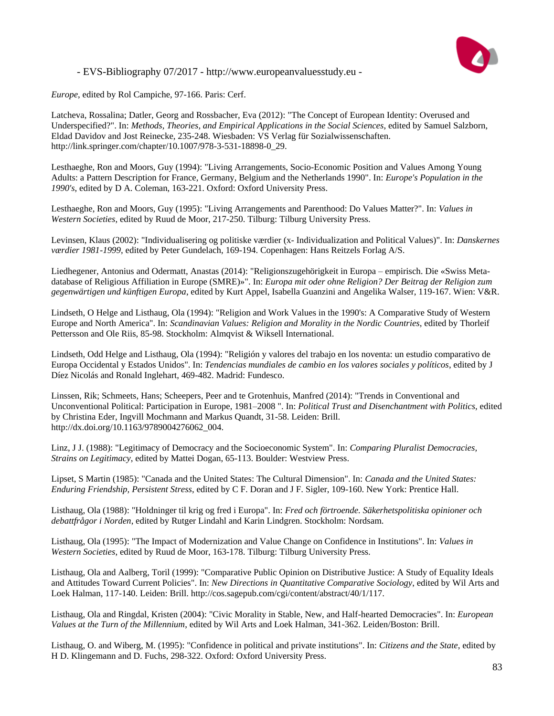

*Europe*, edited by Rol Campiche, 97-166. Paris: Cerf.

Latcheva, Rossalina; Datler, Georg and Rossbacher, Eva (2012): "The Concept of European Identity: Overused and Underspecified?". In: *Methods, Theories, and Empirical Applications in the Social Sciences*, edited by Samuel Salzborn, Eldad Davidov and Jost Reinecke, 235-248. Wiesbaden: VS Verlag für Sozialwissenschaften. http://link.springer.com/chapter/10.1007/978-3-531-18898-0\_29.

Lesthaeghe, Ron and Moors, Guy (1994): "Living Arrangements, Socio-Economic Position and Values Among Young Adults: a Pattern Description for France, Germany, Belgium and the Netherlands 1990". In: *Europe's Population in the 1990's*, edited by D A. Coleman, 163-221. Oxford: Oxford University Press.

Lesthaeghe, Ron and Moors, Guy (1995): "Living Arrangements and Parenthood: Do Values Matter?". In: *Values in Western Societies*, edited by Ruud de Moor, 217-250. Tilburg: Tilburg University Press.

Levinsen, Klaus (2002): "Individualisering og politiske værdier (x- Individualization and Political Values)". In: *Danskernes værdier 1981-1999*, edited by Peter Gundelach, 169-194. Copenhagen: Hans Reitzels Forlag A/S.

Liedhegener, Antonius and Odermatt, Anastas (2014): "Religionszugehörigkeit in Europa – empirisch. Die «Swiss Metadatabase of Religious Affiliation in Europe (SMRE)»". In: *Europa mit oder ohne Religion? Der Beitrag der Religion zum gegenwärtigen und künftigen Europa*, edited by Kurt Appel, Isabella Guanzini and Angelika Walser, 119-167. Wien: V&R.

Lindseth, O Helge and Listhaug, Ola (1994): "Religion and Work Values in the 1990's: A Comparative Study of Western Europe and North America". In: *Scandinavian Values: Religion and Morality in the Nordic Countries*, edited by Thorleif Pettersson and Ole Riis, 85-98. Stockholm: Almqvist & Wiksell International.

Lindseth, Odd Helge and Listhaug, Ola (1994): "Religión y valores del trabajo en los noventa: un estudio comparativo de Europa Occidental y Estados Unidos". In: *Tendencias mundiales de cambio en los valores sociales y políticos*, edited by J Díez Nicolás and Ronald Inglehart, 469-482. Madrid: Fundesco.

Linssen, Rik; Schmeets, Hans; Scheepers, Peer and te Grotenhuis, Manfred (2014): "Trends in Conventional and Unconventional Political: Participation in Europe, 1981–2008 ". In: *Political Trust and Disenchantment with Politics*, edited by Christina Eder, Ingvill Mochmann and Markus Quandt, 31-58. Leiden: Brill. http://dx.doi.org/10.1163/9789004276062\_004.

Linz, J J. (1988): "Legitimacy of Democracy and the Socioeconomic System". In: *Comparing Pluralist Democracies, Strains on Legitimacy*, edited by Mattei Dogan, 65-113. Boulder: Westview Press.

Lipset, S Martin (1985): "Canada and the United States: The Cultural Dimension". In: *Canada and the United States: Enduring Friendship, Persistent Stress*, edited by C F. Doran and J F. Sigler, 109-160. New York: Prentice Hall.

Listhaug, Ola (1988): "Holdninger til krig og fred i Europa". In: *Fred och förtroende. Säkerhetspolitiska opinioner och debattfrågor i Norden*, edited by Rutger Lindahl and Karin Lindgren. Stockholm: Nordsam.

Listhaug, Ola (1995): "The Impact of Modernization and Value Change on Confidence in Institutions". In: *Values in Western Societies*, edited by Ruud de Moor, 163-178. Tilburg: Tilburg University Press.

Listhaug, Ola and Aalberg, Toril (1999): "Comparative Public Opinion on Distributive Justice: A Study of Equality Ideals and Attitudes Toward Current Policies". In: *New Directions in Quantitative Comparative Sociology*, edited by Wil Arts and Loek Halman, 117-140. Leiden: Brill. http://cos.sagepub.com/cgi/content/abstract/40/1/117.

Listhaug, Ola and Ringdal, Kristen (2004): "Civic Morality in Stable, New, and Half-hearted Democracies". In: *European Values at the Turn of the Millennium*, edited by Wil Arts and Loek Halman, 341-362. Leiden/Boston: Brill.

Listhaug, O. and Wiberg, M. (1995): "Confidence in political and private institutions". In: *Citizens and the State*, edited by H D. Klingemann and D. Fuchs, 298-322. Oxford: Oxford University Press.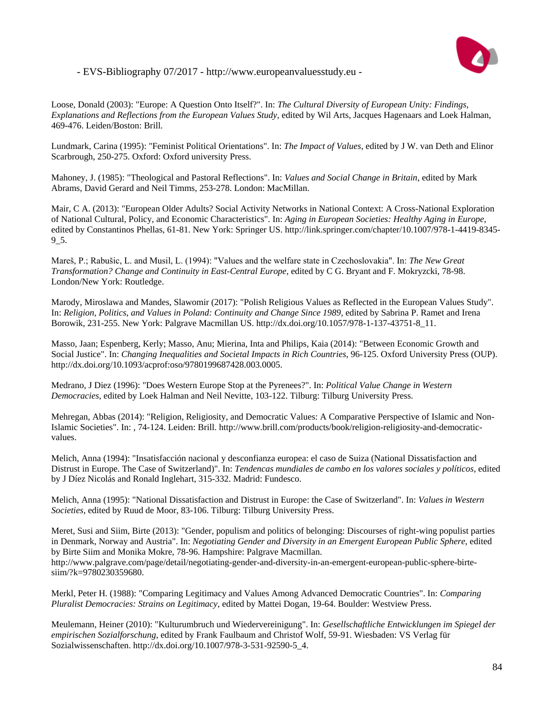

Loose, Donald (2003): "Europe: A Question Onto Itself?". In: *The Cultural Diversity of European Unity: Findings, Explanations and Reflections from the European Values Study*, edited by Wil Arts, Jacques Hagenaars and Loek Halman, 469-476. Leiden/Boston: Brill.

Lundmark, Carina (1995): "Feminist Political Orientations". In: *The Impact of Values*, edited by J W. van Deth and Elinor Scarbrough, 250-275. Oxford: Oxford university Press.

Mahoney, J. (1985): "Theological and Pastoral Reflections". In: *Values and Social Change in Britain*, edited by Mark Abrams, David Gerard and Neil Timms, 253-278. London: MacMillan.

Mair, C A. (2013): "European Older Adults? Social Activity Networks in National Context: A Cross-National Exploration of National Cultural, Policy, and Economic Characteristics". In: *Aging in European Societies: Healthy Aging in Europe*, edited by Constantinos Phellas, 61-81. New York: Springer US. http://link.springer.com/chapter/10.1007/978-1-4419-8345- 9\_5.

Mareš, P.; Rabušic, L. and Musil, L. (1994): "Values and the welfare state in Czechoslovakia". In: *The New Great Transformation? Change and Continuity in East-Central Europe*, edited by C G. Bryant and F. Mokryzcki, 78-98. London/New York: Routledge.

Marody, Miroslawa and Mandes, Slawomir (2017): "Polish Religious Values as Reflected in the European Values Study". In: *Religion, Politics, and Values in Poland: Continuity and Change Since 1989*, edited by Sabrina P. Ramet and Irena Borowik, 231-255. New York: Palgrave Macmillan US. http://dx.doi.org/10.1057/978-1-137-43751-8\_11.

Masso, Jaan; Espenberg, Kerly; Masso, Anu; Mierina, Inta and Philips, Kaia (2014): "Between Economic Growth and Social Justice". In: *Changing Inequalities and Societal Impacts in Rich Countries*, 96-125. Oxford University Press (OUP). http://dx.doi.org/10.1093/acprof:oso/9780199687428.003.0005.

Medrano, J Diez (1996): "Does Western Europe Stop at the Pyrenees?". In: *Political Value Change in Western Democracies*, edited by Loek Halman and Neil Nevitte, 103-122. Tilburg: Tilburg University Press.

Mehregan, Abbas (2014): "Religion, Religiosity, and Democratic Values: A Comparative Perspective of Islamic and Non-Islamic Societies". In: , 74-124. Leiden: Brill. http://www.brill.com/products/book/religion-religiosity-and-democraticvalues.

Melich, Anna (1994): "Insatisfacción nacional y desconfianza europea: el caso de Suiza (National Dissatisfaction and Distrust in Europe. The Case of Switzerland)". In: *Tendencas mundiales de cambo en los valores sociales y políticos*, edited by J Díez Nicolás and Ronald Inglehart, 315-332. Madrid: Fundesco.

Melich, Anna (1995): "National Dissatisfaction and Distrust in Europe: the Case of Switzerland". In: *Values in Western Societies*, edited by Ruud de Moor, 83-106. Tilburg: Tilburg University Press.

Meret, Susi and Siim, Birte (2013): "Gender, populism and politics of belonging: Discourses of right-wing populist parties in Denmark, Norway and Austria". In: *Negotiating Gender and Diversity in an Emergent European Public Sphere*, edited by Birte Siim and Monika Mokre, 78-96. Hampshire: Palgrave Macmillan. http://www.palgrave.com/page/detail/negotiating-gender-and-diversity-in-an-emergent-european-public-sphere-birtesiim/?k=9780230359680.

Merkl, Peter H. (1988): "Comparing Legitimacy and Values Among Advanced Democratic Countries". In: *Comparing Pluralist Democracies: Strains on Legitimacy*, edited by Mattei Dogan, 19-64. Boulder: Westview Press.

Meulemann, Heiner (2010): "Kulturumbruch und Wiedervereinigung". In: *Gesellschaftliche Entwicklungen im Spiegel der empirischen Sozialforschung*, edited by Frank Faulbaum and Christof Wolf, 59-91. Wiesbaden: VS Verlag für Sozialwissenschaften. http://dx.doi.org/10.1007/978-3-531-92590-5\_4.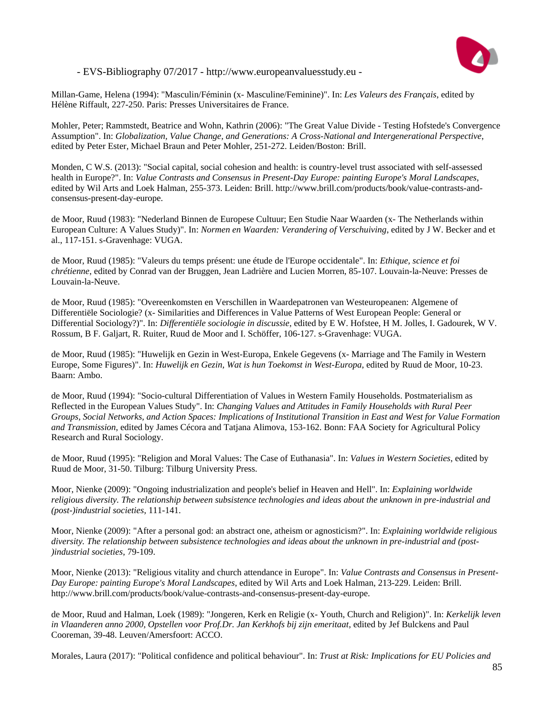

Millan-Game, Helena (1994): "Masculin/Féminin (x- Masculine/Feminine)". In: *Les Valeurs des Français*, edited by Hélène Riffault, 227-250. Paris: Presses Universitaires de France.

Mohler, Peter; Rammstedt, Beatrice and Wohn, Kathrin (2006): "The Great Value Divide - Testing Hofstede's Convergence Assumption". In: *Globalization, Value Change, and Generations: A Cross-National and Intergenerational Perspective*, edited by Peter Ester, Michael Braun and Peter Mohler, 251-272. Leiden/Boston: Brill.

Monden, C W.S. (2013): "Social capital, social cohesion and health: is country-level trust associated with self-assessed health in Europe?". In: *Value Contrasts and Consensus in Present-Day Europe: painting Europe's Moral Landscapes*, edited by Wil Arts and Loek Halman, 255-373. Leiden: Brill. http://www.brill.com/products/book/value-contrasts-andconsensus-present-day-europe.

de Moor, Ruud (1983): "Nederland Binnen de Europese Cultuur; Een Studie Naar Waarden (x- The Netherlands within European Culture: A Values Study)". In: *Normen en Waarden: Verandering of Verschuiving*, edited by J W. Becker and et al., 117-151. s-Gravenhage: VUGA.

de Moor, Ruud (1985): "Valeurs du temps présent: une étude de l'Europe occidentale". In: *Ethique, science et foi chrétienne*, edited by Conrad van der Bruggen, Jean Ladrière and Lucien Morren, 85-107. Louvain-la-Neuve: Presses de Louvain-la-Neuve.

de Moor, Ruud (1985): "Overeenkomsten en Verschillen in Waardepatronen van Westeuropeanen: Algemene of Differentiële Sociologie? (x- Similarities and Differences in Value Patterns of West European People: General or Differential Sociology?)". In: *Differentiële sociologie in discussie*, edited by E W. Hofstee, H M. Jolles, I. Gadourek, W V. Rossum, B F. Galjart, R. Ruiter, Ruud de Moor and I. Schöffer, 106-127. s-Gravenhage: VUGA.

de Moor, Ruud (1985): "Huwelijk en Gezin in West-Europa, Enkele Gegevens (x- Marriage and The Family in Western Europe, Some Figures)". In: *Huwelijk en Gezin, Wat is hun Toekomst in West-Europa*, edited by Ruud de Moor, 10-23. Baarn: Ambo.

de Moor, Ruud (1994): "Socio-cultural Differentiation of Values in Western Family Households. Postmaterialism as Reflected in the European Values Study". In: *Changing Values and Attitudes in Family Households with Rural Peer Groups, Social Networks, and Action Spaces: Implications of Institutional Transition in East and West for Value Formation and Transmission*, edited by James Cécora and Tatjana Alimova, 153-162. Bonn: FAA Society for Agricultural Policy Research and Rural Sociology.

de Moor, Ruud (1995): "Religion and Moral Values: The Case of Euthanasia". In: *Values in Western Societies*, edited by Ruud de Moor, 31-50. Tilburg: Tilburg University Press.

Moor, Nienke (2009): "Ongoing industrialization and people's belief in Heaven and Hell". In: *Explaining worldwide religious diversity. The relationship between subsistence technologies and ideas about the unknown in pre-industrial and (post-)industrial societies*, 111-141.

Moor, Nienke (2009): "After a personal god: an abstract one, atheism or agnosticism?". In: *Explaining worldwide religious diversity. The relationship between subsistence technologies and ideas about the unknown in pre-industrial and (post- )industrial societies*, 79-109.

Moor, Nienke (2013): "Religious vitality and church attendance in Europe". In: *Value Contrasts and Consensus in Present-Day Europe: painting Europe's Moral Landscapes*, edited by Wil Arts and Loek Halman, 213-229. Leiden: Brill. http://www.brill.com/products/book/value-contrasts-and-consensus-present-day-europe.

de Moor, Ruud and Halman, Loek (1989): "Jongeren, Kerk en Religie (x- Youth, Church and Religion)". In: *Kerkelijk leven in Vlaanderen anno 2000, Opstellen voor Prof.Dr. Jan Kerkhofs bij zijn emeritaat*, edited by Jef Bulckens and Paul Cooreman, 39-48. Leuven/Amersfoort: ACCO.

Morales, Laura (2017): "Political confidence and political behaviour". In: *Trust at Risk: Implications for EU Policies and*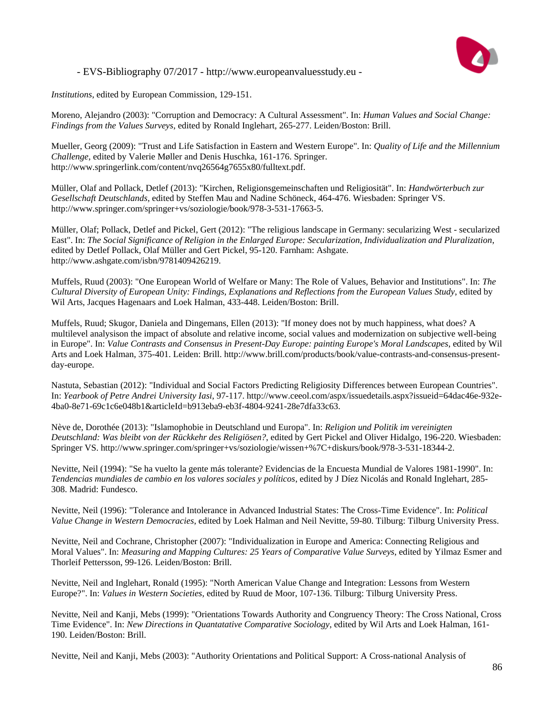

*Institutions*, edited by European Commission, 129-151.

Moreno, Alejandro (2003): "Corruption and Democracy: A Cultural Assessment". In: *Human Values and Social Change: Findings from the Values Surveys*, edited by Ronald Inglehart, 265-277. Leiden/Boston: Brill.

Mueller, Georg (2009): "Trust and Life Satisfaction in Eastern and Western Europe". In: *Quality of Life and the Millennium Challenge*, edited by Valerie Møller and Denis Huschka, 161-176. Springer. http://www.springerlink.com/content/nvq26564g7655x80/fulltext.pdf.

Müller, Olaf and Pollack, Detlef (2013): "Kirchen, Religionsgemeinschaften und Religiosität". In: *Handwörterbuch zur Gesellschaft Deutschlands*, edited by Steffen Mau and Nadine Schöneck, 464-476. Wiesbaden: Springer VS. http://www.springer.com/springer+vs/soziologie/book/978-3-531-17663-5.

Müller, Olaf; Pollack, Detlef and Pickel, Gert (2012): "The religious landscape in Germany: secularizing West - secularized East". In: *The Social Significance of Religion in the Enlarged Europe: Secularization, Individualization and Pluralization*, edited by Detlef Pollack, Olaf Müller and Gert Pickel, 95-120. Farnham: Ashgate. http://www.ashgate.com/isbn/9781409426219.

Muffels, Ruud (2003): "One European World of Welfare or Many: The Role of Values, Behavior and Institutions". In: *The Cultural Diversity of European Unity: Findings, Explanations and Reflections from the European Values Study*, edited by Wil Arts, Jacques Hagenaars and Loek Halman, 433-448. Leiden/Boston: Brill.

Muffels, Ruud; Skugor, Daniela and Dingemans, Ellen (2013): "If money does not by much happiness, what does? A multilevel analysison the impact of absolute and relative income, social values and modernization on subjective well-being in Europe". In: *Value Contrasts and Consensus in Present-Day Europe: painting Europe's Moral Landscapes*, edited by Wil Arts and Loek Halman, 375-401. Leiden: Brill. http://www.brill.com/products/book/value-contrasts-and-consensus-presentday-europe.

Nastuta, Sebastian (2012): "Individual and Social Factors Predicting Religiosity Differences between European Countries". In: *Yearbook of Petre Andrei University Iasi*, 97-117. http://www.ceeol.com/aspx/issuedetails.aspx?issueid=64dac46e-932e-4ba0-8e71-69c1c6e048b1&articleId=b913eba9-eb3f-4804-9241-28e7dfa33c63.

Nève de, Dorothée (2013): "Islamophobie in Deutschland und Europa". In: *Religion und Politik im vereinigten Deutschland: Was bleibt von der Rückkehr des Religiösen?*, edited by Gert Pickel and Oliver Hidalgo, 196-220. Wiesbaden: Springer VS. http://www.springer.com/springer+vs/soziologie/wissen+%7C+diskurs/book/978-3-531-18344-2.

Nevitte, Neil (1994): "Se ha vuelto la gente más tolerante? Evidencias de la Encuesta Mundial de Valores 1981-1990". In: *Tendencias mundiales de cambio en los valores sociales y políticos*, edited by J Díez Nicolás and Ronald Inglehart, 285- 308. Madrid: Fundesco.

Nevitte, Neil (1996): "Tolerance and Intolerance in Advanced Industrial States: The Cross-Time Evidence". In: *Political Value Change in Western Democracies*, edited by Loek Halman and Neil Nevitte, 59-80. Tilburg: Tilburg University Press.

Nevitte, Neil and Cochrane, Christopher (2007): "Individualization in Europe and America: Connecting Religious and Moral Values". In: *Measuring and Mapping Cultures: 25 Years of Comparative Value Surveys*, edited by Yilmaz Esmer and Thorleif Pettersson, 99-126. Leiden/Boston: Brill.

Nevitte, Neil and Inglehart, Ronald (1995): "North American Value Change and Integration: Lessons from Western Europe?". In: *Values in Western Societies*, edited by Ruud de Moor, 107-136. Tilburg: Tilburg University Press.

Nevitte, Neil and Kanji, Mebs (1999): "Orientations Towards Authority and Congruency Theory: The Cross National, Cross Time Evidence". In: *New Directions in Quantatative Comparative Sociology*, edited by Wil Arts and Loek Halman, 161- 190. Leiden/Boston: Brill.

Nevitte, Neil and Kanji, Mebs (2003): "Authority Orientations and Political Support: A Cross-national Analysis of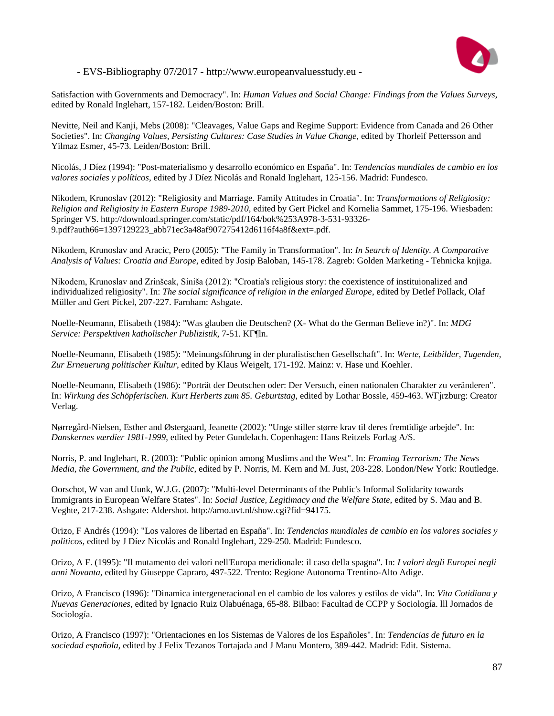

Satisfaction with Governments and Democracy". In: *Human Values and Social Change: Findings from the Values Surveys*, edited by Ronald Inglehart, 157-182. Leiden/Boston: Brill.

Nevitte, Neil and Kanji, Mebs (2008): "Cleavages, Value Gaps and Regime Support: Evidence from Canada and 26 Other Societies". In: *Changing Values, Persisting Cultures: Case Studies in Value Change*, edited by Thorleif Pettersson and Yilmaz Esmer, 45-73. Leiden/Boston: Brill.

Nicolás, J Díez (1994): "Post-materialismo y desarrollo económico en España". In: *Tendencias mundiales de cambio en los valores sociales y políticos*, edited by J Díez Nicolás and Ronald Inglehart, 125-156. Madrid: Fundesco.

Nikodem, Krunoslav (2012): "Religiosity and Marriage. Family Attitudes in Croatia". In: *Transformations of Religiosity: Religion and Religiosity in Eastern Europe 1989-2010*, edited by Gert Pickel and Kornelia Sammet, 175-196. Wiesbaden: Springer VS. http://download.springer.com/static/pdf/164/bok%253A978-3-531-93326- 9.pdf?auth66=1397129223\_abb71ec3a48af907275412d6116f4a8f&ext=.pdf.

Nikodem, Krunoslav and Aracic, Pero (2005): "The Family in Transformation". In: *In Search of Identity. A Comparative Analysis of Values: Croatia and Europe*, edited by Josip Baloban, 145-178. Zagreb: Golden Marketing - Tehnicka knjiga.

Nikodem, Krunoslav and Zrinšcak, Siniša (2012): "Croatia's religious story: the coexistence of instituionalized and individualized religiosity". In: *The social significance of religion in the enlarged Europe*, edited by Detlef Pollack, Olaf Müller and Gert Pickel, 207-227. Farnham: Ashgate.

Noelle-Neumann, Elisabeth (1984): "Was glauben die Deutschen? (X- What do the German Believe in?)". In: *MDG Service: Perspektiven katholischer Publizistik*, 7-51. KГ¶ln.

Noelle-Neumann, Elisabeth (1985): "Meinungsführung in der pluralistischen Gesellschaft". In: *Werte, Leitbilder, Tugenden, Zur Erneuerung politischer Kultur*, edited by Klaus Weigelt, 171-192. Mainz: v. Hase und Koehler.

Noelle-Neumann, Elisabeth (1986): "Porträt der Deutschen oder: Der Versuch, einen nationalen Charakter zu veränderen". In: *Wirkung des Schöpferischen. Kurt Herberts zum 85. Geburtstag*, edited by Lothar Bossle, 459-463. WГјrzburg: Creator Verlag.

Nørregård-Nielsen, Esther and Østergaard, Jeanette (2002): "Unge stiller større krav til deres fremtidige arbejde". In: *Danskernes værdier 1981-1999*, edited by Peter Gundelach. Copenhagen: Hans Reitzels Forlag A/S.

Norris, P. and Inglehart, R. (2003): "Public opinion among Muslims and the West". In: *Framing Terrorism: The News Media, the Government, and the Public*, edited by P. Norris, M. Kern and M. Just, 203-228. London/New York: Routledge.

Oorschot, W van and Uunk, W.J.G. (2007): "Multi-level Determinants of the Public's Informal Solidarity towards Immigrants in European Welfare States". In: *Social Justice, Legitimacy and the Welfare State*, edited by S. Mau and B. Veghte, 217-238. Ashgate: Aldershot. http://arno.uvt.nl/show.cgi?fid=94175.

Orizo, F Andrés (1994): "Los valores de libertad en España". In: *Tendencias mundiales de cambio en los valores sociales y politicos*, edited by J Díez Nicolás and Ronald Inglehart, 229-250. Madrid: Fundesco.

Orizo, A F. (1995): "Il mutamento dei valori nell'Europa meridionale: il caso della spagna". In: *I valori degli Europei negli anni Novanta*, edited by Giuseppe Capraro, 497-522. Trento: Regione Autonoma Trentino-Alto Adige.

Orizo, A Francisco (1996): "Dinamica intergeneracional en el cambio de los valores y estilos de vida". In: *Vita Cotidiana y Nuevas Generaciones*, edited by Ignacio Ruiz Olabuénaga, 65-88. Bilbao: Facultad de CCPP y Sociología. lll Jornados de Sociología.

Orizo, A Francisco (1997): "Orientaciones en los Sistemas de Valores de los Españoles". In: *Tendencias de futuro en la sociedad española*, edited by J Felix Tezanos Tortajada and J Manu Montero, 389-442. Madrid: Edit. Sistema.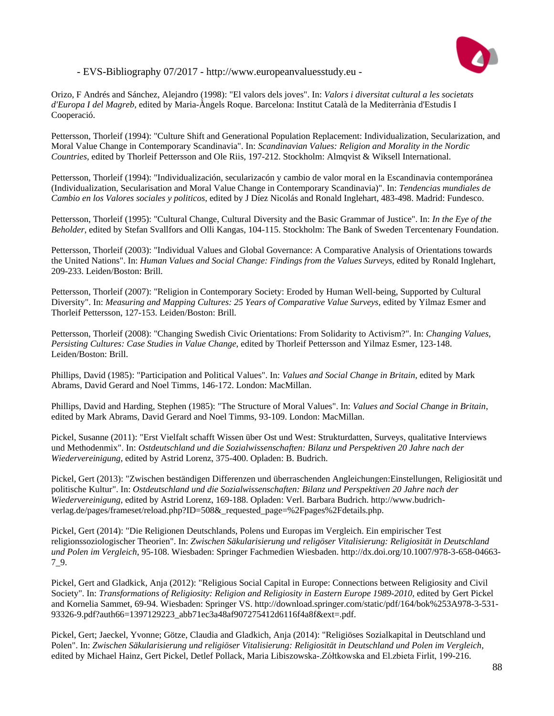

Orizo, F Andrés and Sánchez, Alejandro (1998): "El valors dels joves". In: *Valors i diversitat cultural a les societats d'Europa I del Magreb*, edited by Maria-Àngels Roque. Barcelona: Institut Català de la Mediterrània d'Estudis I Cooperació.

Pettersson, Thorleif (1994): "Culture Shift and Generational Population Replacement: Individualization, Secularization, and Moral Value Change in Contemporary Scandinavia". In: *Scandinavian Values: Religion and Morality in the Nordic Countries*, edited by Thorleif Pettersson and Ole Riis, 197-212. Stockholm: Almqvist & Wiksell International.

Pettersson, Thorleif (1994): "Individualización, secularizacón y cambio de valor moral en la Escandinavia contemporánea (Individualization, Secularisation and Moral Value Change in Contemporary Scandinavia)". In: *Tendencias mundiales de Cambio en los Valores sociales y politicos*, edited by J Díez Nicolás and Ronald Inglehart, 483-498. Madrid: Fundesco.

Pettersson, Thorleif (1995): "Cultural Change, Cultural Diversity and the Basic Grammar of Justice". In: *In the Eye of the Beholder*, edited by Stefan Svallfors and Olli Kangas, 104-115. Stockholm: The Bank of Sweden Tercentenary Foundation.

Pettersson, Thorleif (2003): "Individual Values and Global Governance: A Comparative Analysis of Orientations towards the United Nations". In: *Human Values and Social Change: Findings from the Values Surveys*, edited by Ronald Inglehart, 209-233. Leiden/Boston: Brill.

Pettersson, Thorleif (2007): "Religion in Contemporary Society: Eroded by Human Well-being, Supported by Cultural Diversity". In: *Measuring and Mapping Cultures: 25 Years of Comparative Value Surveys*, edited by Yilmaz Esmer and Thorleif Pettersson, 127-153. Leiden/Boston: Brill.

Pettersson, Thorleif (2008): "Changing Swedish Civic Orientations: From Solidarity to Activism?". In: *Changing Values, Persisting Cultures: Case Studies in Value Change*, edited by Thorleif Pettersson and Yilmaz Esmer, 123-148. Leiden/Boston: Brill.

Phillips, David (1985): "Participation and Political Values". In: *Values and Social Change in Britain*, edited by Mark Abrams, David Gerard and Noel Timms, 146-172. London: MacMillan.

Phillips, David and Harding, Stephen (1985): "The Structure of Moral Values". In: *Values and Social Change in Britain*, edited by Mark Abrams, David Gerard and Noel Timms, 93-109. London: MacMillan.

Pickel, Susanne (2011): "Erst Vielfalt schafft Wissen über Ost und West: Strukturdatten, Surveys, qualitative Interviews und Methodenmix". In: *Ostdeutschland und die Sozialwissenschaften: Bilanz und Perspektiven 20 Jahre nach der Wiedervereinigung*, edited by Astrid Lorenz, 375-400. Opladen: B. Budrich.

Pickel, Gert (2013): "Zwischen beständigen Differenzen und überraschenden Angleichungen:Einstellungen, Religiosität und politische Kultur". In: *Ostdeutschland und die Sozialwissenschaften: Bilanz und Perspektiven 20 Jahre nach der Wiedervereinigung*, edited by Astrid Lorenz, 169-188. Opladen: Verl. Barbara Budrich. http://www.budrichverlag.de/pages/frameset/reload.php?ID=508&\_requested\_page=%2Fpages%2Fdetails.php.

Pickel, Gert (2014): "Die Religionen Deutschlands, Polens und Europas im Vergleich. Ein empirischer Test religionssoziologischer Theorien". In: *Zwischen Säkularisierung und religöser Vitalisierung: Religiosität in Deutschland und Polen im Vergleich*, 95-108. Wiesbaden: Springer Fachmedien Wiesbaden. http://dx.doi.org/10.1007/978-3-658-04663- 7\_9.

Pickel, Gert and Gladkick, Anja (2012): "Religious Social Capital in Europe: Connections between Religiosity and Civil Society". In: *Transformations of Religiosity: Religion and Religiosity in Eastern Europe 1989-2010*, edited by Gert Pickel and Kornelia Sammet, 69-94. Wiesbaden: Springer VS. http://download.springer.com/static/pdf/164/bok%253A978-3-531- 93326-9.pdf?auth66=1397129223\_abb71ec3a48af907275412d6116f4a8f&ext=.pdf.

Pickel, Gert; Jaeckel, Yvonne; Götze, Claudia and Gladkich, Anja (2014): "Religiöses Sozialkapital in Deutschland und Polen". In: *Zwischen Säkularisierung und religiöser Vitalisierung: Religiosität in Deutschland und Polen im Vergleich*, edited by Michael Hainz, Gert Pickel, Detlef Pollack, Maria Libiszowska-.Zółtkowska and El.zbieta Firlit, 199-216.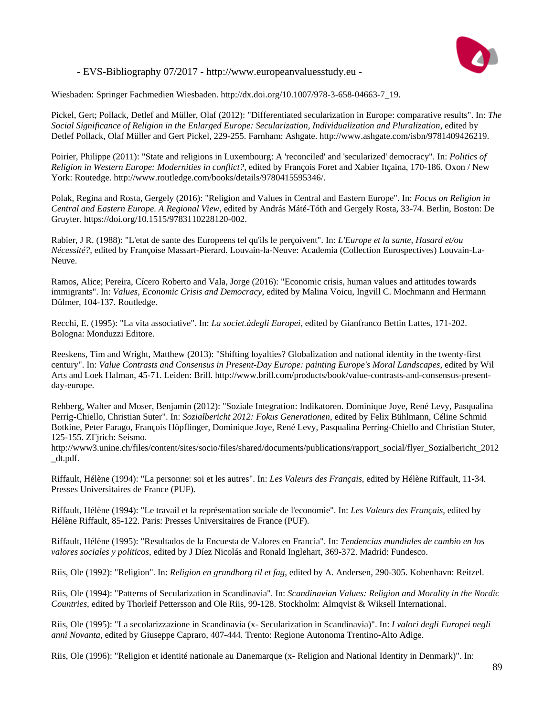

Wiesbaden: Springer Fachmedien Wiesbaden. http://dx.doi.org/10.1007/978-3-658-04663-7\_19.

Pickel, Gert; Pollack, Detlef and Müller, Olaf (2012): "Differentiated secularization in Europe: comparative results". In: *The Social Significance of Religion in the Enlarged Europe: Secularization, Individualization and Pluralization*, edited by Detlef Pollack, Olaf Müller and Gert Pickel, 229-255. Farnham: Ashgate. http://www.ashgate.com/isbn/9781409426219.

Poirier, Philippe (2011): "State and religions in Luxembourg: A 'reconciled' and 'secularized' democracy". In: *Politics of Religion in Western Europe: Modernities in conflict?*, edited by François Foret and Xabier Itçaina, 170-186. Oxon / New York: Routedge. http://www.routledge.com/books/details/9780415595346/.

Polak, Regina and Rosta, Gergely (2016): "Religion and Values in Central and Eastern Europe". In: *Focus on Religion in Central and Eastern Europe. A Regional View*, edited by András Máté-Tóth and Gergely Rosta, 33-74. Berlin, Boston: De Gruyter. https://doi.org/10.1515/9783110228120-002.

Rabier, J R. (1988): "L'etat de sante des Europeens tel qu'ils le perçoivent". In: *L'Europe et la sante, Hasard et/ou Nécessité?*, edited by Françoise Massart-Pierard. Louvain-la-Neuve: Academia (Collection Eurospectives) Louvain-La-Neuve.

Ramos, Alice; Pereira, Cícero Roberto and Vala, Jorge (2016): "Economic crisis, human values and attitudes towards immigrants". In: *Values, Economic Crisis and Democracy*, edited by Malina Voicu, Ingvill C. Mochmann and Hermann Dülmer, 104-137. Routledge.

Recchi, E. (1995): "La vita associative". In: *La societ.àdegli Europei*, edited by Gianfranco Bettin Lattes, 171-202. Bologna: Monduzzi Editore.

Reeskens, Tim and Wright, Matthew (2013): "Shifting loyalties? Globalization and national identity in the twenty-first century". In: *Value Contrasts and Consensus in Present-Day Europe: painting Europe's Moral Landscapes*, edited by Wil Arts and Loek Halman, 45-71. Leiden: Brill. http://www.brill.com/products/book/value-contrasts-and-consensus-presentday-europe.

Rehberg, Walter and Moser, Benjamin (2012): "Soziale Integration: Indikatoren. Dominique Joye, René Levy, Pasqualina Perrig-Chiello, Christian Suter". In: *Sozialbericht 2012: Fokus Generationen*, edited by Felix Bühlmann, Céline Schmid Botkine, Peter Farago, François Höpflinger, Dominique Joye, René Levy, Pasqualina Perring-Chiello and Christian Stuter, 125-155. ZГјrich: Seismo.

http://www3.unine.ch/files/content/sites/socio/files/shared/documents/publications/rapport\_social/flyer\_Sozialbericht\_2012 \_dt.pdf.

Riffault, Hélène (1994): "La personne: soi et les autres". In: *Les Valeurs des Français*, edited by Hélène Riffault, 11-34. Presses Universitaires de France (PUF).

Riffault, Hélène (1994): "Le travail et la représentation sociale de l'economie". In: *Les Valeurs des Français*, edited by Hélène Riffault, 85-122. Paris: Presses Universitaires de France (PUF).

Riffault, Hélène (1995): "Resultados de la Encuesta de Valores en Francia". In: *Tendencias mundiales de cambio en los valores sociales y politicos*, edited by J Díez Nicolás and Ronald Inglehart, 369-372. Madrid: Fundesco.

Riis, Ole (1992): "Religion". In: *Religion en grundborg til et fag*, edited by A. Andersen, 290-305. Kobenhavn: Reitzel.

Riis, Ole (1994): "Patterns of Secularization in Scandinavia". In: *Scandinavian Values: Religion and Morality in the Nordic Countries*, edited by Thorleif Pettersson and Ole Riis, 99-128. Stockholm: Almqvist & Wiksell International.

Riis, Ole (1995): "La secolarizzazione in Scandinavia (x- Secularization in Scandinavia)". In: *I valori degli Europei negli anni Novanta*, edited by Giuseppe Capraro, 407-444. Trento: Regione Autonoma Trentino-Alto Adige.

Riis, Ole (1996): "Religion et identité nationale au Danemarque (x- Religion and National Identity in Denmark)". In: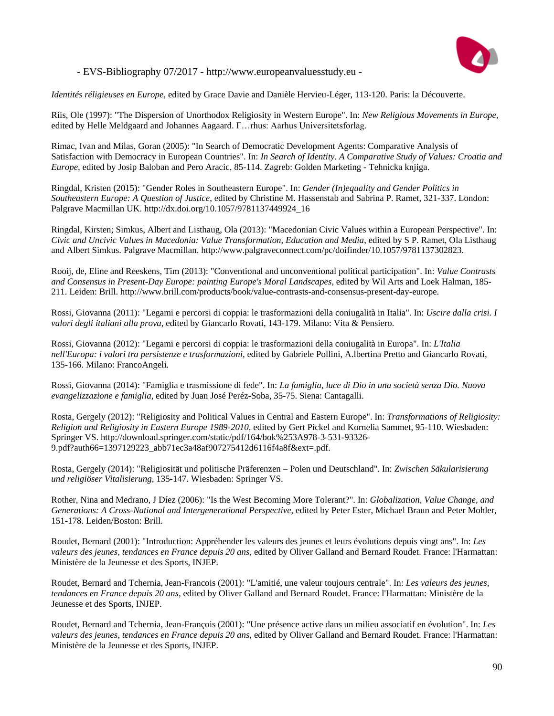

*Identités réligieuses en Europe*, edited by Grace Davie and Danièle Hervieu-Léger, 113-120. Paris: la Découverte.

Riis, Ole (1997): "The Dispersion of Unorthodox Religiosity in Western Europe". In: *New Religious Movements in Europe*, edited by Helle Meldgaard and Johannes Aagaard. Г…rhus: Aarhus Universitetsforlag.

Rimac, Ivan and Milas, Goran (2005): "In Search of Democratic Development Agents: Comparative Analysis of Satisfaction with Democracy in European Countries". In: *In Search of Identity. A Comparative Study of Values: Croatia and Europe*, edited by Josip Baloban and Pero Aracic, 85-114. Zagreb: Golden Marketing - Tehnicka knjiga.

Ringdal, Kristen (2015): "Gender Roles in Southeastern Europe". In: *Gender (In)equality and Gender Politics in Southeastern Europe: A Question of Justice*, edited by Christine M. Hassenstab and Sabrina P. Ramet, 321-337. London: Palgrave Macmillan UK. http://dx.doi.org/10.1057/9781137449924\_16

Ringdal, Kirsten; Simkus, Albert and Listhaug, Ola (2013): "Macedonian Civic Values within a European Perspective". In: *Civic and Uncivic Values in Macedonia: Value Transformation, Education and Media*, edited by S P. Ramet, Ola Listhaug and Albert Simkus. Palgrave Macmillan. http://www.palgraveconnect.com/pc/doifinder/10.1057/9781137302823.

Rooij, de, Eline and Reeskens, Tim (2013): "Conventional and unconventional political participation". In: *Value Contrasts and Consensus in Present-Day Europe: painting Europe's Moral Landscapes*, edited by Wil Arts and Loek Halman, 185- 211. Leiden: Brill. http://www.brill.com/products/book/value-contrasts-and-consensus-present-day-europe.

Rossi, Giovanna (2011): "Legami e percorsi di coppia: le trasformazioni della coniugalità in Italia". In: *Uscire dalla crisi. I valori degli italiani alla prova*, edited by Giancarlo Rovati, 143-179. Milano: Vita & Pensiero.

Rossi, Giovanna (2012): "Legami e percorsi di coppia: le trasformazioni della coniugalità in Europa". In: *L'Italia nell'Europa: i valori tra persistenze e trasformazioni*, edited by Gabriele Pollini, A.lbertina Pretto and Giancarlo Rovati, 135-166. Milano: FrancoAngeli.

Rossi, Giovanna (2014): "Famiglia e trasmissione di fede". In: *La famiglia, luce di Dio in una società senza Dio. Nuova evangelizzazione e famiglia*, edited by Juan José Peréz-Soba, 35-75. Siena: Cantagalli.

Rosta, Gergely (2012): "Religiosity and Political Values in Central and Eastern Europe". In: *Transformations of Religiosity: Religion and Religiosity in Eastern Europe 1989-2010*, edited by Gert Pickel and Kornelia Sammet, 95-110. Wiesbaden: Springer VS. http://download.springer.com/static/pdf/164/bok%253A978-3-531-93326- 9.pdf?auth66=1397129223\_abb71ec3a48af907275412d6116f4a8f&ext=.pdf.

Rosta, Gergely (2014): "Religiosität und politische Präferenzen – Polen und Deutschland". In: *Zwischen Säkularisierung und religiöser Vitalisierung*, 135-147. Wiesbaden: Springer VS.

Rother, Nina and Medrano, J Díez (2006): "Is the West Becoming More Tolerant?". In: *Globalization, Value Change, and Generations: A Cross-National and Intergenerational Perspective*, edited by Peter Ester, Michael Braun and Peter Mohler, 151-178. Leiden/Boston: Brill.

Roudet, Bernard (2001): "Introduction: Appréhender les valeurs des jeunes et leurs évolutions depuis vingt ans". In: *Les valeurs des jeunes, tendances en France depuis 20 ans*, edited by Oliver Galland and Bernard Roudet. France: l'Harmattan: Ministère de la Jeunesse et des Sports, INJEP.

Roudet, Bernard and Tchernia, Jean-Francois (2001): "L'amitié, une valeur toujours centrale". In: *Les valeurs des jeunes, tendances en France depuis 20 ans*, edited by Oliver Galland and Bernard Roudet. France: l'Harmattan: Ministère de la Jeunesse et des Sports, INJEP.

Roudet, Bernard and Tchernia, Jean-François (2001): "Une présence active dans un milieu associatif en évolution". In: *Les valeurs des jeunes, tendances en France depuis 20 ans*, edited by Oliver Galland and Bernard Roudet. France: l'Harmattan: Ministère de la Jeunesse et des Sports, INJEP.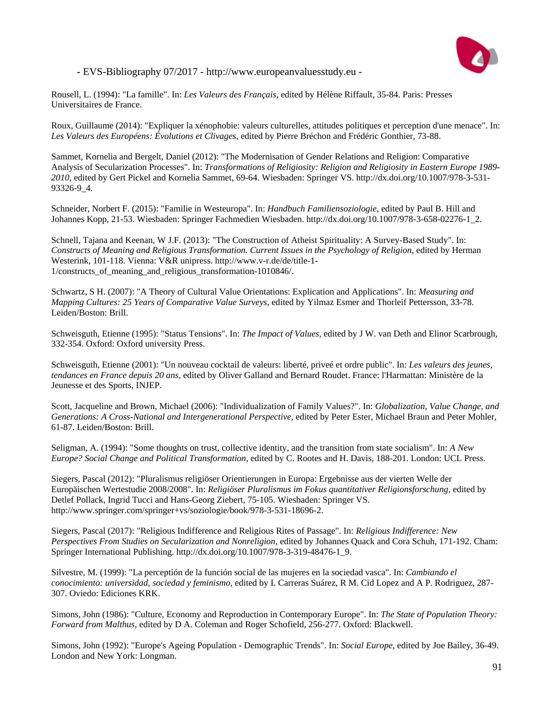

Rousell, L. (1994): "La famille". In: *Les Valeurs des Français*, edited by Hélène Riffault, 35-84. Paris: Presses Universitaires de France.

Roux, Guillaume (2014): "Expliquer la xénophobie: valeurs culturelles, attitudes politiques et perception d'une menace". In: *Les Valeurs des Européens: Évolutions et Clivages*, edited by Pierre Bréchon and Frédéric Gonthier, 73-88.

Sammet, Kornelia and Bergelt, Daniel (2012): "The Modernisation of Gender Relations and Religion: Comparative Analysis of Secularization Processes". In: *Transformations of Religiosity: Religion and Religiosity in Eastern Europe 1989- 2010*, edited by Gert Pickel and Kornelia Sammet, 69-64. Wiesbaden: Springer VS. http://dx.doi.org/10.1007/978-3-531- 93326-9\_4.

Schneider, Norbert F. (2015): "Familie in Westeuropa". In: *Handbuch Familiensoziologie*, edited by Paul B. Hill and Johannes Kopp, 21-53. Wiesbaden: Springer Fachmedien Wiesbaden. http://dx.doi.org/10.1007/978-3-658-02276-1\_2.

Schnell, Tajana and Keenan, W J.F. (2013): "The Construction of Atheist Spirituality: A Survey-Based Study". In: *Constructs of Meaning and Religious Transformation. Current Issues in the Psychology of Religion*, edited by Herman Westerink, 101-118. Vienna: V&R unipress. http://www.v-r.de/de/title-1- 1/constructs\_of\_meaning\_and\_religious\_transformation-1010846/.

Schwartz, S H. (2007): "A Theory of Cultural Value Orientations: Explication and Applications". In: *Measuring and Mapping Cultures: 25 Years of Comparative Value Surveys*, edited by Yilmaz Esmer and Thorleif Pettersson, 33-78. Leiden/Boston: Brill.

Schweisguth, Etienne (1995): "Status Tensions". In: *The Impact of Values*, edited by J W. van Deth and Elinor Scarbrough, 332-354. Oxford: Oxford university Press.

Schweisguth, Etienne (2001): "Un nouveau cocktail de valeurs: liberté, priveé et ordre public". In: *Les valeurs des jeunes, tendances en France depuis 20 ans*, edited by Oliver Galland and Bernard Roudet. France: l'Harmattan: Ministère de la Jeunesse et des Sports, INJEP.

Scott, Jacqueline and Brown, Michael (2006): "Individualization of Family Values?". In: *Globalization, Value Change, and Generations: A Cross-National and Intergenerational Perspective*, edited by Peter Ester, Michael Braun and Peter Mohler, 61-87. Leiden/Boston: Brill.

Seligman, A. (1994): "Some thoughts on trust, collective identity, and the transition from state socialism". In: *A New Europe? Social Change and Political Transformation*, edited by C. Rootes and H. Davis, 188-201. London: UCL Press.

Siegers, Pascal (2012): "Pluralismus religiöser Orientierungen in Europa: Ergebnisse aus der vierten Welle der Europäischen Wertestudie 2008/2008". In: *Religiöser Pluralismus im Fokus quantitativer Religionsforschung*, edited by Detlef Pollack, Ingrid Tucci and Hans-Georg Ziebert, 75-105. Wiesbaden: Springer VS. http://www.springer.com/springer+vs/soziologie/book/978-3-531-18696-2.

Siegers, Pascal (2017): "Religious Indifference and Religious Rites of Passage". In: *Religious Indifference: New Perspectives From Studies on Secularization and Nonreligion*, edited by Johannes Quack and Cora Schuh, 171-192. Cham: Springer International Publishing. http://dx.doi.org/10.1007/978-3-319-48476-1\_9.

Silvestre, M. (1999): "La perceptión de la función social de las mujeres en la sociedad vasca". In: *Cambiando el conocimiento: universidad, sociedad y feminismo*, edited by I. Carreras Suárez, R M. Cid Lopez and A P. Rodriguez, 287- 307. Oviedo: Ediciones KRK.

Simons, John (1986): "Culture, Economy and Reproduction in Contemporary Europe". In: *The State of Population Theory: Forward from Malthus*, edited by D A. Coleman and Roger Schofield, 256-277. Oxford: Blackwell.

Simons, John (1992): "Europe's Ageing Population - Demographic Trends". In: *Social Europe*, edited by Joe Bailey, 36-49. London and New York: Longman.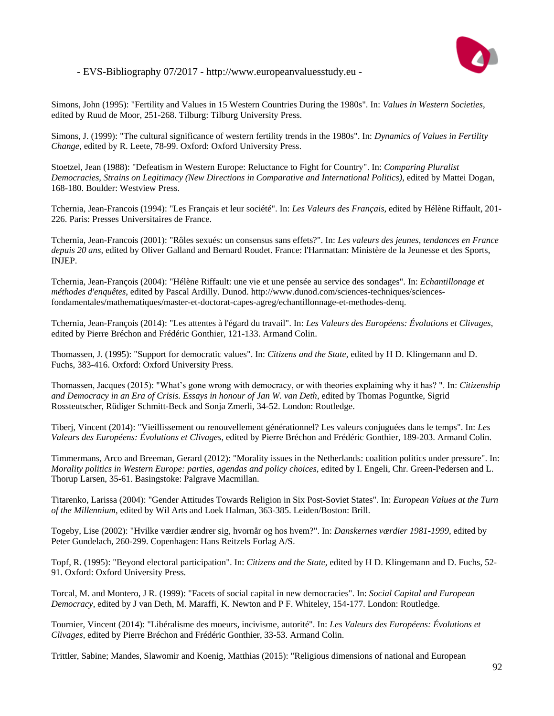

Simons, John (1995): "Fertility and Values in 15 Western Countries During the 1980s". In: *Values in Western Societies*, edited by Ruud de Moor, 251-268. Tilburg: Tilburg University Press.

Simons, J. (1999): "The cultural significance of western fertility trends in the 1980s". In: *Dynamics of Values in Fertility Change*, edited by R. Leete, 78-99. Oxford: Oxford University Press.

Stoetzel, Jean (1988): "Defeatism in Western Europe: Reluctance to Fight for Country". In: *Comparing Pluralist Democracies, Strains on Legitimacy (New Directions in Comparative and International Politics)*, edited by Mattei Dogan, 168-180. Boulder: Westview Press.

Tchernia, Jean-Francois (1994): "Les Français et leur société". In: *Les Valeurs des Français*, edited by Hélène Riffault, 201- 226. Paris: Presses Universitaires de France.

Tchernia, Jean-Francois (2001): "Rôles sexués: un consensus sans effets?". In: *Les valeurs des jeunes, tendances en France depuis 20 ans*, edited by Oliver Galland and Bernard Roudet. France: l'Harmattan: Ministère de la Jeunesse et des Sports, INJEP.

Tchernia, Jean-François (2004): "Hélène Riffault: une vie et une pensée au service des sondages". In: *Echantillonage et méthodes d'enquêtes*, edited by Pascal Ardilly. Dunod. http://www.dunod.com/sciences-techniques/sciencesfondamentales/mathematiques/master-et-doctorat-capes-agreg/echantillonnage-et-methodes-denq.

Tchernia, Jean-François (2014): "Les attentes à l'égard du travail". In: *Les Valeurs des Européens: Évolutions et Clivages*, edited by Pierre Bréchon and Frédéric Gonthier, 121-133. Armand Colin.

Thomassen, J. (1995): "Support for democratic values". In: *Citizens and the State*, edited by H D. Klingemann and D. Fuchs, 383-416. Oxford: Oxford University Press.

Thomassen, Jacques (2015): "What's gone wrong with democracy, or with theories explaining why it has? ". In: *Citizenship and Democracy in an Era of Crisis. Essays in honour of Jan W. van Deth*, edited by Thomas Poguntke, Sigrid Rossteutscher, Rüdiger Schmitt-Beck and Sonja Zmerli, 34-52. London: Routledge.

Tiberj, Vincent (2014): "Vieillissement ou renouvellement générationnel? Les valeurs conjuguées dans le temps". In: *Les Valeurs des Européens: Évolutions et Clivages*, edited by Pierre Bréchon and Frédéric Gonthier, 189-203. Armand Colin.

Timmermans, Arco and Breeman, Gerard (2012): "Morality issues in the Netherlands: coalition politics under pressure". In: *Morality politics in Western Europe: parties, agendas and policy choices*, edited by I. Engeli, Chr. Green-Pedersen and L. Thorup Larsen, 35-61. Basingstoke: Palgrave Macmillan.

Titarenko, Larissa (2004): "Gender Attitudes Towards Religion in Six Post-Soviet States". In: *European Values at the Turn of the Millennium*, edited by Wil Arts and Loek Halman, 363-385. Leiden/Boston: Brill.

Togeby, Lise (2002): "Hvilke værdier ændrer sig, hvornår og hos hvem?". In: *Danskernes værdier 1981-1999*, edited by Peter Gundelach, 260-299. Copenhagen: Hans Reitzels Forlag A/S.

Topf, R. (1995): "Beyond electoral participation". In: *Citizens and the State*, edited by H D. Klingemann and D. Fuchs, 52- 91. Oxford: Oxford University Press.

Torcal, M. and Montero, J R. (1999): "Facets of social capital in new democracies". In: *Social Capital and European Democracy*, edited by J van Deth, M. Maraffi, K. Newton and P F. Whiteley, 154-177. London: Routledge.

Tournier, Vincent (2014): "Libéralisme des moeurs, incivisme, autorité". In: *Les Valeurs des Européens: Évolutions et Clivages*, edited by Pierre Bréchon and Frédéric Gonthier, 33-53. Armand Colin.

Trittler, Sabine; Mandes, Slawomir and Koenig, Matthias (2015): "Religious dimensions of national and European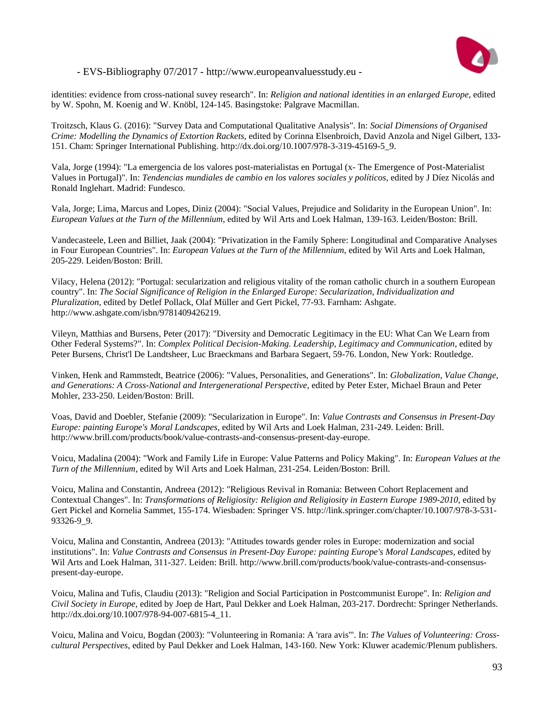

identities: evidence from cross-national suvey research". In: *Religion and national identities in an enlarged Europe*, edited by W. Spohn, M. Koenig and W. Knöbl, 124-145. Basingstoke: Palgrave Macmillan.

Troitzsch, Klaus G. (2016): "Survey Data and Computational Qualitative Analysis". In: *Social Dimensions of Organised Crime: Modelling the Dynamics of Extortion Rackets*, edited by Corinna Elsenbroich, David Anzola and Nigel Gilbert, 133- 151. Cham: Springer International Publishing. http://dx.doi.org/10.1007/978-3-319-45169-5\_9.

Vala, Jorge (1994): "La emergencia de los valores post-materialistas en Portugal (x- The Emergence of Post-Materialist Values in Portugal)". In: *Tendencias mundiales de cambio en los valores sociales y políticos*, edited by J Díez Nicolás and Ronald Inglehart. Madrid: Fundesco.

Vala, Jorge; Lima, Marcus and Lopes, Diniz (2004): "Social Values, Prejudice and Solidarity in the European Union". In: *European Values at the Turn of the Millennium*, edited by Wil Arts and Loek Halman, 139-163. Leiden/Boston: Brill.

Vandecasteele, Leen and Billiet, Jaak (2004): "Privatization in the Family Sphere: Longitudinal and Comparative Analyses in Four European Countries". In: *European Values at the Turn of the Millennium*, edited by Wil Arts and Loek Halman, 205-229. Leiden/Boston: Brill.

Vilacy, Helena (2012): "Portugal: secularization and religious vitality of the roman catholic church in a southern European country". In: *The Social Significance of Religion in the Enlarged Europe: Secularization, Individualization and Pluralization*, edited by Detlef Pollack, Olaf Müller and Gert Pickel, 77-93. Farnham: Ashgate. http://www.ashgate.com/isbn/9781409426219.

Vileyn, Matthias and Bursens, Peter (2017): "Diversity and Democratic Legitimacy in the EU: What Can We Learn from Other Federal Systems?". In: *Complex Political Decision-Making. Leadership, Legitimacy and Communication*, edited by Peter Bursens, Christ'l De Landtsheer, Luc Braeckmans and Barbara Segaert, 59-76. London, New York: Routledge.

Vinken, Henk and Rammstedt, Beatrice (2006): "Values, Personalities, and Generations". In: *Globalization, Value Change, and Generations: A Cross-National and Intergenerational Perspective*, edited by Peter Ester, Michael Braun and Peter Mohler, 233-250. Leiden/Boston: Brill.

Voas, David and Doebler, Stefanie (2009): "Secularization in Europe". In: *Value Contrasts and Consensus in Present-Day Europe: painting Europe's Moral Landscapes*, edited by Wil Arts and Loek Halman, 231-249. Leiden: Brill. http://www.brill.com/products/book/value-contrasts-and-consensus-present-day-europe.

Voicu, Madalina (2004): "Work and Family Life in Europe: Value Patterns and Policy Making". In: *European Values at the Turn of the Millennium*, edited by Wil Arts and Loek Halman, 231-254. Leiden/Boston: Brill.

Voicu, Malina and Constantin, Andreea (2012): "Religious Revival in Romania: Between Cohort Replacement and Contextual Changes". In: *Transformations of Religiosity: Religion and Religiosity in Eastern Europe 1989-2010*, edited by Gert Pickel and Kornelia Sammet, 155-174. Wiesbaden: Springer VS. http://link.springer.com/chapter/10.1007/978-3-531- 93326-9\_9.

Voicu, Malina and Constantin, Andreea (2013): "Attitudes towards gender roles in Europe: modernization and social institutions". In: *Value Contrasts and Consensus in Present-Day Europe: painting Europe's Moral Landscapes*, edited by Wil Arts and Loek Halman, 311-327. Leiden: Brill. http://www.brill.com/products/book/value-contrasts-and-consensuspresent-day-europe.

Voicu, Malina and Tufis, Claudiu (2013): "Religion and Social Participation in Postcommunist Europe". In: *Religion and Civil Society in Europe*, edited by Joep de Hart, Paul Dekker and Loek Halman, 203-217. Dordrecht: Springer Netherlands. http://dx.doi.org/10.1007/978-94-007-6815-4\_11.

Voicu, Malina and Voicu, Bogdan (2003): "Volunteering in Romania: A 'rara avis'". In: *The Values of Volunteering: Crosscultural Perspectives*, edited by Paul Dekker and Loek Halman, 143-160. New York: Kluwer academic/Plenum publishers.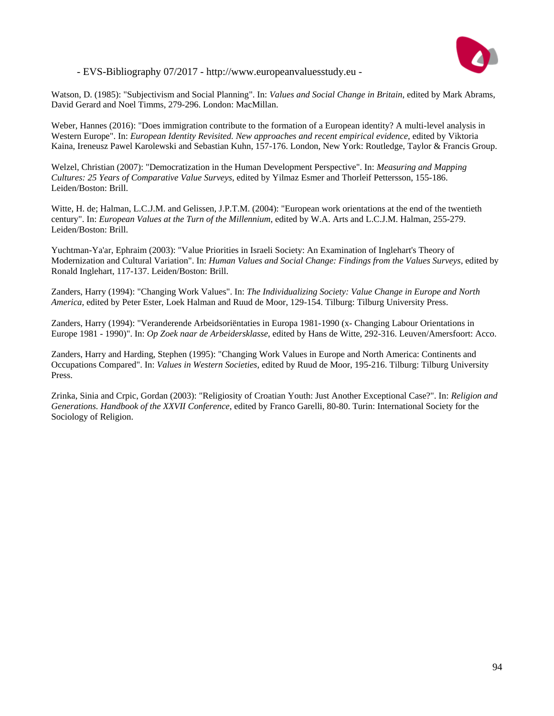

Watson, D. (1985): "Subjectivism and Social Planning". In: *Values and Social Change in Britain*, edited by Mark Abrams, David Gerard and Noel Timms, 279-296. London: MacMillan.

Weber, Hannes (2016): "Does immigration contribute to the formation of a European identity? A multi-level analysis in Western Europe". In: *European Identity Revisited. New approaches and recent empirical evidence*, edited by Viktoria Kaina, Ireneusz Pawel Karolewski and Sebastian Kuhn, 157-176. London, New York: Routledge, Taylor & Francis Group.

Welzel, Christian (2007): "Democratization in the Human Development Perspective". In: *Measuring and Mapping Cultures: 25 Years of Comparative Value Surveys*, edited by Yilmaz Esmer and Thorleif Pettersson, 155-186. Leiden/Boston: Brill.

Witte, H. de; Halman, L.C.J.M. and Gelissen, J.P.T.M. (2004): "European work orientations at the end of the twentieth century". In: *European Values at the Turn of the Millennium*, edited by W.A. Arts and L.C.J.M. Halman, 255-279. Leiden/Boston: Brill.

Yuchtman-Ya'ar, Ephraim (2003): "Value Priorities in Israeli Society: An Examination of Inglehart's Theory of Modernization and Cultural Variation". In: *Human Values and Social Change: Findings from the Values Surveys*, edited by Ronald Inglehart, 117-137. Leiden/Boston: Brill.

Zanders, Harry (1994): "Changing Work Values". In: *The Individualizing Society: Value Change in Europe and North America*, edited by Peter Ester, Loek Halman and Ruud de Moor, 129-154. Tilburg: Tilburg University Press.

Zanders, Harry (1994): "Veranderende Arbeidsoriëntaties in Europa 1981-1990 (x- Changing Labour Orientations in Europe 1981 - 1990)". In: *Op Zoek naar de Arbeidersklasse*, edited by Hans de Witte, 292-316. Leuven/Amersfoort: Acco.

Zanders, Harry and Harding, Stephen (1995): "Changing Work Values in Europe and North America: Continents and Occupations Compared". In: *Values in Western Societies*, edited by Ruud de Moor, 195-216. Tilburg: Tilburg University Press.

Zrinka, Sinia and Crpic, Gordan (2003): "Religiosity of Croatian Youth: Just Another Exceptional Case?". In: *Religion and Generations. Handbook of the XXVII Conference*, edited by Franco Garelli, 80-80. Turin: International Society for the Sociology of Religion.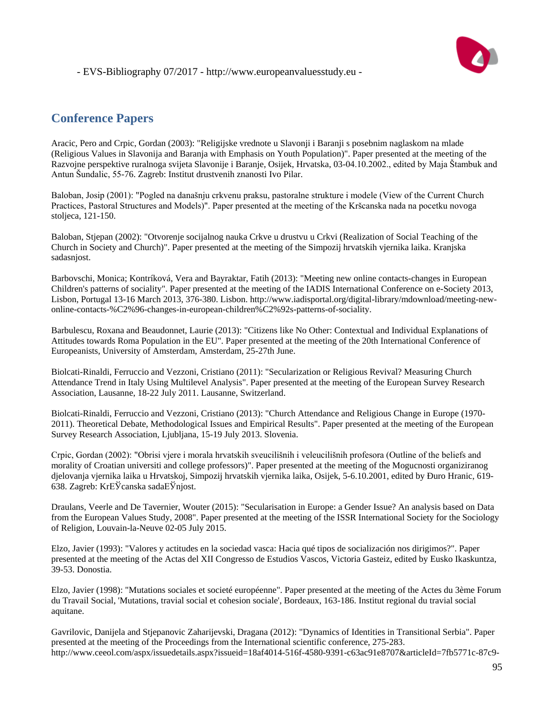# **Conference Papers**

Aracic, Pero and Crpic, Gordan (2003): "Religijske vrednote u Slavonji i Baranji s posebnim naglaskom na mlade (Religious Values in Slavonija and Baranja with Emphasis on Youth Population)". Paper presented at the meeting of the Razvojne perspektive ruralnoga svijeta Slavonije i Baranje, Osijek, Hrvatska, 03-04.10.2002., edited by Maja Štambuk and Antun Šundalic, 55-76. Zagreb: Institut drustvenih znanosti Ivo Pilar.

Baloban, Josip (2001): "Pogled na današnju crkvenu praksu, pastoralne strukture i modele (View of the Current Church Practices, Pastoral Structures and Models)". Paper presented at the meeting of the Kršcanska nada na pocetku novoga stoljeca, 121-150.

Baloban, Stjepan (2002): "Otvorenje socijalnog nauka Crkve u drustvu u Crkvi (Realization of Social Teaching of the Church in Society and Church)". Paper presented at the meeting of the Simpozij hrvatskih vjernika laika. Kranjska sadasnjost.

Barbovschi, Monica; Kontríková, Vera and Bayraktar, Fatih (2013): "Meeting new online contacts-changes in European Children's patterns of sociality". Paper presented at the meeting of the IADIS International Conference on e-Society 2013, Lisbon, Portugal 13-16 March 2013, 376-380. Lisbon. http://www.iadisportal.org/digital-library/mdownload/meeting-newonline-contacts-%C2%96-changes-in-european-children%C2%92s-patterns-of-sociality.

Barbulescu, Roxana and Beaudonnet, Laurie (2013): "Citizens like No Other: Contextual and Individual Explanations of Attitudes towards Roma Population in the EU". Paper presented at the meeting of the 20th International Conference of Europeanists, University of Amsterdam, Amsterdam, 25-27th June.

Biolcati-Rinaldi, Ferruccio and Vezzoni, Cristiano (2011): "Secularization or Religious Revival? Measuring Church Attendance Trend in Italy Using Multilevel Analysis". Paper presented at the meeting of the European Survey Research Association, Lausanne, 18-22 July 2011. Lausanne, Switzerland.

Biolcati-Rinaldi, Ferruccio and Vezzoni, Cristiano (2013): "Church Attendance and Religious Change in Europe (1970- 2011). Theoretical Debate, Methodological Issues and Empirical Results". Paper presented at the meeting of the European Survey Research Association, Ljubljana, 15-19 July 2013. Slovenia.

Crpic, Gordan (2002): "Obrisi vjere i morala hrvatskih sveucilišnih i veleucilišnih profesora (Outline of the beliefs and morality of Croatian universiti and college professors)". Paper presented at the meeting of the Mogucnosti organiziranog djelovanja vjernika laika u Hrvatskoj, Simpozij hrvatskih vjernika laika, Osijek, 5-6.10.2001, edited by Ðuro Hranic, 619- 638. Zagreb: KrЕЎcanska sadaЕЎnjost.

Draulans, Veerle and De Tavernier, Wouter (2015): "Secularisation in Europe: a Gender Issue? An analysis based on Data from the European Values Study, 2008". Paper presented at the meeting of the ISSR International Society for the Sociology of Religion, Louvain-la-Neuve 02-05 July 2015.

Elzo, Javier (1993): "Valores y actitudes en la sociedad vasca: Hacia qué tipos de socialización nos dirigimos?". Paper presented at the meeting of the Actas del XII Congresso de Estudios Vascos, Victoria Gasteiz, edited by Eusko Ikaskuntza, 39-53. Donostia.

Elzo, Javier (1998): "Mutations sociales et societé européenne". Paper presented at the meeting of the Actes du 3ème Forum du Travail Social, 'Mutations, travial social et cohesion sociale', Bordeaux, 163-186. Institut regional du travial social aquitane.

Gavrilovic, Danijela and Stjepanovic Zaharijevski, Dragana (2012): "Dynamics of Identities in Transitional Serbia". Paper presented at the meeting of the Proceedings from the International scientific conference, 275-283. http://www.ceeol.com/aspx/issuedetails.aspx?issueid=18af4014-516f-4580-9391-c63ac91e8707&articleId=7fb5771c-87c9-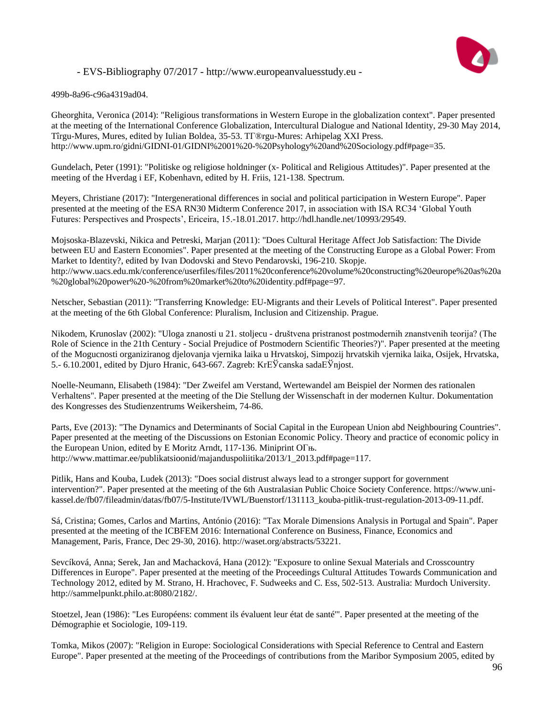

499b-8a96-c96a4319ad04.

Gheorghita, Veronica (2014): "Religious transformations in Western Europe in the globalization context". Paper presented at the meeting of the International Conference Globalization, Intercultural Dialogue and National Identity, 29-30 May 2014, Tîrgu-Mures, Mures, edited by Iulian Boldea, 35-53. TГ®rgu-Mures: Arhipelag XXI Press. http://www.upm.ro/gidni/GIDNI-01/GIDNI%2001%20-%20Psyhology%20and%20Sociology.pdf#page=35.

Gundelach, Peter (1991): "Politiske og religiose holdninger (x- Political and Religious Attitudes)". Paper presented at the meeting of the Hverdag i EF, Kobenhavn, edited by H. Friis, 121-138. Spectrum.

Meyers, Christiane (2017): "Intergenerational differences in social and political participation in Western Europe". Paper presented at the meeting of the ESA RN30 Midterm Conference 2017, in association with ISA RC34 'Global Youth Futures: Perspectives and Prospects', Ericeira, 15.-18.01.2017. http://hdl.handle.net/10993/29549.

Mojsoska-Blazevski, Nikica and Petreski, Marjan (2011): "Does Cultural Heritage Affect Job Satisfaction: The Divide between EU and Eastern Economies". Paper presented at the meeting of the Constructing Europe as a Global Power: From Market to Identity?, edited by Ivan Dodovski and Stevo Pendarovski, 196-210. Skopje. http://www.uacs.edu.mk/conference/userfiles/files/2011%20conference%20volume%20constructing%20europe%20as%20a %20global%20power%20-%20from%20market%20to%20identity.pdf#page=97.

Netscher, Sebastian (2011): "Transferring Knowledge: EU-Migrants and their Levels of Political Interest". Paper presented at the meeting of the 6th Global Conference: Pluralism, Inclusion and Citizenship. Prague.

Nikodem, Krunoslav (2002): "Uloga znanosti u 21. stoljecu - društvena pristranost postmodernih znanstvenih teorija? (The Role of Science in the 21th Century - Social Prejudice of Postmodern Scientific Theories?)". Paper presented at the meeting of the Mogucnosti organiziranog djelovanja vjernika laika u Hrvatskoj, Simpozij hrvatskih vjernika laika, Osijek, Hrvatska, 5.- 6.10.2001, edited by Djuro Hranic, 643-667. Zagreb: KrЕЎcanska sadaЕЎnjost.

Noelle-Neumann, Elisabeth (1984): "Der Zweifel am Verstand, Wertewandel am Beispiel der Normen des rationalen Verhaltens". Paper presented at the meeting of the Die Stellung der Wissenschaft in der modernen Kultur. Dokumentation des Kongresses des Studienzentrums Weikersheim, 74-86.

Parts, Eve (2013): "The Dynamics and Determinants of Social Capital in the European Union abd Neighbouring Countries". Paper presented at the meeting of the Discussions on Estonian Economic Policy. Theory and practice of economic policy in the European Union, edited by E Moritz Arndt, 117-136. Miniprint OГњ. http://www.mattimar.ee/publikatsioonid/majanduspoliitika/2013/1\_2013.pdf#page=117.

Pitlik, Hans and Kouba, Ludek (2013): "Does social distrust always lead to a stronger support for government intervention?". Paper presented at the meeting of the 6th Australasian Public Choice Society Conference. https://www.unikassel.de/fb07/fileadmin/datas/fb07/5-Institute/IVWL/Buenstorf/131113\_kouba-pitlik-trust-regulation-2013-09-11.pdf.

Sá, Cristina; Gomes, Carlos and Martins, António (2016): "Tax Morale Dimensions Analysis in Portugal and Spain". Paper presented at the meeting of the ICBFEM 2016: International Conference on Business, Finance, Economics and Management, Paris, France, Dec 29-30, 2016). http://waset.org/abstracts/53221.

Sevcíková, Anna; Serek, Jan and Machacková, Hana (2012): "Exposure to online Sexual Materials and Crosscountry Differences in Europe". Paper presented at the meeting of the Proceedings Cultural Attitudes Towards Communication and Technology 2012, edited by M. Strano, H. Hrachovec, F. Sudweeks and C. Ess, 502-513. Australia: Murdoch University. http://sammelpunkt.philo.at:8080/2182/.

Stoetzel, Jean (1986): "Les Européens: comment ils évaluent leur état de santé'". Paper presented at the meeting of the Démographie et Sociologie, 109-119.

Tomka, Mikos (2007): "Religion in Europe: Sociological Considerations with Special Reference to Central and Eastern Europe". Paper presented at the meeting of the Proceedings of contributions from the Maribor Symposium 2005, edited by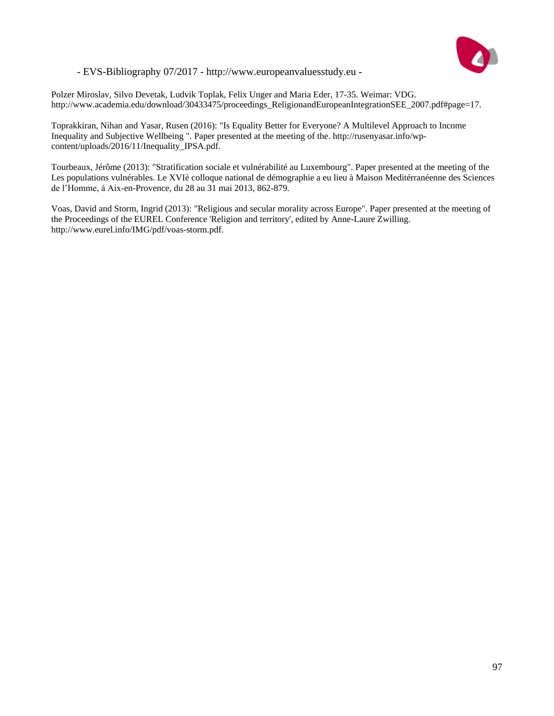

Polzer Miroslav, Silvo Devetak, Ludvik Toplak, Felix Unger and Maria Eder, 17-35. Weimar: VDG. http://www.academia.edu/download/30433475/proceedings\_ReligionandEuropeanIntegrationSEE\_2007.pdf#page=17.

Toprakkiran, Nihan and Yasar, Rusen (2016): "Is Equality Better for Everyone? A Multilevel Approach to Income Inequality and Subjective Wellbeing ". Paper presented at the meeting of the. http://rusenyasar.info/wpcontent/uploads/2016/11/Inequality\_IPSA.pdf.

Tourbeaux, Jérôme (2013): "Stratification sociale et vulnérabilité au Luxembourg". Paper presented at the meeting of the Les populations vulnérables. Le XVIè colloque national de démographie a eu lieu à Maison Meditérranéenne des Sciences de l'Homme, à Aix-en-Provence, du 28 au 31 mai 2013, 862-879.

Voas, David and Storm, Ingrid (2013): "Religious and secular morality across Europe". Paper presented at the meeting of the Proceedings of the EUREL Conference 'Religion and territory', edited by Anne-Laure Zwilling. http://www.eurel.info/IMG/pdf/voas-storm.pdf.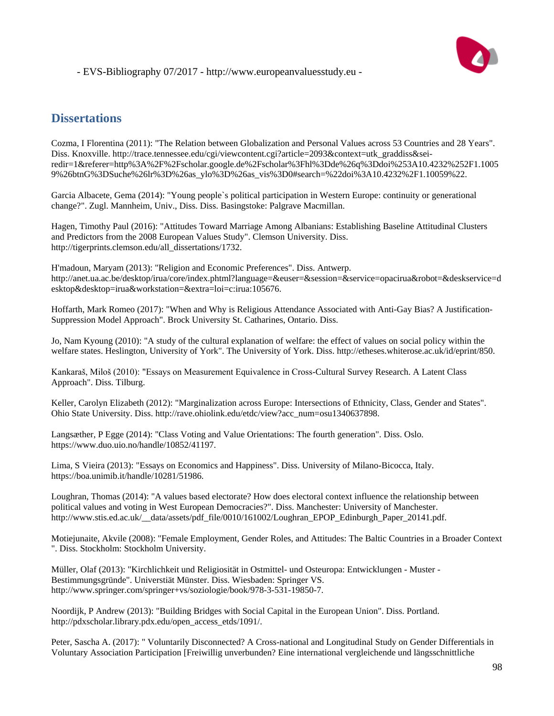

#### **Dissertations**

Cozma, I Florentina (2011): "The Relation between Globalization and Personal Values across 53 Countries and 28 Years". Diss. Knoxville. http://trace.tennessee.edu/cgi/viewcontent.cgi?article=2093&context=utk\_graddiss&seiredir=1&referer=http%3A%2F%2Fscholar.google.de%2Fscholar%3Fhl%3Dde%26q%3Ddoi%253A10.4232%252F1.1005 9%26btnG%3DSuche%26lr%3D%26as\_ylo%3D%26as\_vis%3D0#search=%22doi%3A10.4232%2F1.10059%22.

Garcia Albacete, Gema (2014): "Young people`s political participation in Western Europe: continuity or generational change?". Zugl. Mannheim, Univ., Diss. Diss. Basingstoke: Palgrave Macmillan.

Hagen, Timothy Paul (2016): "Attitudes Toward Marriage Among Albanians: Establishing Baseline Attitudinal Clusters and Predictors from the 2008 European Values Study". Clemson University. Diss. http://tigerprints.clemson.edu/all\_dissertations/1732.

H'madoun, Maryam (2013): "Religion and Economic Preferences". Diss. Antwerp. http://anet.ua.ac.be/desktop/irua/core/index.phtml?language=&euser=&session=&service=opacirua&robot=&deskservice=d esktop&desktop=irua&workstation=&extra=loi=c:irua:105676.

Hoffarth, Mark Romeo (2017): "When and Why is Religious Attendance Associated with Anti-Gay Bias? A Justification-Suppression Model Approach". Brock University St. Catharines, Ontario. Diss.

Jo, Nam Kyoung (2010): "A study of the cultural explanation of welfare: the effect of values on social policy within the welfare states. Heslington, University of York". The University of York. Diss. http://etheses.whiterose.ac.uk/id/eprint/850.

Kankaraš, Miloš (2010): "Essays on Measurement Equivalence in Cross-Cultural Survey Research. A Latent Class Approach". Diss. Tilburg.

Keller, Carolyn Elizabeth (2012): "Marginalization across Europe: Intersections of Ethnicity, Class, Gender and States". Ohio State University. Diss. http://rave.ohiolink.edu/etdc/view?acc\_num=osu1340637898.

Langsæther, P Egge (2014): "Class Voting and Value Orientations: The fourth generation". Diss. Oslo. https://www.duo.uio.no/handle/10852/41197.

Lima, S Vieira (2013): "Essays on Economics and Happiness". Diss. University of Milano-Bicocca, Italy. https://boa.unimib.it/handle/10281/51986.

Loughran, Thomas (2014): "A values based electorate? How does electoral context influence the relationship between political values and voting in West European Democracies?". Diss. Manchester: University of Manchester. http://www.stis.ed.ac.uk/\_\_data/assets/pdf\_file/0010/161002/Loughran\_EPOP\_Edinburgh\_Paper\_20141.pdf.

Motiejunaite, Akvile (2008): "Female Employment, Gender Roles, and Attitudes: The Baltic Countries in a Broader Context ". Diss. Stockholm: Stockholm University.

Müller, Olaf (2013): "Kirchlichkeit und Religiosität in Ostmittel- und Osteuropa: Entwicklungen - Muster - Bestimmungsgründe". Universtiät Münster. Diss. Wiesbaden: Springer VS. http://www.springer.com/springer+vs/soziologie/book/978-3-531-19850-7.

Noordijk, P Andrew (2013): "Building Bridges with Social Capital in the European Union". Diss. Portland. http://pdxscholar.library.pdx.edu/open\_access\_etds/1091/.

Peter, Sascha A. (2017): " Voluntarily Disconnected? A Cross-national and Longitudinal Study on Gender Differentials in Voluntary Association Participation [Freiwillig unverbunden? Eine international vergleichende und längsschnittliche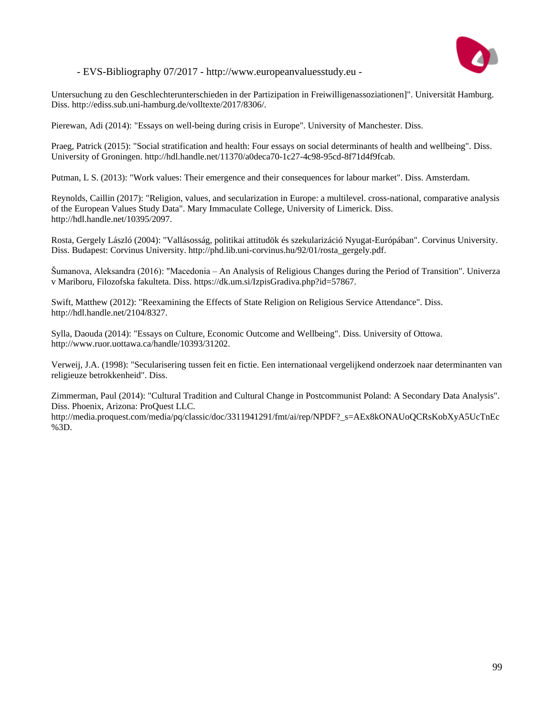

Untersuchung zu den Geschlechterunterschieden in der Partizipation in Freiwilligenassoziationen]". Universität Hamburg. Diss. http://ediss.sub.uni-hamburg.de/volltexte/2017/8306/.

Pierewan, Adi (2014): "Essays on well-being during crisis in Europe". University of Manchester. Diss.

Praeg, Patrick (2015): "Social stratification and health: Four essays on social determinants of health and wellbeing". Diss. University of Groningen. http://hdl.handle.net/11370/a0deca70-1c27-4c98-95cd-8f71d4f9fcab.

Putman, L S. (2013): "Work values: Their emergence and their consequences for labour market". Diss. Amsterdam.

Reynolds, Caillin (2017): "Religion, values, and secularization in Europe: a multilevel. cross-national, comparative analysis of the European Values Study Data". Mary Immaculate College, University of Limerick. Diss. http://hdl.handle.net/10395/2097.

Rosta, Gergely László (2004): "Vallásosság, politikai attitudök és szekularizáció Nyugat-Európában". Corvinus University. Diss. Budapest: Corvinus University. http://phd.lib.uni-corvinus.hu/92/01/rosta\_gergely.pdf.

Šumanova, Aleksandra (2016): "Macedonia – An Analysis of Religious Changes during the Period of Transition". Univerza v Mariboru, Filozofska fakulteta. Diss. https://dk.um.si/IzpisGradiva.php?id=57867.

Swift, Matthew (2012): "Reexamining the Effects of State Religion on Religious Service Attendance". Diss. http://hdl.handle.net/2104/8327.

Sylla, Daouda (2014): "Essays on Culture, Economic Outcome and Wellbeing". Diss. University of Ottowa. http://www.ruor.uottawa.ca/handle/10393/31202.

Verweij, J.A. (1998): "Secularisering tussen feit en fictie. Een internationaal vergelijkend onderzoek naar determinanten van religieuze betrokkenheid". Diss.

Zimmerman, Paul (2014): "Cultural Tradition and Cultural Change in Postcommunist Poland: A Secondary Data Analysis". Diss. Phoenix, Arizona: ProQuest LLC.

http://media.proquest.com/media/pq/classic/doc/3311941291/fmt/ai/rep/NPDF?\_s=AEx8kONAUoQCRsKobXyA5UcTnEc %3D.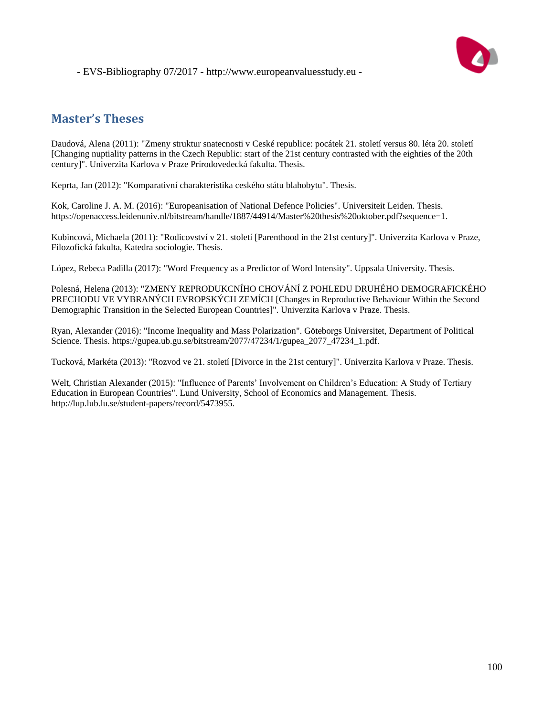



#### **Master's Theses**

Daudová, Alena (2011): "Zmeny struktur snatecnosti v Ceské republice: pocátek 21. století versus 80. léta 20. století [Changing nuptiality patterns in the Czech Republic: start of the 21st century contrasted with the eighties of the 20th century]". Univerzita Karlova v Praze Prírodovedecká fakulta. Thesis.

Keprta, Jan (2012): "Komparativní charakteristika ceského státu blahobytu". Thesis.

Kok, Caroline J. A. M. (2016): "Europeanisation of National Defence Policies". Universiteit Leiden. Thesis. https://openaccess.leidenuniv.nl/bitstream/handle/1887/44914/Master%20thesis%20oktober.pdf?sequence=1.

Kubincová, Michaela (2011): "Rodicovství v 21. století [Parenthood in the 21st century]". Univerzita Karlova v Praze, Filozofická fakulta, Katedra sociologie. Thesis.

López, Rebeca Padilla (2017): "Word Frequency as a Predictor of Word Intensity". Uppsala University. Thesis.

Polesná, Helena (2013): "ZMENY REPRODUKCNÍHO CHOVÁNÍ Z POHLEDU DRUHÉHO DEMOGRAFICKÉHO PRECHODU VE VYBRANÝCH EVROPSKÝCH ZEMÍCH [Changes in Reproductive Behaviour Within the Second Demographic Transition in the Selected European Countries]". Univerzita Karlova v Praze. Thesis.

Ryan, Alexander (2016): "Income Inequality and Mass Polarization". Göteborgs Universitet, Department of Political Science. Thesis. https://gupea.ub.gu.se/bitstream/2077/47234/1/gupea\_2077\_47234\_1.pdf.

Tucková, Markéta (2013): "Rozvod ve 21. století [Divorce in the 21st century]". Univerzita Karlova v Praze. Thesis.

Welt, Christian Alexander (2015): "Influence of Parents' Involvement on Children's Education: A Study of Tertiary Education in European Countries". Lund University, School of Economics and Management. Thesis. http://lup.lub.lu.se/student-papers/record/5473955.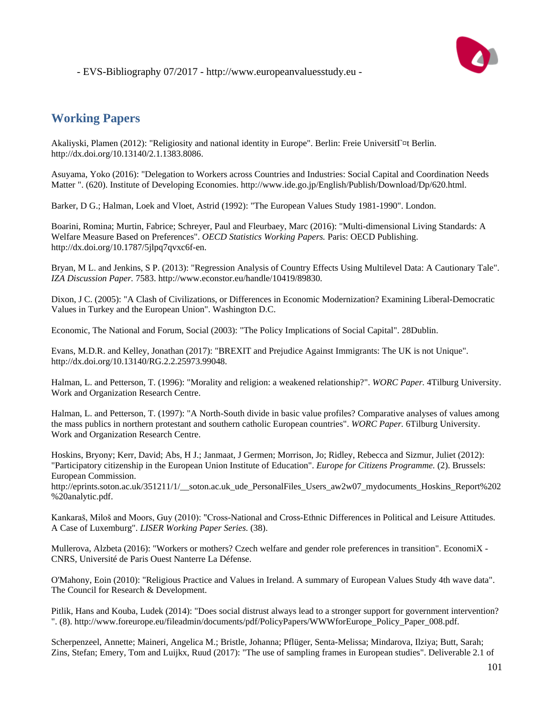

## **Working Papers**

Akaliyski, Plamen (2012): "Religiosity and national identity in Europe". Berlin: Freie Universit [¤t Berlin. http://dx.doi.org/10.13140/2.1.1383.8086.

Asuyama, Yoko (2016): "Delegation to Workers across Countries and Industries: Social Capital and Coordination Needs Matter ". (620). Institute of Developing Economies. http://www.ide.go.jp/English/Publish/Download/Dp/620.html.

Barker, D G.; Halman, Loek and Vloet, Astrid (1992): "The European Values Study 1981-1990". London.

Boarini, Romina; Murtin, Fabrice; Schreyer, Paul and Fleurbaey, Marc (2016): "Multi-dimensional Living Standards: A Welfare Measure Based on Preferences". *OECD Statistics Working Papers.* Paris: OECD Publishing. http://dx.doi.org/10.1787/5jlpq7qvxc6f-en.

Bryan, M L. and Jenkins, S P. (2013): "Regression Analysis of Country Effects Using Multilevel Data: A Cautionary Tale". *IZA Discussion Paper.* 7583. http://www.econstor.eu/handle/10419/89830.

Dixon, J C. (2005): "A Clash of Civilizations, or Differences in Economic Modernization? Examining Liberal-Democratic Values in Turkey and the European Union". Washington D.C.

Economic, The National and Forum, Social (2003): "The Policy Implications of Social Capital". 28Dublin.

Evans, M.D.R. and Kelley, Jonathan (2017): "BREXIT and Prejudice Against Immigrants: The UK is not Unique". http://dx.doi.org/10.13140/RG.2.2.25973.99048.

Halman, L. and Petterson, T. (1996): "Morality and religion: a weakened relationship?". *WORC Paper.* 4Tilburg University. Work and Organization Research Centre.

Halman, L. and Petterson, T. (1997): "A North-South divide in basic value profiles? Comparative analyses of values among the mass publics in northern protestant and southern catholic European countries". *WORC Paper.* 6Tilburg University. Work and Organization Research Centre.

Hoskins, Bryony; Kerr, David; Abs, H J.; Janmaat, J Germen; Morrison, Jo; Ridley, Rebecca and Sizmur, Juliet (2012): "Participatory citizenship in the European Union Institute of Education". *Europe for Citizens Programme.* (2). Brussels: European Commission.

http://eprints.soton.ac.uk/351211/1/\_\_soton.ac.uk\_ude\_PersonalFiles\_Users\_aw2w07\_mydocuments\_Hoskins\_Report%202 %20analytic.pdf.

Kankaraš, Miloš and Moors, Guy (2010): "Cross-National and Cross-Ethnic Differences in Political and Leisure Attitudes. A Case of Luxemburg". *LISER Working Paper Series.* (38).

Mullerova, Alzbeta (2016): "Workers or mothers? Czech welfare and gender role preferences in transition". EconomiX - CNRS, Université de Paris Ouest Nanterre La Défense.

O'Mahony, Eoin (2010): "Religious Practice and Values in Ireland. A summary of European Values Study 4th wave data". The Council for Research & Development.

Pitlik, Hans and Kouba, Ludek (2014): "Does social distrust always lead to a stronger support for government intervention? ". (8). http://www.foreurope.eu/fileadmin/documents/pdf/PolicyPapers/WWWforEurope\_Policy\_Paper\_008.pdf.

Scherpenzeel, Annette; Maineri, Angelica M.; Bristle, Johanna; Pflüger, Senta-Melissa; Mindarova, Ilziya; Butt, Sarah; Zins, Stefan; Emery, Tom and Luijkx, Ruud (2017): "The use of sampling frames in European studies". Deliverable 2.1 of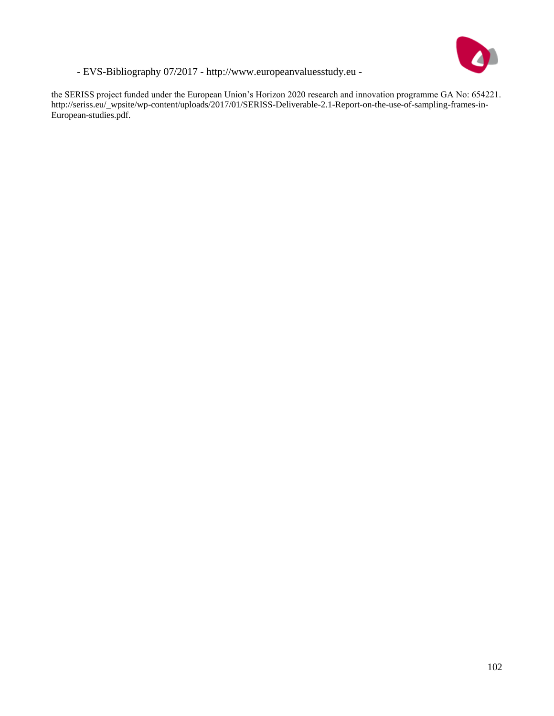

the SERISS project funded under the European Union's Horizon 2020 research and innovation programme GA No: 654221. http://seriss.eu/\_wpsite/wp-content/uploads/2017/01/SERISS-Deliverable-2.1-Report-on-the-use-of-sampling-frames-in-European-studies.pdf.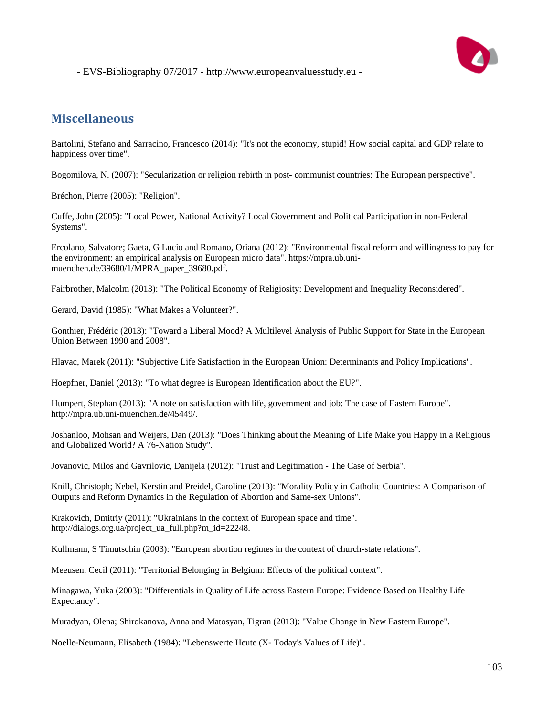

### **Miscellaneous**

Bartolini, Stefano and Sarracino, Francesco (2014): "It's not the economy, stupid! How social capital and GDP relate to happiness over time".

Bogomilova, N. (2007): "Secularization or religion rebirth in post- communist countries: The European perspective".

Bréchon, Pierre (2005): "Religion".

Cuffe, John (2005): "Local Power, National Activity? Local Government and Political Participation in non-Federal Systems".

Ercolano, Salvatore; Gaeta, G Lucio and Romano, Oriana (2012): "Environmental fiscal reform and willingness to pay for the environment: an empirical analysis on European micro data". https://mpra.ub.unimuenchen.de/39680/1/MPRA\_paper\_39680.pdf.

Fairbrother, Malcolm (2013): "The Political Economy of Religiosity: Development and Inequality Reconsidered".

Gerard, David (1985): "What Makes a Volunteer?".

Gonthier, Frédéric (2013): "Toward a Liberal Mood? A Multilevel Analysis of Public Support for State in the European Union Between 1990 and 2008".

Hlavac, Marek (2011): "Subjective Life Satisfaction in the European Union: Determinants and Policy Implications".

Hoepfner, Daniel (2013): "To what degree is European Identification about the EU?".

Humpert, Stephan (2013): "A note on satisfaction with life, government and job: The case of Eastern Europe". http://mpra.ub.uni-muenchen.de/45449/.

Joshanloo, Mohsan and Weijers, Dan (2013): "Does Thinking about the Meaning of Life Make you Happy in a Religious and Globalized World? A 76-Nation Study".

Jovanovic, Milos and Gavrilovic, Danijela (2012): "Trust and Legitimation - The Case of Serbia".

Knill, Christoph; Nebel, Kerstin and Preidel, Caroline (2013): "Morality Policy in Catholic Countries: A Comparison of Outputs and Reform Dynamics in the Regulation of Abortion and Same-sex Unions".

Krakovich, Dmitriy (2011): "Ukrainians in the context of European space and time". http://dialogs.org.ua/project\_ua\_full.php?m\_id=22248.

Kullmann, S Timutschin (2003): "European abortion regimes in the context of church-state relations".

Meeusen, Cecil (2011): "Territorial Belonging in Belgium: Effects of the political context".

Minagawa, Yuka (2003): "Differentials in Quality of Life across Eastern Europe: Evidence Based on Healthy Life Expectancy".

Muradyan, Olena; Shirokanova, Anna and Matosyan, Tigran (2013): "Value Change in New Eastern Europe".

Noelle-Neumann, Elisabeth (1984): "Lebenswerte Heute (X- Today's Values of Life)".